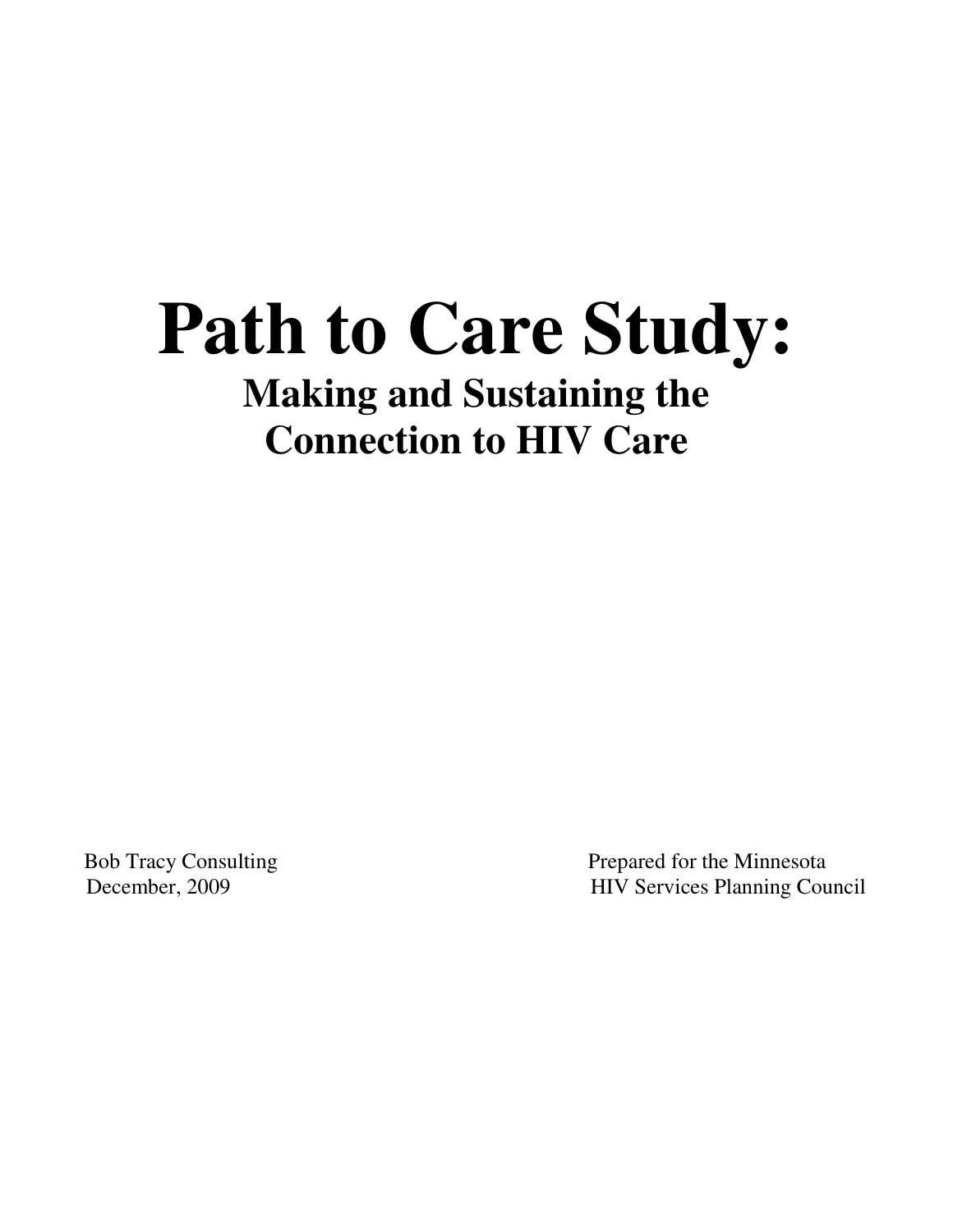# **Path to Care Study: Making and Sustaining the Connection to HIV Care**

Bob Tracy Consulting Prepared for the Minnesota December, 2009 HIV Services Planning Council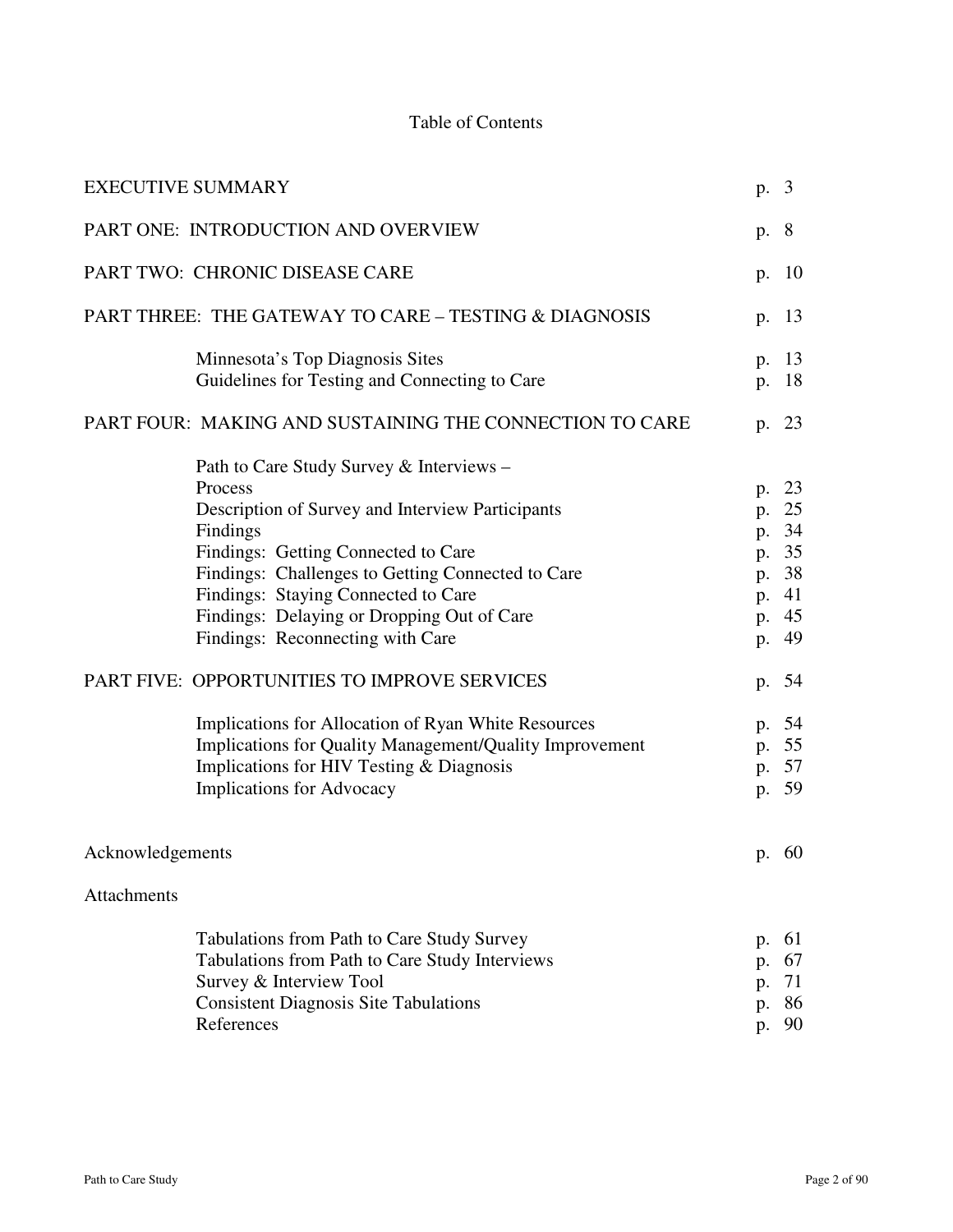# Table of Contents

| <b>EXECUTIVE SUMMARY</b>                                |                                                                                                                                                                                                                                                                                                                                                                                                                                                                                                                                                                                     | p.                         | $\overline{3}$                                                                                           |
|---------------------------------------------------------|-------------------------------------------------------------------------------------------------------------------------------------------------------------------------------------------------------------------------------------------------------------------------------------------------------------------------------------------------------------------------------------------------------------------------------------------------------------------------------------------------------------------------------------------------------------------------------------|----------------------------|----------------------------------------------------------------------------------------------------------|
|                                                         | PART ONE: INTRODUCTION AND OVERVIEW                                                                                                                                                                                                                                                                                                                                                                                                                                                                                                                                                 | p.                         | 8                                                                                                        |
|                                                         | PART TWO: CHRONIC DISEASE CARE                                                                                                                                                                                                                                                                                                                                                                                                                                                                                                                                                      | p.                         | 10                                                                                                       |
|                                                         | PART THREE: THE GATEWAY TO CARE – TESTING & DIAGNOSIS                                                                                                                                                                                                                                                                                                                                                                                                                                                                                                                               | p.                         | 13                                                                                                       |
|                                                         | Minnesota's Top Diagnosis Sites<br>Guidelines for Testing and Connecting to Care                                                                                                                                                                                                                                                                                                                                                                                                                                                                                                    | p.<br>p.                   | 13<br>18                                                                                                 |
| PART FOUR: MAKING AND SUSTAINING THE CONNECTION TO CARE |                                                                                                                                                                                                                                                                                                                                                                                                                                                                                                                                                                                     |                            | p. 23                                                                                                    |
|                                                         | Path to Care Study Survey & Interviews –<br>Process<br>Description of Survey and Interview Participants<br>Findings<br>Findings: Getting Connected to Care<br>Findings: Challenges to Getting Connected to Care<br>Findings: Staying Connected to Care<br>Findings: Delaying or Dropping Out of Care<br>Findings: Reconnecting with Care<br>PART FIVE: OPPORTUNITIES TO IMPROVE SERVICES<br>Implications for Allocation of Ryan White Resources<br>Implications for Quality Management/Quality Improvement<br>Implications for HIV Testing & Diagnosis<br>Implications for Advocacy | p.<br>p.<br>p.             | 23<br>25<br>p. 34<br>p. 35<br>p. 38<br>p. 41<br>p. 45<br>p. 49<br>54<br>p. 54<br>p. 55<br>p. 57<br>p. 59 |
| Acknowledgements                                        |                                                                                                                                                                                                                                                                                                                                                                                                                                                                                                                                                                                     |                            | p. 60                                                                                                    |
| <b>Attachments</b>                                      |                                                                                                                                                                                                                                                                                                                                                                                                                                                                                                                                                                                     |                            |                                                                                                          |
|                                                         | Tabulations from Path to Care Study Survey<br>Tabulations from Path to Care Study Interviews<br>Survey & Interview Tool<br><b>Consistent Diagnosis Site Tabulations</b><br>References                                                                                                                                                                                                                                                                                                                                                                                               | p.<br>p.<br>p.<br>p.<br>p. | 61<br>67<br>71<br>86<br>90                                                                               |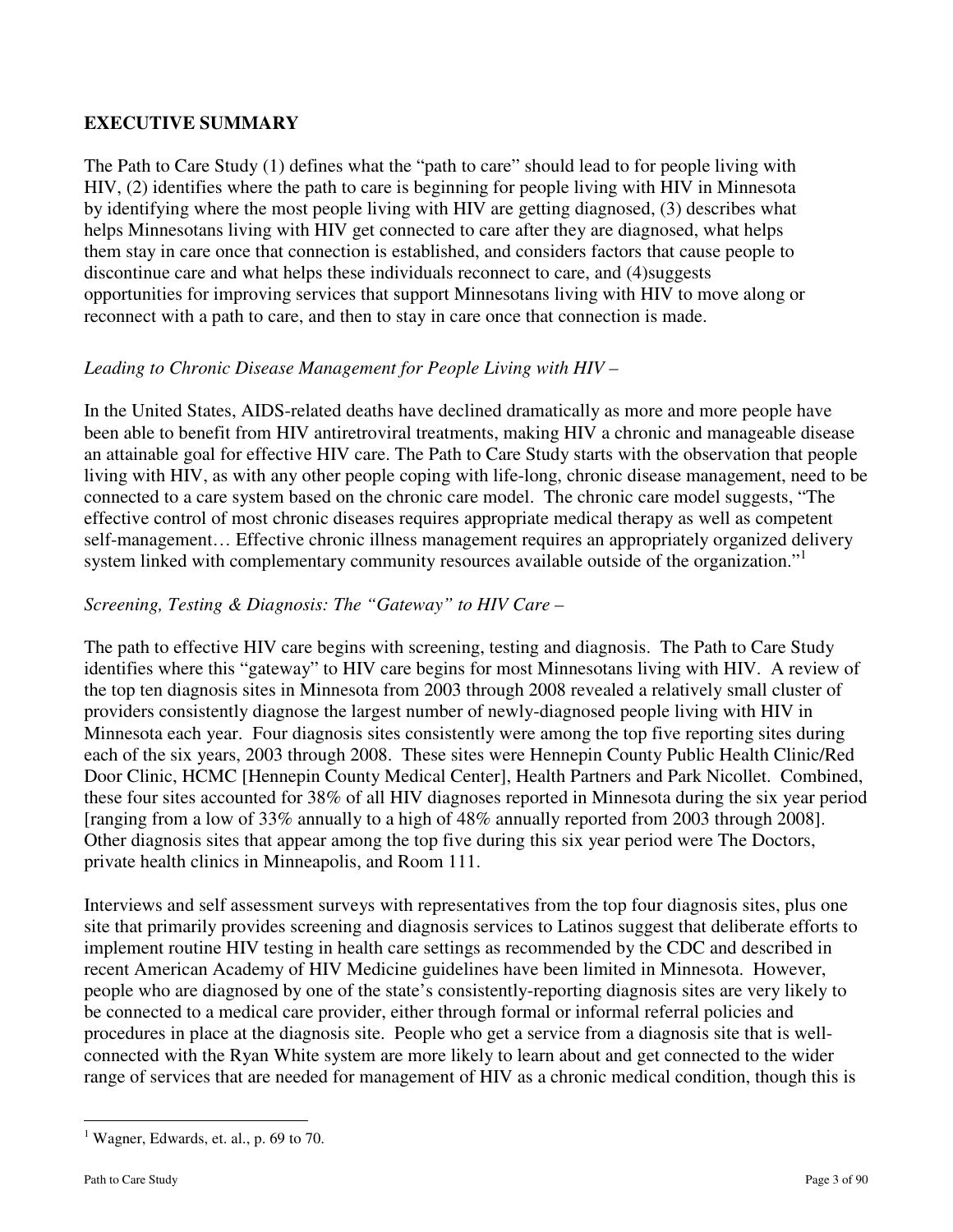# **EXECUTIVE SUMMARY**

The Path to Care Study (1) defines what the "path to care" should lead to for people living with HIV, (2) identifies where the path to care is beginning for people living with HIV in Minnesota by identifying where the most people living with HIV are getting diagnosed, (3) describes what helps Minnesotans living with HIV get connected to care after they are diagnosed, what helps them stay in care once that connection is established, and considers factors that cause people to discontinue care and what helps these individuals reconnect to care, and (4)suggests opportunities for improving services that support Minnesotans living with HIV to move along or reconnect with a path to care, and then to stay in care once that connection is made.

# *Leading to Chronic Disease Management for People Living with HIV –*

In the United States, AIDS-related deaths have declined dramatically as more and more people have been able to benefit from HIV antiretroviral treatments, making HIV a chronic and manageable disease an attainable goal for effective HIV care. The Path to Care Study starts with the observation that people living with HIV, as with any other people coping with life-long, chronic disease management, need to be connected to a care system based on the chronic care model. The chronic care model suggests, "The effective control of most chronic diseases requires appropriate medical therapy as well as competent self-management… Effective chronic illness management requires an appropriately organized delivery system linked with complementary community resources available outside of the organization."<sup>1</sup>

# *Screening, Testing & Diagnosis: The "Gateway" to HIV Care –*

The path to effective HIV care begins with screening, testing and diagnosis. The Path to Care Study identifies where this "gateway" to HIV care begins for most Minnesotans living with HIV. A review of the top ten diagnosis sites in Minnesota from 2003 through 2008 revealed a relatively small cluster of providers consistently diagnose the largest number of newly-diagnosed people living with HIV in Minnesota each year. Four diagnosis sites consistently were among the top five reporting sites during each of the six years, 2003 through 2008. These sites were Hennepin County Public Health Clinic/Red Door Clinic, HCMC [Hennepin County Medical Center], Health Partners and Park Nicollet. Combined, these four sites accounted for 38% of all HIV diagnoses reported in Minnesota during the six year period [ranging from a low of 33% annually to a high of 48% annually reported from 2003 through 2008]. Other diagnosis sites that appear among the top five during this six year period were The Doctors, private health clinics in Minneapolis, and Room 111.

Interviews and self assessment surveys with representatives from the top four diagnosis sites, plus one site that primarily provides screening and diagnosis services to Latinos suggest that deliberate efforts to implement routine HIV testing in health care settings as recommended by the CDC and described in recent American Academy of HIV Medicine guidelines have been limited in Minnesota. However, people who are diagnosed by one of the state's consistently-reporting diagnosis sites are very likely to be connected to a medical care provider, either through formal or informal referral policies and procedures in place at the diagnosis site. People who get a service from a diagnosis site that is wellconnected with the Ryan White system are more likely to learn about and get connected to the wider range of services that are needed for management of HIV as a chronic medical condition, though this is

 $\overline{a}$ <sup>1</sup> Wagner, Edwards, et. al., p. 69 to 70.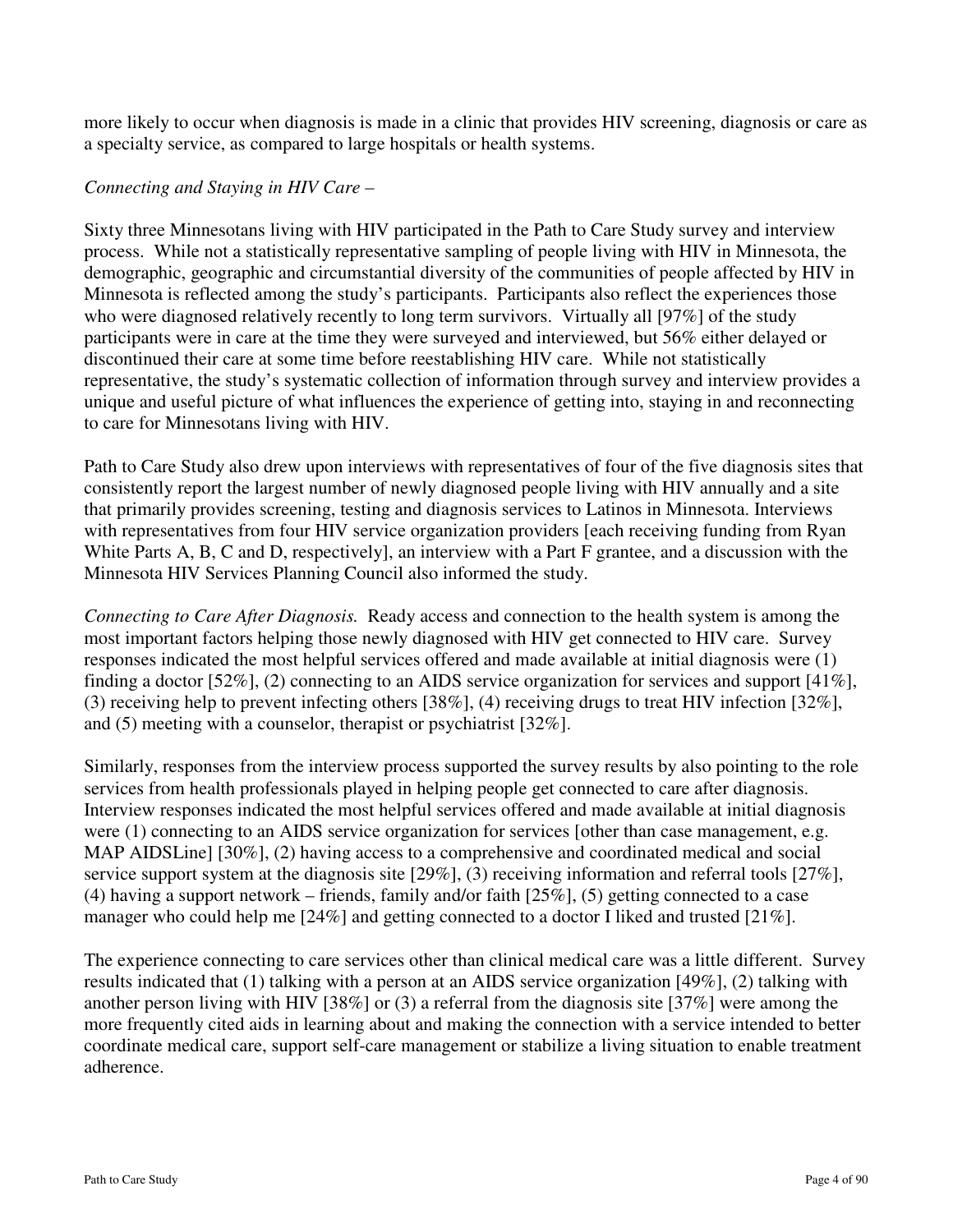more likely to occur when diagnosis is made in a clinic that provides HIV screening, diagnosis or care as a specialty service, as compared to large hospitals or health systems.

#### *Connecting and Staying in HIV Care –*

Sixty three Minnesotans living with HIV participated in the Path to Care Study survey and interview process. While not a statistically representative sampling of people living with HIV in Minnesota, the demographic, geographic and circumstantial diversity of the communities of people affected by HIV in Minnesota is reflected among the study's participants. Participants also reflect the experiences those who were diagnosed relatively recently to long term survivors. Virtually all [97%] of the study participants were in care at the time they were surveyed and interviewed, but 56% either delayed or discontinued their care at some time before reestablishing HIV care. While not statistically representative, the study's systematic collection of information through survey and interview provides a unique and useful picture of what influences the experience of getting into, staying in and reconnecting to care for Minnesotans living with HIV.

Path to Care Study also drew upon interviews with representatives of four of the five diagnosis sites that consistently report the largest number of newly diagnosed people living with HIV annually and a site that primarily provides screening, testing and diagnosis services to Latinos in Minnesota. Interviews with representatives from four HIV service organization providers [each receiving funding from Ryan White Parts A, B, C and D, respectively], an interview with a Part F grantee, and a discussion with the Minnesota HIV Services Planning Council also informed the study.

*Connecting to Care After Diagnosis.* Ready access and connection to the health system is among the most important factors helping those newly diagnosed with HIV get connected to HIV care. Survey responses indicated the most helpful services offered and made available at initial diagnosis were (1) finding a doctor [52%], (2) connecting to an AIDS service organization for services and support [41%], (3) receiving help to prevent infecting others [38%], (4) receiving drugs to treat HIV infection [32%], and (5) meeting with a counselor, therapist or psychiatrist [32%].

Similarly, responses from the interview process supported the survey results by also pointing to the role services from health professionals played in helping people get connected to care after diagnosis. Interview responses indicated the most helpful services offered and made available at initial diagnosis were (1) connecting to an AIDS service organization for services [other than case management, e.g. MAP AIDSLine] [30%], (2) having access to a comprehensive and coordinated medical and social service support system at the diagnosis site [29%], (3) receiving information and referral tools [27%], (4) having a support network – friends, family and/or faith [25%], (5) getting connected to a case manager who could help me [24%] and getting connected to a doctor I liked and trusted [21%].

The experience connecting to care services other than clinical medical care was a little different. Survey results indicated that (1) talking with a person at an AIDS service organization [49%], (2) talking with another person living with HIV [38%] or (3) a referral from the diagnosis site [37%] were among the more frequently cited aids in learning about and making the connection with a service intended to better coordinate medical care, support self-care management or stabilize a living situation to enable treatment adherence.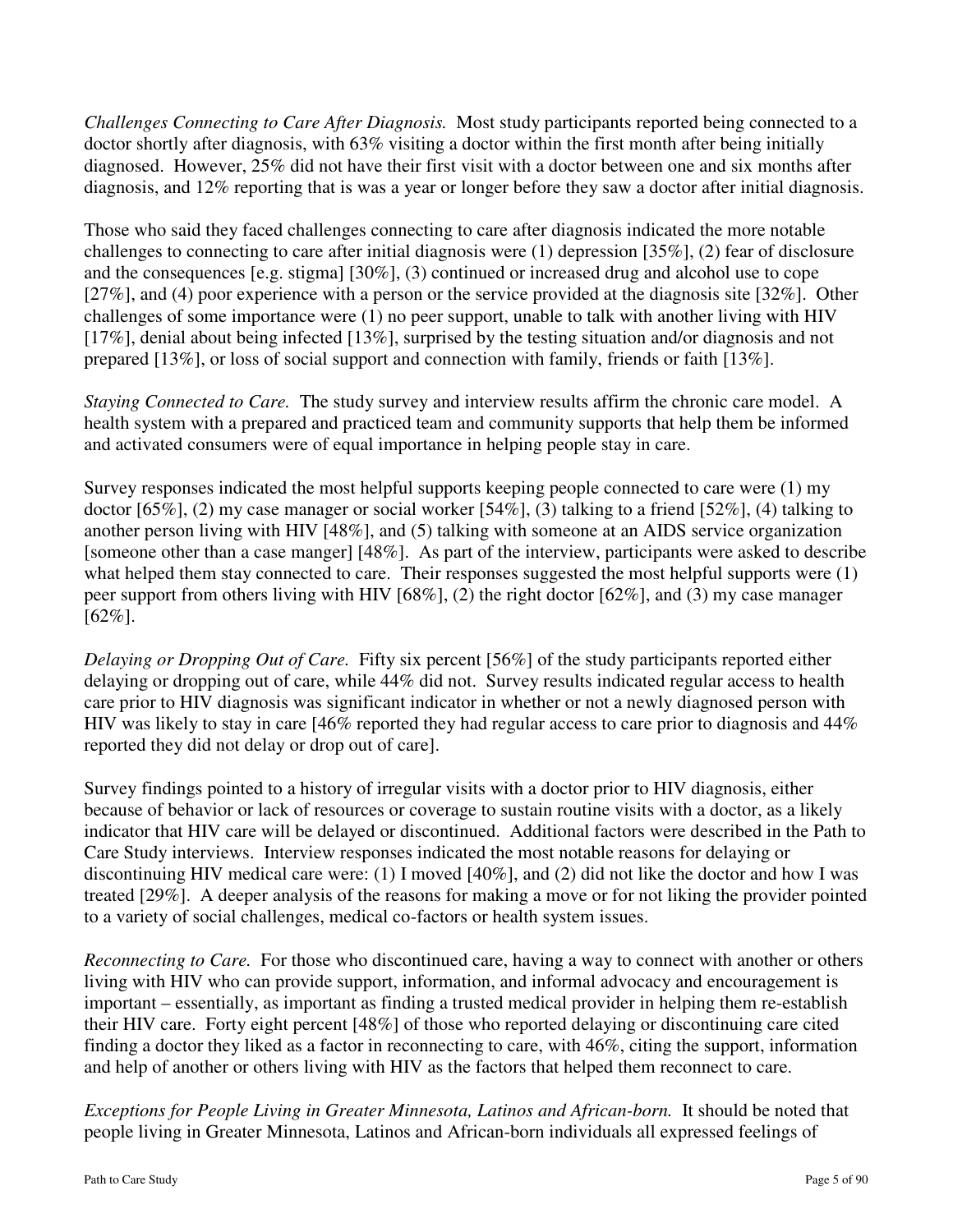*Challenges Connecting to Care After Diagnosis.* Most study participants reported being connected to a doctor shortly after diagnosis, with 63% visiting a doctor within the first month after being initially diagnosed. However, 25% did not have their first visit with a doctor between one and six months after diagnosis, and 12% reporting that is was a year or longer before they saw a doctor after initial diagnosis.

Those who said they faced challenges connecting to care after diagnosis indicated the more notable challenges to connecting to care after initial diagnosis were (1) depression [35%], (2) fear of disclosure and the consequences [e.g. stigma] [30%], (3) continued or increased drug and alcohol use to cope [27%], and (4) poor experience with a person or the service provided at the diagnosis site [32%]. Other challenges of some importance were (1) no peer support, unable to talk with another living with HIV [17%], denial about being infected [13%], surprised by the testing situation and/or diagnosis and not prepared [13%], or loss of social support and connection with family, friends or faith [13%].

*Staying Connected to Care.* The study survey and interview results affirm the chronic care model. A health system with a prepared and practiced team and community supports that help them be informed and activated consumers were of equal importance in helping people stay in care.

Survey responses indicated the most helpful supports keeping people connected to care were (1) my doctor [65%], (2) my case manager or social worker [54%], (3) talking to a friend [52%], (4) talking to another person living with HIV [48%], and (5) talking with someone at an AIDS service organization [someone other than a case manger] [48%]. As part of the interview, participants were asked to describe what helped them stay connected to care. Their responses suggested the most helpful supports were (1) peer support from others living with HIV [68%], (2) the right doctor [62%], and (3) my case manager  $[62\%]$ .

*Delaying or Dropping Out of Care.* Fifty six percent [56%] of the study participants reported either delaying or dropping out of care, while 44% did not. Survey results indicated regular access to health care prior to HIV diagnosis was significant indicator in whether or not a newly diagnosed person with HIV was likely to stay in care [46% reported they had regular access to care prior to diagnosis and 44% reported they did not delay or drop out of care].

Survey findings pointed to a history of irregular visits with a doctor prior to HIV diagnosis, either because of behavior or lack of resources or coverage to sustain routine visits with a doctor, as a likely indicator that HIV care will be delayed or discontinued. Additional factors were described in the Path to Care Study interviews.Interview responses indicated the most notable reasons for delaying or discontinuing HIV medical care were: (1) I moved [40%], and (2) did not like the doctor and how I was treated [29%]. A deeper analysis of the reasons for making a move or for not liking the provider pointed to a variety of social challenges, medical co-factors or health system issues.

*Reconnecting to Care.* For those who discontinued care, having a way to connect with another or others living with HIV who can provide support, information, and informal advocacy and encouragement is important – essentially, as important as finding a trusted medical provider in helping them re-establish their HIV care. Forty eight percent [48%] of those who reported delaying or discontinuing care cited finding a doctor they liked as a factor in reconnecting to care, with 46%, citing the support, information and help of another or others living with HIV as the factors that helped them reconnect to care.

*Exceptions for People Living in Greater Minnesota, Latinos and African-born.* It should be noted that people living in Greater Minnesota, Latinos and African-born individuals all expressed feelings of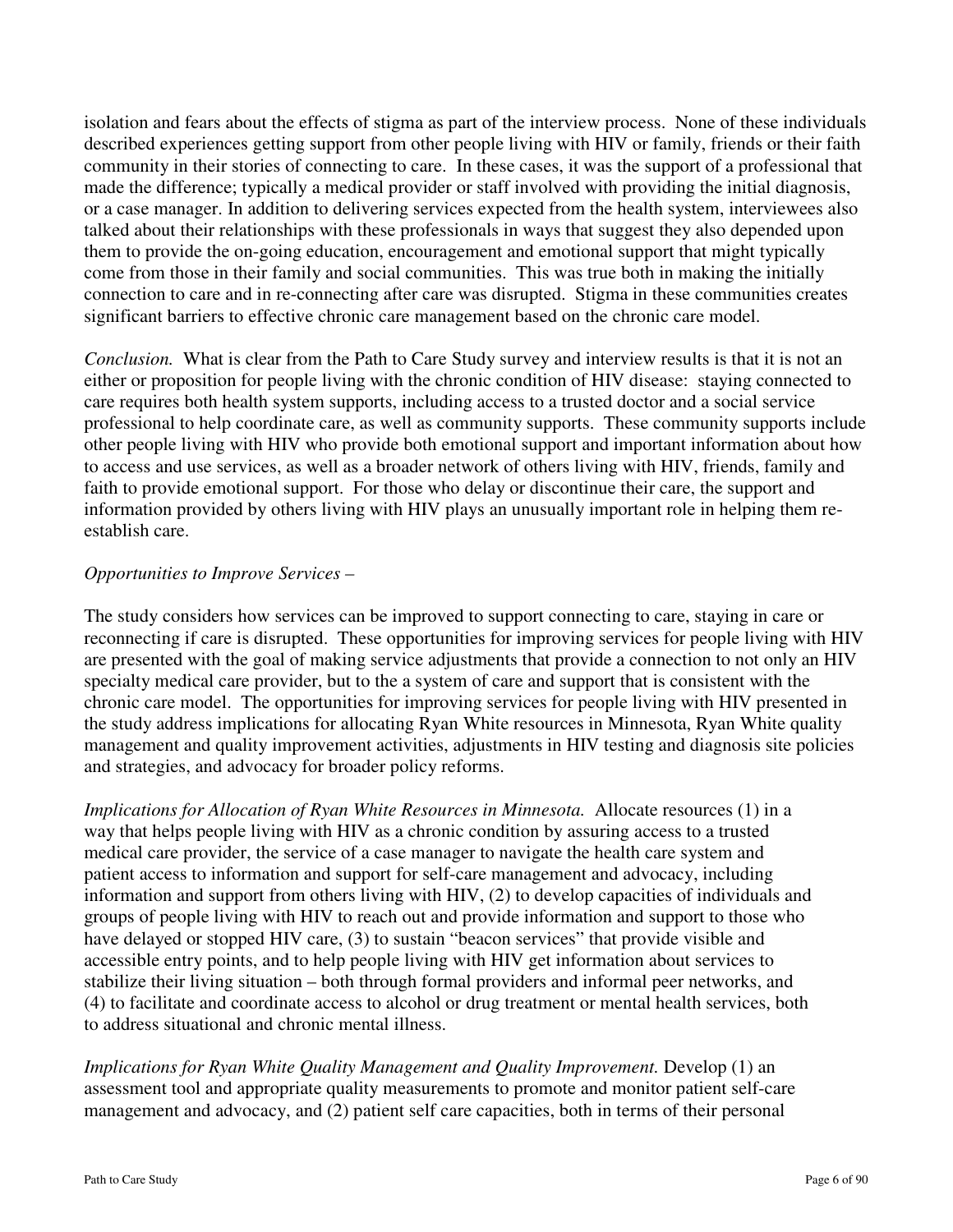isolation and fears about the effects of stigma as part of the interview process. None of these individuals described experiences getting support from other people living with HIV or family, friends or their faith community in their stories of connecting to care. In these cases, it was the support of a professional that made the difference; typically a medical provider or staff involved with providing the initial diagnosis, or a case manager. In addition to delivering services expected from the health system, interviewees also talked about their relationships with these professionals in ways that suggest they also depended upon them to provide the on-going education, encouragement and emotional support that might typically come from those in their family and social communities. This was true both in making the initially connection to care and in re-connecting after care was disrupted. Stigma in these communities creates significant barriers to effective chronic care management based on the chronic care model.

*Conclusion.* What is clear from the Path to Care Study survey and interview results is that it is not an either or proposition for people living with the chronic condition of HIV disease: staying connected to care requires both health system supports, including access to a trusted doctor and a social service professional to help coordinate care, as well as community supports. These community supports include other people living with HIV who provide both emotional support and important information about how to access and use services, as well as a broader network of others living with HIV, friends, family and faith to provide emotional support. For those who delay or discontinue their care, the support and information provided by others living with HIV plays an unusually important role in helping them reestablish care.

### *Opportunities to Improve Services –*

The study considers how services can be improved to support connecting to care, staying in care or reconnecting if care is disrupted. These opportunities for improving services for people living with HIV are presented with the goal of making service adjustments that provide a connection to not only an HIV specialty medical care provider, but to the a system of care and support that is consistent with the chronic care model. The opportunities for improving services for people living with HIV presented in the study address implications for allocating Ryan White resources in Minnesota, Ryan White quality management and quality improvement activities, adjustments in HIV testing and diagnosis site policies and strategies, and advocacy for broader policy reforms.

*Implications for Allocation of Ryan White Resources in Minnesota.* Allocate resources (1) in a way that helps people living with HIV as a chronic condition by assuring access to a trusted medical care provider, the service of a case manager to navigate the health care system and patient access to information and support for self-care management and advocacy, including information and support from others living with HIV, (2) to develop capacities of individuals and groups of people living with HIV to reach out and provide information and support to those who have delayed or stopped HIV care, (3) to sustain "beacon services" that provide visible and accessible entry points, and to help people living with HIV get information about services to stabilize their living situation – both through formal providers and informal peer networks, and (4) to facilitate and coordinate access to alcohol or drug treatment or mental health services, both to address situational and chronic mental illness.

*Implications for Ryan White Quality Management and Quality Improvement.* Develop (1) an assessment tool and appropriate quality measurements to promote and monitor patient self-care management and advocacy, and (2) patient self care capacities, both in terms of their personal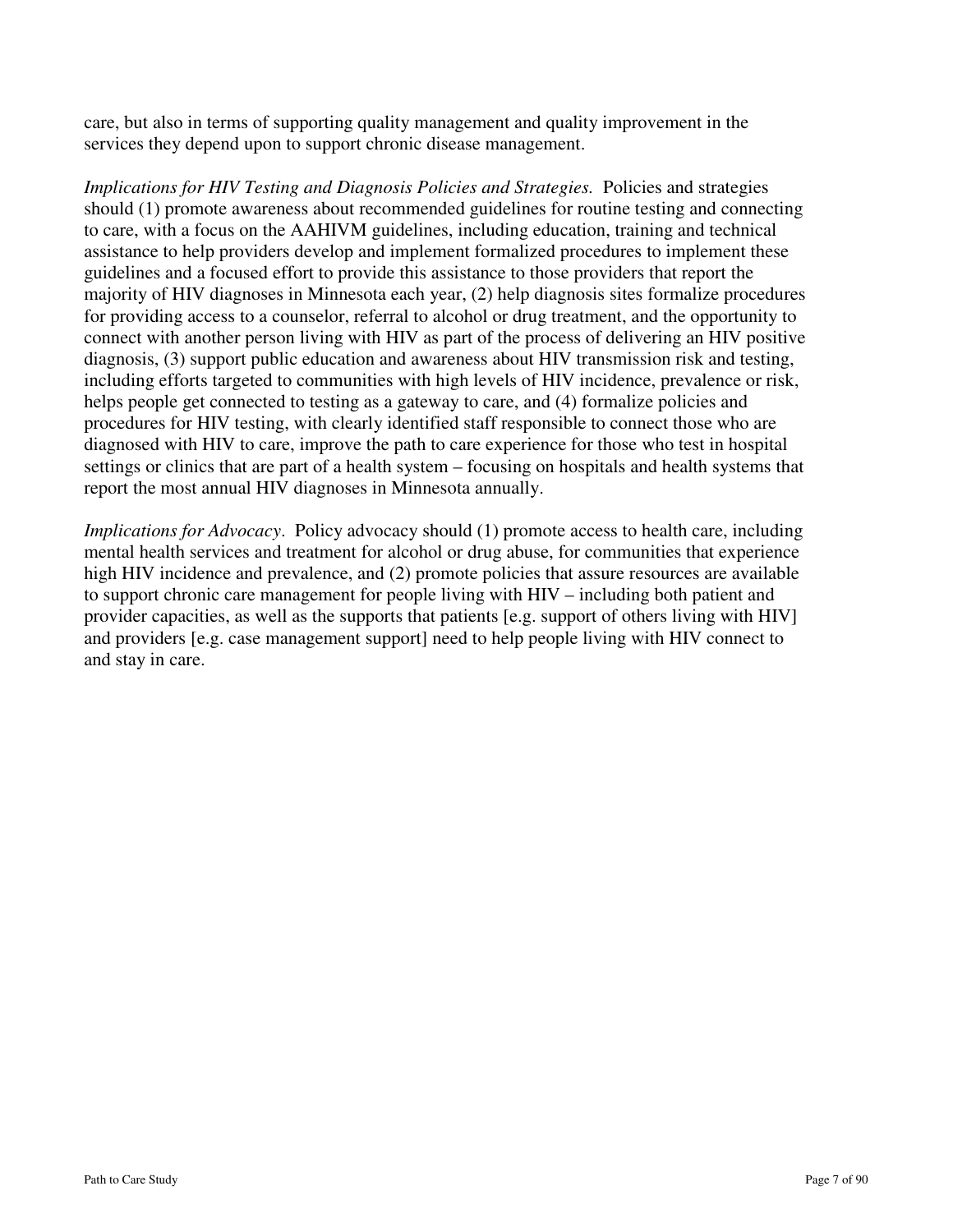care, but also in terms of supporting quality management and quality improvement in the services they depend upon to support chronic disease management.

*Implications for HIV Testing and Diagnosis Policies and Strategies.* Policies and strategies should (1) promote awareness about recommended guidelines for routine testing and connecting to care, with a focus on the AAHIVM guidelines, including education, training and technical assistance to help providers develop and implement formalized procedures to implement these guidelines and a focused effort to provide this assistance to those providers that report the majority of HIV diagnoses in Minnesota each year, (2) help diagnosis sites formalize procedures for providing access to a counselor, referral to alcohol or drug treatment, and the opportunity to connect with another person living with HIV as part of the process of delivering an HIV positive diagnosis, (3) support public education and awareness about HIV transmission risk and testing, including efforts targeted to communities with high levels of HIV incidence, prevalence or risk, helps people get connected to testing as a gateway to care, and  $(4)$  formalize policies and procedures for HIV testing, with clearly identified staff responsible to connect those who are diagnosed with HIV to care, improve the path to care experience for those who test in hospital settings or clinics that are part of a health system – focusing on hospitals and health systems that report the most annual HIV diagnoses in Minnesota annually.

*Implications for Advocacy*. Policy advocacy should (1) promote access to health care, including mental health services and treatment for alcohol or drug abuse, for communities that experience high HIV incidence and prevalence, and (2) promote policies that assure resources are available to support chronic care management for people living with HIV – including both patient and provider capacities, as well as the supports that patients [e.g. support of others living with HIV] and providers [e.g. case management support] need to help people living with HIV connect to and stay in care.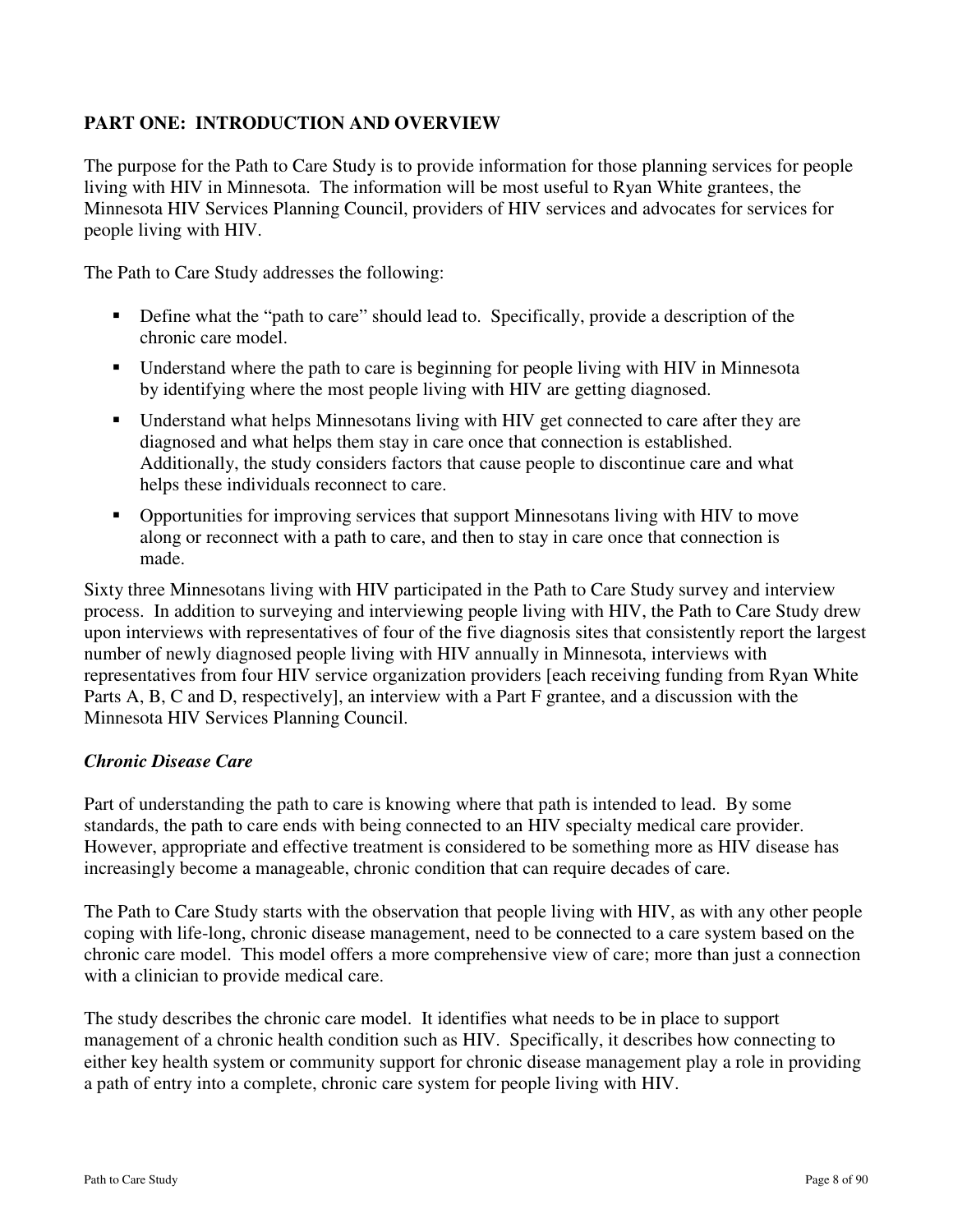# **PART ONE: INTRODUCTION AND OVERVIEW**

The purpose for the Path to Care Study is to provide information for those planning services for people living with HIV in Minnesota. The information will be most useful to Ryan White grantees, the Minnesota HIV Services Planning Council, providers of HIV services and advocates for services for people living with HIV.

The Path to Care Study addresses the following:

- Define what the "path to care" should lead to. Specifically, provide a description of the chronic care model.
- Understand where the path to care is beginning for people living with HIV in Minnesota by identifying where the most people living with HIV are getting diagnosed.
- Understand what helps Minnesotans living with HIV get connected to care after they are diagnosed and what helps them stay in care once that connection is established. Additionally, the study considers factors that cause people to discontinue care and what helps these individuals reconnect to care.
- Opportunities for improving services that support Minnesotans living with HIV to move along or reconnect with a path to care, and then to stay in care once that connection is made.

Sixty three Minnesotans living with HIV participated in the Path to Care Study survey and interview process. In addition to surveying and interviewing people living with HIV, the Path to Care Study drew upon interviews with representatives of four of the five diagnosis sites that consistently report the largest number of newly diagnosed people living with HIV annually in Minnesota, interviews with representatives from four HIV service organization providers [each receiving funding from Ryan White Parts A, B, C and D, respectively], an interview with a Part F grantee, and a discussion with the Minnesota HIV Services Planning Council.

# *Chronic Disease Care*

Part of understanding the path to care is knowing where that path is intended to lead. By some standards, the path to care ends with being connected to an HIV specialty medical care provider. However, appropriate and effective treatment is considered to be something more as HIV disease has increasingly become a manageable, chronic condition that can require decades of care.

The Path to Care Study starts with the observation that people living with HIV, as with any other people coping with life-long, chronic disease management, need to be connected to a care system based on the chronic care model. This model offers a more comprehensive view of care; more than just a connection with a clinician to provide medical care.

The study describes the chronic care model. It identifies what needs to be in place to support management of a chronic health condition such as HIV. Specifically, it describes how connecting to either key health system or community support for chronic disease management play a role in providing a path of entry into a complete, chronic care system for people living with HIV.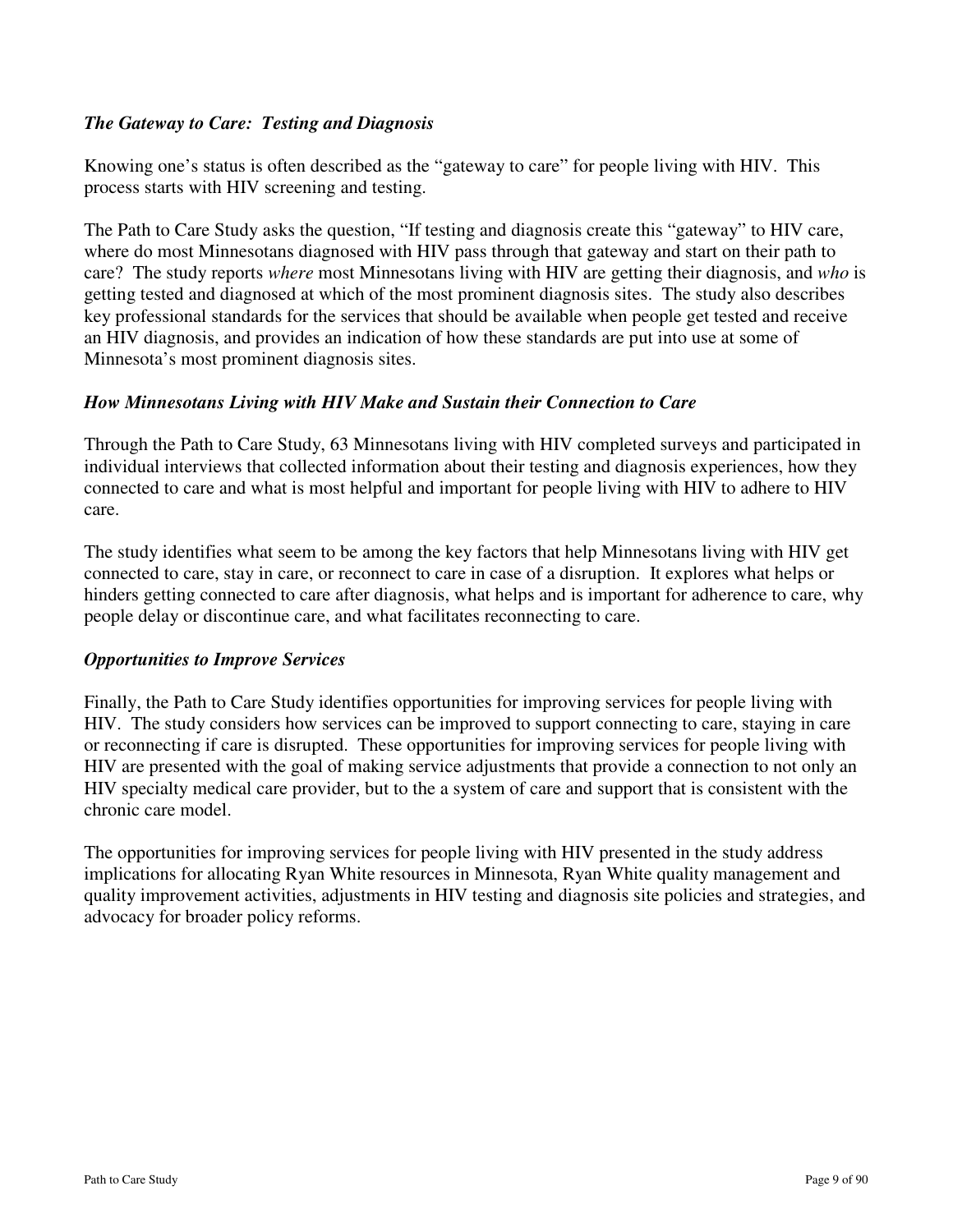## *The Gateway to Care: Testing and Diagnosis*

Knowing one's status is often described as the "gateway to care" for people living with HIV. This process starts with HIV screening and testing.

The Path to Care Study asks the question, "If testing and diagnosis create this "gateway" to HIV care, where do most Minnesotans diagnosed with HIV pass through that gateway and start on their path to care? The study reports *where* most Minnesotans living with HIV are getting their diagnosis, and *who* is getting tested and diagnosed at which of the most prominent diagnosis sites. The study also describes key professional standards for the services that should be available when people get tested and receive an HIV diagnosis, and provides an indication of how these standards are put into use at some of Minnesota's most prominent diagnosis sites.

### *How Minnesotans Living with HIV Make and Sustain their Connection to Care*

Through the Path to Care Study, 63 Minnesotans living with HIV completed surveys and participated in individual interviews that collected information about their testing and diagnosis experiences, how they connected to care and what is most helpful and important for people living with HIV to adhere to HIV care.

The study identifies what seem to be among the key factors that help Minnesotans living with HIV get connected to care, stay in care, or reconnect to care in case of a disruption. It explores what helps or hinders getting connected to care after diagnosis, what helps and is important for adherence to care, why people delay or discontinue care, and what facilitates reconnecting to care.

#### *Opportunities to Improve Services*

Finally, the Path to Care Study identifies opportunities for improving services for people living with HIV. The study considers how services can be improved to support connecting to care, staying in care or reconnecting if care is disrupted. These opportunities for improving services for people living with HIV are presented with the goal of making service adjustments that provide a connection to not only an HIV specialty medical care provider, but to the a system of care and support that is consistent with the chronic care model.

The opportunities for improving services for people living with HIV presented in the study address implications for allocating Ryan White resources in Minnesota, Ryan White quality management and quality improvement activities, adjustments in HIV testing and diagnosis site policies and strategies, and advocacy for broader policy reforms.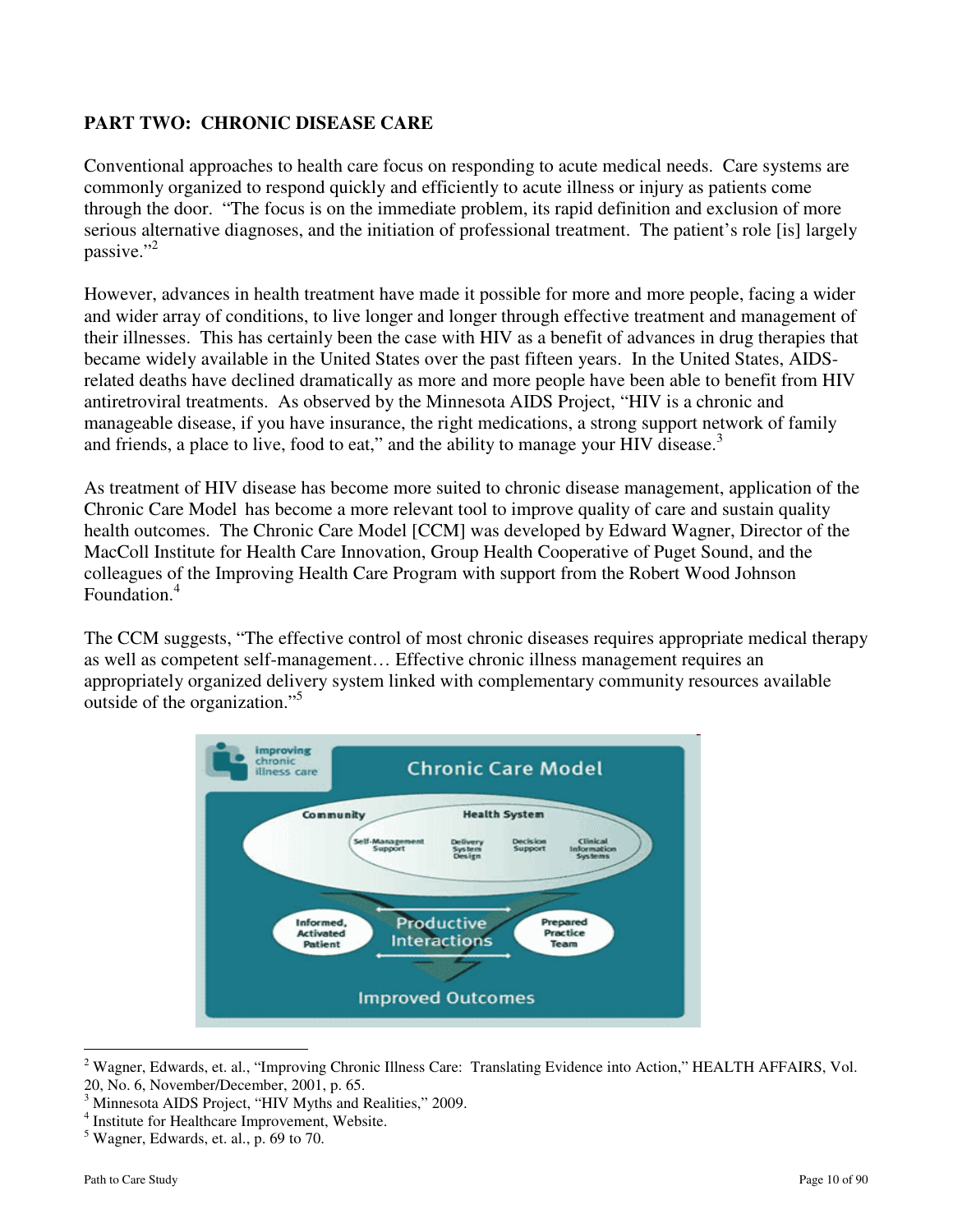# **PART TWO: CHRONIC DISEASE CARE**

Conventional approaches to health care focus on responding to acute medical needs. Care systems are commonly organized to respond quickly and efficiently to acute illness or injury as patients come through the door. "The focus is on the immediate problem, its rapid definition and exclusion of more serious alternative diagnoses, and the initiation of professional treatment. The patient's role [is] largely passive." $^{2}$ 

However, advances in health treatment have made it possible for more and more people, facing a wider and wider array of conditions, to live longer and longer through effective treatment and management of their illnesses. This has certainly been the case with HIV as a benefit of advances in drug therapies that became widely available in the United States over the past fifteen years. In the United States, AIDSrelated deaths have declined dramatically as more and more people have been able to benefit from HIV antiretroviral treatments. As observed by the Minnesota AIDS Project, "HIV is a chronic and manageable disease, if you have insurance, the right medications, a strong support network of family and friends, a place to live, food to eat," and the ability to manage your HIV disease.<sup>3</sup>

As treatment of HIV disease has become more suited to chronic disease management, application of the Chronic Care Model has become a more relevant tool to improve quality of care and sustain quality health outcomes. The Chronic Care Model [CCM] was developed by Edward Wagner, Director of the MacColl Institute for Health Care Innovation, Group Health Cooperative of Puget Sound, and the colleagues of the Improving Health Care Program with support from the Robert Wood Johnson Foundation.<sup>4</sup>

The CCM suggests, "The effective control of most chronic diseases requires appropriate medical therapy as well as competent self-management… Effective chronic illness management requires an appropriately organized delivery system linked with complementary community resources available outside of the organization."<sup>5</sup>



<sup>&</sup>lt;sup>2</sup> Wagner, Edwards, et. al., "Improving Chronic Illness Care: Translating Evidence into Action," HEALTH AFFAIRS, Vol. 20, No. 6, November/December, 2001, p. 65.

-

<sup>3</sup> Minnesota AIDS Project, "HIV Myths and Realities," 2009.

<sup>4</sup> Institute for Healthcare Improvement, Website.

<sup>5</sup> Wagner, Edwards, et. al., p. 69 to 70.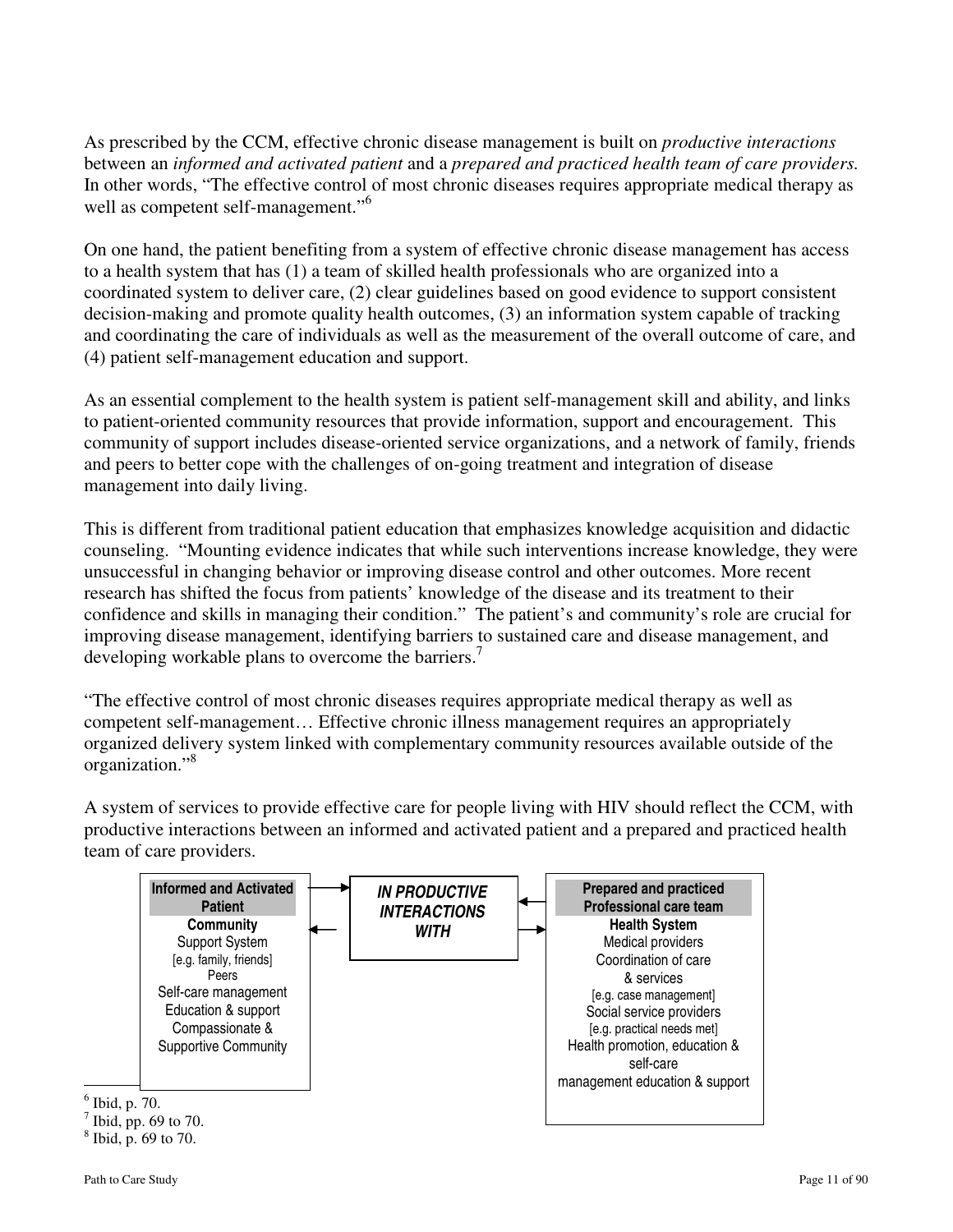As prescribed by the CCM, effective chronic disease management is built on *productive interactions*  between an *informed and activated patient* and a *prepared and practiced health team of care providers.*  In other words, "The effective control of most chronic diseases requires appropriate medical therapy as well as competent self-management."<sup>6</sup>

On one hand, the patient benefiting from a system of effective chronic disease management has access to a health system that has (1) a team of skilled health professionals who are organized into a coordinated system to deliver care, (2) clear guidelines based on good evidence to support consistent decision-making and promote quality health outcomes, (3) an information system capable of tracking and coordinating the care of individuals as well as the measurement of the overall outcome of care, and (4) patient self-management education and support.

As an essential complement to the health system is patient self-management skill and ability, and links to patient-oriented community resources that provide information, support and encouragement. This community of support includes disease-oriented service organizations, and a network of family, friends and peers to better cope with the challenges of on-going treatment and integration of disease management into daily living.

This is different from traditional patient education that emphasizes knowledge acquisition and didactic counseling. "Mounting evidence indicates that while such interventions increase knowledge, they were unsuccessful in changing behavior or improving disease control and other outcomes. More recent research has shifted the focus from patients' knowledge of the disease and its treatment to their confidence and skills in managing their condition." The patient's and community's role are crucial for improving disease management, identifying barriers to sustained care and disease management, and developing workable plans to overcome the barriers.<sup>7</sup>

"The effective control of most chronic diseases requires appropriate medical therapy as well as competent self-management… Effective chronic illness management requires an appropriately organized delivery system linked with complementary community resources available outside of the organization."<sup>8</sup>

A system of services to provide effective care for people living with HIV should reflect the CCM, with productive interactions between an informed and activated patient and a prepared and practiced health team of care providers.



8 Ibid, p. 69 to 70.

<u>.</u>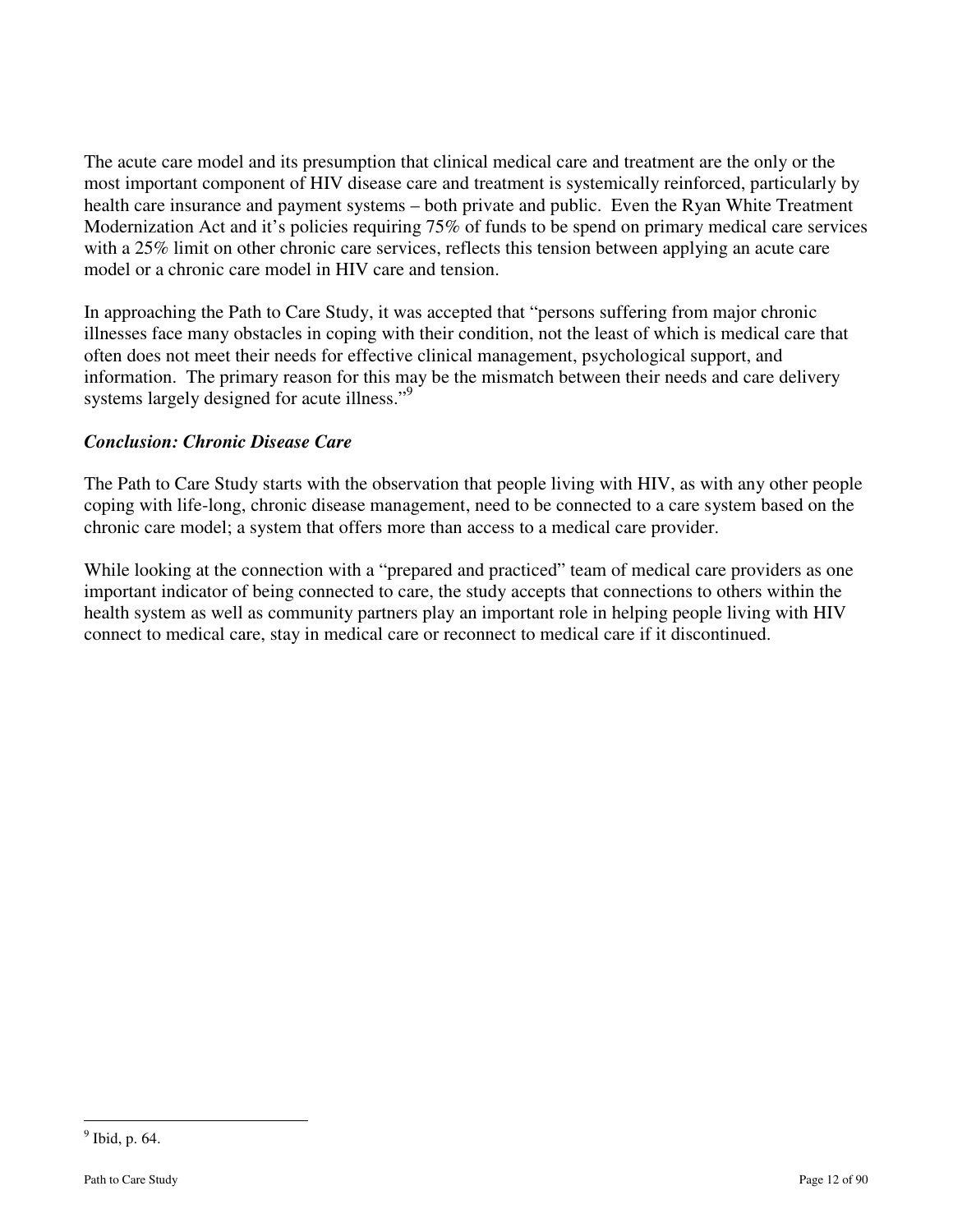The acute care model and its presumption that clinical medical care and treatment are the only or the most important component of HIV disease care and treatment is systemically reinforced, particularly by health care insurance and payment systems – both private and public. Even the Ryan White Treatment Modernization Act and it's policies requiring 75% of funds to be spend on primary medical care services with a 25% limit on other chronic care services, reflects this tension between applying an acute care model or a chronic care model in HIV care and tension.

In approaching the Path to Care Study, it was accepted that "persons suffering from major chronic illnesses face many obstacles in coping with their condition, not the least of which is medical care that often does not meet their needs for effective clinical management, psychological support, and information. The primary reason for this may be the mismatch between their needs and care delivery systems largely designed for acute illness."<sup>9</sup>

# *Conclusion: Chronic Disease Care*

The Path to Care Study starts with the observation that people living with HIV, as with any other people coping with life-long, chronic disease management, need to be connected to a care system based on the chronic care model; a system that offers more than access to a medical care provider.

While looking at the connection with a "prepared and practiced" team of medical care providers as one important indicator of being connected to care, the study accepts that connections to others within the health system as well as community partners play an important role in helping people living with HIV connect to medical care, stay in medical care or reconnect to medical care if it discontinued.

<u>.</u>

<sup>&</sup>lt;sup>9</sup> Ibid, p. 64.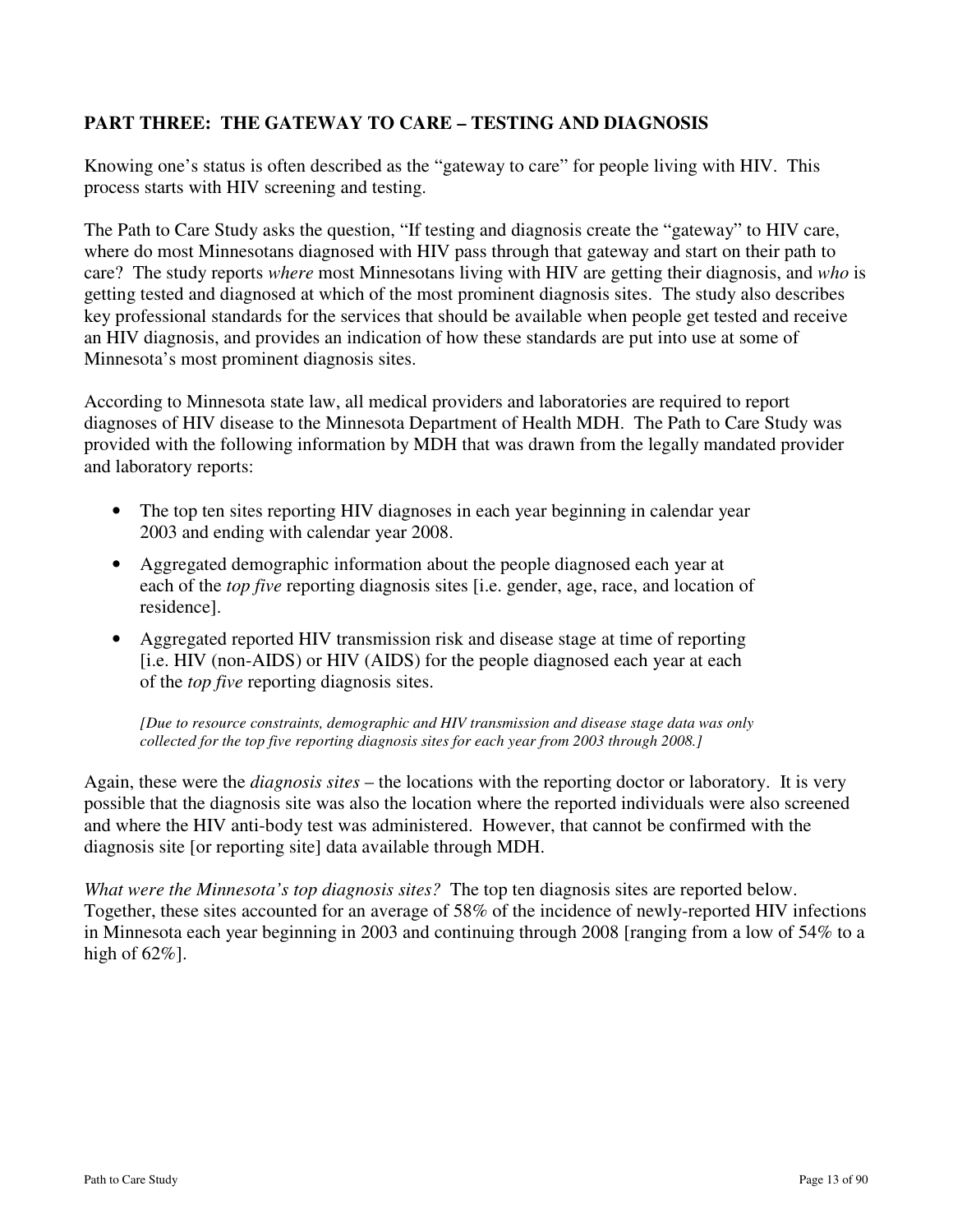# **PART THREE: THE GATEWAY TO CARE – TESTING AND DIAGNOSIS**

Knowing one's status is often described as the "gateway to care" for people living with HIV. This process starts with HIV screening and testing.

The Path to Care Study asks the question, "If testing and diagnosis create the "gateway" to HIV care, where do most Minnesotans diagnosed with HIV pass through that gateway and start on their path to care? The study reports *where* most Minnesotans living with HIV are getting their diagnosis, and *who* is getting tested and diagnosed at which of the most prominent diagnosis sites. The study also describes key professional standards for the services that should be available when people get tested and receive an HIV diagnosis, and provides an indication of how these standards are put into use at some of Minnesota's most prominent diagnosis sites.

According to Minnesota state law, all medical providers and laboratories are required to report diagnoses of HIV disease to the Minnesota Department of Health MDH. The Path to Care Study was provided with the following information by MDH that was drawn from the legally mandated provider and laboratory reports:

- The top ten sites reporting HIV diagnoses in each year beginning in calendar year 2003 and ending with calendar year 2008.
- Aggregated demographic information about the people diagnosed each year at each of the *top five* reporting diagnosis sites [i.e. gender, age, race, and location of residence].
- Aggregated reported HIV transmission risk and disease stage at time of reporting [i.e. HIV (non-AIDS) or HIV (AIDS) for the people diagnosed each year at each of the *top five* reporting diagnosis sites.

*[Due to resource constraints, demographic and HIV transmission and disease stage data was only collected for the top five reporting diagnosis sites for each year from 2003 through 2008.]* 

Again, these were the *diagnosis sites* – the locations with the reporting doctor or laboratory. It is very possible that the diagnosis site was also the location where the reported individuals were also screened and where the HIV anti-body test was administered. However, that cannot be confirmed with the diagnosis site [or reporting site] data available through MDH.

*What were the Minnesota's top diagnosis sites?* The top ten diagnosis sites are reported below. Together, these sites accounted for an average of 58% of the incidence of newly-reported HIV infections in Minnesota each year beginning in 2003 and continuing through 2008 [ranging from a low of 54% to a high of  $62\%$ ].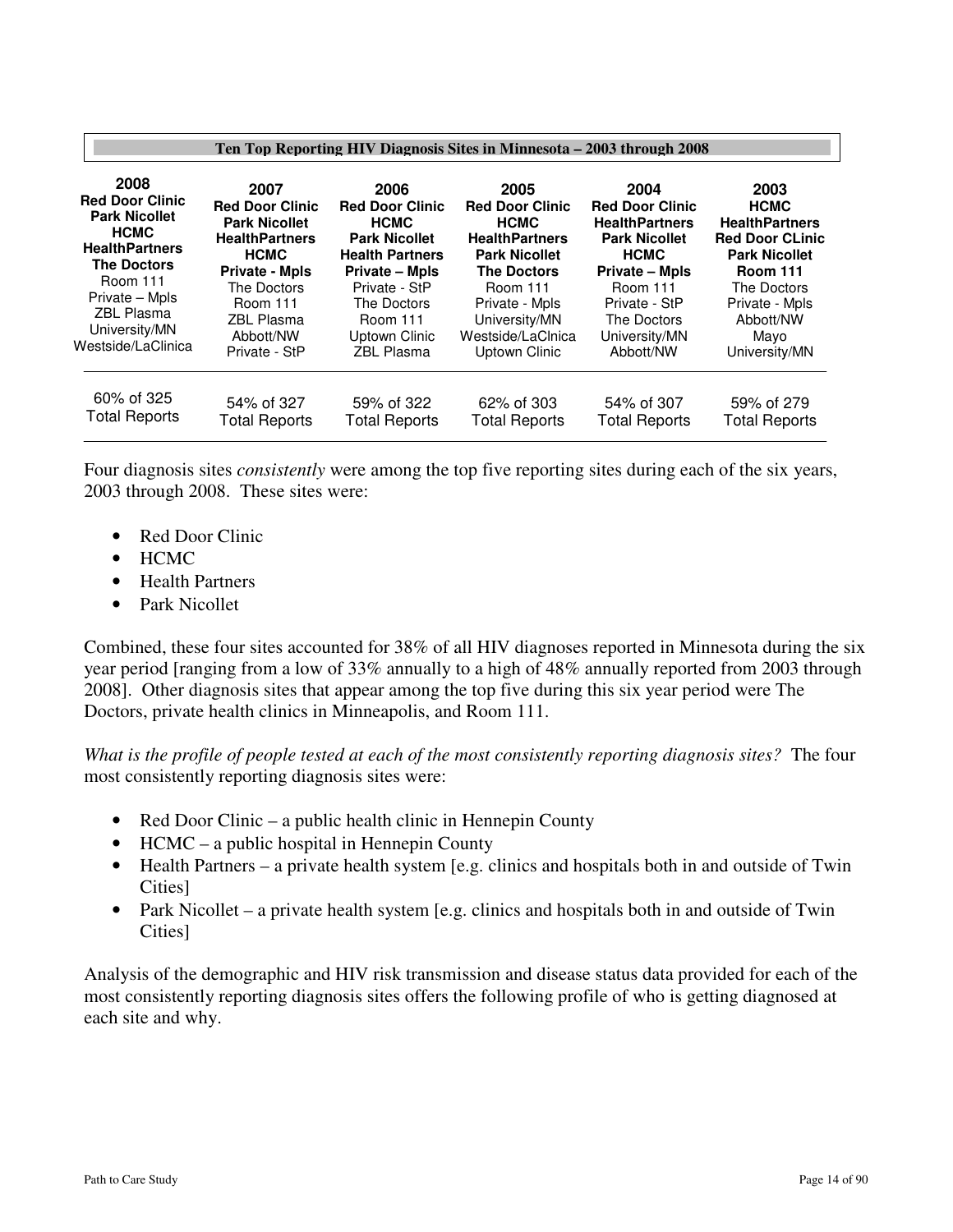| Ten Top Reporting HIV Diagnosis Sites in Minnesota – 2003 through 2008 |                        |                        |                        |                        |                        |  |  |
|------------------------------------------------------------------------|------------------------|------------------------|------------------------|------------------------|------------------------|--|--|
| 2008                                                                   | 2007                   | 2006                   | 2005                   | 2004                   | 2003                   |  |  |
| <b>Red Door Clinic</b>                                                 | <b>Red Door Clinic</b> | <b>Red Door Clinic</b> | <b>Red Door Clinic</b> | <b>Red Door Clinic</b> | <b>HCMC</b>            |  |  |
| <b>Park Nicollet</b>                                                   | <b>Park Nicollet</b>   | <b>HCMC</b>            | <b>HCMC</b>            | <b>HealthPartners</b>  | <b>HealthPartners</b>  |  |  |
| <b>HCMC</b>                                                            | <b>HealthPartners</b>  | <b>Park Nicollet</b>   | <b>HealthPartners</b>  | <b>Park Nicollet</b>   | <b>Red Door CLinic</b> |  |  |
| <b>HealthPartners</b>                                                  | <b>HCMC</b>            | <b>Health Partners</b> | <b>Park Nicollet</b>   | <b>HCMC</b>            | <b>Park Nicollet</b>   |  |  |
| <b>The Doctors</b>                                                     | <b>Private - Mpls</b>  | <b>Private - Mpls</b>  | <b>The Doctors</b>     | <b>Private – Mpls</b>  | <b>Room 111</b>        |  |  |
| Room 111                                                               | The Doctors            | Private - StP          | Room 111               | <b>Room 111</b>        | The Doctors            |  |  |
| Private - Mpls                                                         | <b>Room 111</b>        | The Doctors            | Private - Mpls         | Private - StP          | Private - Mpls         |  |  |
| <b>ZBL Plasma</b>                                                      | <b>ZBL Plasma</b>      | <b>Room 111</b>        | University/MN          | The Doctors            | Abbott/NW              |  |  |
| University/MN                                                          | Abbott/NW              | Uptown Clinic          | Westside/LaClnica      | University/MN          | Mayo                   |  |  |
| Westside/LaClinica                                                     | Private - StP          | ZBL Plasma             | Uptown Clinic          | Abbott/NW              | University/MN          |  |  |
| 60% of 325                                                             | 54% of 327             | 59% of 322             | 62% of 303             | 54% of 307             | 59% of 279             |  |  |
| <b>Total Reports</b>                                                   | <b>Total Reports</b>   | <b>Total Reports</b>   | <b>Total Reports</b>   | <b>Total Reports</b>   | <b>Total Reports</b>   |  |  |

Four diagnosis sites *consistently* were among the top five reporting sites during each of the six years, 2003 through 2008. These sites were:

- Red Door Clinic
- HCMC
- Health Partners
- Park Nicollet

Combined, these four sites accounted for 38% of all HIV diagnoses reported in Minnesota during the six year period [ranging from a low of 33% annually to a high of 48% annually reported from 2003 through 2008]. Other diagnosis sites that appear among the top five during this six year period were The Doctors, private health clinics in Minneapolis, and Room 111.

*What is the profile of people tested at each of the most consistently reporting diagnosis sites?* The four most consistently reporting diagnosis sites were:

- Red Door Clinic a public health clinic in Hennepin County
- HCMC a public hospital in Hennepin County
- Health Partners a private health system [e.g. clinics and hospitals both in and outside of Twin Cities]
- Park Nicollet a private health system [e.g. clinics and hospitals both in and outside of Twin Cities]

Analysis of the demographic and HIV risk transmission and disease status data provided for each of the most consistently reporting diagnosis sites offers the following profile of who is getting diagnosed at each site and why.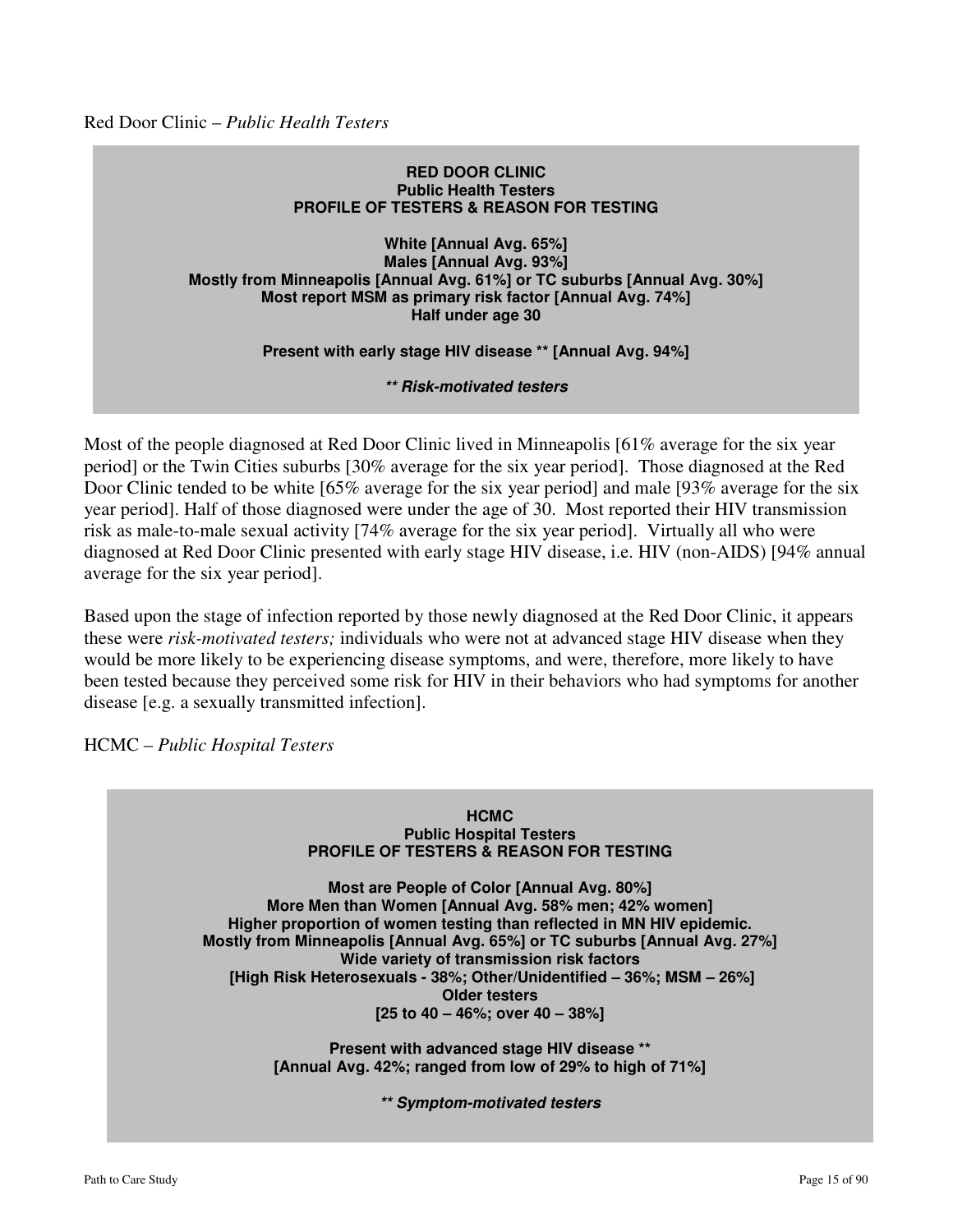Red Door Clinic – *Public Health Testers* 

#### **RED DOOR CLINIC Public Health Testers PROFILE OF TESTERS & REASON FOR TESTING**

#### **White [Annual Avg. 65%] Males [Annual Avg. 93%] Mostly from Minneapolis [Annual Avg. 61%] or TC suburbs [Annual Avg. 30%] Most report MSM as primary risk factor [Annual Avg. 74%] Half under age 30**

**Present with early stage HIV disease \*\* [Annual Avg. 94%]** 

**\*\* Risk-motivated testers** 

Most of the people diagnosed at Red Door Clinic lived in Minneapolis [61% average for the six year period] or the Twin Cities suburbs [30% average for the six year period]. Those diagnosed at the Red Door Clinic tended to be white [65% average for the six year period] and male [93% average for the six year period]. Half of those diagnosed were under the age of 30. Most reported their HIV transmission risk as male-to-male sexual activity [74% average for the six year period]. Virtually all who were diagnosed at Red Door Clinic presented with early stage HIV disease, i.e. HIV (non-AIDS) [94% annual average for the six year period].

Based upon the stage of infection reported by those newly diagnosed at the Red Door Clinic, it appears these were *risk-motivated testers;* individuals who were not at advanced stage HIV disease when they would be more likely to be experiencing disease symptoms, and were, therefore, more likely to have been tested because they perceived some risk for HIV in their behaviors who had symptoms for another disease [e.g. a sexually transmitted infection].

HCMC – *Public Hospital Testers* 



**Most are People of Color [Annual Avg. 80%] More Men than Women [Annual Avg. 58% men; 42% women] Higher proportion of women testing than reflected in MN HIV epidemic. Mostly from Minneapolis [Annual Avg. 65%] or TC suburbs [Annual Avg. 27%] Wide variety of transmission risk factors [High Risk Heterosexuals - 38%; Other/Unidentified – 36%; MSM – 26%] Older testers [25 to 40 – 46%; over 40 – 38%]** 

> **Present with advanced stage HIV disease \*\* [Annual Avg. 42%; ranged from low of 29% to high of 71%]**

> > **\*\* Symptom-motivated testers**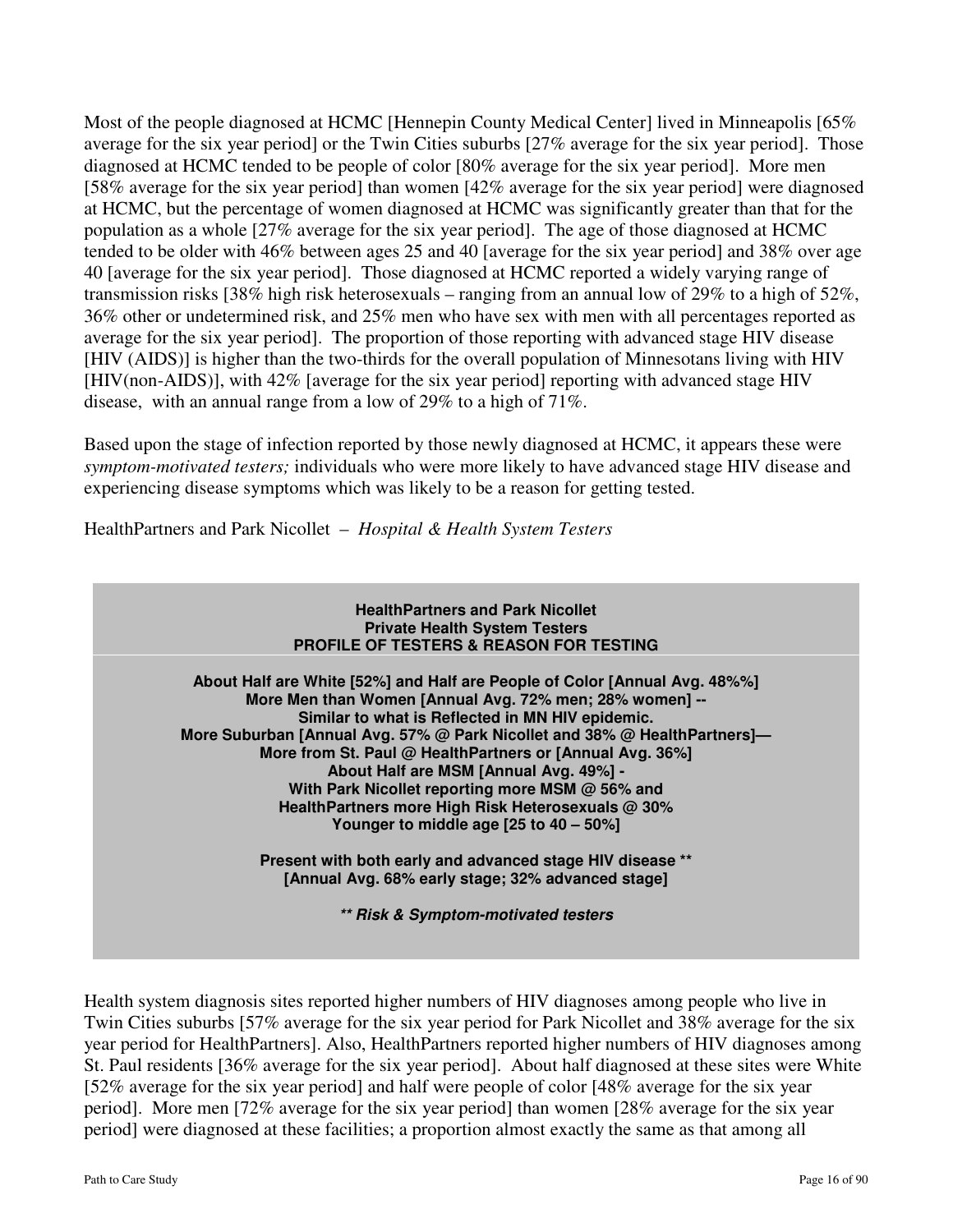Most of the people diagnosed at HCMC [Hennepin County Medical Center] lived in Minneapolis [65% average for the six year period] or the Twin Cities suburbs [27% average for the six year period]. Those diagnosed at HCMC tended to be people of color [80% average for the six year period]. More men [58% average for the six year period] than women [42% average for the six year period] were diagnosed at HCMC, but the percentage of women diagnosed at HCMC was significantly greater than that for the population as a whole [27% average for the six year period]. The age of those diagnosed at HCMC tended to be older with 46% between ages 25 and 40 [average for the six year period] and 38% over age 40 [average for the six year period]. Those diagnosed at HCMC reported a widely varying range of transmission risks [38% high risk heterosexuals – ranging from an annual low of 29% to a high of 52%, 36% other or undetermined risk, and 25% men who have sex with men with all percentages reported as average for the six year period]. The proportion of those reporting with advanced stage HIV disease [HIV (AIDS)] is higher than the two-thirds for the overall population of Minnesotans living with HIV [HIV(non-AIDS)], with 42% [average for the six year period] reporting with advanced stage HIV disease, with an annual range from a low of 29% to a high of 71%.

Based upon the stage of infection reported by those newly diagnosed at HCMC, it appears these were *symptom-motivated testers;* individuals who were more likely to have advanced stage HIV disease and experiencing disease symptoms which was likely to be a reason for getting tested.

HealthPartners and Park Nicollet – *Hospital & Health System Testers* 



Health system diagnosis sites reported higher numbers of HIV diagnoses among people who live in Twin Cities suburbs [57% average for the six year period for Park Nicollet and 38% average for the six year period for HealthPartners]. Also, HealthPartners reported higher numbers of HIV diagnoses among St. Paul residents [36% average for the six year period]. About half diagnosed at these sites were White [52% average for the six year period] and half were people of color [48% average for the six year period]. More men [72% average for the six year period] than women [28% average for the six year period] were diagnosed at these facilities; a proportion almost exactly the same as that among all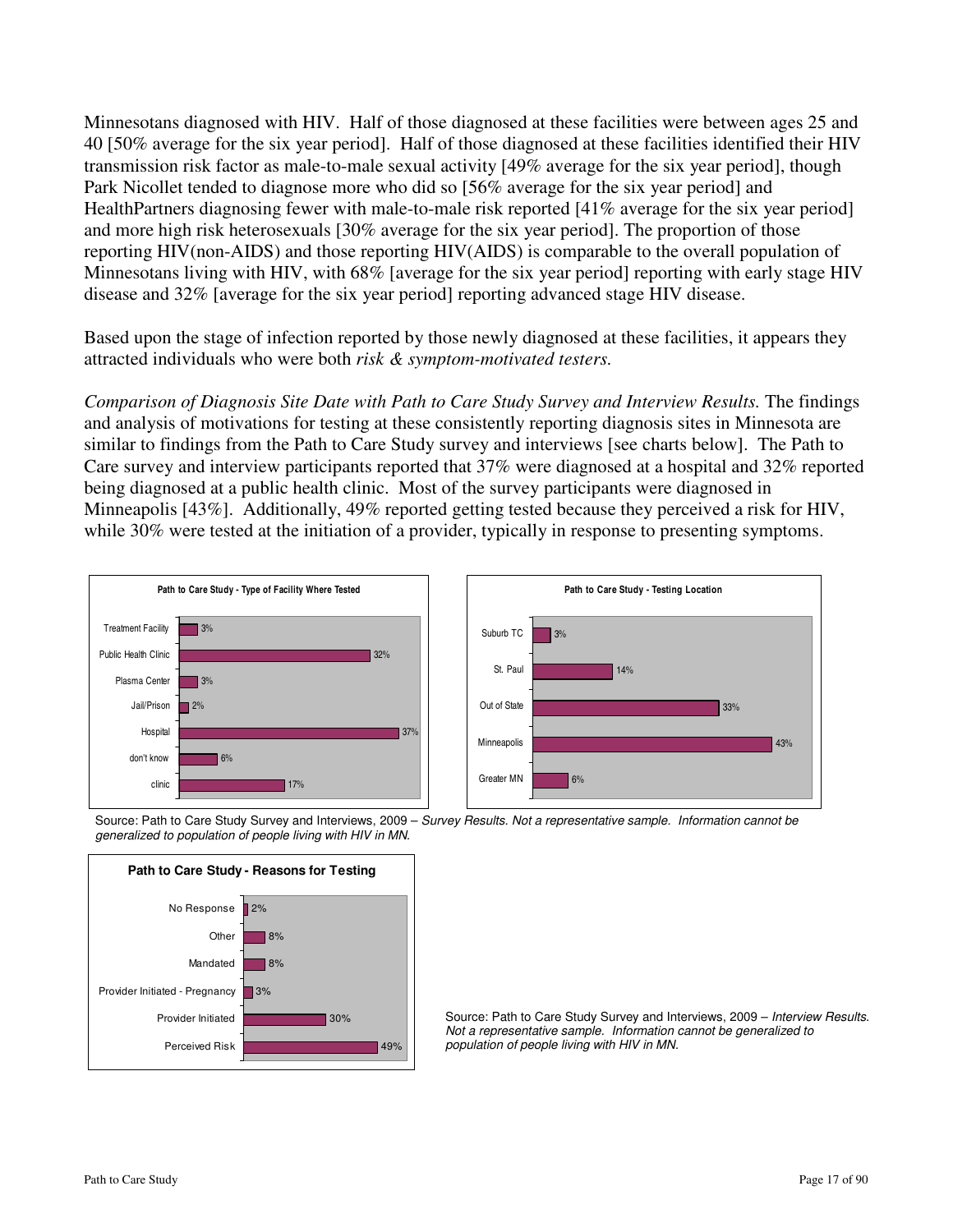Minnesotans diagnosed with HIV. Half of those diagnosed at these facilities were between ages 25 and 40 [50% average for the six year period]. Half of those diagnosed at these facilities identified their HIV transmission risk factor as male-to-male sexual activity [49% average for the six year period], though Park Nicollet tended to diagnose more who did so [56% average for the six year period] and HealthPartners diagnosing fewer with male-to-male risk reported [41% average for the six year period] and more high risk heterosexuals [30% average for the six year period]. The proportion of those reporting HIV(non-AIDS) and those reporting HIV(AIDS) is comparable to the overall population of Minnesotans living with HIV, with 68% [average for the six year period] reporting with early stage HIV disease and 32% [average for the six year period] reporting advanced stage HIV disease.

Based upon the stage of infection reported by those newly diagnosed at these facilities, it appears they attracted individuals who were both *risk & symptom-motivated testers.* 

*Comparison of Diagnosis Site Date with Path to Care Study Survey and Interview Results.* The findings and analysis of motivations for testing at these consistently reporting diagnosis sites in Minnesota are similar to findings from the Path to Care Study survey and interviews [see charts below]. The Path to Care survey and interview participants reported that 37% were diagnosed at a hospital and 32% reported being diagnosed at a public health clinic. Most of the survey participants were diagnosed in Minneapolis [43%]. Additionally, 49% reported getting tested because they perceived a risk for HIV, while 30% were tested at the initiation of a provider, typically in response to presenting symptoms.





Source: Path to Care Study Survey and Interviews, 2009 - Survey Results. Not a representative sample. Information cannot be generalized to population of people living with HIV in MN.



Source: Path to Care Study Survey and Interviews, 2009 - Interview Results. Not a representative sample. Information cannot be generalized to population of people living with HIV in MN.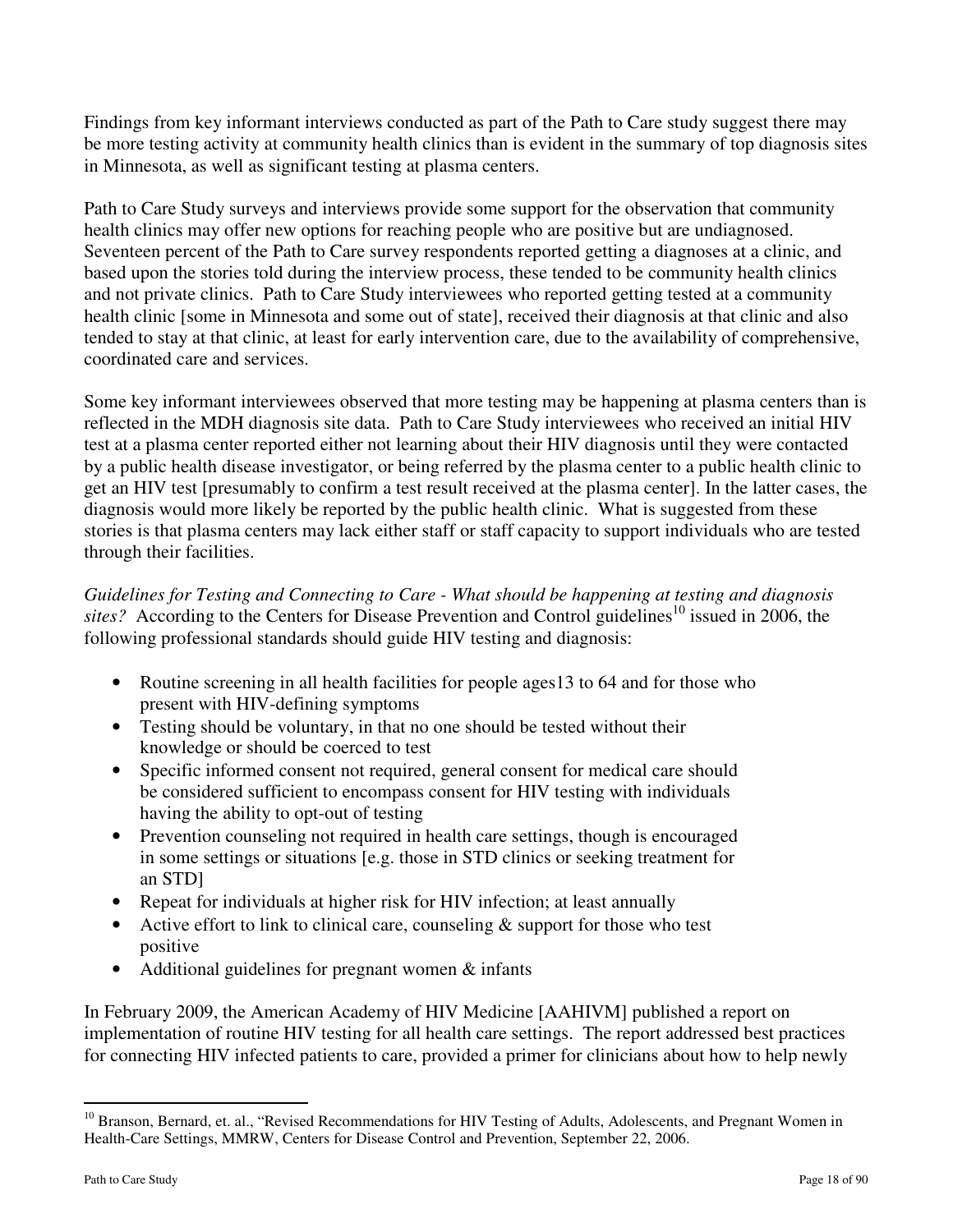Findings from key informant interviews conducted as part of the Path to Care study suggest there may be more testing activity at community health clinics than is evident in the summary of top diagnosis sites in Minnesota, as well as significant testing at plasma centers.

Path to Care Study surveys and interviews provide some support for the observation that community health clinics may offer new options for reaching people who are positive but are undiagnosed. Seventeen percent of the Path to Care survey respondents reported getting a diagnoses at a clinic, and based upon the stories told during the interview process, these tended to be community health clinics and not private clinics. Path to Care Study interviewees who reported getting tested at a community health clinic [some in Minnesota and some out of state], received their diagnosis at that clinic and also tended to stay at that clinic, at least for early intervention care, due to the availability of comprehensive, coordinated care and services.

Some key informant interviewees observed that more testing may be happening at plasma centers than is reflected in the MDH diagnosis site data. Path to Care Study interviewees who received an initial HIV test at a plasma center reported either not learning about their HIV diagnosis until they were contacted by a public health disease investigator, or being referred by the plasma center to a public health clinic to get an HIV test [presumably to confirm a test result received at the plasma center]. In the latter cases, the diagnosis would more likely be reported by the public health clinic. What is suggested from these stories is that plasma centers may lack either staff or staff capacity to support individuals who are tested through their facilities.

*Guidelines for Testing and Connecting to Care - What should be happening at testing and diagnosis*  sites? According to the Centers for Disease Prevention and Control guidelines<sup>10</sup> issued in 2006, the following professional standards should guide HIV testing and diagnosis:

- Routine screening in all health facilities for people ages 13 to 64 and for those who present with HIV-defining symptoms
- Testing should be voluntary, in that no one should be tested without their knowledge or should be coerced to test
- Specific informed consent not required, general consent for medical care should be considered sufficient to encompass consent for HIV testing with individuals having the ability to opt-out of testing
- Prevention counseling not required in health care settings, though is encouraged in some settings or situations [e.g. those in STD clinics or seeking treatment for an STD]
- Repeat for individuals at higher risk for HIV infection; at least annually
- Active effort to link to clinical care, counseling  $\&$  support for those who test positive
- Additional guidelines for pregnant women & infants

In February 2009, the American Academy of HIV Medicine [AAHIVM] published a report on implementation of routine HIV testing for all health care settings. The report addressed best practices for connecting HIV infected patients to care, provided a primer for clinicians about how to help newly

 $\overline{a}$ 

 $10$  Branson, Bernard, et. al., "Revised Recommendations for HIV Testing of Adults, Adolescents, and Pregnant Women in Health-Care Settings, MMRW, Centers for Disease Control and Prevention, September 22, 2006.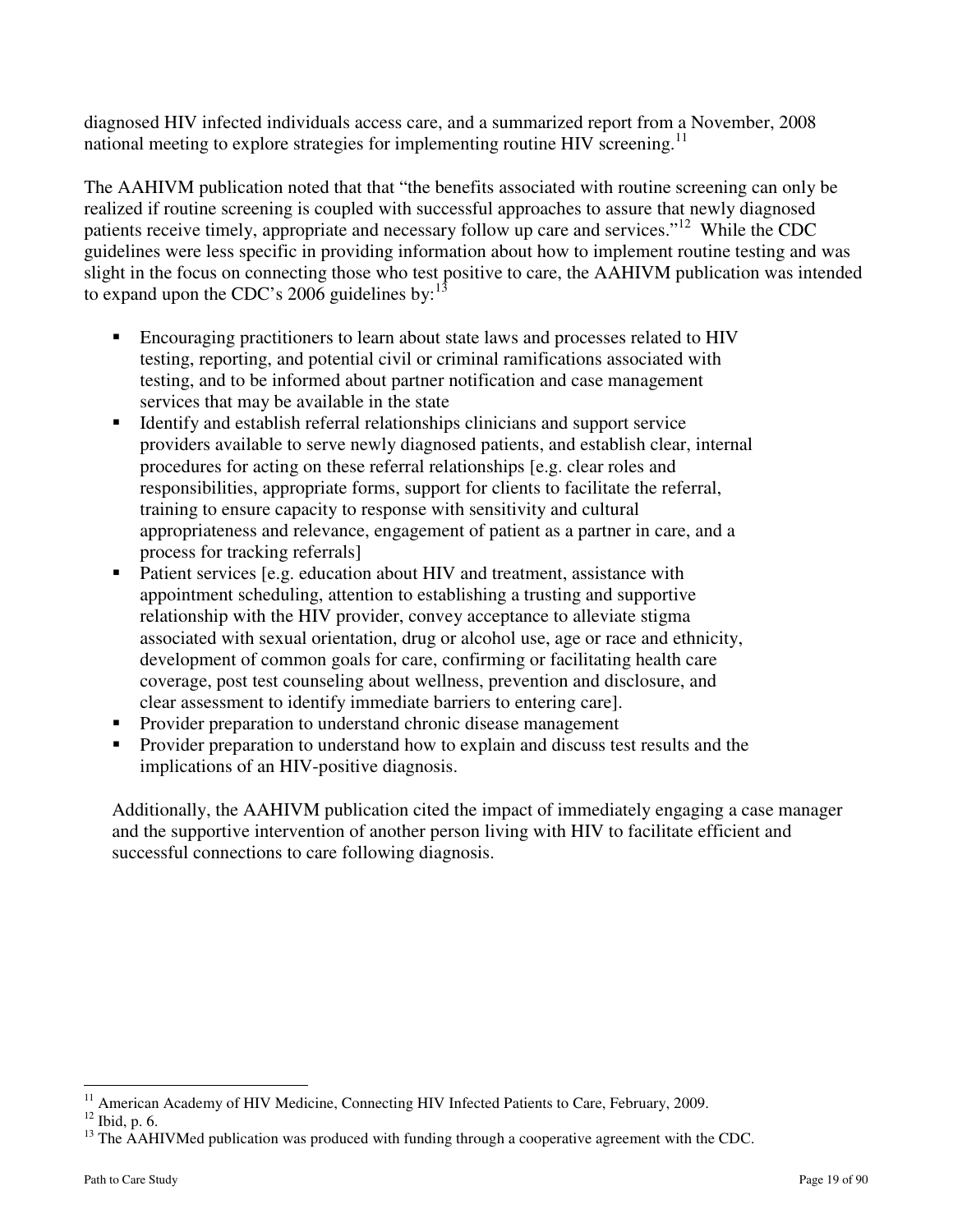diagnosed HIV infected individuals access care, and a summarized report from a November, 2008 national meeting to explore strategies for implementing routine HIV screening.<sup>11</sup>

The AAHIVM publication noted that that "the benefits associated with routine screening can only be realized if routine screening is coupled with successful approaches to assure that newly diagnosed patients receive timely, appropriate and necessary follow up care and services."<sup>12</sup> While the CDC guidelines were less specific in providing information about how to implement routine testing and was slight in the focus on connecting those who test positive to care, the AAHIVM publication was intended to expand upon the CDC's 2006 guidelines by: $<sup>13</sup>$ </sup>

- Encouraging practitioners to learn about state laws and processes related to HIV testing, reporting, and potential civil or criminal ramifications associated with testing, and to be informed about partner notification and case management services that may be available in the state
- Identify and establish referral relationships clinicians and support service providers available to serve newly diagnosed patients, and establish clear, internal procedures for acting on these referral relationships [e.g. clear roles and responsibilities, appropriate forms, support for clients to facilitate the referral, training to ensure capacity to response with sensitivity and cultural appropriateness and relevance, engagement of patient as a partner in care, and a process for tracking referrals]
- Patient services [e.g. education about HIV and treatment, assistance with appointment scheduling, attention to establishing a trusting and supportive relationship with the HIV provider, convey acceptance to alleviate stigma associated with sexual orientation, drug or alcohol use, age or race and ethnicity, development of common goals for care, confirming or facilitating health care coverage, post test counseling about wellness, prevention and disclosure, and clear assessment to identify immediate barriers to entering care].
- Provider preparation to understand chronic disease management
- **Provider preparation to understand how to explain and discuss test results and the** implications of an HIV-positive diagnosis.

Additionally, the AAHIVM publication cited the impact of immediately engaging a case manager and the supportive intervention of another person living with HIV to facilitate efficient and successful connections to care following diagnosis.

 $\overline{a}$ <sup>11</sup> American Academy of HIV Medicine, Connecting HIV Infected Patients to Care, February, 2009.

 $12$  Ibid, p. 6.

<sup>&</sup>lt;sup>13</sup> The AAHIVMed publication was produced with funding through a cooperative agreement with the CDC.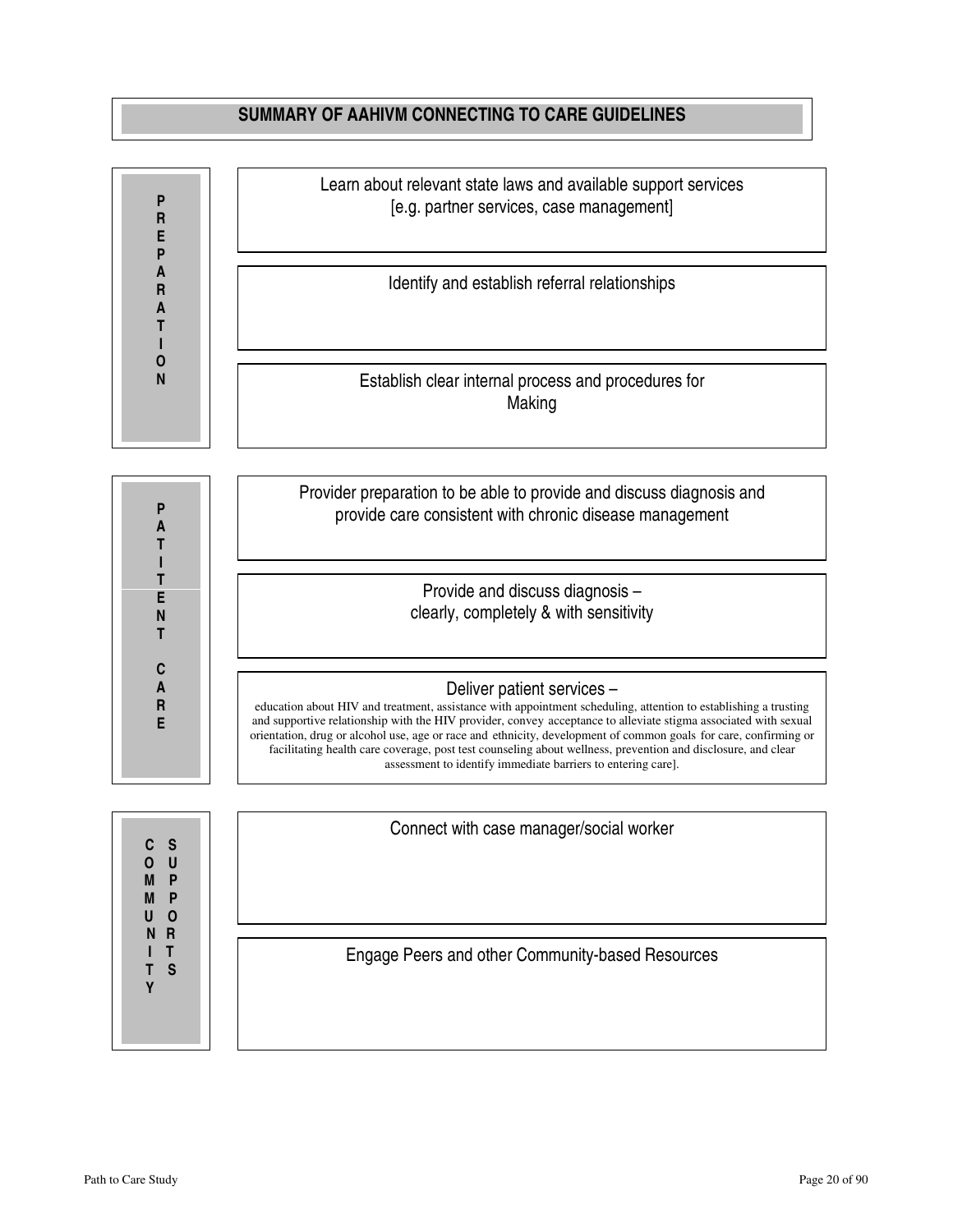### **SUMMARY OF AAHIVM CONNECTING TO CARE GUIDELINES**



**M P M P U O N R I T T S Y T** 

Engage Peers and other Community-based Resources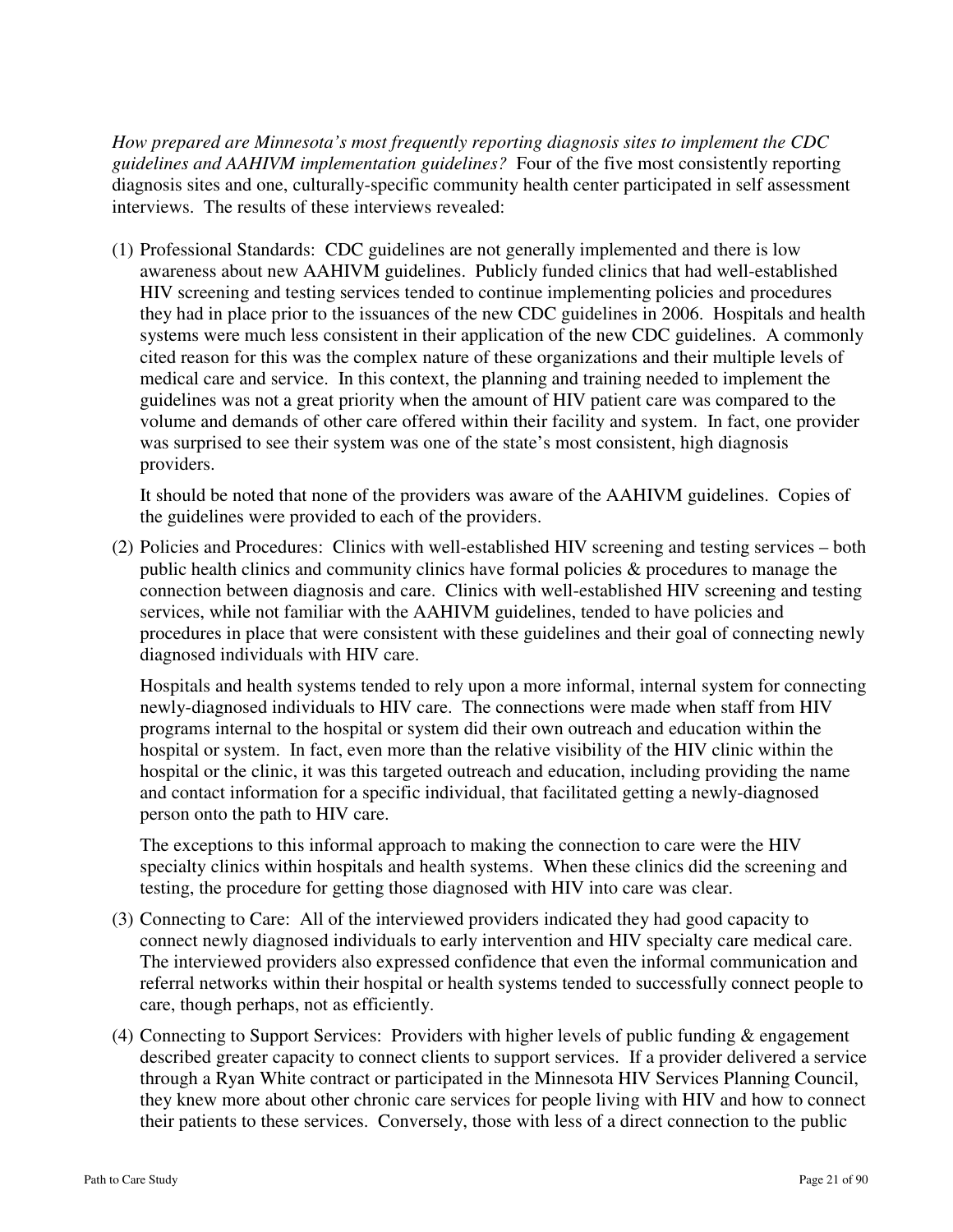*How prepared are Minnesota's most frequently reporting diagnosis sites to implement the CDC guidelines and AAHIVM implementation guidelines?* Four of the five most consistently reporting diagnosis sites and one, culturally-specific community health center participated in self assessment interviews. The results of these interviews revealed:

(1) Professional Standards: CDC guidelines are not generally implemented and there is low awareness about new AAHIVM guidelines. Publicly funded clinics that had well-established HIV screening and testing services tended to continue implementing policies and procedures they had in place prior to the issuances of the new CDC guidelines in 2006. Hospitals and health systems were much less consistent in their application of the new CDC guidelines. A commonly cited reason for this was the complex nature of these organizations and their multiple levels of medical care and service. In this context, the planning and training needed to implement the guidelines was not a great priority when the amount of HIV patient care was compared to the volume and demands of other care offered within their facility and system. In fact, one provider was surprised to see their system was one of the state's most consistent, high diagnosis providers.

It should be noted that none of the providers was aware of the AAHIVM guidelines. Copies of the guidelines were provided to each of the providers.

(2) Policies and Procedures: Clinics with well-established HIV screening and testing services – both public health clinics and community clinics have formal policies & procedures to manage the connection between diagnosis and care. Clinics with well-established HIV screening and testing services, while not familiar with the AAHIVM guidelines, tended to have policies and procedures in place that were consistent with these guidelines and their goal of connecting newly diagnosed individuals with HIV care.

Hospitals and health systems tended to rely upon a more informal, internal system for connecting newly-diagnosed individuals to HIV care. The connections were made when staff from HIV programs internal to the hospital or system did their own outreach and education within the hospital or system. In fact, even more than the relative visibility of the HIV clinic within the hospital or the clinic, it was this targeted outreach and education, including providing the name and contact information for a specific individual, that facilitated getting a newly-diagnosed person onto the path to HIV care.

The exceptions to this informal approach to making the connection to care were the HIV specialty clinics within hospitals and health systems. When these clinics did the screening and testing, the procedure for getting those diagnosed with HIV into care was clear.

- (3) Connecting to Care: All of the interviewed providers indicated they had good capacity to connect newly diagnosed individuals to early intervention and HIV specialty care medical care. The interviewed providers also expressed confidence that even the informal communication and referral networks within their hospital or health systems tended to successfully connect people to care, though perhaps, not as efficiently.
- (4) Connecting to Support Services: Providers with higher levels of public funding & engagement described greater capacity to connect clients to support services. If a provider delivered a service through a Ryan White contract or participated in the Minnesota HIV Services Planning Council, they knew more about other chronic care services for people living with HIV and how to connect their patients to these services. Conversely, those with less of a direct connection to the public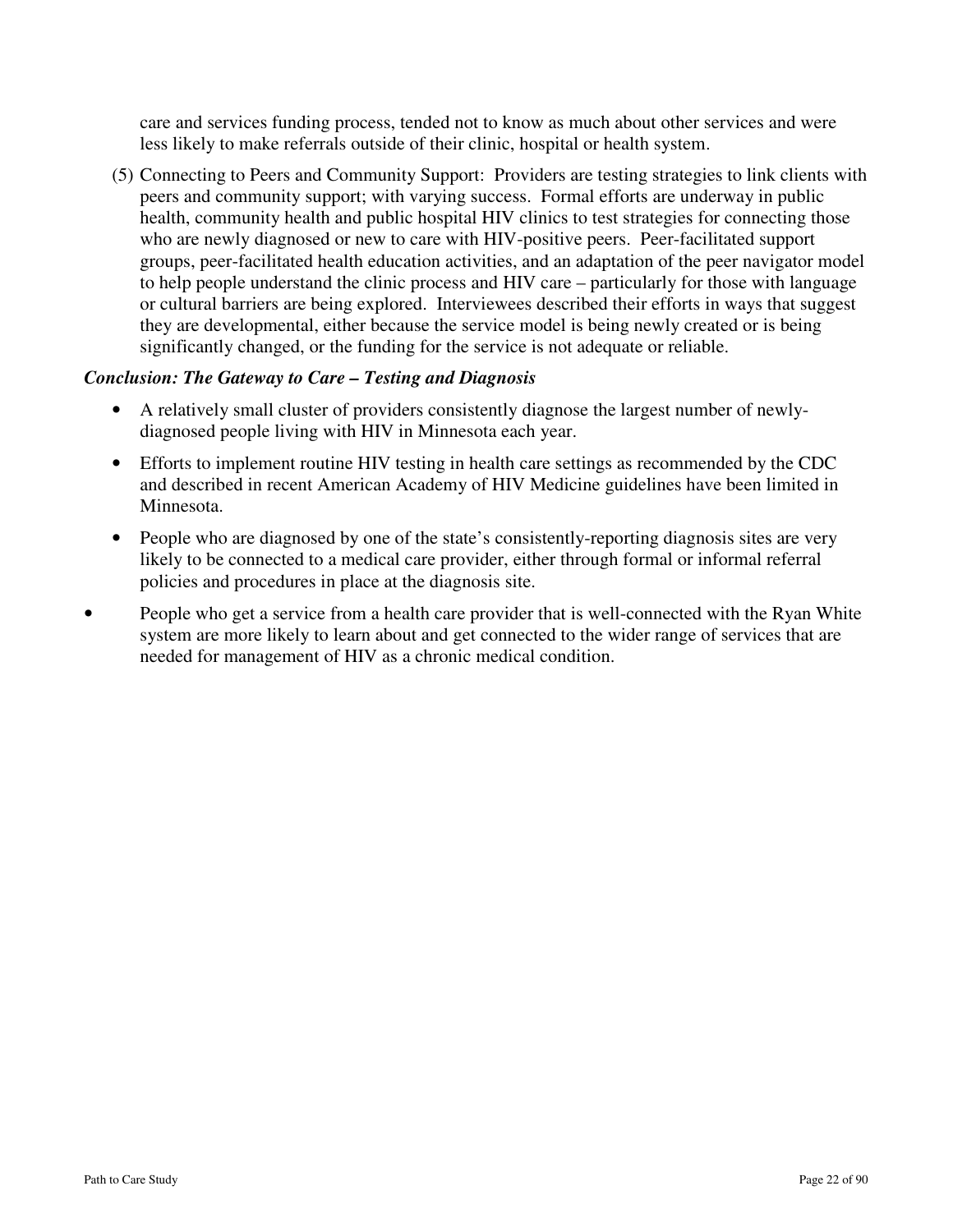care and services funding process, tended not to know as much about other services and were less likely to make referrals outside of their clinic, hospital or health system.

(5) Connecting to Peers and Community Support: Providers are testing strategies to link clients with peers and community support; with varying success. Formal efforts are underway in public health, community health and public hospital HIV clinics to test strategies for connecting those who are newly diagnosed or new to care with HIV-positive peers. Peer-facilitated support groups, peer-facilitated health education activities, and an adaptation of the peer navigator model to help people understand the clinic process and HIV care – particularly for those with language or cultural barriers are being explored. Interviewees described their efforts in ways that suggest they are developmental, either because the service model is being newly created or is being significantly changed, or the funding for the service is not adequate or reliable.

### *Conclusion: The Gateway to Care – Testing and Diagnosis*

- A relatively small cluster of providers consistently diagnose the largest number of newlydiagnosed people living with HIV in Minnesota each year.
- Efforts to implement routine HIV testing in health care settings as recommended by the CDC and described in recent American Academy of HIV Medicine guidelines have been limited in Minnesota.
- People who are diagnosed by one of the state's consistently-reporting diagnosis sites are very likely to be connected to a medical care provider, either through formal or informal referral policies and procedures in place at the diagnosis site.
- People who get a service from a health care provider that is well-connected with the Ryan White system are more likely to learn about and get connected to the wider range of services that are needed for management of HIV as a chronic medical condition.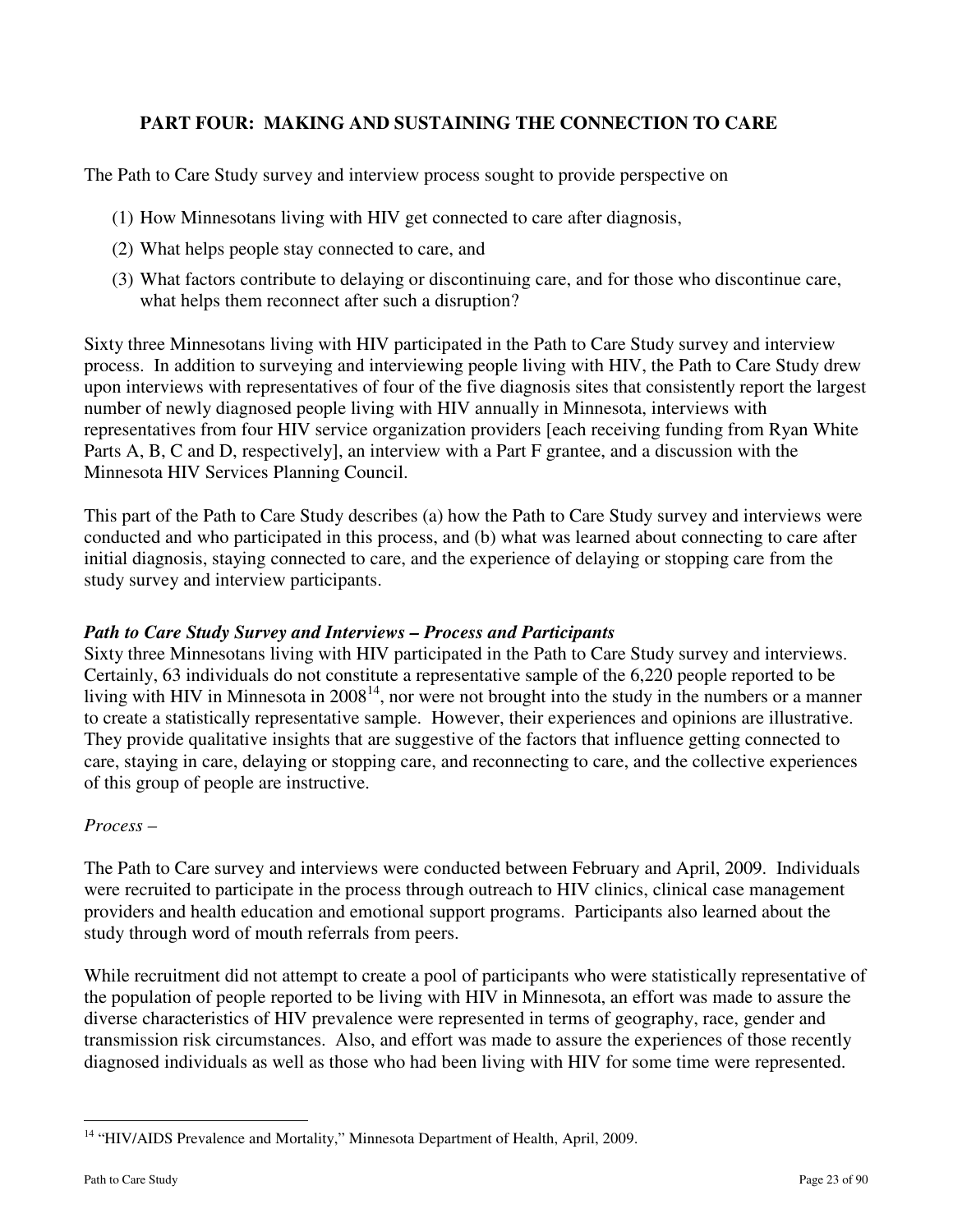# **PART FOUR: MAKING AND SUSTAINING THE CONNECTION TO CARE**

The Path to Care Study survey and interview process sought to provide perspective on

- (1) How Minnesotans living with HIV get connected to care after diagnosis,
- (2) What helps people stay connected to care, and
- (3) What factors contribute to delaying or discontinuing care, and for those who discontinue care, what helps them reconnect after such a disruption?

Sixty three Minnesotans living with HIV participated in the Path to Care Study survey and interview process. In addition to surveying and interviewing people living with HIV, the Path to Care Study drew upon interviews with representatives of four of the five diagnosis sites that consistently report the largest number of newly diagnosed people living with HIV annually in Minnesota, interviews with representatives from four HIV service organization providers [each receiving funding from Ryan White Parts A, B, C and D, respectively], an interview with a Part F grantee, and a discussion with the Minnesota HIV Services Planning Council.

This part of the Path to Care Study describes (a) how the Path to Care Study survey and interviews were conducted and who participated in this process, and (b) what was learned about connecting to care after initial diagnosis, staying connected to care, and the experience of delaying or stopping care from the study survey and interview participants.

# *Path to Care Study Survey and Interviews – Process and Participants*

Sixty three Minnesotans living with HIV participated in the Path to Care Study survey and interviews. Certainly, 63 individuals do not constitute a representative sample of the 6,220 people reported to be living with HIV in Minnesota in 2008<sup>14</sup>, nor were not brought into the study in the numbers or a manner to create a statistically representative sample. However, their experiences and opinions are illustrative. They provide qualitative insights that are suggestive of the factors that influence getting connected to care, staying in care, delaying or stopping care, and reconnecting to care, and the collective experiences of this group of people are instructive.

#### *Process –*

The Path to Care survey and interviews were conducted between February and April, 2009. Individuals were recruited to participate in the process through outreach to HIV clinics, clinical case management providers and health education and emotional support programs. Participants also learned about the study through word of mouth referrals from peers.

While recruitment did not attempt to create a pool of participants who were statistically representative of the population of people reported to be living with HIV in Minnesota, an effort was made to assure the diverse characteristics of HIV prevalence were represented in terms of geography, race, gender and transmission risk circumstances. Also, and effort was made to assure the experiences of those recently diagnosed individuals as well as those who had been living with HIV for some time were represented.

 $\overline{a}$ 

<sup>&</sup>lt;sup>14</sup> "HIV/AIDS Prevalence and Mortality," Minnesota Department of Health, April, 2009.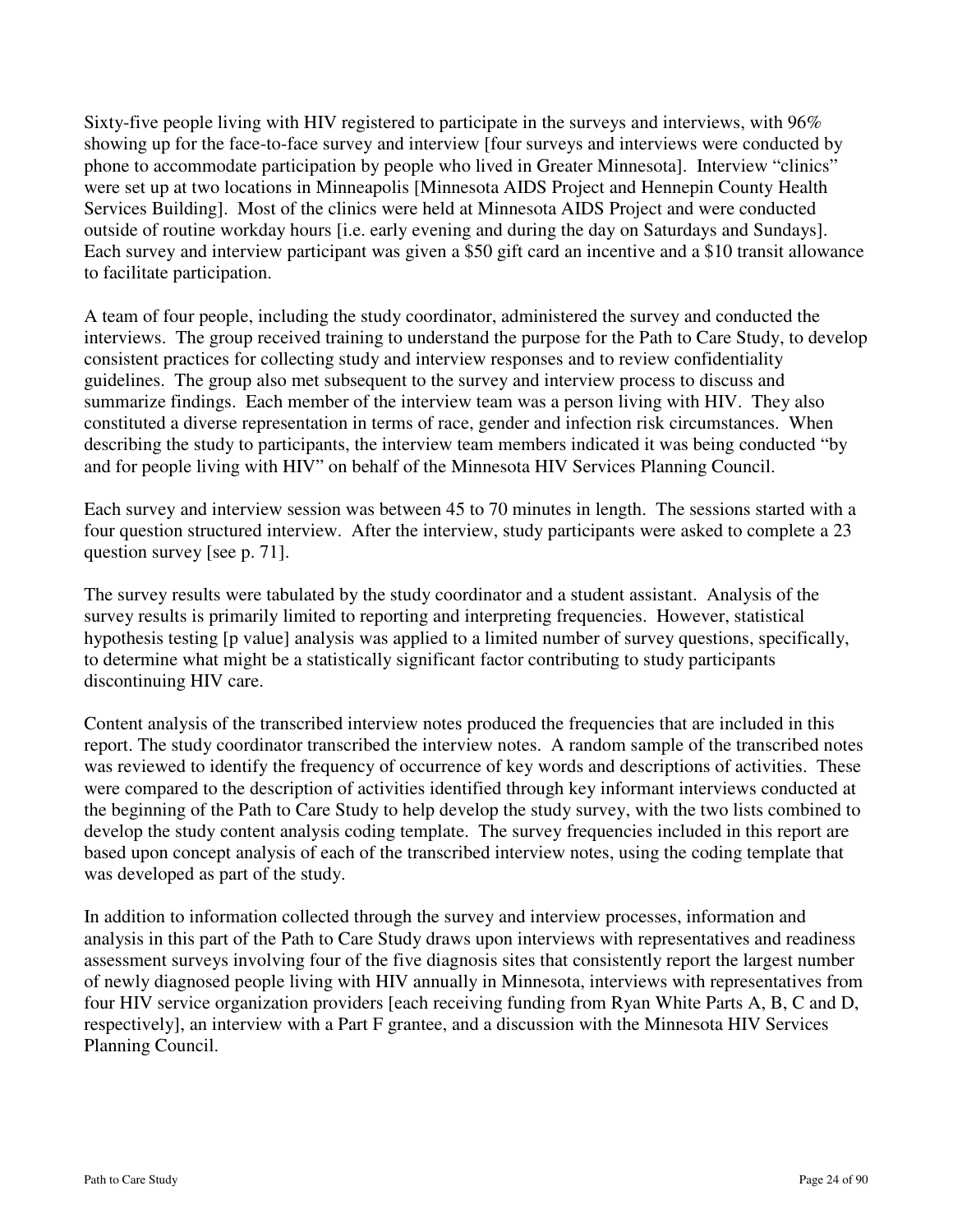Sixty-five people living with HIV registered to participate in the surveys and interviews, with 96% showing up for the face-to-face survey and interview [four surveys and interviews were conducted by phone to accommodate participation by people who lived in Greater Minnesota]. Interview "clinics" were set up at two locations in Minneapolis [Minnesota AIDS Project and Hennepin County Health Services Building]. Most of the clinics were held at Minnesota AIDS Project and were conducted outside of routine workday hours [i.e. early evening and during the day on Saturdays and Sundays]. Each survey and interview participant was given a \$50 gift card an incentive and a \$10 transit allowance to facilitate participation.

A team of four people, including the study coordinator, administered the survey and conducted the interviews. The group received training to understand the purpose for the Path to Care Study, to develop consistent practices for collecting study and interview responses and to review confidentiality guidelines. The group also met subsequent to the survey and interview process to discuss and summarize findings. Each member of the interview team was a person living with HIV. They also constituted a diverse representation in terms of race, gender and infection risk circumstances. When describing the study to participants, the interview team members indicated it was being conducted "by and for people living with HIV" on behalf of the Minnesota HIV Services Planning Council.

Each survey and interview session was between 45 to 70 minutes in length. The sessions started with a four question structured interview. After the interview, study participants were asked to complete a 23 question survey [see p. 71].

The survey results were tabulated by the study coordinator and a student assistant. Analysis of the survey results is primarily limited to reporting and interpreting frequencies. However, statistical hypothesis testing [p value] analysis was applied to a limited number of survey questions, specifically, to determine what might be a statistically significant factor contributing to study participants discontinuing HIV care.

Content analysis of the transcribed interview notes produced the frequencies that are included in this report. The study coordinator transcribed the interview notes. A random sample of the transcribed notes was reviewed to identify the frequency of occurrence of key words and descriptions of activities. These were compared to the description of activities identified through key informant interviews conducted at the beginning of the Path to Care Study to help develop the study survey, with the two lists combined to develop the study content analysis coding template. The survey frequencies included in this report are based upon concept analysis of each of the transcribed interview notes, using the coding template that was developed as part of the study.

In addition to information collected through the survey and interview processes, information and analysis in this part of the Path to Care Study draws upon interviews with representatives and readiness assessment surveys involving four of the five diagnosis sites that consistently report the largest number of newly diagnosed people living with HIV annually in Minnesota, interviews with representatives from four HIV service organization providers [each receiving funding from Ryan White Parts A, B, C and D, respectively], an interview with a Part F grantee, and a discussion with the Minnesota HIV Services Planning Council.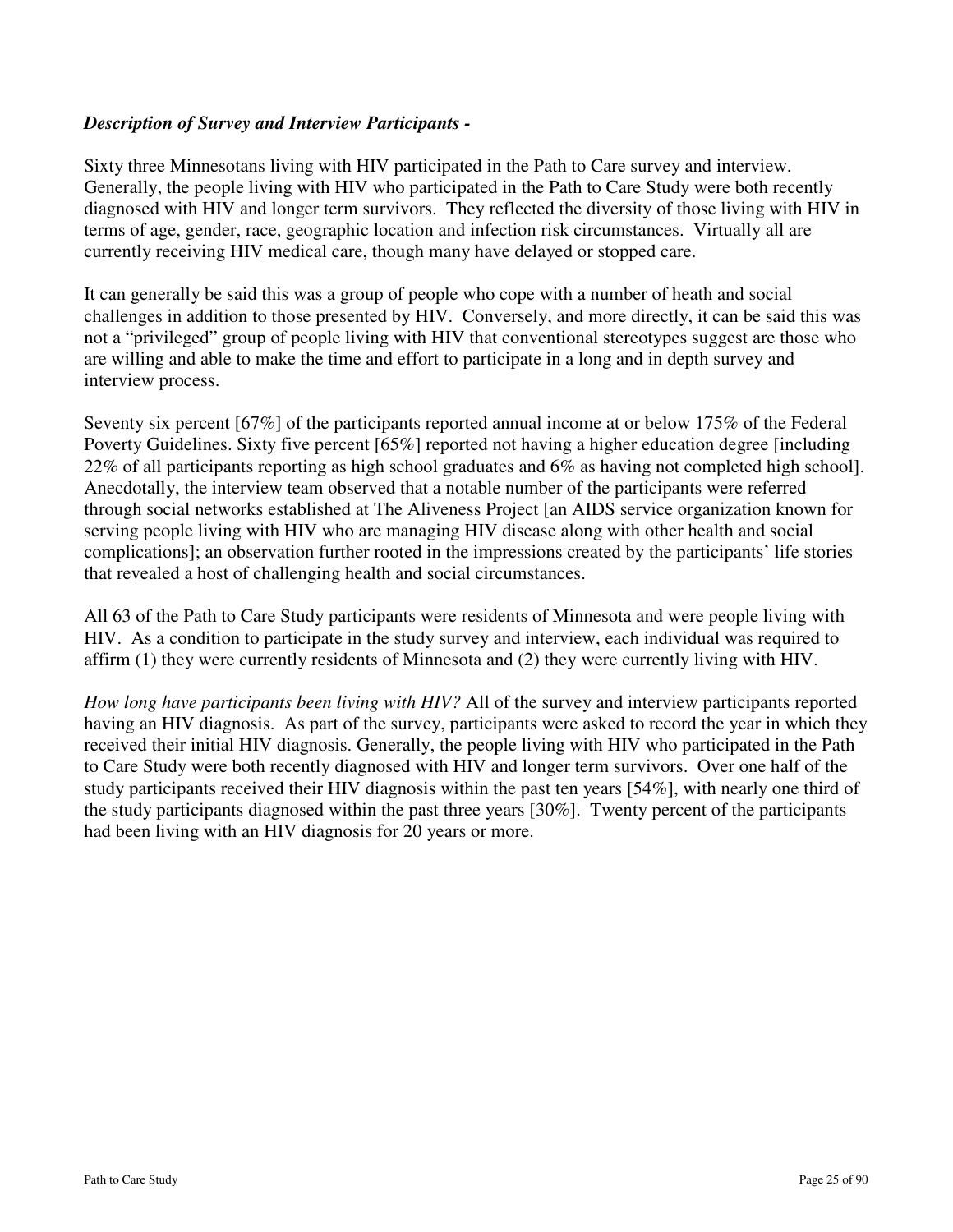### *Description of Survey and Interview Participants -*

Sixty three Minnesotans living with HIV participated in the Path to Care survey and interview. Generally, the people living with HIV who participated in the Path to Care Study were both recently diagnosed with HIV and longer term survivors. They reflected the diversity of those living with HIV in terms of age, gender, race, geographic location and infection risk circumstances. Virtually all are currently receiving HIV medical care, though many have delayed or stopped care.

It can generally be said this was a group of people who cope with a number of heath and social challenges in addition to those presented by HIV. Conversely, and more directly, it can be said this was not a "privileged" group of people living with HIV that conventional stereotypes suggest are those who are willing and able to make the time and effort to participate in a long and in depth survey and interview process.

Seventy six percent [67%] of the participants reported annual income at or below 175% of the Federal Poverty Guidelines. Sixty five percent [65%] reported not having a higher education degree [including 22% of all participants reporting as high school graduates and 6% as having not completed high school]. Anecdotally, the interview team observed that a notable number of the participants were referred through social networks established at The Aliveness Project [an AIDS service organization known for serving people living with HIV who are managing HIV disease along with other health and social complications]; an observation further rooted in the impressions created by the participants' life stories that revealed a host of challenging health and social circumstances.

All 63 of the Path to Care Study participants were residents of Minnesota and were people living with HIV. As a condition to participate in the study survey and interview, each individual was required to affirm (1) they were currently residents of Minnesota and (2) they were currently living with HIV.

*How long have participants been living with HIV?* All of the survey and interview participants reported having an HIV diagnosis. As part of the survey, participants were asked to record the year in which they received their initial HIV diagnosis. Generally, the people living with HIV who participated in the Path to Care Study were both recently diagnosed with HIV and longer term survivors. Over one half of the study participants received their HIV diagnosis within the past ten years [54%], with nearly one third of the study participants diagnosed within the past three years [30%]. Twenty percent of the participants had been living with an HIV diagnosis for 20 years or more.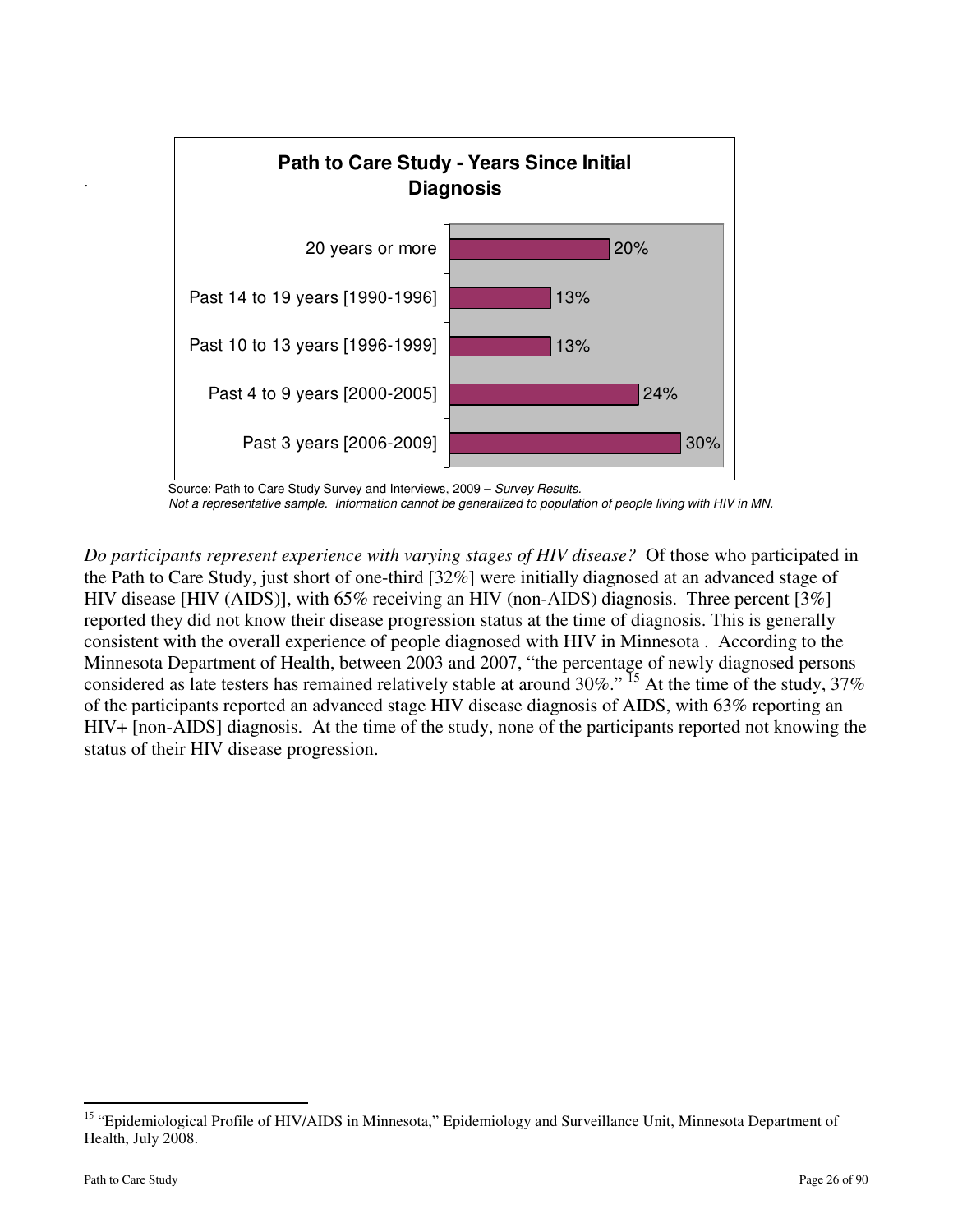

 Source: Path to Care Study Survey and Interviews, 2009 – Survey Results. Not a representative sample. Information cannot be generalized to population of people living with HIV in MN.

*Do participants represent experience with varying stages of HIV disease?* Of those who participated in the Path to Care Study, just short of one-third [32%] were initially diagnosed at an advanced stage of HIV disease [HIV (AIDS)], with 65% receiving an HIV (non-AIDS) diagnosis. Three percent [3%] reported they did not know their disease progression status at the time of diagnosis. This is generally consistent with the overall experience of people diagnosed with HIV in Minnesota . According to the Minnesota Department of Health, between 2003 and 2007, "the percentage of newly diagnosed persons considered as late testers has remained relatively stable at around  $30\%$ ." <sup>15</sup> At the time of the study,  $37\%$ of the participants reported an advanced stage HIV disease diagnosis of AIDS, with 63% reporting an HIV+ [non-AIDS] diagnosis. At the time of the study, none of the participants reported not knowing the status of their HIV disease progression.

 $\overline{a}$ 

.

<sup>&</sup>lt;sup>15</sup> "Epidemiological Profile of HIV/AIDS in Minnesota," Epidemiology and Surveillance Unit, Minnesota Department of Health, July 2008.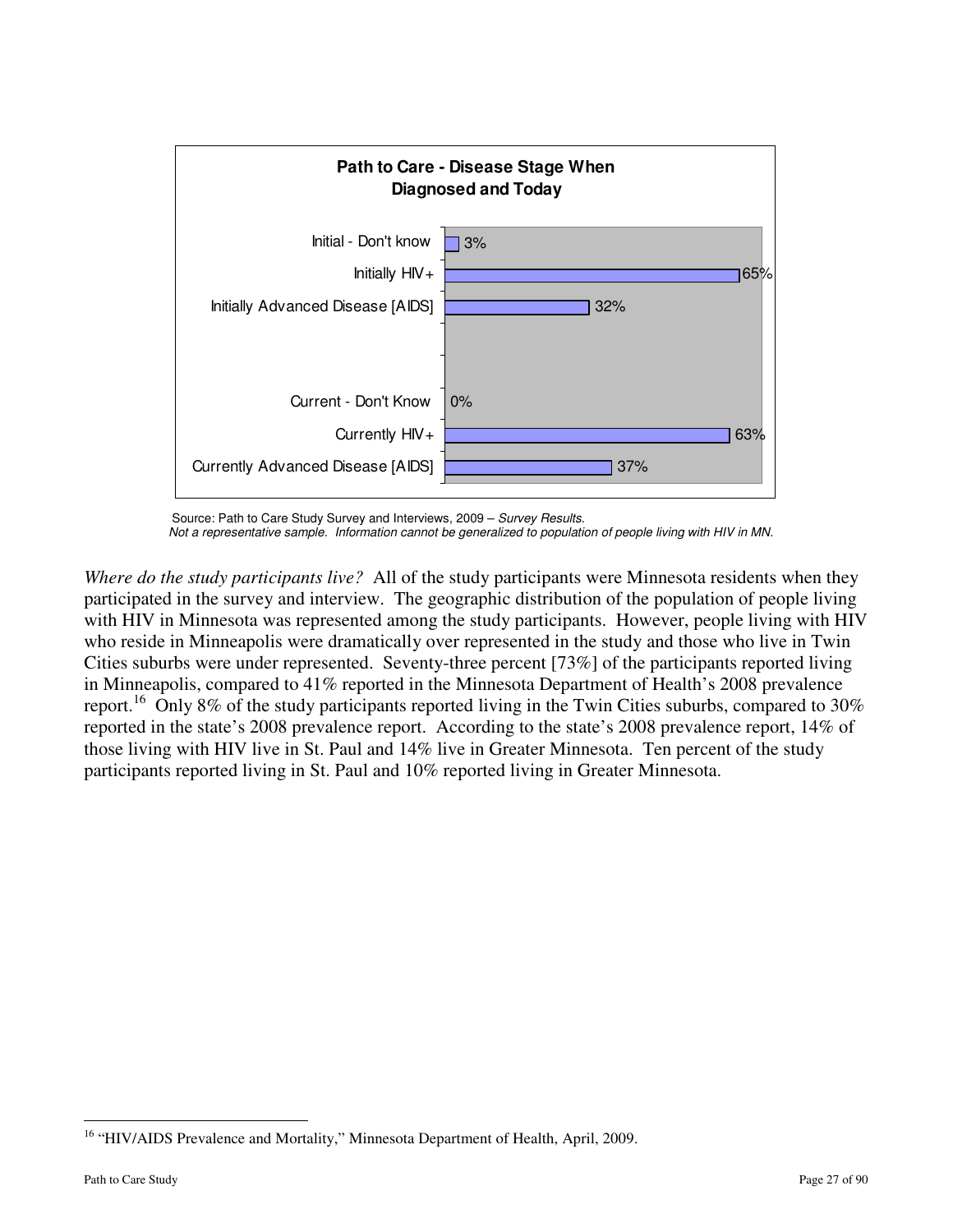

Source: Path to Care Study Survey and Interviews, 2009 – Survey Results. Not a representative sample. Information cannot be generalized to population of people living with HIV in MN.

*Where do the study participants live?* All of the study participants were Minnesota residents when they participated in the survey and interview. The geographic distribution of the population of people living with HIV in Minnesota was represented among the study participants. However, people living with HIV who reside in Minneapolis were dramatically over represented in the study and those who live in Twin Cities suburbs were under represented. Seventy-three percent [73%] of the participants reported living in Minneapolis, compared to 41% reported in the Minnesota Department of Health's 2008 prevalence report.<sup>16</sup> Only 8% of the study participants reported living in the Twin Cities suburbs, compared to 30% reported in the state's 2008 prevalence report. According to the state's 2008 prevalence report, 14% of those living with HIV live in St. Paul and 14% live in Greater Minnesota. Ten percent of the study participants reported living in St. Paul and 10% reported living in Greater Minnesota.

 $\overline{a}$ 

<sup>&</sup>lt;sup>16</sup> "HIV/AIDS Prevalence and Mortality," Minnesota Department of Health, April, 2009.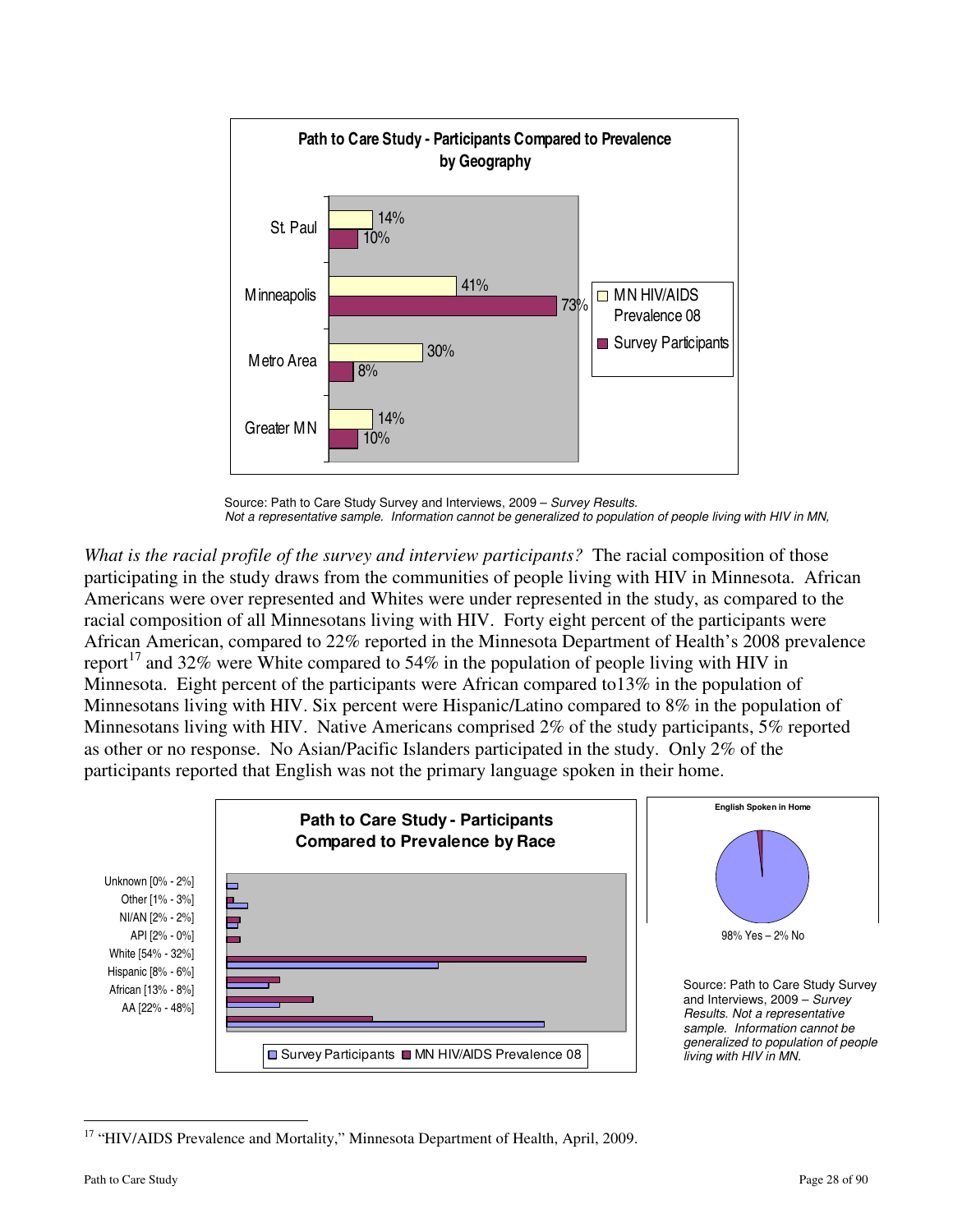

Source: Path to Care Study Survey and Interviews, 2009 - Survey Results. Not a representative sample. Information cannot be generalized to population of people living with HIV in MN,

*What is the racial profile of the survey and interview participants?* The racial composition of those participating in the study draws from the communities of people living with HIV in Minnesota. African Americans were over represented and Whites were under represented in the study, as compared to the racial composition of all Minnesotans living with HIV. Forty eight percent of the participants were African American, compared to 22% reported in the Minnesota Department of Health's 2008 prevalence report<sup>17</sup> and 32% were White compared to 54% in the population of people living with HIV in Minnesota. Eight percent of the participants were African compared to13% in the population of Minnesotans living with HIV. Six percent were Hispanic/Latino compared to 8% in the population of Minnesotans living with HIV. Native Americans comprised 2% of the study participants, 5% reported as other or no response. No Asian/Pacific Islanders participated in the study. Only 2% of the participants reported that English was not the primary language spoken in their home.



<sup>&</sup>lt;sup>17</sup> "HIV/AIDS Prevalence and Mortality," Minnesota Department of Health, April, 2009.

<u>.</u>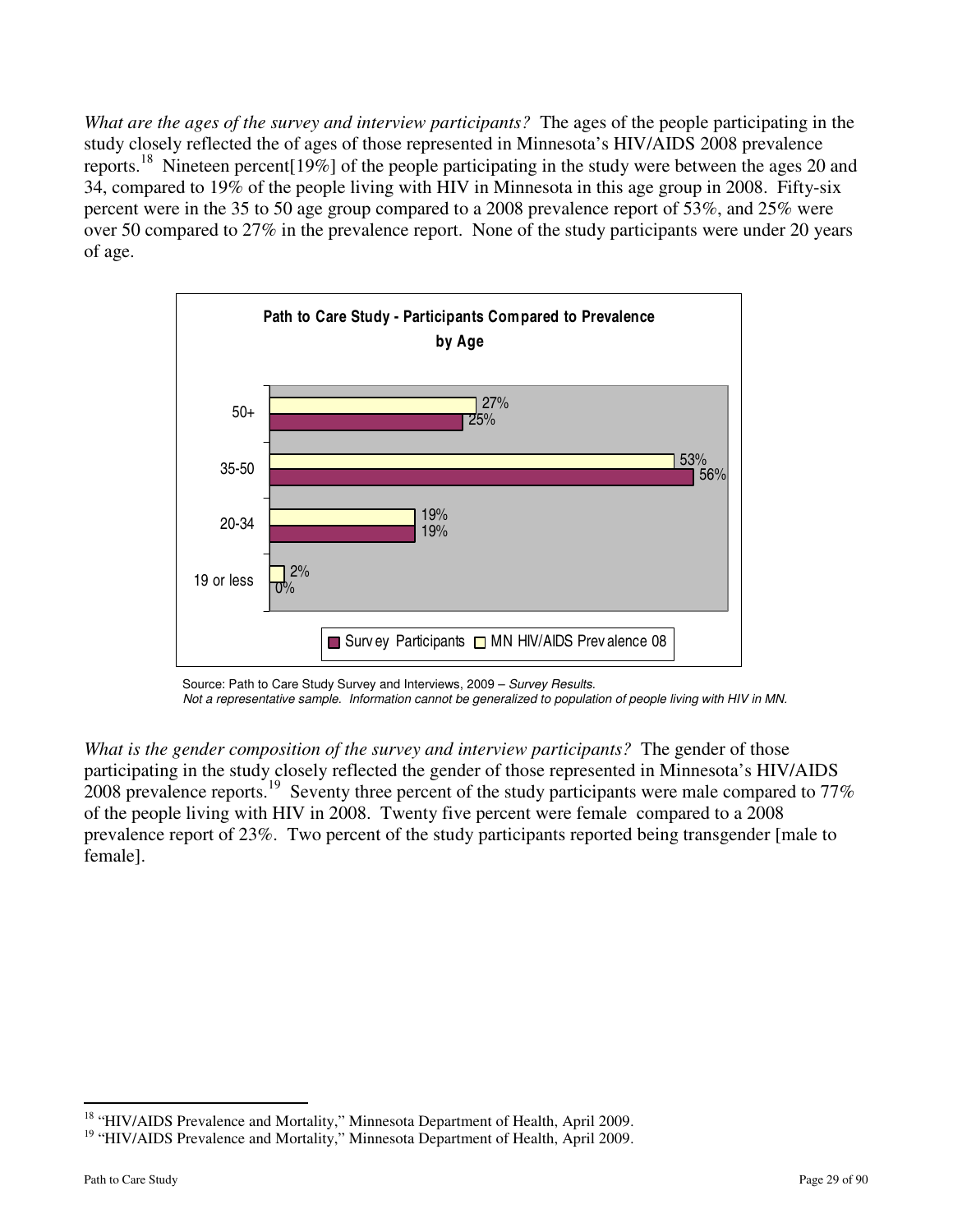*What are the ages of the survey and interview participants?* The ages of the people participating in the study closely reflected the of ages of those represented in Minnesota's HIV/AIDS 2008 prevalence reports.<sup>18</sup> Nineteen percent [19%] of the people participating in the study were between the ages 20 and 34, compared to 19% of the people living with HIV in Minnesota in this age group in 2008. Fifty-six percent were in the 35 to 50 age group compared to a 2008 prevalence report of 53%, and 25% were over 50 compared to 27% in the prevalence report. None of the study participants were under 20 years of age.



Source: Path to Care Study Survey and Interviews, 2009 – Survey Results.

Not a representative sample. Information cannot be generalized to population of people living with HIV in MN.

*What is the gender composition of the survey and interview participants?* The gender of those participating in the study closely reflected the gender of those represented in Minnesota's HIV/AIDS  $2008$  prevalence reports.<sup>19</sup> Seventy three percent of the study participants were male compared to 77% of the people living with HIV in 2008. Twenty five percent were female compared to a 2008 prevalence report of 23%. Two percent of the study participants reported being transgender [male to female].

 $\overline{a}$ <sup>18</sup> "HIV/AIDS Prevalence and Mortality," Minnesota Department of Health, April 2009.

<sup>&</sup>lt;sup>19</sup> "HIV/AIDS Prevalence and Mortality," Minnesota Department of Health, April 2009.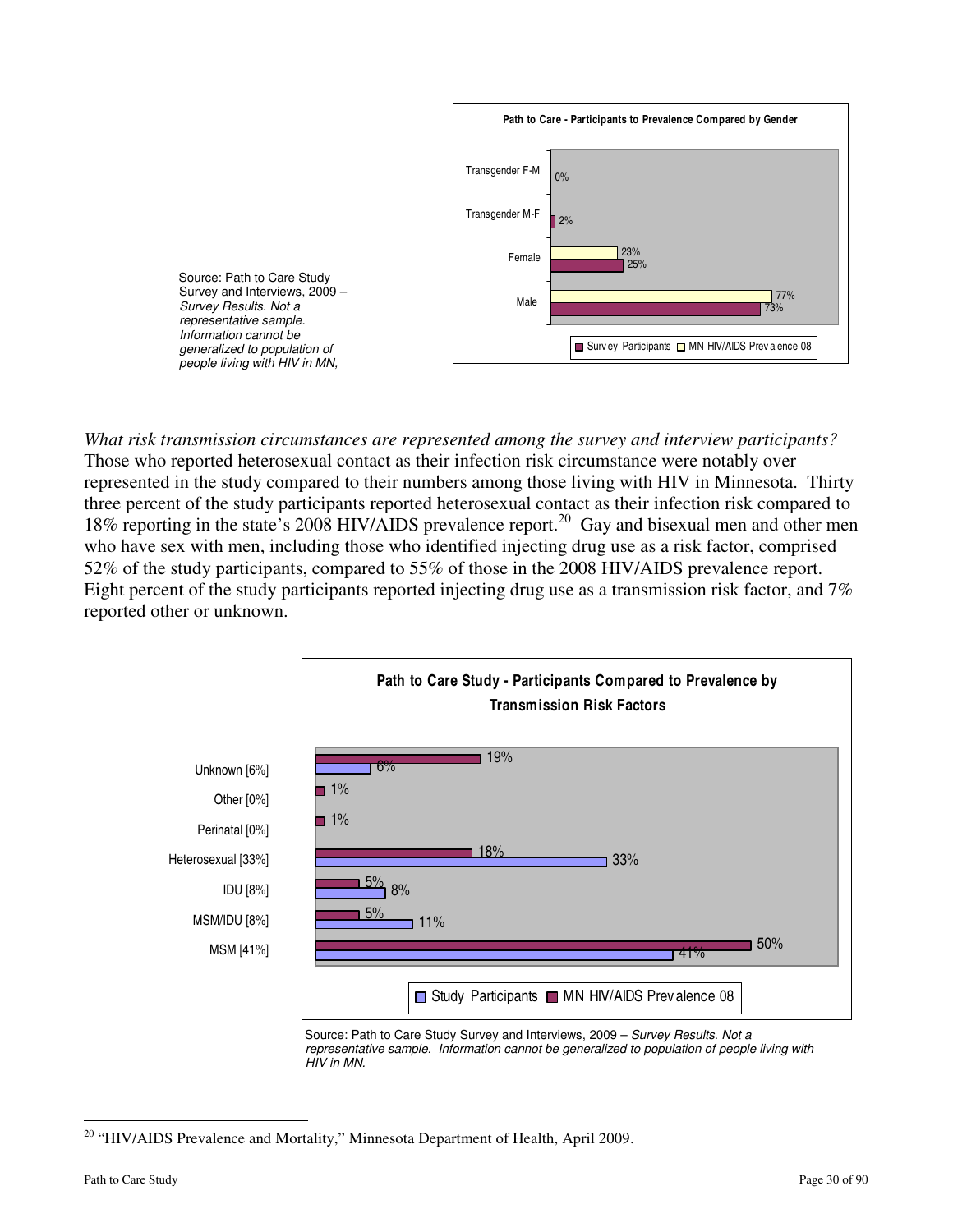

*What risk transmission circumstances are represented among the survey and interview participants?*  Those who reported heterosexual contact as their infection risk circumstance were notably over represented in the study compared to their numbers among those living with HIV in Minnesota. Thirty three percent of the study participants reported heterosexual contact as their infection risk compared to 18% reporting in the state's 2008 HIV/AIDS prevalence report.<sup>20</sup> Gay and bisexual men and other men who have sex with men, including those who identified injecting drug use as a risk factor, comprised 52% of the study participants, compared to 55% of those in the 2008 HIV/AIDS prevalence report. Eight percent of the study participants reported injecting drug use as a transmission risk factor, and 7% reported other or unknown.



 Source: Path to Care Study Survey and Interviews, 2009 – Survey Results. Not a representative sample. Information cannot be generalized to population of people living with HIV in MN.

<u>.</u>

<sup>&</sup>lt;sup>20</sup> "HIV/AIDS Prevalence and Mortality," Minnesota Department of Health, April 2009.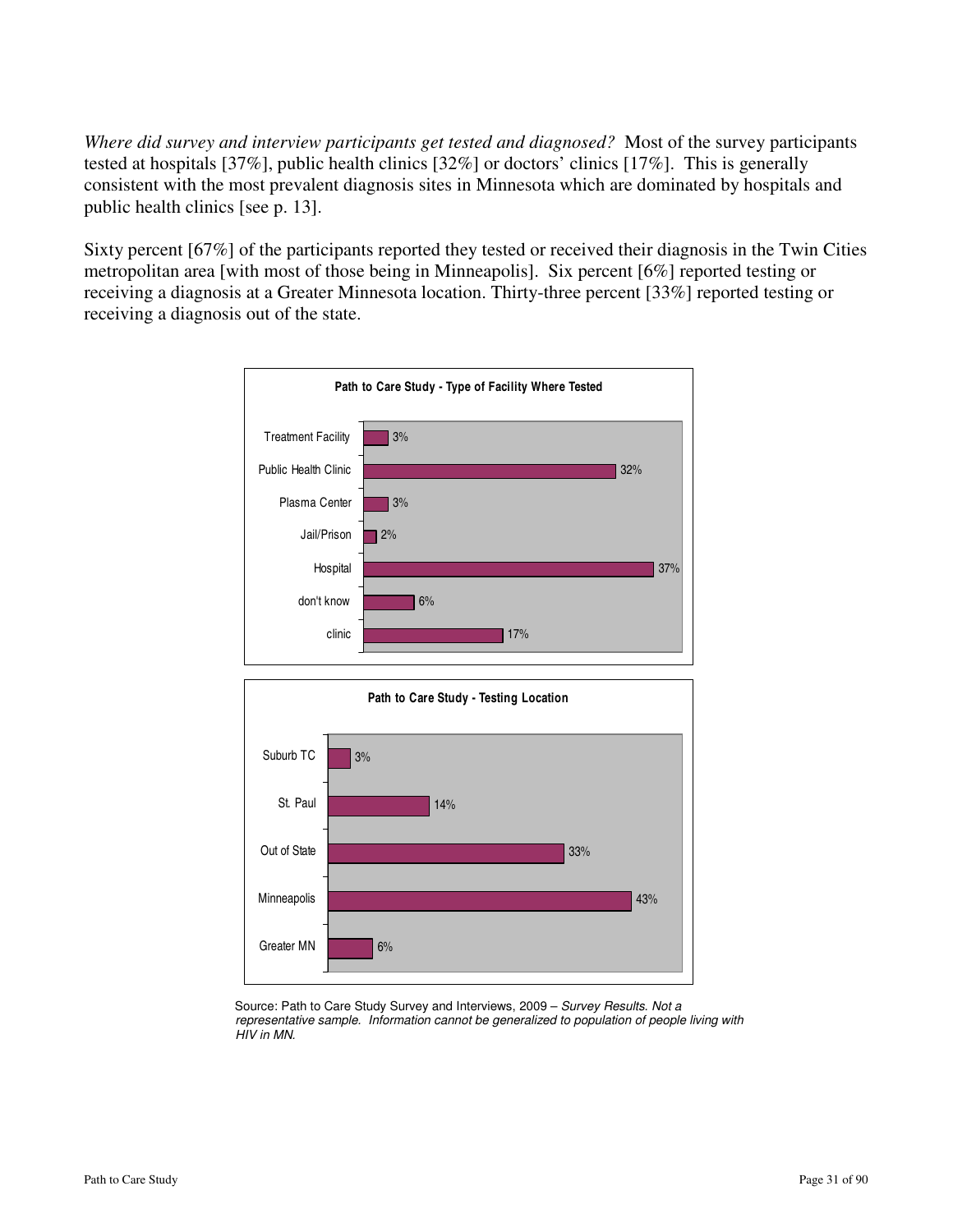*Where did survey and interview participants get tested and diagnosed?* Most of the survey participants tested at hospitals [37%], public health clinics [32%] or doctors' clinics [17%]. This is generally consistent with the most prevalent diagnosis sites in Minnesota which are dominated by hospitals and public health clinics [see p. 13].

Sixty percent [67%] of the participants reported they tested or received their diagnosis in the Twin Cities metropolitan area [with most of those being in Minneapolis]. Six percent [6%] reported testing or receiving a diagnosis at a Greater Minnesota location. Thirty-three percent [33%] reported testing or receiving a diagnosis out of the state.





 Source: Path to Care Study Survey and Interviews, 2009 – Survey Results. Not a representative sample. Information cannot be generalized to population of people living with HIV in MN.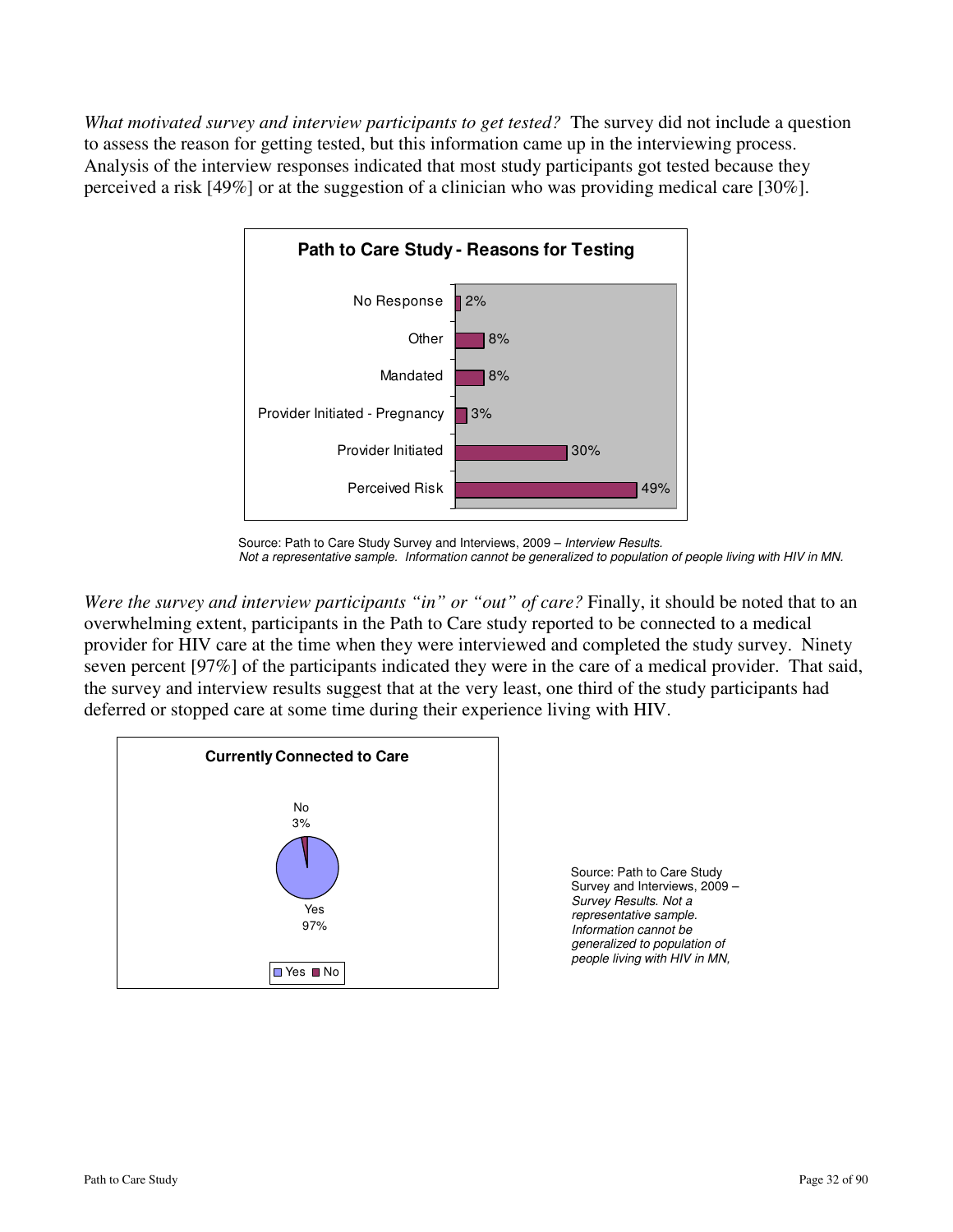*What motivated survey and interview participants to get tested?* The survey did not include a question to assess the reason for getting tested, but this information came up in the interviewing process. Analysis of the interview responses indicated that most study participants got tested because they perceived a risk [49%] or at the suggestion of a clinician who was providing medical care [30%].



Source: Path to Care Study Survey and Interviews, 2009 – Interview Results. Not a representative sample. Information cannot be generalized to population of people living with HIV in MN.

*Were the survey and interview participants "in" or "out" of care?* Finally, it should be noted that to an overwhelming extent, participants in the Path to Care study reported to be connected to a medical provider for HIV care at the time when they were interviewed and completed the study survey. Ninety seven percent [97%] of the participants indicated they were in the care of a medical provider. That said, the survey and interview results suggest that at the very least, one third of the study participants had deferred or stopped care at some time during their experience living with HIV.



 Source: Path to Care Study Survey and Interviews, 2009 – Survey Results. Not a representative sample. Information cannot be generalized to population of people living with HIV in MN,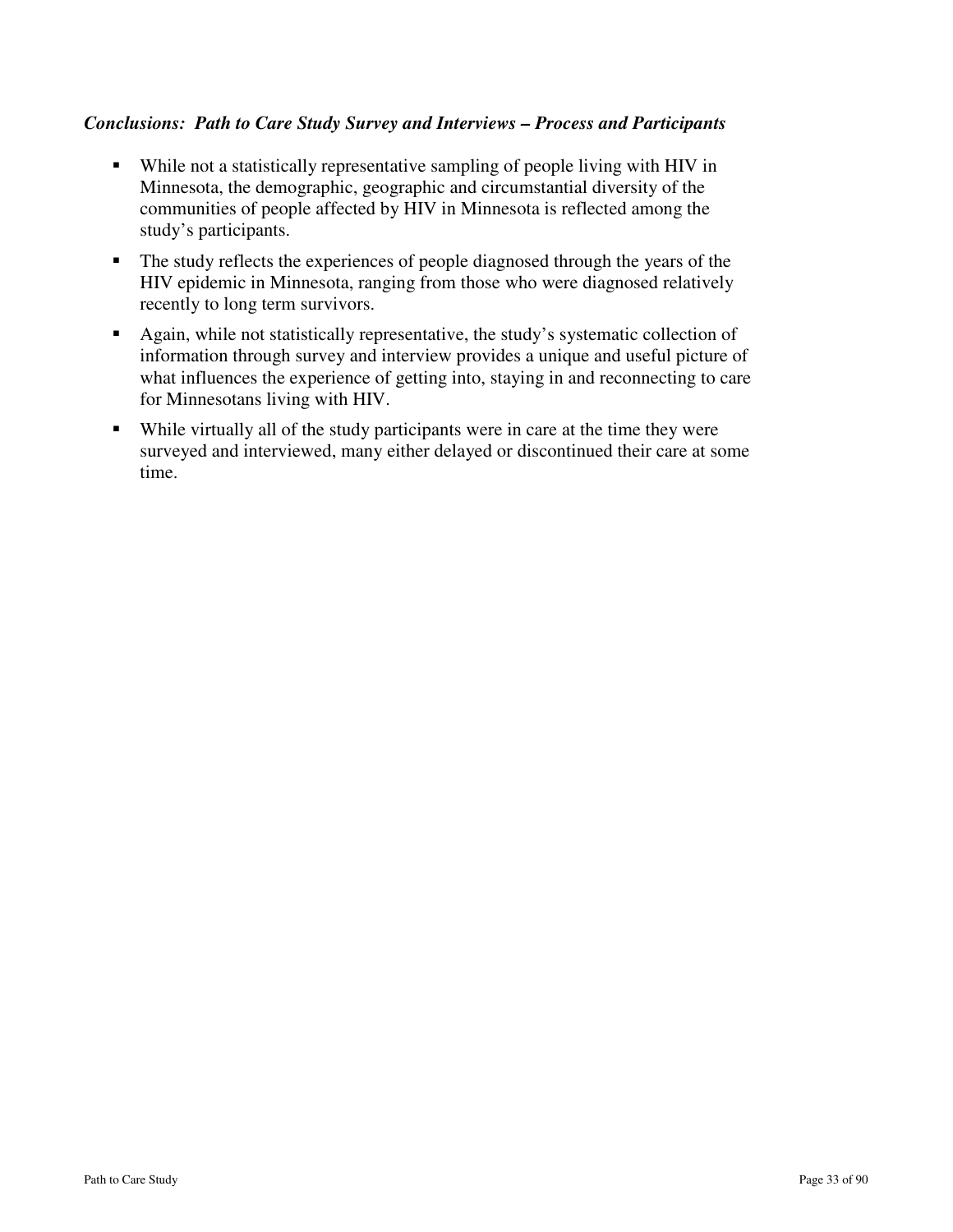### *Conclusions: Path to Care Study Survey and Interviews – Process and Participants*

- While not a statistically representative sampling of people living with HIV in Minnesota, the demographic, geographic and circumstantial diversity of the communities of people affected by HIV in Minnesota is reflected among the study's participants.
- The study reflects the experiences of people diagnosed through the years of the HIV epidemic in Minnesota, ranging from those who were diagnosed relatively recently to long term survivors.
- Again, while not statistically representative, the study's systematic collection of information through survey and interview provides a unique and useful picture of what influences the experience of getting into, staying in and reconnecting to care for Minnesotans living with HIV.
- While virtually all of the study participants were in care at the time they were surveyed and interviewed, many either delayed or discontinued their care at some time.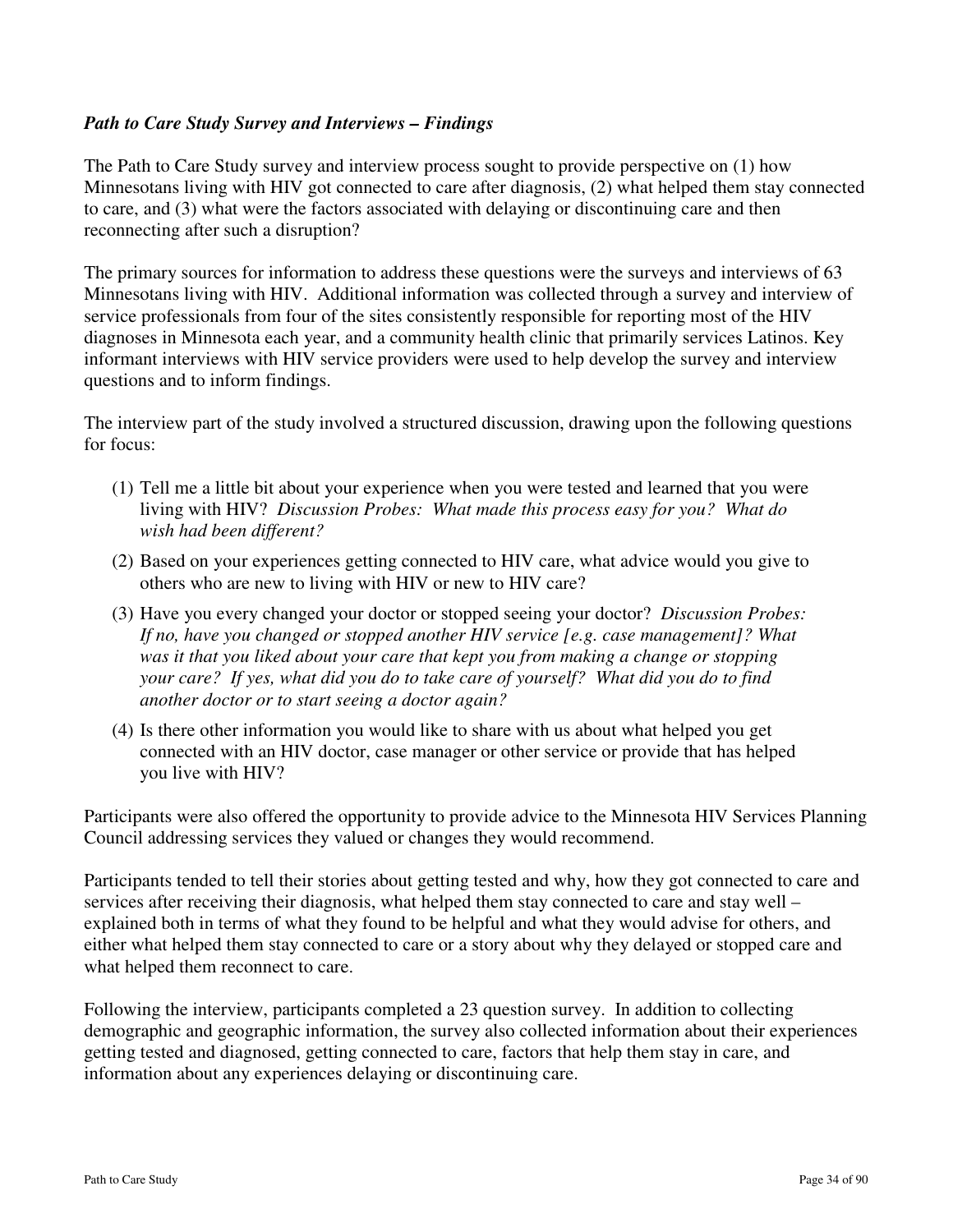### *Path to Care Study Survey and Interviews – Findings*

The Path to Care Study survey and interview process sought to provide perspective on (1) how Minnesotans living with HIV got connected to care after diagnosis, (2) what helped them stay connected to care, and (3) what were the factors associated with delaying or discontinuing care and then reconnecting after such a disruption?

The primary sources for information to address these questions were the surveys and interviews of 63 Minnesotans living with HIV. Additional information was collected through a survey and interview of service professionals from four of the sites consistently responsible for reporting most of the HIV diagnoses in Minnesota each year, and a community health clinic that primarily services Latinos. Key informant interviews with HIV service providers were used to help develop the survey and interview questions and to inform findings.

The interview part of the study involved a structured discussion, drawing upon the following questions for focus:

- (1) Tell me a little bit about your experience when you were tested and learned that you were living with HIV? *Discussion Probes: What made this process easy for you? What do wish had been different?*
- (2) Based on your experiences getting connected to HIV care, what advice would you give to others who are new to living with HIV or new to HIV care?
- (3) Have you every changed your doctor or stopped seeing your doctor? *Discussion Probes: If no, have you changed or stopped another HIV service [e.g. case management]? What was it that you liked about your care that kept you from making a change or stopping your care? If yes, what did you do to take care of yourself? What did you do to find another doctor or to start seeing a doctor again?*
- (4) Is there other information you would like to share with us about what helped you get connected with an HIV doctor, case manager or other service or provide that has helped you live with HIV?

Participants were also offered the opportunity to provide advice to the Minnesota HIV Services Planning Council addressing services they valued or changes they would recommend.

Participants tended to tell their stories about getting tested and why, how they got connected to care and services after receiving their diagnosis, what helped them stay connected to care and stay well – explained both in terms of what they found to be helpful and what they would advise for others, and either what helped them stay connected to care or a story about why they delayed or stopped care and what helped them reconnect to care.

Following the interview, participants completed a 23 question survey. In addition to collecting demographic and geographic information, the survey also collected information about their experiences getting tested and diagnosed, getting connected to care, factors that help them stay in care, and information about any experiences delaying or discontinuing care.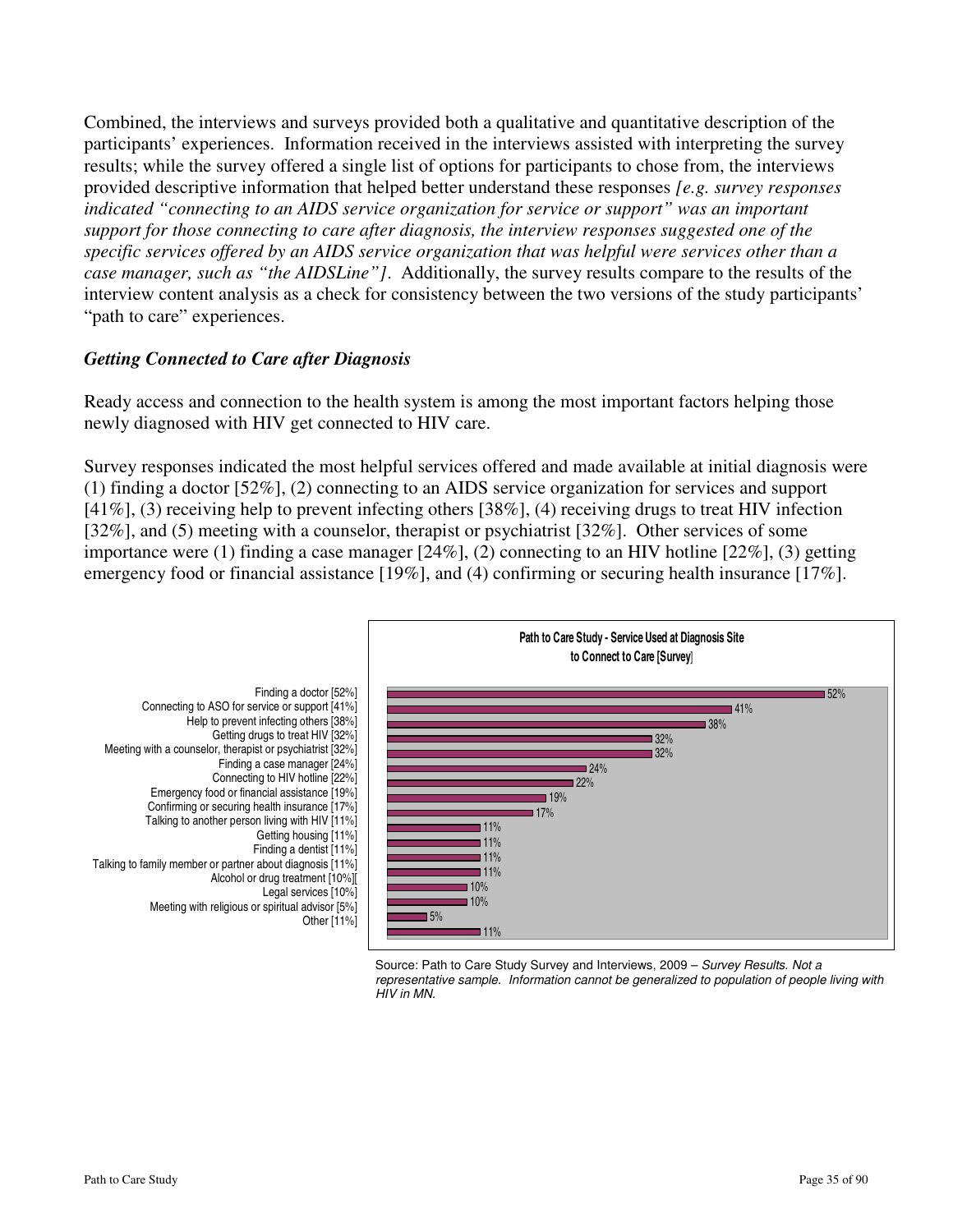Combined, the interviews and surveys provided both a qualitative and quantitative description of the participants' experiences. Information received in the interviews assisted with interpreting the survey results; while the survey offered a single list of options for participants to chose from, the interviews provided descriptive information that helped better understand these responses *[e.g. survey responses indicated "connecting to an AIDS service organization for service or support" was an important support for those connecting to care after diagnosis, the interview responses suggested one of the specific services offered by an AIDS service organization that was helpful were services other than a case manager, such as "the AIDSLine"]*. Additionally, the survey results compare to the results of the interview content analysis as a check for consistency between the two versions of the study participants' "path to care" experiences.

### *Getting Connected to Care after Diagnosis*

Ready access and connection to the health system is among the most important factors helping those newly diagnosed with HIV get connected to HIV care.

Survey responses indicated the most helpful services offered and made available at initial diagnosis were (1) finding a doctor [52%], (2) connecting to an AIDS service organization for services and support [41%], (3) receiving help to prevent infecting others [38%], (4) receiving drugs to treat HIV infection [32%], and (5) meeting with a counselor, therapist or psychiatrist [32%]. Other services of some importance were (1) finding a case manager [24%], (2) connecting to an HIV hotline [22%], (3) getting emergency food or financial assistance [19%], and (4) confirming or securing health insurance [17%].



Source: Path to Care Study Survey and Interviews, 2009 – Survey Results. Not a representative sample. Information cannot be generalized to population of people living with HIV in MN.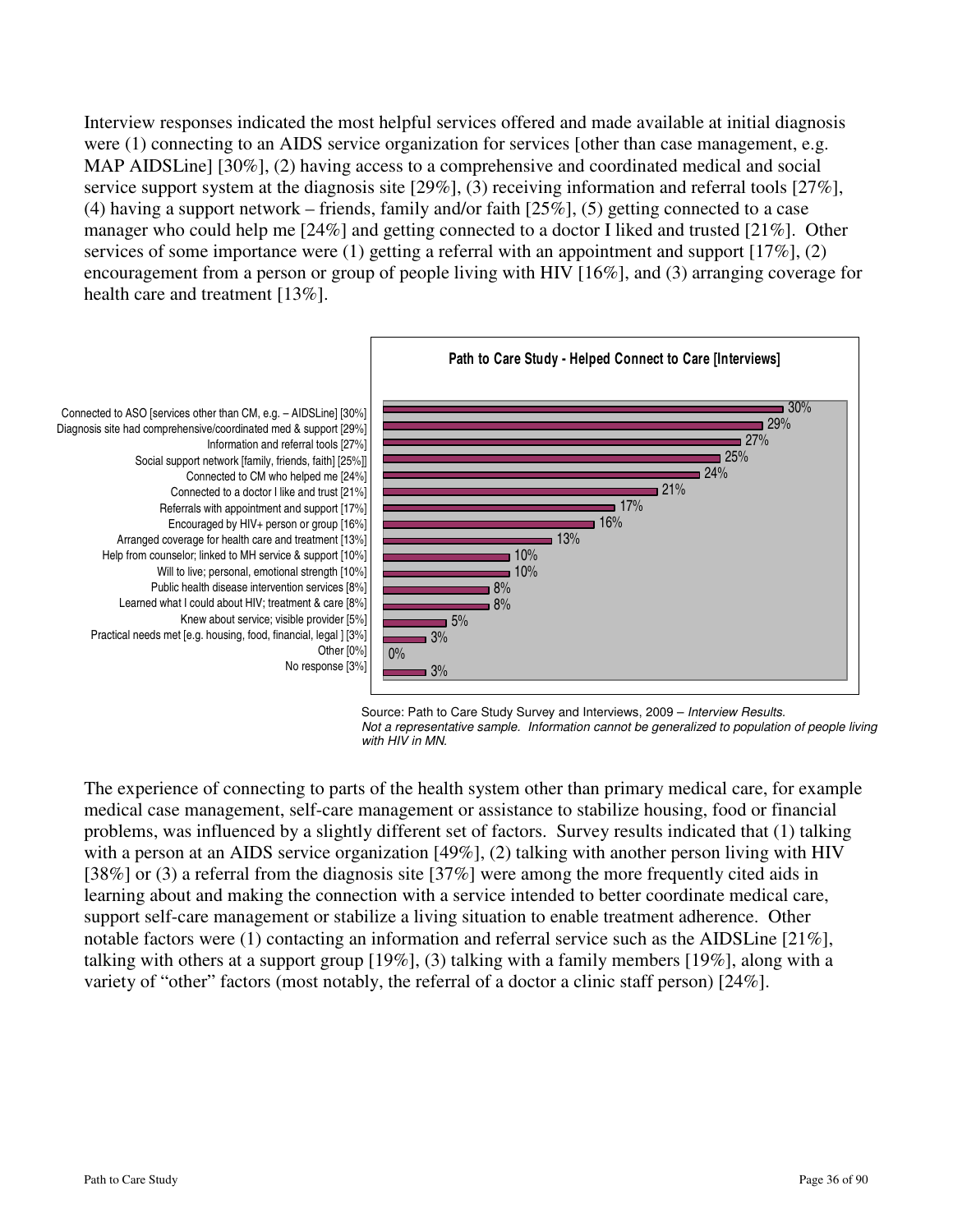Interview responses indicated the most helpful services offered and made available at initial diagnosis were (1) connecting to an AIDS service organization for services [other than case management, e.g. MAP AIDSLine] [30%], (2) having access to a comprehensive and coordinated medical and social service support system at the diagnosis site [29%], (3) receiving information and referral tools [27%], (4) having a support network – friends, family and/or faith [25%], (5) getting connected to a case manager who could help me [24%] and getting connected to a doctor I liked and trusted [21%]. Other services of some importance were (1) getting a referral with an appointment and support [17%], (2) encouragement from a person or group of people living with HIV [16%], and (3) arranging coverage for health care and treatment [13%].



Source: Path to Care Study Survey and Interviews, 2009 - Interview Results. Not a representative sample. Information cannot be generalized to population of people living with HIV in MN.

The experience of connecting to parts of the health system other than primary medical care, for example medical case management, self-care management or assistance to stabilize housing, food or financial problems, was influenced by a slightly different set of factors. Survey results indicated that (1) talking with a person at an AIDS service organization [49%], (2) talking with another person living with HIV [38%] or (3) a referral from the diagnosis site [37%] were among the more frequently cited aids in learning about and making the connection with a service intended to better coordinate medical care, support self-care management or stabilize a living situation to enable treatment adherence. Other notable factors were (1) contacting an information and referral service such as the AIDSLine [21%], talking with others at a support group [19%], (3) talking with a family members [19%], along with a variety of "other" factors (most notably, the referral of a doctor a clinic staff person) [24%].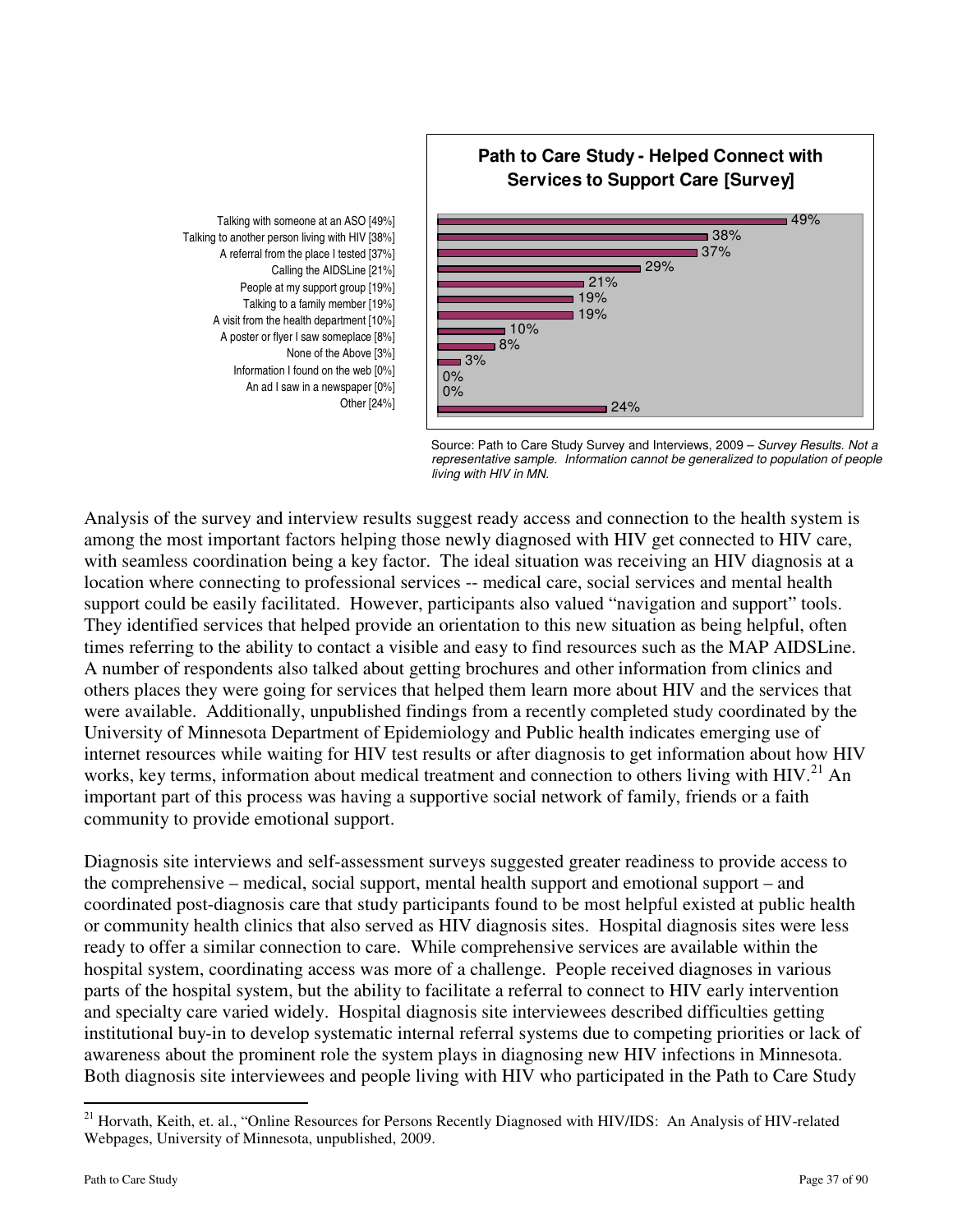

Talking to another person living with HIV [38%] A referral from the place I tested [37%] Calling the AIDSLine [21%] People at my support group [19%] Talking to a family member [19%] A visit from the health department [10%] A poster or flyer I saw someplace [8%] None of the Above [3%] Information I found on the web [0%] An ad I saw in a newspaper [0%] Other [24%]



Analysis of the survey and interview results suggest ready access and connection to the health system is among the most important factors helping those newly diagnosed with HIV get connected to HIV care, with seamless coordination being a key factor. The ideal situation was receiving an HIV diagnosis at a location where connecting to professional services -- medical care, social services and mental health support could be easily facilitated. However, participants also valued "navigation and support" tools. They identified services that helped provide an orientation to this new situation as being helpful, often times referring to the ability to contact a visible and easy to find resources such as the MAP AIDSLine. A number of respondents also talked about getting brochures and other information from clinics and others places they were going for services that helped them learn more about HIV and the services that were available. Additionally, unpublished findings from a recently completed study coordinated by the University of Minnesota Department of Epidemiology and Public health indicates emerging use of internet resources while waiting for HIV test results or after diagnosis to get information about how HIV works, key terms, information about medical treatment and connection to others living with HIV.<sup>21</sup> An important part of this process was having a supportive social network of family, friends or a faith community to provide emotional support.

Diagnosis site interviews and self-assessment surveys suggested greater readiness to provide access to the comprehensive – medical, social support, mental health support and emotional support – and coordinated post-diagnosis care that study participants found to be most helpful existed at public health or community health clinics that also served as HIV diagnosis sites. Hospital diagnosis sites were less ready to offer a similar connection to care. While comprehensive services are available within the hospital system, coordinating access was more of a challenge. People received diagnoses in various parts of the hospital system, but the ability to facilitate a referral to connect to HIV early intervention and specialty care varied widely. Hospital diagnosis site interviewees described difficulties getting institutional buy-in to develop systematic internal referral systems due to competing priorities or lack of awareness about the prominent role the system plays in diagnosing new HIV infections in Minnesota. Both diagnosis site interviewees and people living with HIV who participated in the Path to Care Study

<u>.</u>

<sup>&</sup>lt;sup>21</sup> Horvath, Keith, et. al., "Online Resources for Persons Recently Diagnosed with HIV/IDS: An Analysis of HIV-related Webpages, University of Minnesota, unpublished, 2009.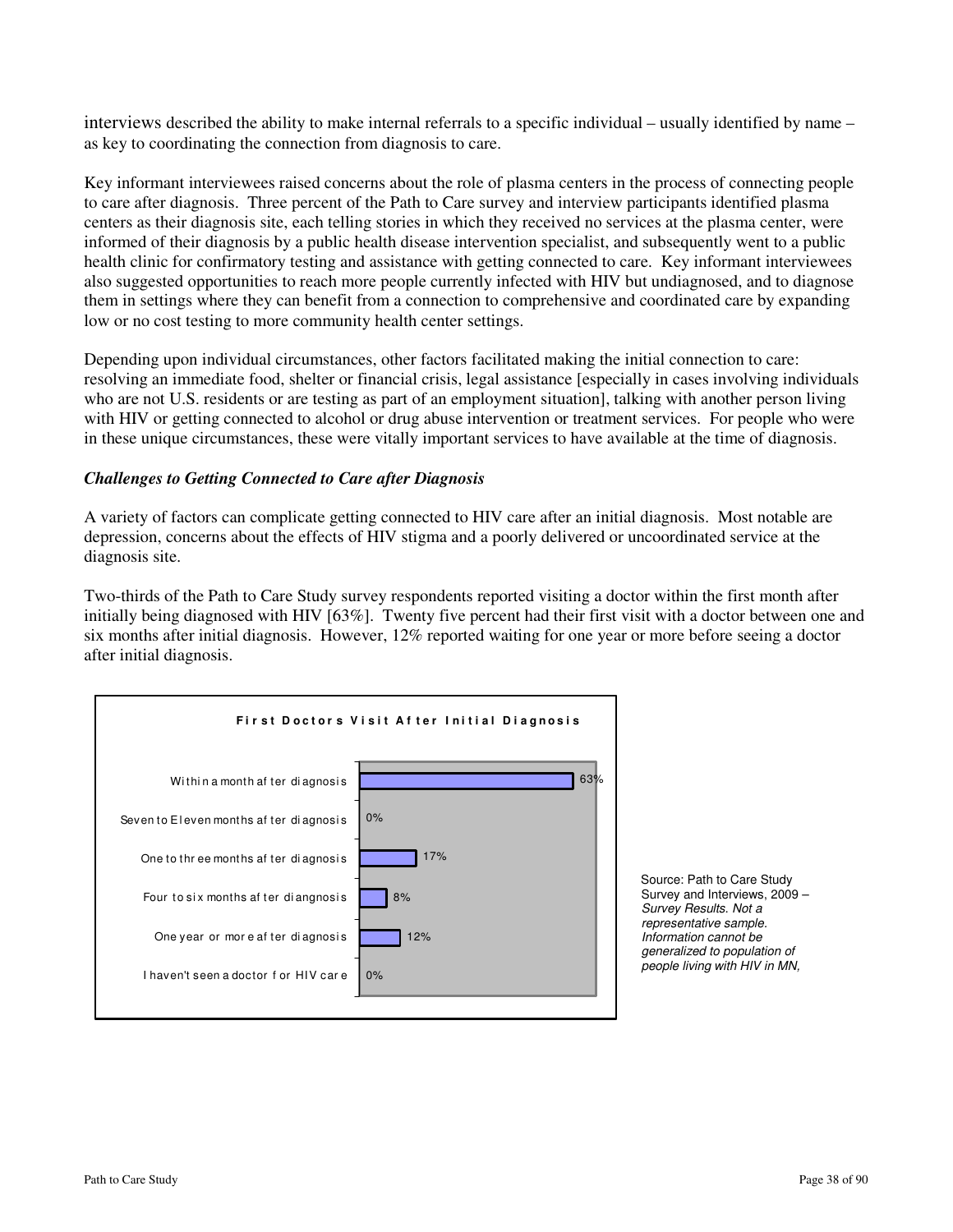interviews described the ability to make internal referrals to a specific individual – usually identified by name – as key to coordinating the connection from diagnosis to care.

Key informant interviewees raised concerns about the role of plasma centers in the process of connecting people to care after diagnosis. Three percent of the Path to Care survey and interview participants identified plasma centers as their diagnosis site, each telling stories in which they received no services at the plasma center, were informed of their diagnosis by a public health disease intervention specialist, and subsequently went to a public health clinic for confirmatory testing and assistance with getting connected to care. Key informant interviewees also suggested opportunities to reach more people currently infected with HIV but undiagnosed, and to diagnose them in settings where they can benefit from a connection to comprehensive and coordinated care by expanding low or no cost testing to more community health center settings.

Depending upon individual circumstances, other factors facilitated making the initial connection to care: resolving an immediate food, shelter or financial crisis, legal assistance [especially in cases involving individuals who are not U.S. residents or are testing as part of an employment situation], talking with another person living with HIV or getting connected to alcohol or drug abuse intervention or treatment services. For people who were in these unique circumstances, these were vitally important services to have available at the time of diagnosis.

### *Challenges to Getting Connected to Care after Diagnosis*

A variety of factors can complicate getting connected to HIV care after an initial diagnosis. Most notable are depression, concerns about the effects of HIV stigma and a poorly delivered or uncoordinated service at the diagnosis site.

Two-thirds of the Path to Care Study survey respondents reported visiting a doctor within the first month after initially being diagnosed with HIV [63%]. Twenty five percent had their first visit with a doctor between one and six months after initial diagnosis. However, 12% reported waiting for one year or more before seeing a doctor after initial diagnosis.



 Source: Path to Care Study Survey and Interviews, 2009 -Survey Results. Not a representative sample. Information cannot be generalized to population of people living with HIV in MN,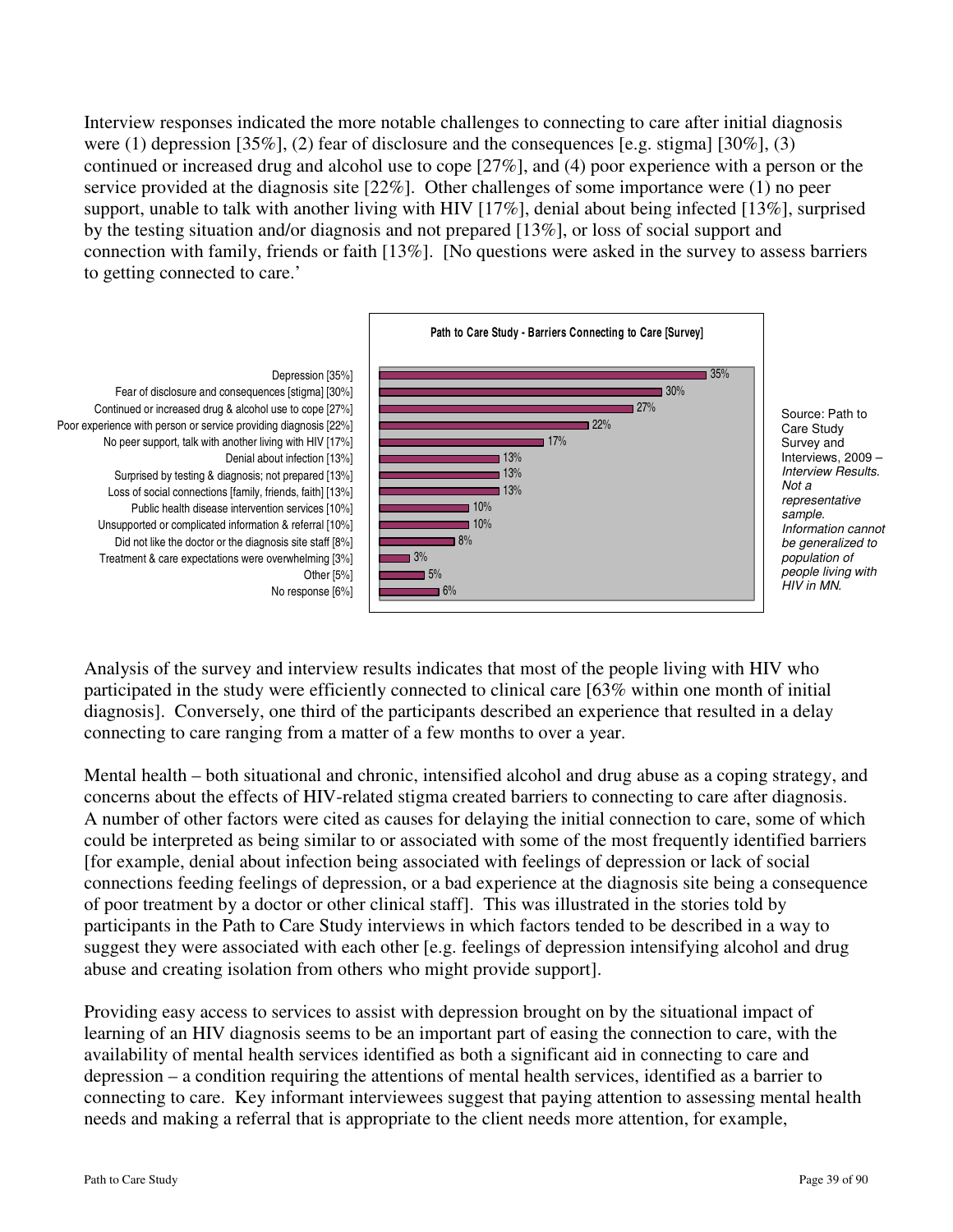Interview responses indicated the more notable challenges to connecting to care after initial diagnosis were (1) depression [35%], (2) fear of disclosure and the consequences [e.g. stigma] [30%], (3) continued or increased drug and alcohol use to cope [27%], and (4) poor experience with a person or the service provided at the diagnosis site [22%]. Other challenges of some importance were (1) no peer support, unable to talk with another living with HIV [17%], denial about being infected [13%], surprised by the testing situation and/or diagnosis and not prepared [13%], or loss of social support and connection with family, friends or faith [13%]. [No questions were asked in the survey to assess barriers to getting connected to care.'



Analysis of the survey and interview results indicates that most of the people living with HIV who participated in the study were efficiently connected to clinical care [63% within one month of initial diagnosis]. Conversely, one third of the participants described an experience that resulted in a delay connecting to care ranging from a matter of a few months to over a year.

Mental health – both situational and chronic, intensified alcohol and drug abuse as a coping strategy, and concerns about the effects of HIV-related stigma created barriers to connecting to care after diagnosis. A number of other factors were cited as causes for delaying the initial connection to care, some of which could be interpreted as being similar to or associated with some of the most frequently identified barriers [for example, denial about infection being associated with feelings of depression or lack of social connections feeding feelings of depression, or a bad experience at the diagnosis site being a consequence of poor treatment by a doctor or other clinical staff]. This was illustrated in the stories told by participants in the Path to Care Study interviews in which factors tended to be described in a way to suggest they were associated with each other [e.g. feelings of depression intensifying alcohol and drug abuse and creating isolation from others who might provide support].

Providing easy access to services to assist with depression brought on by the situational impact of learning of an HIV diagnosis seems to be an important part of easing the connection to care, with the availability of mental health services identified as both a significant aid in connecting to care and depression – a condition requiring the attentions of mental health services, identified as a barrier to connecting to care. Key informant interviewees suggest that paying attention to assessing mental health needs and making a referral that is appropriate to the client needs more attention, for example,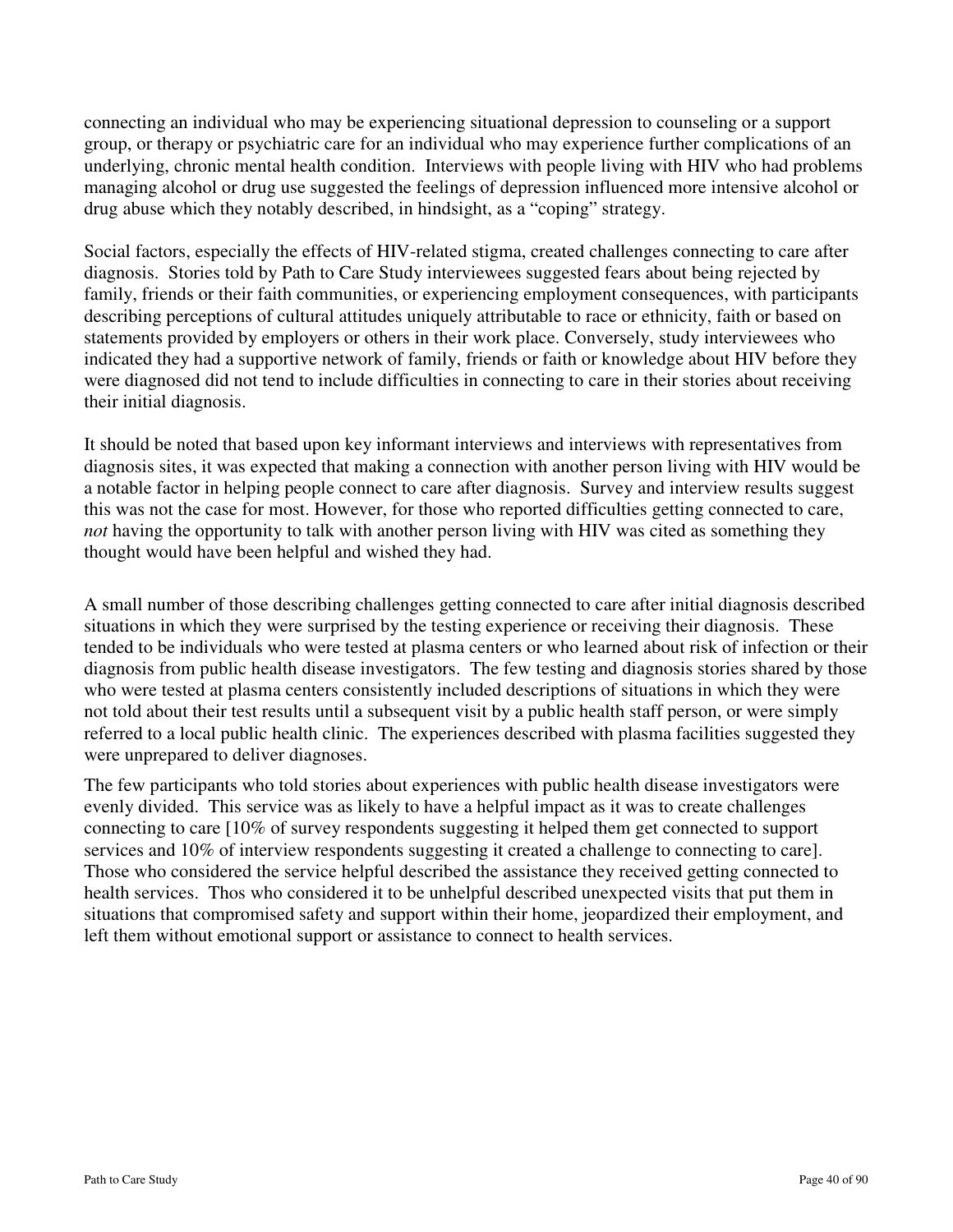connecting an individual who may be experiencing situational depression to counseling or a support group, or therapy or psychiatric care for an individual who may experience further complications of an underlying, chronic mental health condition. Interviews with people living with HIV who had problems managing alcohol or drug use suggested the feelings of depression influenced more intensive alcohol or drug abuse which they notably described, in hindsight, as a "coping" strategy.

Social factors, especially the effects of HIV-related stigma, created challenges connecting to care after diagnosis. Stories told by Path to Care Study interviewees suggested fears about being rejected by family, friends or their faith communities, or experiencing employment consequences, with participants describing perceptions of cultural attitudes uniquely attributable to race or ethnicity, faith or based on statements provided by employers or others in their work place. Conversely, study interviewees who indicated they had a supportive network of family, friends or faith or knowledge about HIV before they were diagnosed did not tend to include difficulties in connecting to care in their stories about receiving their initial diagnosis.

It should be noted that based upon key informant interviews and interviews with representatives from diagnosis sites, it was expected that making a connection with another person living with HIV would be a notable factor in helping people connect to care after diagnosis. Survey and interview results suggest this was not the case for most. However, for those who reported difficulties getting connected to care, *not* having the opportunity to talk with another person living with HIV was cited as something they thought would have been helpful and wished they had.

A small number of those describing challenges getting connected to care after initial diagnosis described situations in which they were surprised by the testing experience or receiving their diagnosis. These tended to be individuals who were tested at plasma centers or who learned about risk of infection or their diagnosis from public health disease investigators. The few testing and diagnosis stories shared by those who were tested at plasma centers consistently included descriptions of situations in which they were not told about their test results until a subsequent visit by a public health staff person, or were simply referred to a local public health clinic. The experiences described with plasma facilities suggested they were unprepared to deliver diagnoses.

The few participants who told stories about experiences with public health disease investigators were evenly divided. This service was as likely to have a helpful impact as it was to create challenges connecting to care [10% of survey respondents suggesting it helped them get connected to support services and 10% of interview respondents suggesting it created a challenge to connecting to care]. Those who considered the service helpful described the assistance they received getting connected to health services. Thos who considered it to be unhelpful described unexpected visits that put them in situations that compromised safety and support within their home, jeopardized their employment, and left them without emotional support or assistance to connect to health services.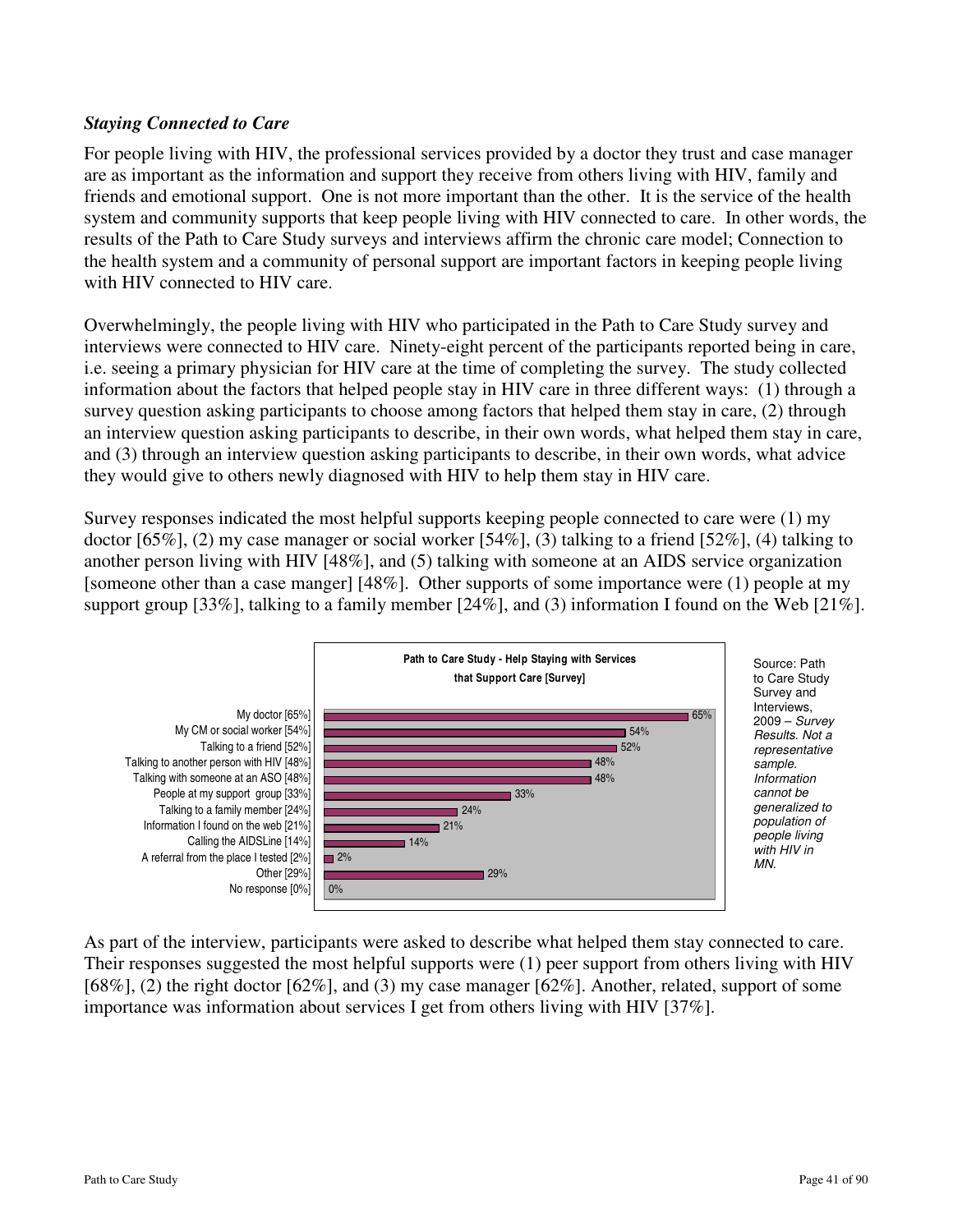## *Staying Connected to Care*

For people living with HIV, the professional services provided by a doctor they trust and case manager are as important as the information and support they receive from others living with HIV, family and friends and emotional support. One is not more important than the other. It is the service of the health system and community supports that keep people living with HIV connected to care. In other words, the results of the Path to Care Study surveys and interviews affirm the chronic care model; Connection to the health system and a community of personal support are important factors in keeping people living with HIV connected to HIV care.

Overwhelmingly, the people living with HIV who participated in the Path to Care Study survey and interviews were connected to HIV care. Ninety-eight percent of the participants reported being in care, i.e. seeing a primary physician for HIV care at the time of completing the survey. The study collected information about the factors that helped people stay in HIV care in three different ways: (1) through a survey question asking participants to choose among factors that helped them stay in care, (2) through an interview question asking participants to describe, in their own words, what helped them stay in care, and (3) through an interview question asking participants to describe, in their own words, what advice they would give to others newly diagnosed with HIV to help them stay in HIV care.

Survey responses indicated the most helpful supports keeping people connected to care were (1) my doctor [65%], (2) my case manager or social worker [54%], (3) talking to a friend [52%], (4) talking to another person living with HIV [48%], and (5) talking with someone at an AIDS service organization [someone other than a case manger] [48%]. Other supports of some importance were (1) people at my support group [33%], talking to a family member [24%], and (3) information I found on the Web [21%].



Source: Path to Care Study Survey and Interviews, 2009 – Survey Results. Not a representative sample. Information cannot be generalized to population of people living with HIV in

As part of the interview, participants were asked to describe what helped them stay connected to care. Their responses suggested the most helpful supports were (1) peer support from others living with HIV [68%], (2) the right doctor [62%], and (3) my case manager [62%]. Another, related, support of some importance was information about services I get from others living with HIV [37%].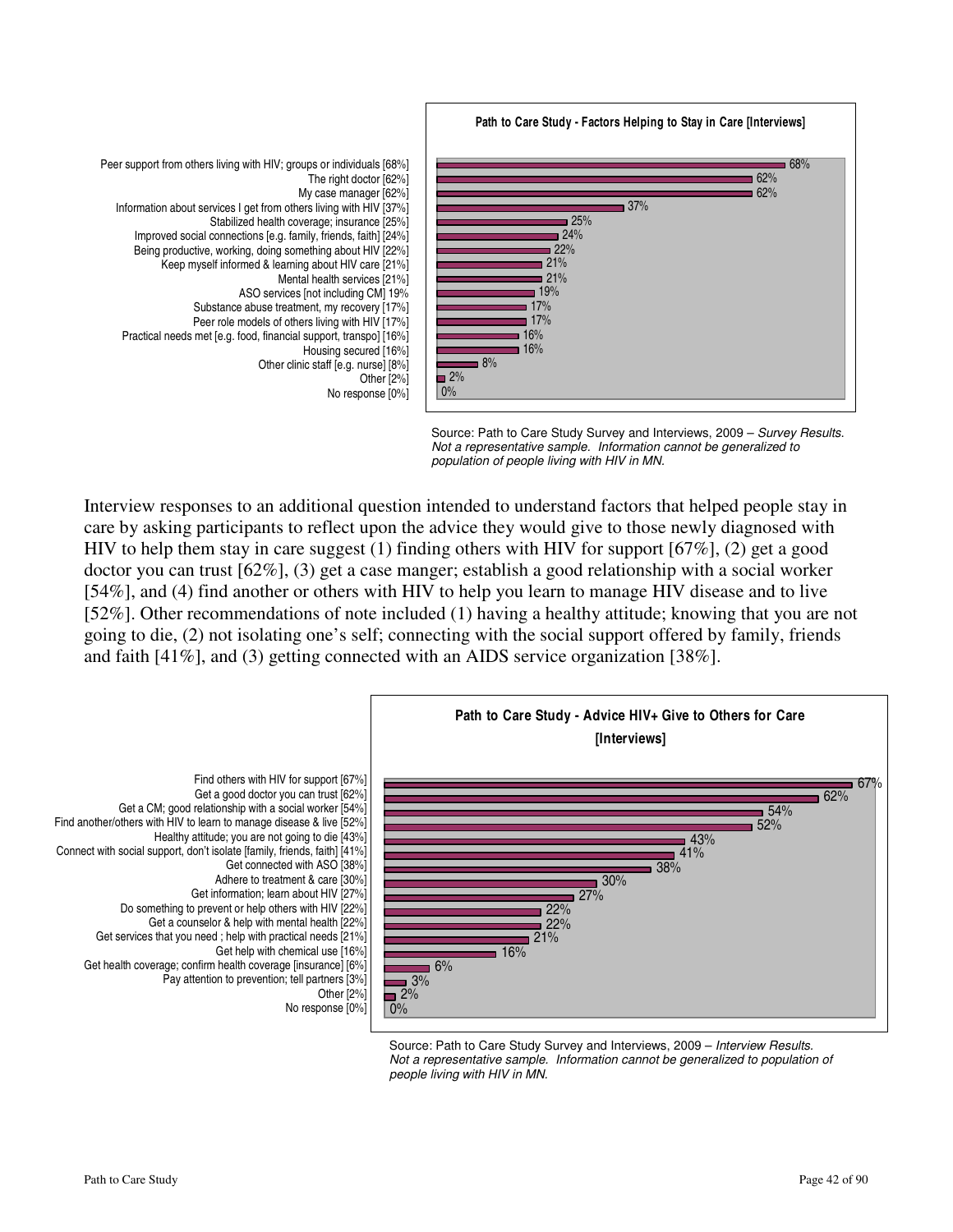

Source: Path to Care Study Survey and Interviews, 2009 - Survey Results. Not a representative sample. Information cannot be generalized to population of people living with HIV in MN.

Interview responses to an additional question intended to understand factors that helped people stay in care by asking participants to reflect upon the advice they would give to those newly diagnosed with HIV to help them stay in care suggest (1) finding others with HIV for support [67%], (2) get a good doctor you can trust [62%], (3) get a case manger; establish a good relationship with a social worker [54%], and (4) find another or others with HIV to help you learn to manage HIV disease and to live [52%]. Other recommendations of note included (1) having a healthy attitude; knowing that you are not going to die, (2) not isolating one's self; connecting with the social support offered by family, friends and faith [41%], and (3) getting connected with an AIDS service organization [38%].



Source: Path to Care Study Survey and Interviews, 2009 - Interview Results. Not a representative sample. Information cannot be generalized to population of people living with HIV in MN.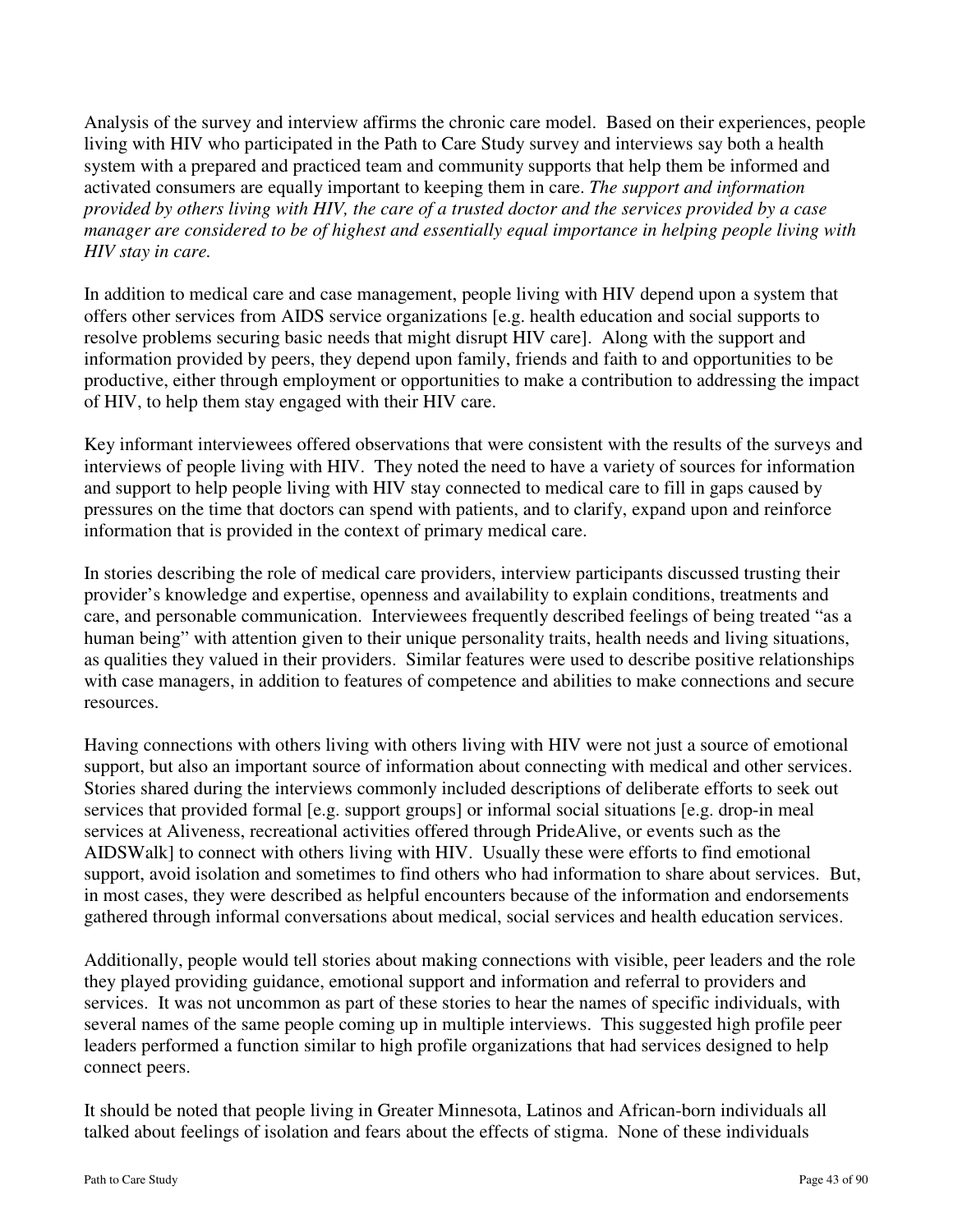Analysis of the survey and interview affirms the chronic care model. Based on their experiences, people living with HIV who participated in the Path to Care Study survey and interviews say both a health system with a prepared and practiced team and community supports that help them be informed and activated consumers are equally important to keeping them in care. *The support and information provided by others living with HIV, the care of a trusted doctor and the services provided by a case manager are considered to be of highest and essentially equal importance in helping people living with HIV stay in care.* 

In addition to medical care and case management, people living with HIV depend upon a system that offers other services from AIDS service organizations [e.g. health education and social supports to resolve problems securing basic needs that might disrupt HIV care]. Along with the support and information provided by peers, they depend upon family, friends and faith to and opportunities to be productive, either through employment or opportunities to make a contribution to addressing the impact of HIV, to help them stay engaged with their HIV care.

Key informant interviewees offered observations that were consistent with the results of the surveys and interviews of people living with HIV. They noted the need to have a variety of sources for information and support to help people living with HIV stay connected to medical care to fill in gaps caused by pressures on the time that doctors can spend with patients, and to clarify, expand upon and reinforce information that is provided in the context of primary medical care.

In stories describing the role of medical care providers, interview participants discussed trusting their provider's knowledge and expertise, openness and availability to explain conditions, treatments and care, and personable communication. Interviewees frequently described feelings of being treated "as a human being" with attention given to their unique personality traits, health needs and living situations, as qualities they valued in their providers. Similar features were used to describe positive relationships with case managers, in addition to features of competence and abilities to make connections and secure resources.

Having connections with others living with others living with HIV were not just a source of emotional support, but also an important source of information about connecting with medical and other services. Stories shared during the interviews commonly included descriptions of deliberate efforts to seek out services that provided formal [e.g. support groups] or informal social situations [e.g. drop-in meal services at Aliveness, recreational activities offered through PrideAlive, or events such as the AIDSWalk] to connect with others living with HIV. Usually these were efforts to find emotional support, avoid isolation and sometimes to find others who had information to share about services. But, in most cases, they were described as helpful encounters because of the information and endorsements gathered through informal conversations about medical, social services and health education services.

Additionally, people would tell stories about making connections with visible, peer leaders and the role they played providing guidance, emotional support and information and referral to providers and services. It was not uncommon as part of these stories to hear the names of specific individuals, with several names of the same people coming up in multiple interviews. This suggested high profile peer leaders performed a function similar to high profile organizations that had services designed to help connect peers.

It should be noted that people living in Greater Minnesota, Latinos and African-born individuals all talked about feelings of isolation and fears about the effects of stigma. None of these individuals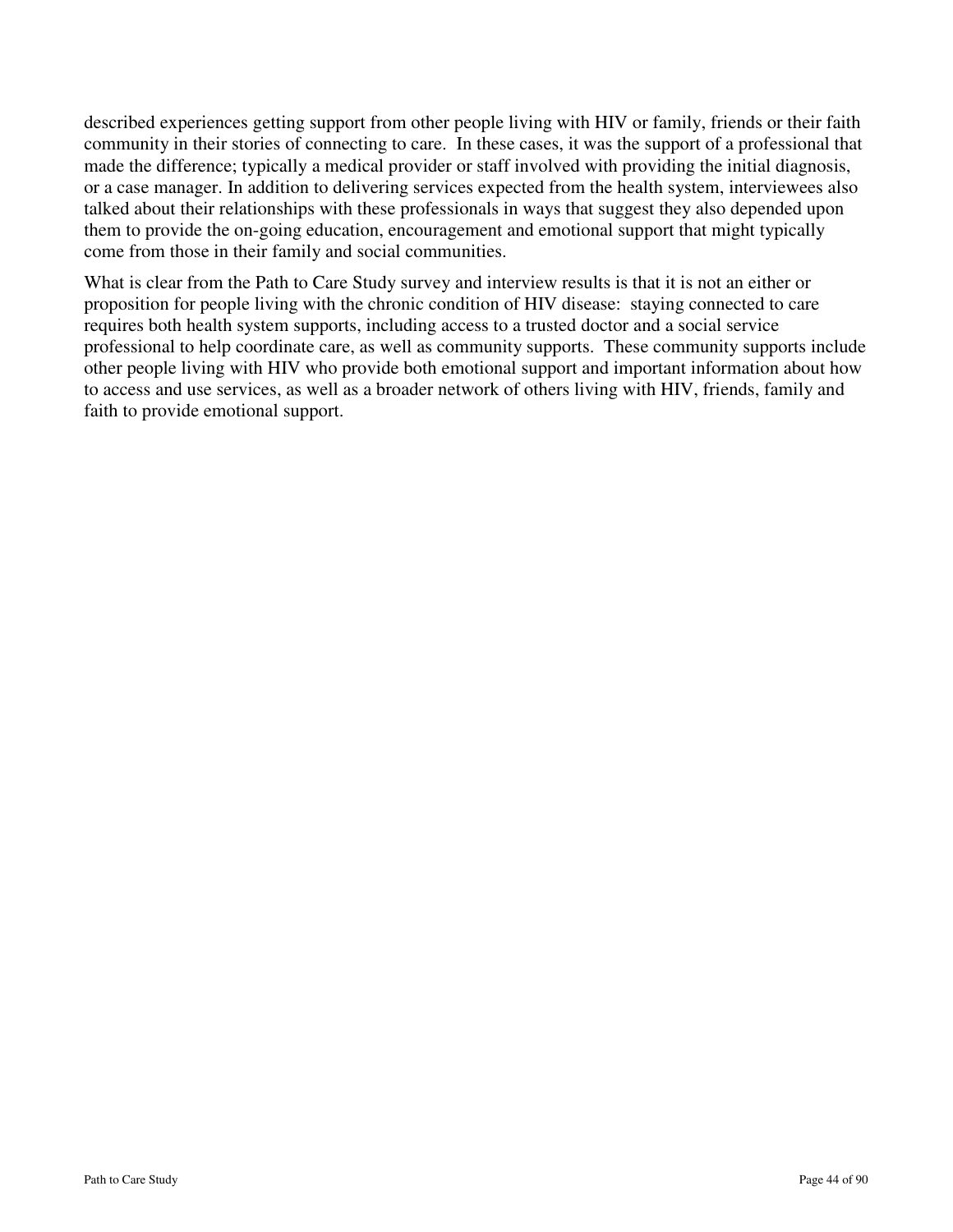described experiences getting support from other people living with HIV or family, friends or their faith community in their stories of connecting to care. In these cases, it was the support of a professional that made the difference; typically a medical provider or staff involved with providing the initial diagnosis, or a case manager. In addition to delivering services expected from the health system, interviewees also talked about their relationships with these professionals in ways that suggest they also depended upon them to provide the on-going education, encouragement and emotional support that might typically come from those in their family and social communities.

What is clear from the Path to Care Study survey and interview results is that it is not an either or proposition for people living with the chronic condition of HIV disease: staying connected to care requires both health system supports, including access to a trusted doctor and a social service professional to help coordinate care, as well as community supports. These community supports include other people living with HIV who provide both emotional support and important information about how to access and use services, as well as a broader network of others living with HIV, friends, family and faith to provide emotional support.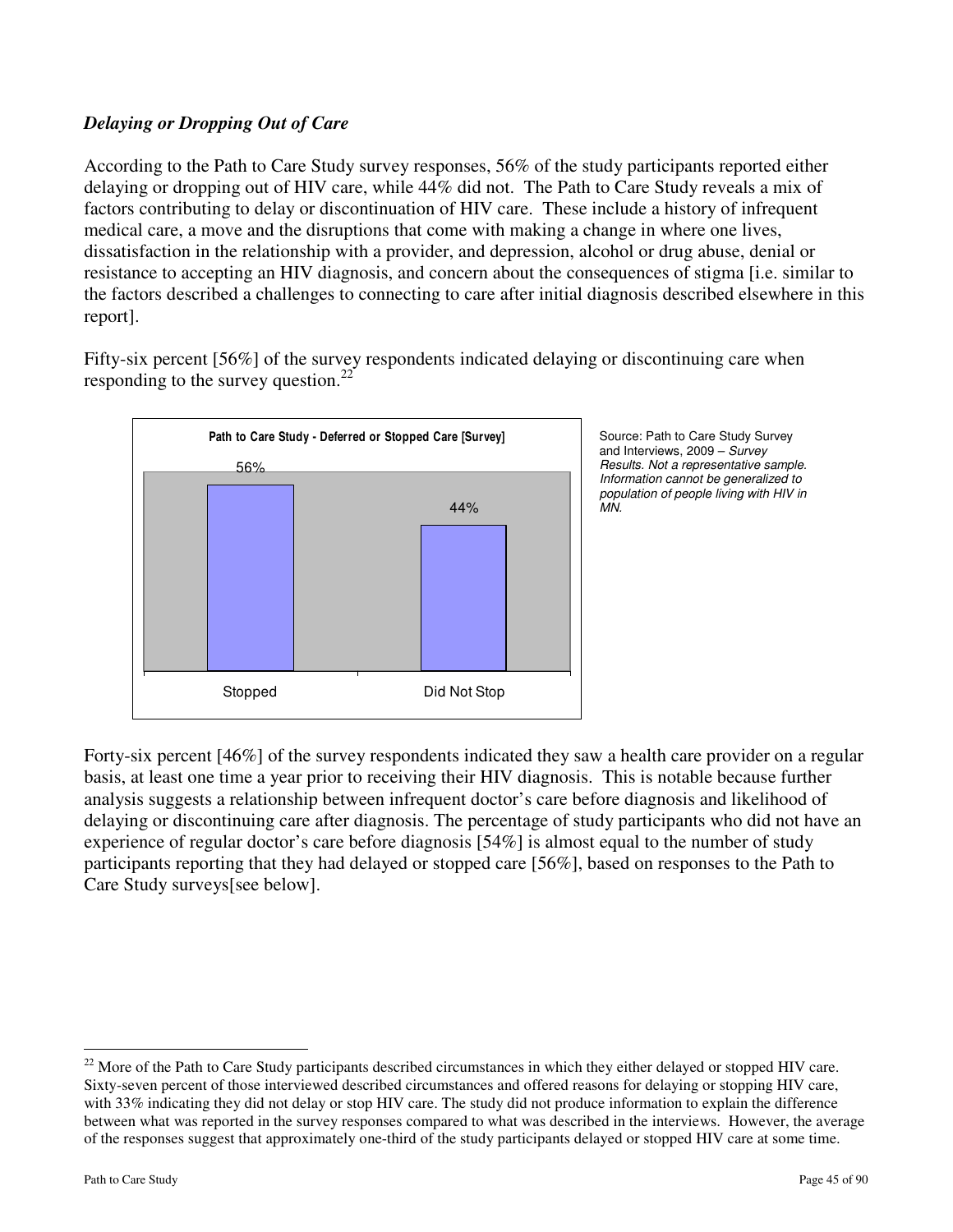# *Delaying or Dropping Out of Care*

According to the Path to Care Study survey responses, 56% of the study participants reported either delaying or dropping out of HIV care, while 44% did not. The Path to Care Study reveals a mix of factors contributing to delay or discontinuation of HIV care. These include a history of infrequent medical care, a move and the disruptions that come with making a change in where one lives, dissatisfaction in the relationship with a provider, and depression, alcohol or drug abuse, denial or resistance to accepting an HIV diagnosis, and concern about the consequences of stigma [i.e. similar to the factors described a challenges to connecting to care after initial diagnosis described elsewhere in this report].

Fifty-six percent [56%] of the survey respondents indicated delaying or discontinuing care when responding to the survey question.<sup>22</sup>



Source: Path to Care Study Survey and Interviews, 2009 – Survey Results. Not a representative sample. Information cannot be generalized to population of people living with HIV in MN.

Forty-six percent [46%] of the survey respondents indicated they saw a health care provider on a regular basis, at least one time a year prior to receiving their HIV diagnosis. This is notable because further analysis suggests a relationship between infrequent doctor's care before diagnosis and likelihood of delaying or discontinuing care after diagnosis. The percentage of study participants who did not have an experience of regular doctor's care before diagnosis [54%] is almost equal to the number of study participants reporting that they had delayed or stopped care [56%], based on responses to the Path to Care Study surveys[see below].

-

 $22$  More of the Path to Care Study participants described circumstances in which they either delayed or stopped HIV care. Sixty-seven percent of those interviewed described circumstances and offered reasons for delaying or stopping HIV care, with 33% indicating they did not delay or stop HIV care. The study did not produce information to explain the difference between what was reported in the survey responses compared to what was described in the interviews. However, the average of the responses suggest that approximately one-third of the study participants delayed or stopped HIV care at some time.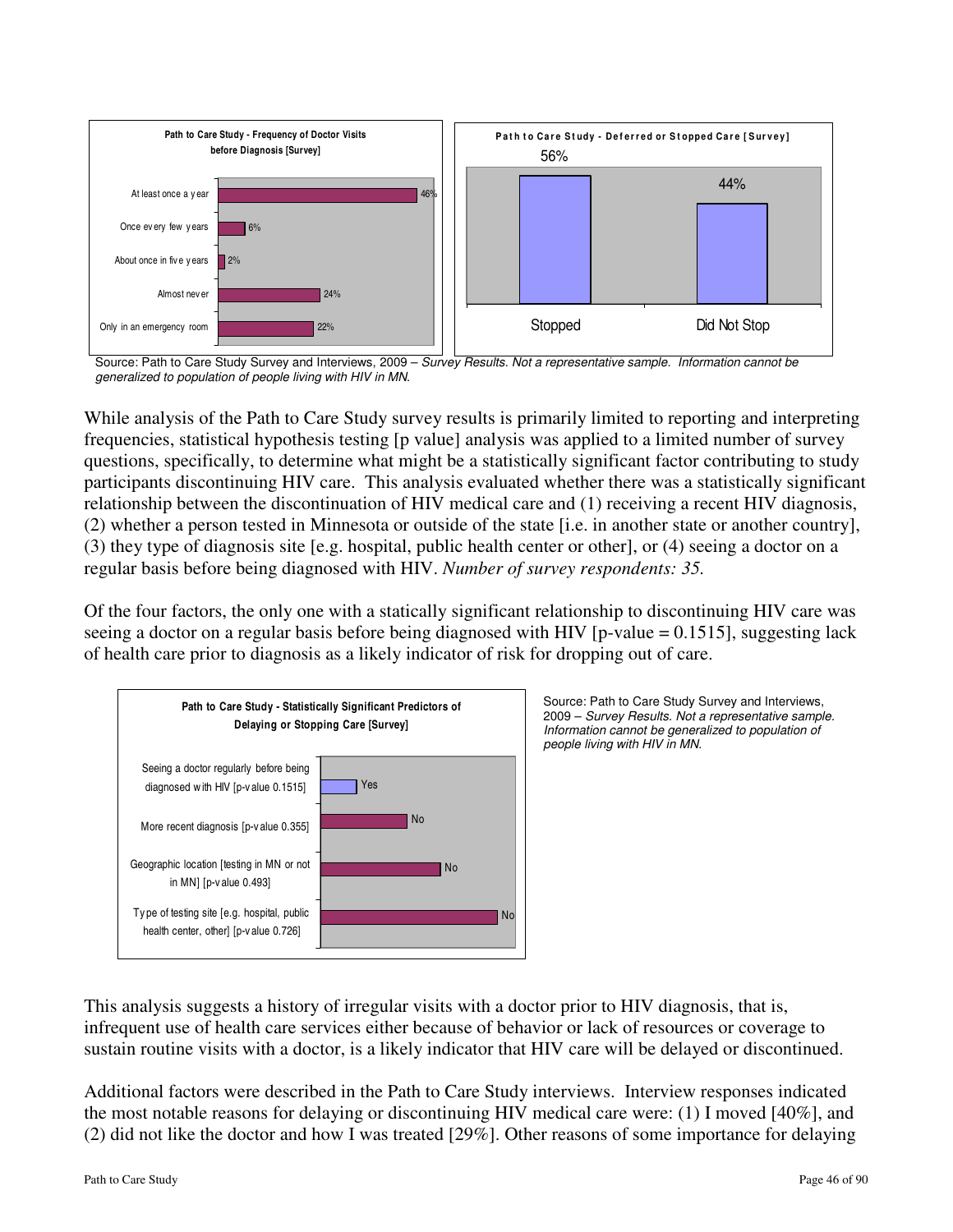

Source: Path to Care Study Survey and Interviews, 2009 – Survey Results. Not a representative sample. Information cannot be generalized to population of people living with HIV in MN.

While analysis of the Path to Care Study survey results is primarily limited to reporting and interpreting frequencies, statistical hypothesis testing [p value] analysis was applied to a limited number of survey questions, specifically, to determine what might be a statistically significant factor contributing to study participants discontinuing HIV care. This analysis evaluated whether there was a statistically significant relationship between the discontinuation of HIV medical care and (1) receiving a recent HIV diagnosis, (2) whether a person tested in Minnesota or outside of the state [i.e. in another state or another country], (3) they type of diagnosis site [e.g. hospital, public health center or other], or (4) seeing a doctor on a regular basis before being diagnosed with HIV. *Number of survey respondents: 35.*

Of the four factors, the only one with a statically significant relationship to discontinuing HIV care was seeing a doctor on a regular basis before being diagnosed with HIV [p-value = 0.1515], suggesting lack of health care prior to diagnosis as a likely indicator of risk for dropping out of care.



Source: Path to Care Study Survey and Interviews, 2009 – Survey Results. Not a representative sample. Information cannot be generalized to population of people living with HIV in MN.

This analysis suggests a history of irregular visits with a doctor prior to HIV diagnosis, that is, infrequent use of health care services either because of behavior or lack of resources or coverage to sustain routine visits with a doctor, is a likely indicator that HIV care will be delayed or discontinued.

Additional factors were described in the Path to Care Study interviews.Interview responses indicated the most notable reasons for delaying or discontinuing HIV medical care were: (1) I moved [40%], and (2) did not like the doctor and how I was treated [29%]. Other reasons of some importance for delaying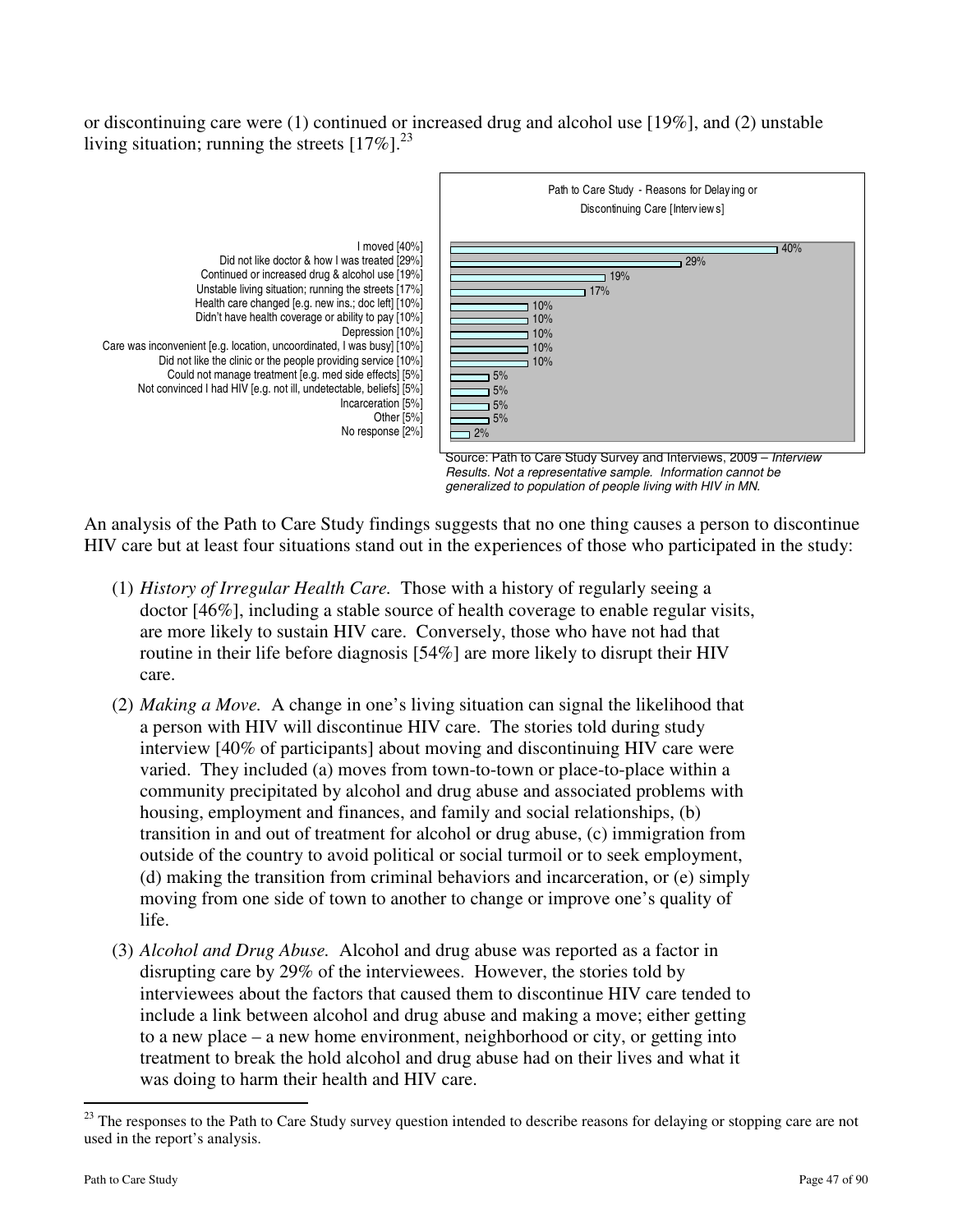or discontinuing care were (1) continued or increased drug and alcohol use [19%], and (2) unstable living situation; running the streets  $[17\%]$ <sup>23</sup>



An analysis of the Path to Care Study findings suggests that no one thing causes a person to discontinue HIV care but at least four situations stand out in the experiences of those who participated in the study:

- (1) *History of Irregular Health Care.* Those with a history of regularly seeing a doctor [46%], including a stable source of health coverage to enable regular visits, are more likely to sustain HIV care. Conversely, those who have not had that routine in their life before diagnosis [54%] are more likely to disrupt their HIV care.
- (2) *Making a Move.* A change in one's living situation can signal the likelihood that a person with HIV will discontinue HIV care. The stories told during study interview [40% of participants] about moving and discontinuing HIV care were varied. They included (a) moves from town-to-town or place-to-place within a community precipitated by alcohol and drug abuse and associated problems with housing, employment and finances, and family and social relationships, (b) transition in and out of treatment for alcohol or drug abuse, (c) immigration from outside of the country to avoid political or social turmoil or to seek employment, (d) making the transition from criminal behaviors and incarceration, or (e) simply moving from one side of town to another to change or improve one's quality of life.
- (3) *Alcohol and Drug Abuse.* Alcohol and drug abuse was reported as a factor in disrupting care by 29% of the interviewees. However, the stories told by interviewees about the factors that caused them to discontinue HIV care tended to include a link between alcohol and drug abuse and making a move; either getting to a new place – a new home environment, neighborhood or city, or getting into treatment to break the hold alcohol and drug abuse had on their lives and what it was doing to harm their health and HIV care.

 $\overline{a}$ 

<sup>&</sup>lt;sup>23</sup> The responses to the Path to Care Study survey question intended to describe reasons for delaying or stopping care are not used in the report's analysis.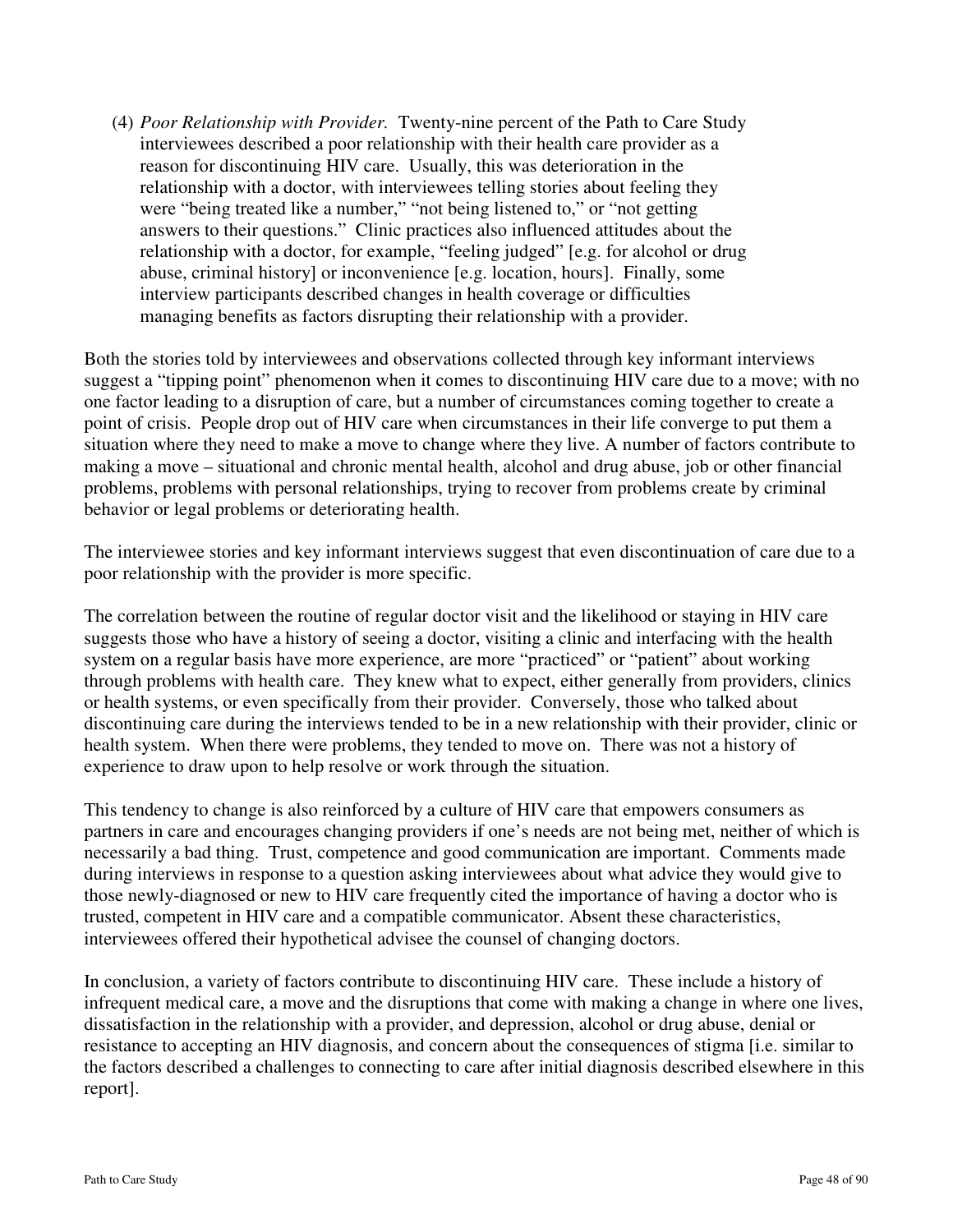(4) *Poor Relationship with Provider.* Twenty-nine percent of the Path to Care Study interviewees described a poor relationship with their health care provider as a reason for discontinuing HIV care. Usually, this was deterioration in the relationship with a doctor, with interviewees telling stories about feeling they were "being treated like a number," "not being listened to," or "not getting answers to their questions." Clinic practices also influenced attitudes about the relationship with a doctor, for example, "feeling judged" [e.g. for alcohol or drug abuse, criminal history] or inconvenience [e.g. location, hours]. Finally, some interview participants described changes in health coverage or difficulties managing benefits as factors disrupting their relationship with a provider.

Both the stories told by interviewees and observations collected through key informant interviews suggest a "tipping point" phenomenon when it comes to discontinuing HIV care due to a move; with no one factor leading to a disruption of care, but a number of circumstances coming together to create a point of crisis. People drop out of HIV care when circumstances in their life converge to put them a situation where they need to make a move to change where they live. A number of factors contribute to making a move – situational and chronic mental health, alcohol and drug abuse, job or other financial problems, problems with personal relationships, trying to recover from problems create by criminal behavior or legal problems or deteriorating health.

The interviewee stories and key informant interviews suggest that even discontinuation of care due to a poor relationship with the provider is more specific.

The correlation between the routine of regular doctor visit and the likelihood or staying in HIV care suggests those who have a history of seeing a doctor, visiting a clinic and interfacing with the health system on a regular basis have more experience, are more "practiced" or "patient" about working through problems with health care. They knew what to expect, either generally from providers, clinics or health systems, or even specifically from their provider. Conversely, those who talked about discontinuing care during the interviews tended to be in a new relationship with their provider, clinic or health system. When there were problems, they tended to move on. There was not a history of experience to draw upon to help resolve or work through the situation.

This tendency to change is also reinforced by a culture of HIV care that empowers consumers as partners in care and encourages changing providers if one's needs are not being met, neither of which is necessarily a bad thing. Trust, competence and good communication are important. Comments made during interviews in response to a question asking interviewees about what advice they would give to those newly-diagnosed or new to HIV care frequently cited the importance of having a doctor who is trusted, competent in HIV care and a compatible communicator. Absent these characteristics, interviewees offered their hypothetical advisee the counsel of changing doctors.

In conclusion, a variety of factors contribute to discontinuing HIV care. These include a history of infrequent medical care, a move and the disruptions that come with making a change in where one lives, dissatisfaction in the relationship with a provider, and depression, alcohol or drug abuse, denial or resistance to accepting an HIV diagnosis, and concern about the consequences of stigma [i.e. similar to the factors described a challenges to connecting to care after initial diagnosis described elsewhere in this report].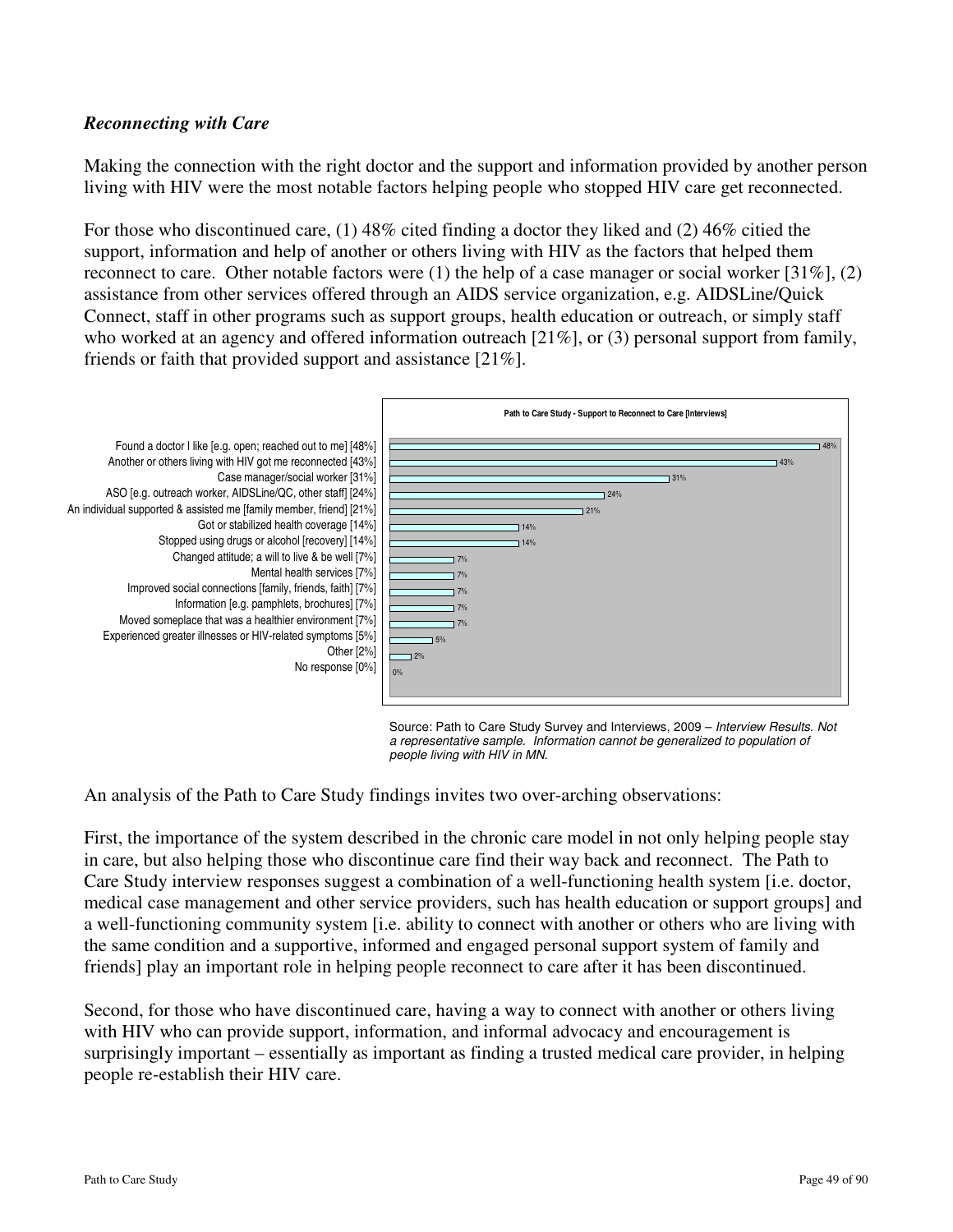## *Reconnecting with Care*

Making the connection with the right doctor and the support and information provided by another person living with HIV were the most notable factors helping people who stopped HIV care get reconnected.

For those who discontinued care, (1) 48% cited finding a doctor they liked and (2) 46% citied the support, information and help of another or others living with HIV as the factors that helped them reconnect to care. Other notable factors were  $(1)$  the help of a case manager or social worker [31%],  $(2)$ assistance from other services offered through an AIDS service organization, e.g. AIDSLine/Quick Connect, staff in other programs such as support groups, health education or outreach, or simply staff who worked at an agency and offered information outreach [21%], or (3) personal support from family, friends or faith that provided support and assistance [21%].



Source: Path to Care Study Survey and Interviews, 2009 - Interview Results. Not a representative sample. Information cannot be generalized to population of people living with HIV in MN.

An analysis of the Path to Care Study findings invites two over-arching observations:

First, the importance of the system described in the chronic care model in not only helping people stay in care, but also helping those who discontinue care find their way back and reconnect. The Path to Care Study interview responses suggest a combination of a well-functioning health system [i.e. doctor, medical case management and other service providers, such has health education or support groups] and a well-functioning community system [i.e. ability to connect with another or others who are living with the same condition and a supportive, informed and engaged personal support system of family and friends] play an important role in helping people reconnect to care after it has been discontinued.

Second, for those who have discontinued care, having a way to connect with another or others living with HIV who can provide support, information, and informal advocacy and encouragement is surprisingly important – essentially as important as finding a trusted medical care provider, in helping people re-establish their HIV care.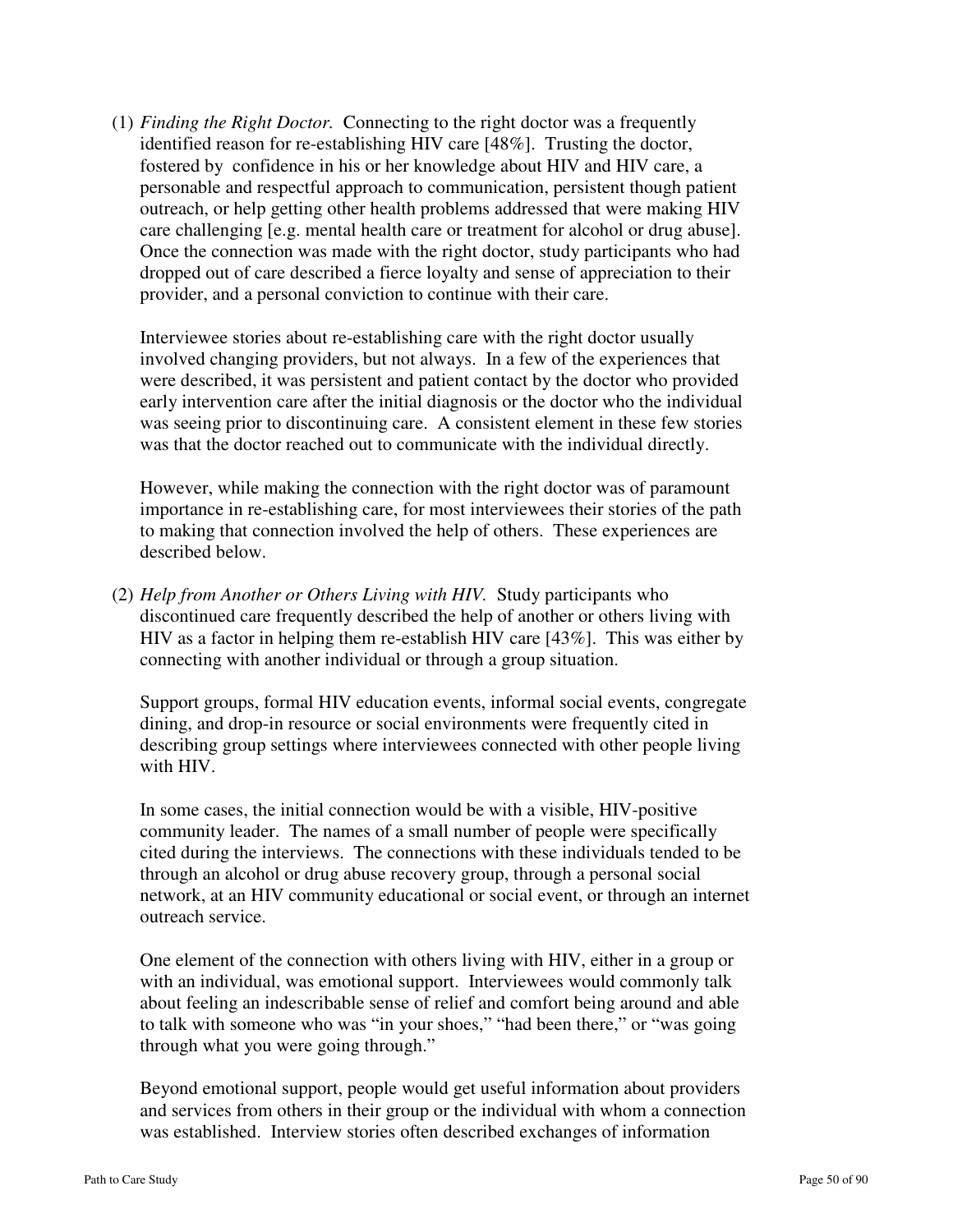(1) *Finding the Right Doctor.* Connecting to the right doctor was a frequently identified reason for re-establishing HIV care [48%]. Trusting the doctor, fostered by confidence in his or her knowledge about HIV and HIV care, a personable and respectful approach to communication, persistent though patient outreach, or help getting other health problems addressed that were making HIV care challenging [e.g. mental health care or treatment for alcohol or drug abuse]. Once the connection was made with the right doctor, study participants who had dropped out of care described a fierce loyalty and sense of appreciation to their provider, and a personal conviction to continue with their care.

Interviewee stories about re-establishing care with the right doctor usually involved changing providers, but not always. In a few of the experiences that were described, it was persistent and patient contact by the doctor who provided early intervention care after the initial diagnosis or the doctor who the individual was seeing prior to discontinuing care. A consistent element in these few stories was that the doctor reached out to communicate with the individual directly.

However, while making the connection with the right doctor was of paramount importance in re-establishing care, for most interviewees their stories of the path to making that connection involved the help of others. These experiences are described below.

(2) *Help from Another or Others Living with HIV.* Study participants who discontinued care frequently described the help of another or others living with HIV as a factor in helping them re-establish HIV care [43%]. This was either by connecting with another individual or through a group situation.

Support groups, formal HIV education events, informal social events, congregate dining, and drop-in resource or social environments were frequently cited in describing group settings where interviewees connected with other people living with HIV.

In some cases, the initial connection would be with a visible, HIV-positive community leader. The names of a small number of people were specifically cited during the interviews. The connections with these individuals tended to be through an alcohol or drug abuse recovery group, through a personal social network, at an HIV community educational or social event, or through an internet outreach service.

One element of the connection with others living with HIV, either in a group or with an individual, was emotional support. Interviewees would commonly talk about feeling an indescribable sense of relief and comfort being around and able to talk with someone who was "in your shoes," "had been there," or "was going through what you were going through."

Beyond emotional support, people would get useful information about providers and services from others in their group or the individual with whom a connection was established. Interview stories often described exchanges of information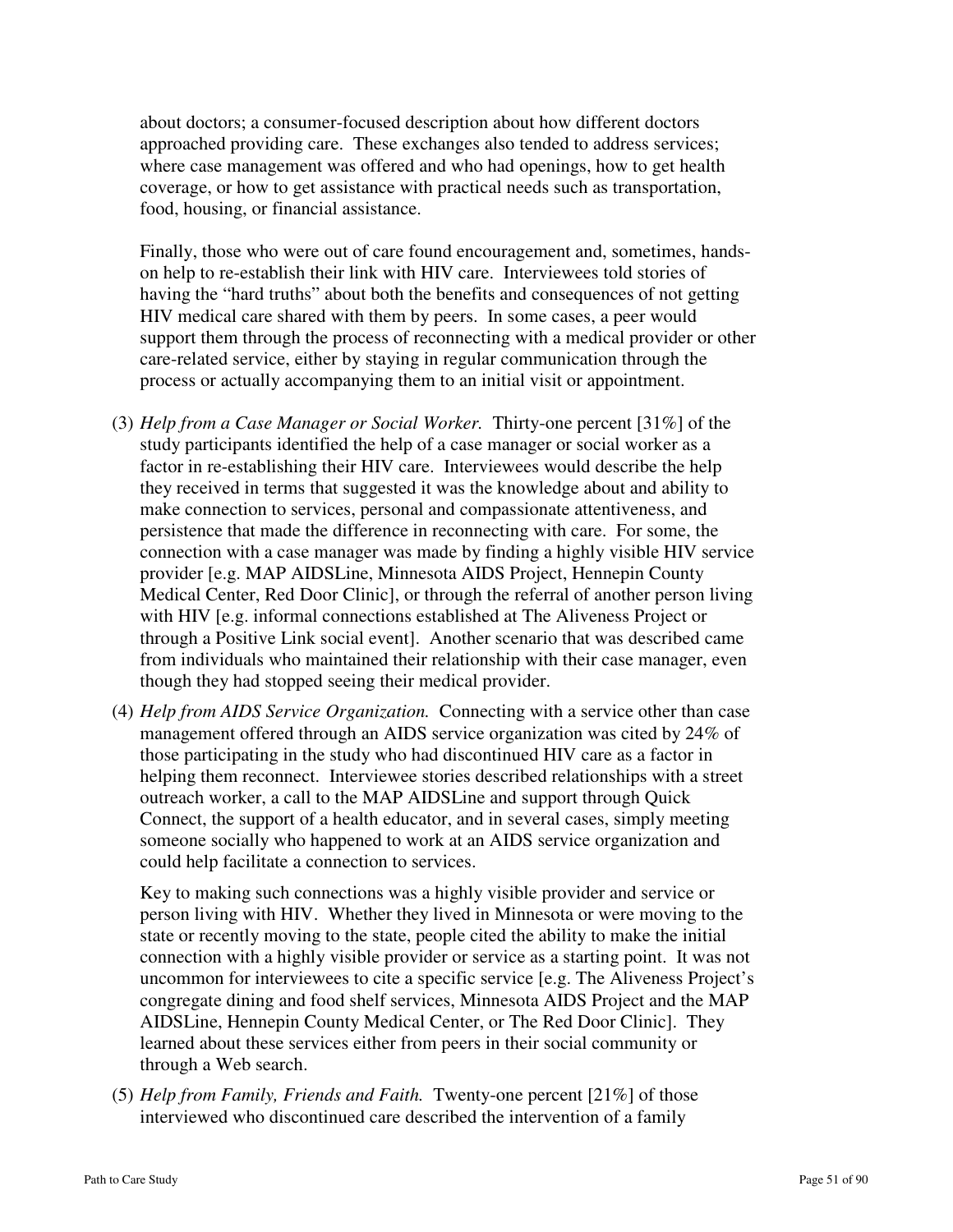about doctors; a consumer-focused description about how different doctors approached providing care. These exchanges also tended to address services; where case management was offered and who had openings, how to get health coverage, or how to get assistance with practical needs such as transportation, food, housing, or financial assistance.

Finally, those who were out of care found encouragement and, sometimes, handson help to re-establish their link with HIV care. Interviewees told stories of having the "hard truths" about both the benefits and consequences of not getting HIV medical care shared with them by peers. In some cases, a peer would support them through the process of reconnecting with a medical provider or other care-related service, either by staying in regular communication through the process or actually accompanying them to an initial visit or appointment.

- (3) *Help from a Case Manager or Social Worker.* Thirty-one percent [31%] of the study participants identified the help of a case manager or social worker as a factor in re-establishing their HIV care. Interviewees would describe the help they received in terms that suggested it was the knowledge about and ability to make connection to services, personal and compassionate attentiveness, and persistence that made the difference in reconnecting with care. For some, the connection with a case manager was made by finding a highly visible HIV service provider [e.g. MAP AIDSLine, Minnesota AIDS Project, Hennepin County Medical Center, Red Door Clinic], or through the referral of another person living with HIV [e.g. informal connections established at The Aliveness Project or through a Positive Link social event]. Another scenario that was described came from individuals who maintained their relationship with their case manager, even though they had stopped seeing their medical provider.
- (4) *Help from AIDS Service Organization.* Connecting with a service other than case management offered through an AIDS service organization was cited by 24% of those participating in the study who had discontinued HIV care as a factor in helping them reconnect. Interviewee stories described relationships with a street outreach worker, a call to the MAP AIDSLine and support through Quick Connect, the support of a health educator, and in several cases, simply meeting someone socially who happened to work at an AIDS service organization and could help facilitate a connection to services.

Key to making such connections was a highly visible provider and service or person living with HIV. Whether they lived in Minnesota or were moving to the state or recently moving to the state, people cited the ability to make the initial connection with a highly visible provider or service as a starting point. It was not uncommon for interviewees to cite a specific service [e.g. The Aliveness Project's congregate dining and food shelf services, Minnesota AIDS Project and the MAP AIDSLine, Hennepin County Medical Center, or The Red Door Clinic]. They learned about these services either from peers in their social community or through a Web search.

(5) *Help from Family, Friends and Faith.* Twenty-one percent [21%] of those interviewed who discontinued care described the intervention of a family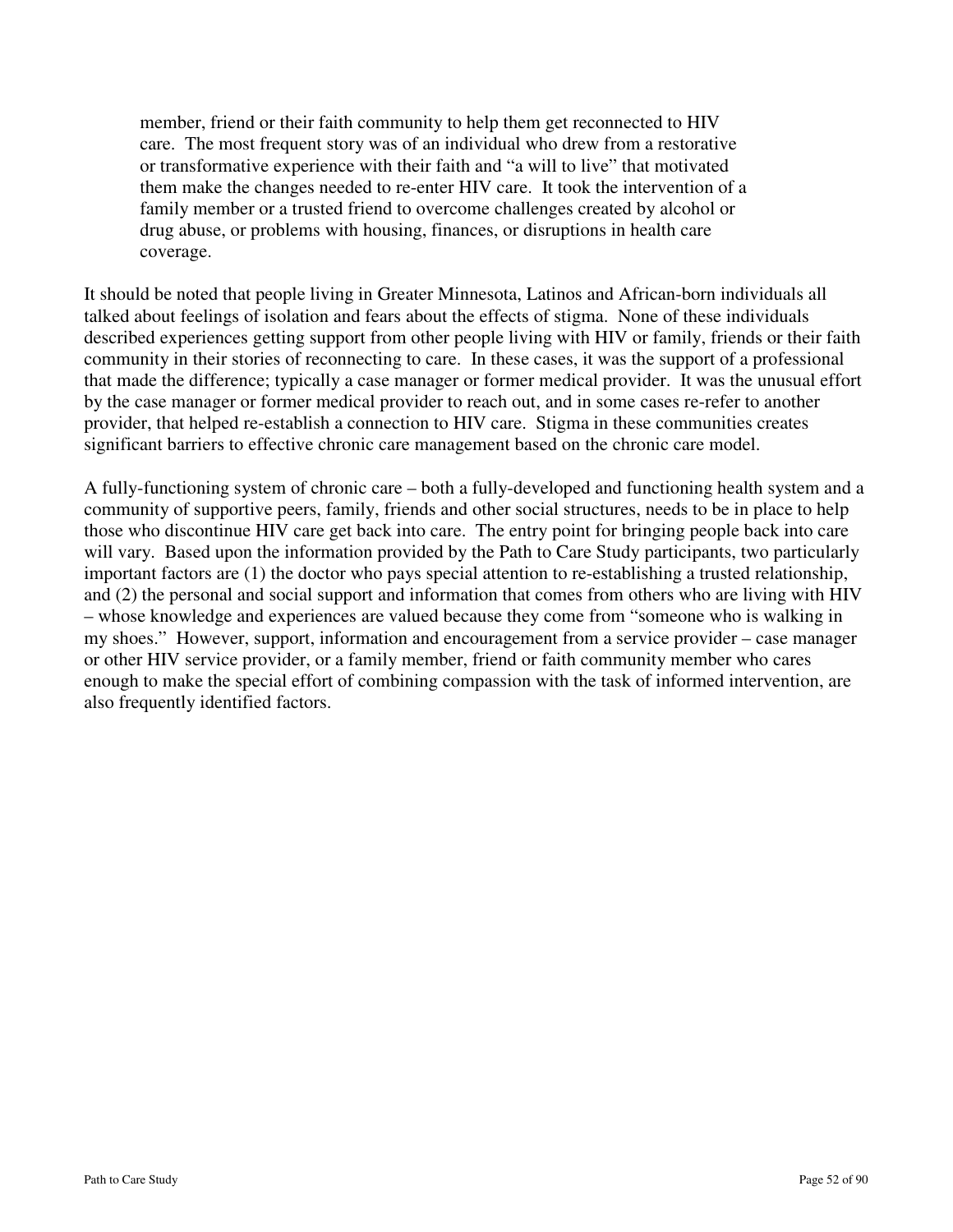member, friend or their faith community to help them get reconnected to HIV care. The most frequent story was of an individual who drew from a restorative or transformative experience with their faith and "a will to live" that motivated them make the changes needed to re-enter HIV care. It took the intervention of a family member or a trusted friend to overcome challenges created by alcohol or drug abuse, or problems with housing, finances, or disruptions in health care coverage.

It should be noted that people living in Greater Minnesota, Latinos and African-born individuals all talked about feelings of isolation and fears about the effects of stigma. None of these individuals described experiences getting support from other people living with HIV or family, friends or their faith community in their stories of reconnecting to care. In these cases, it was the support of a professional that made the difference; typically a case manager or former medical provider. It was the unusual effort by the case manager or former medical provider to reach out, and in some cases re-refer to another provider, that helped re-establish a connection to HIV care. Stigma in these communities creates significant barriers to effective chronic care management based on the chronic care model.

A fully-functioning system of chronic care – both a fully-developed and functioning health system and a community of supportive peers, family, friends and other social structures, needs to be in place to help those who discontinue HIV care get back into care. The entry point for bringing people back into care will vary. Based upon the information provided by the Path to Care Study participants, two particularly important factors are (1) the doctor who pays special attention to re-establishing a trusted relationship, and (2) the personal and social support and information that comes from others who are living with HIV – whose knowledge and experiences are valued because they come from "someone who is walking in my shoes." However, support, information and encouragement from a service provider – case manager or other HIV service provider, or a family member, friend or faith community member who cares enough to make the special effort of combining compassion with the task of informed intervention, are also frequently identified factors.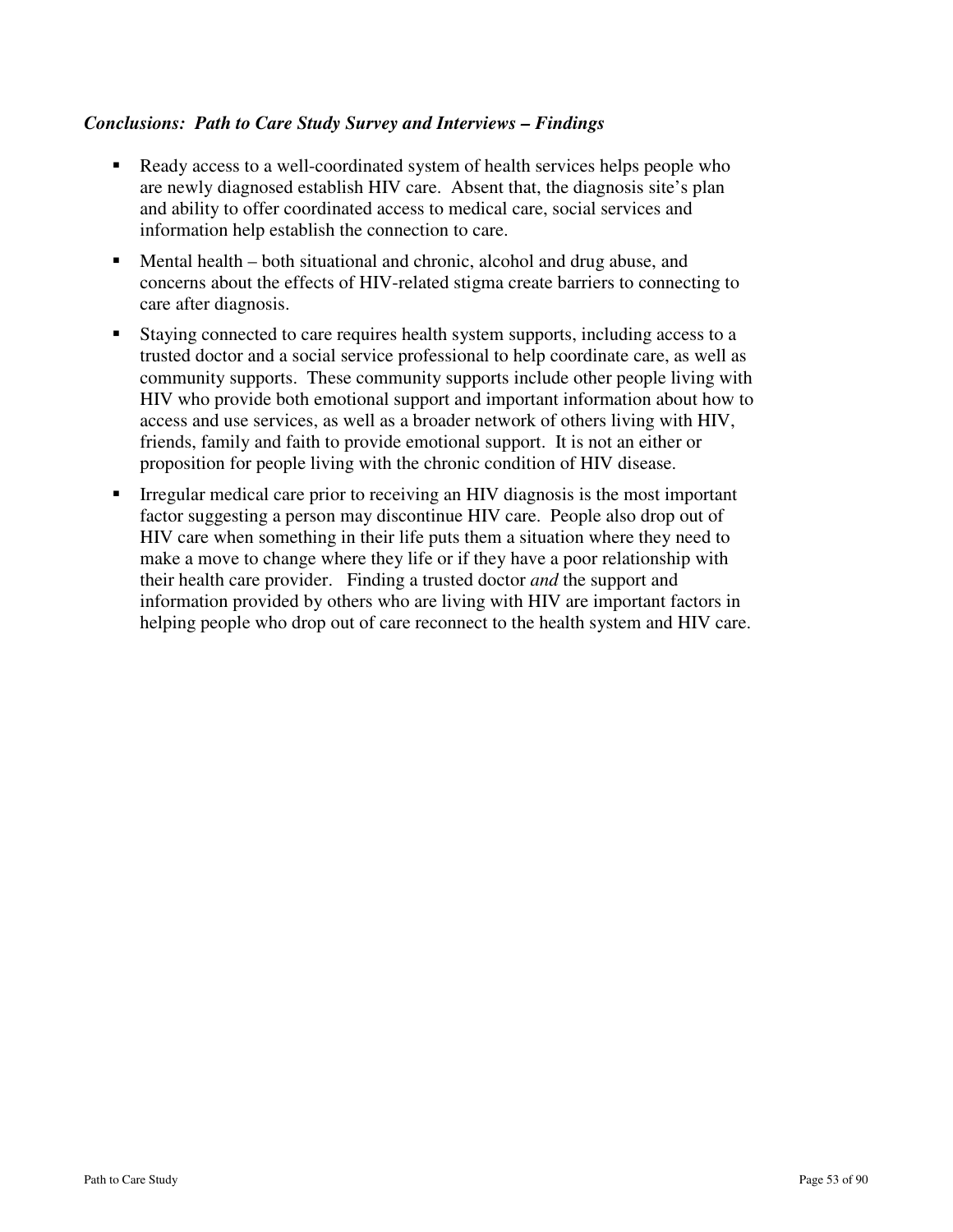## *Conclusions: Path to Care Study Survey and Interviews – Findings*

- Ready access to a well-coordinated system of health services helps people who are newly diagnosed establish HIV care. Absent that, the diagnosis site's plan and ability to offer coordinated access to medical care, social services and information help establish the connection to care.
- Mental health both situational and chronic, alcohol and drug abuse, and concerns about the effects of HIV-related stigma create barriers to connecting to care after diagnosis.
- Staying connected to care requires health system supports, including access to a trusted doctor and a social service professional to help coordinate care, as well as community supports. These community supports include other people living with HIV who provide both emotional support and important information about how to access and use services, as well as a broader network of others living with HIV, friends, family and faith to provide emotional support. It is not an either or proposition for people living with the chronic condition of HIV disease.
- Irregular medical care prior to receiving an HIV diagnosis is the most important factor suggesting a person may discontinue HIV care. People also drop out of HIV care when something in their life puts them a situation where they need to make a move to change where they life or if they have a poor relationship with their health care provider. Finding a trusted doctor *and* the support and information provided by others who are living with HIV are important factors in helping people who drop out of care reconnect to the health system and HIV care.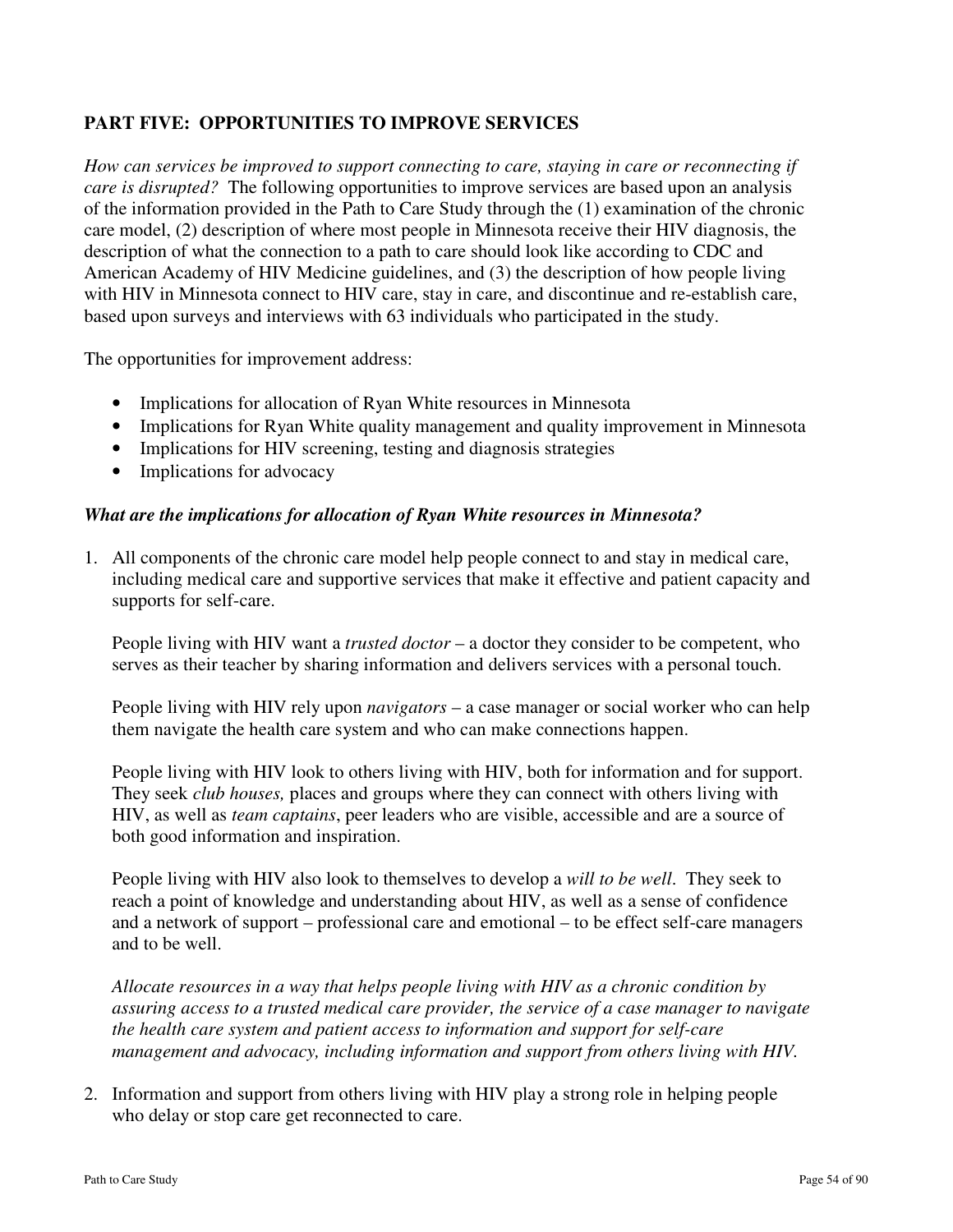## **PART FIVE: OPPORTUNITIES TO IMPROVE SERVICES**

*How can services be improved to support connecting to care, staying in care or reconnecting if care is disrupted?* The following opportunities to improve services are based upon an analysis of the information provided in the Path to Care Study through the (1) examination of the chronic care model, (2) description of where most people in Minnesota receive their HIV diagnosis, the description of what the connection to a path to care should look like according to CDC and American Academy of HIV Medicine guidelines, and (3) the description of how people living with HIV in Minnesota connect to HIV care, stay in care, and discontinue and re-establish care, based upon surveys and interviews with 63 individuals who participated in the study.

The opportunities for improvement address:

- Implications for allocation of Ryan White resources in Minnesota
- Implications for Ryan White quality management and quality improvement in Minnesota
- Implications for HIV screening, testing and diagnosis strategies
- Implications for advocacy

### *What are the implications for allocation of Ryan White resources in Minnesota?*

1. All components of the chronic care model help people connect to and stay in medical care, including medical care and supportive services that make it effective and patient capacity and supports for self-care.

 People living with HIV want a *trusted doctor* – a doctor they consider to be competent, who serves as their teacher by sharing information and delivers services with a personal touch.

 People living with HIV rely upon *navigators* – a case manager or social worker who can help them navigate the health care system and who can make connections happen.

 People living with HIV look to others living with HIV, both for information and for support. They seek *club houses,* places and groups where they can connect with others living with HIV, as well as *team captains*, peer leaders who are visible, accessible and are a source of both good information and inspiration.

 People living with HIV also look to themselves to develop a *will to be well*. They seek to reach a point of knowledge and understanding about HIV, as well as a sense of confidence and a network of support – professional care and emotional – to be effect self-care managers and to be well.

 *Allocate resources in a way that helps people living with HIV as a chronic condition by assuring access to a trusted medical care provider, the service of a case manager to navigate the health care system and patient access to information and support for self-care management and advocacy, including information and support from others living with HIV.*

2. Information and support from others living with HIV play a strong role in helping people who delay or stop care get reconnected to care.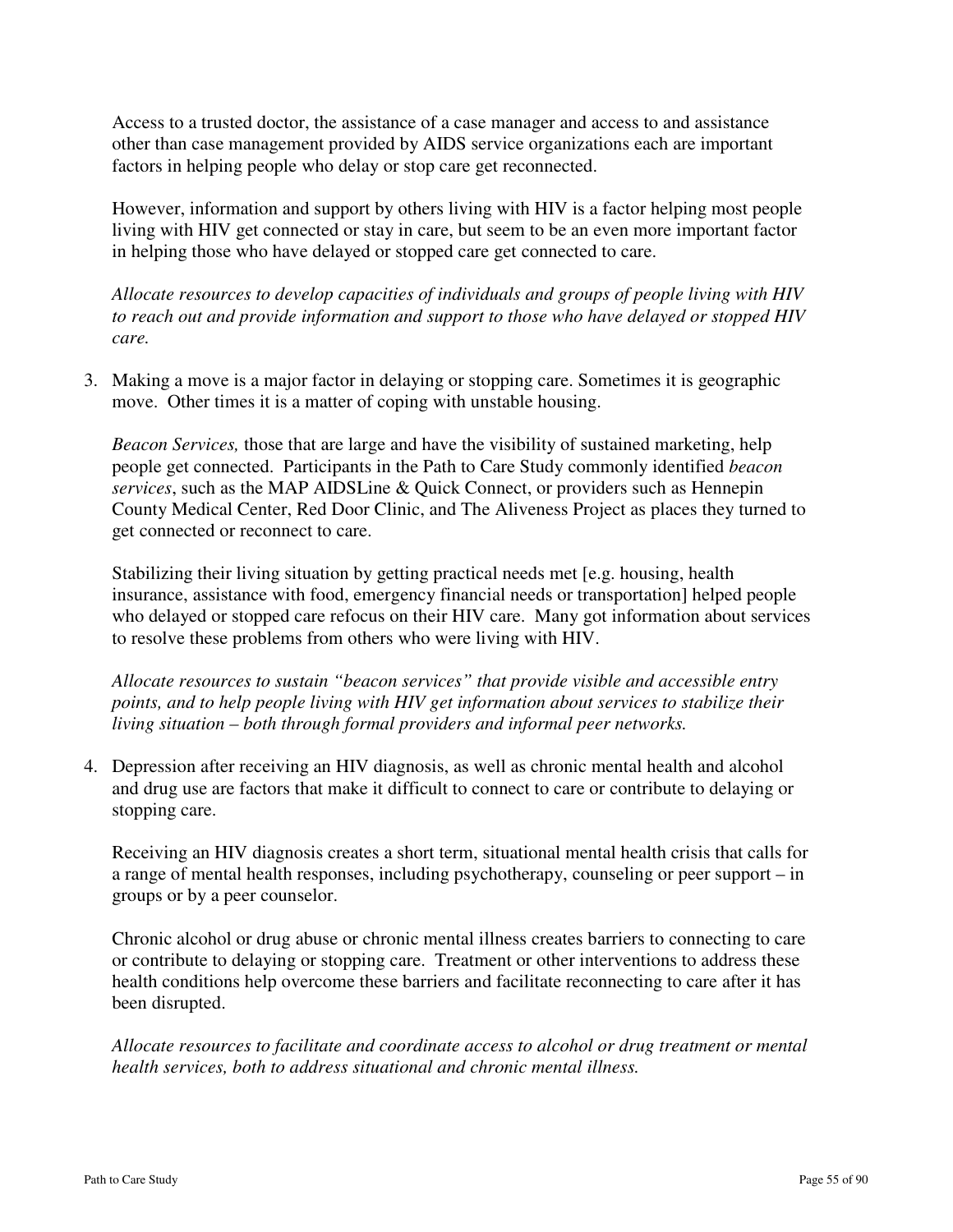Access to a trusted doctor, the assistance of a case manager and access to and assistance other than case management provided by AIDS service organizations each are important factors in helping people who delay or stop care get reconnected.

 However, information and support by others living with HIV is a factor helping most people living with HIV get connected or stay in care, but seem to be an even more important factor in helping those who have delayed or stopped care get connected to care.

 *Allocate resources to develop capacities of individuals and groups of people living with HIV to reach out and provide information and support to those who have delayed or stopped HIV care.*

3. Making a move is a major factor in delaying or stopping care. Sometimes it is geographic move. Other times it is a matter of coping with unstable housing.

*Beacon Services,* those that are large and have the visibility of sustained marketing, help people get connected. Participants in the Path to Care Study commonly identified *beacon services*, such as the MAP AIDSLine & Quick Connect, or providers such as Hennepin County Medical Center, Red Door Clinic, and The Aliveness Project as places they turned to get connected or reconnect to care.

Stabilizing their living situation by getting practical needs met [e.g. housing, health insurance, assistance with food, emergency financial needs or transportation] helped people who delayed or stopped care refocus on their HIV care. Many got information about services to resolve these problems from others who were living with HIV.

*Allocate resources to sustain "beacon services" that provide visible and accessible entry points, and to help people living with HIV get information about services to stabilize their living situation – both through formal providers and informal peer networks.*

4. Depression after receiving an HIV diagnosis, as well as chronic mental health and alcohol and drug use are factors that make it difficult to connect to care or contribute to delaying or stopping care.

 Receiving an HIV diagnosis creates a short term, situational mental health crisis that calls for a range of mental health responses, including psychotherapy, counseling or peer support – in groups or by a peer counselor.

Chronic alcohol or drug abuse or chronic mental illness creates barriers to connecting to care or contribute to delaying or stopping care. Treatment or other interventions to address these health conditions help overcome these barriers and facilitate reconnecting to care after it has been disrupted.

*Allocate resources to facilitate and coordinate access to alcohol or drug treatment or mental health services, both to address situational and chronic mental illness.*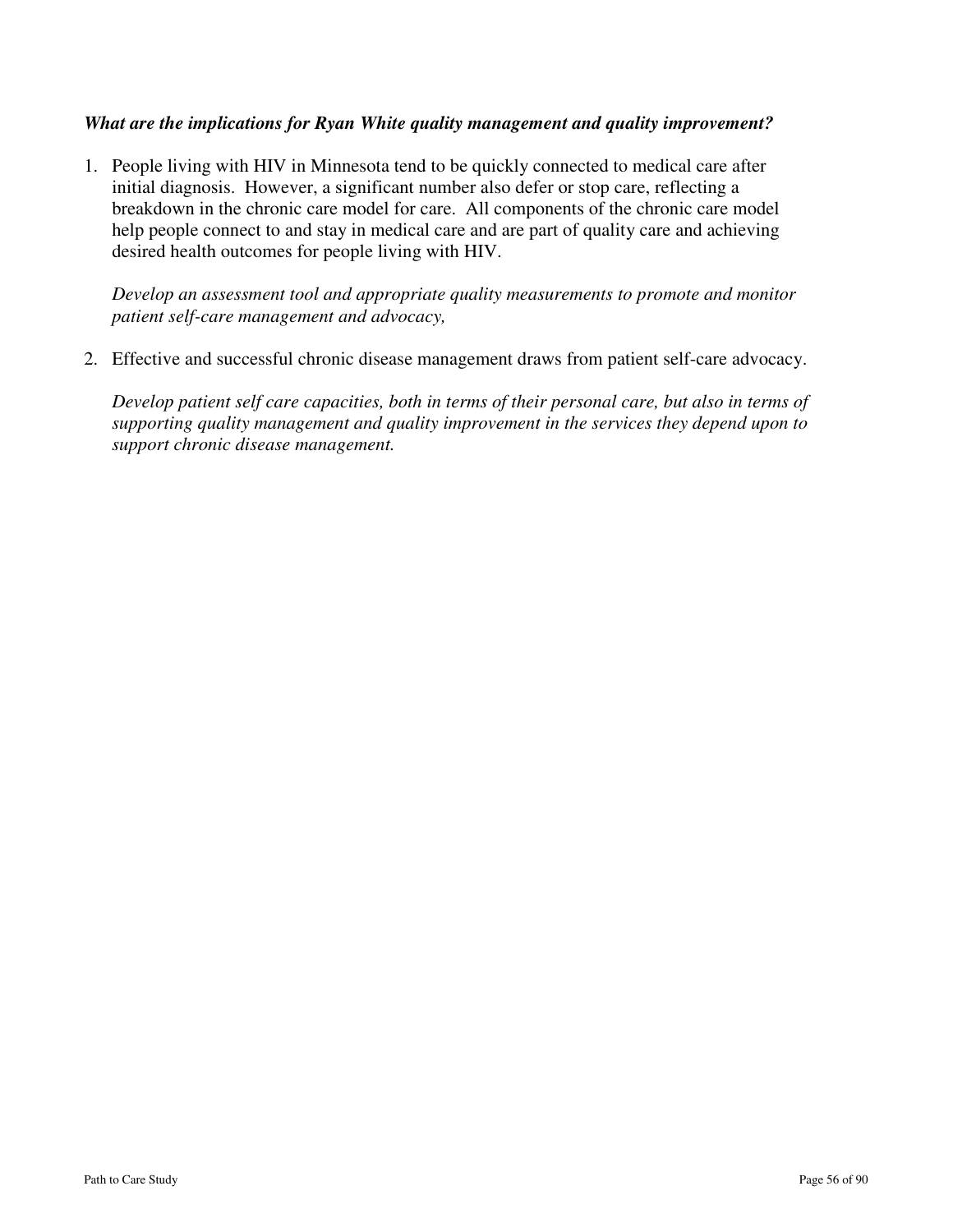### *What are the implications for Ryan White quality management and quality improvement?*

1. People living with HIV in Minnesota tend to be quickly connected to medical care after initial diagnosis. However, a significant number also defer or stop care, reflecting a breakdown in the chronic care model for care. All components of the chronic care model help people connect to and stay in medical care and are part of quality care and achieving desired health outcomes for people living with HIV.

*Develop an assessment tool and appropriate quality measurements to promote and monitor patient self-care management and advocacy,* 

2. Effective and successful chronic disease management draws from patient self-care advocacy.

*Develop patient self care capacities, both in terms of their personal care, but also in terms of supporting quality management and quality improvement in the services they depend upon to support chronic disease management.*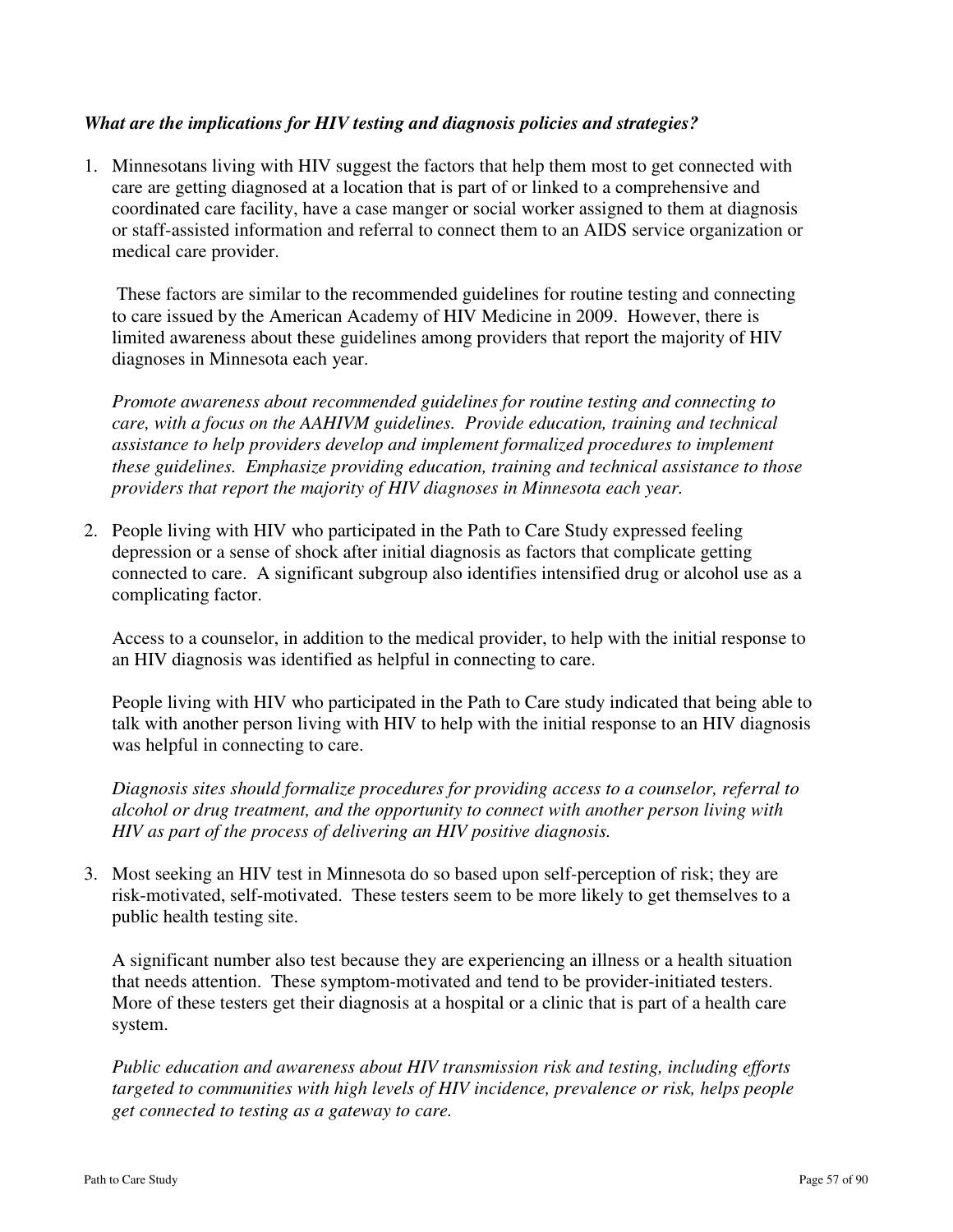## *What are the implications for HIV testing and diagnosis policies and strategies?*

1. Minnesotans living with HIV suggest the factors that help them most to get connected with care are getting diagnosed at a location that is part of or linked to a comprehensive and coordinated care facility, have a case manger or social worker assigned to them at diagnosis or staff-assisted information and referral to connect them to an AIDS service organization or medical care provider.

 These factors are similar to the recommended guidelines for routine testing and connecting to care issued by the American Academy of HIV Medicine in 2009. However, there is limited awareness about these guidelines among providers that report the majority of HIV diagnoses in Minnesota each year.

*Promote awareness about recommended guidelines for routine testing and connecting to care, with a focus on the AAHIVM guidelines. Provide education, training and technical assistance to help providers develop and implement formalized procedures to implement these guidelines. Emphasize providing education, training and technical assistance to those providers that report the majority of HIV diagnoses in Minnesota each year.*

2. People living with HIV who participated in the Path to Care Study expressed feeling depression or a sense of shock after initial diagnosis as factors that complicate getting connected to care. A significant subgroup also identifies intensified drug or alcohol use as a complicating factor.

 Access to a counselor, in addition to the medical provider, to help with the initial response to an HIV diagnosis was identified as helpful in connecting to care.

 People living with HIV who participated in the Path to Care study indicated that being able to talk with another person living with HIV to help with the initial response to an HIV diagnosis was helpful in connecting to care.

*Diagnosis sites should formalize procedures for providing access to a counselor, referral to alcohol or drug treatment, and the opportunity to connect with another person living with HIV as part of the process of delivering an HIV positive diagnosis.*

3. Most seeking an HIV test in Minnesota do so based upon self-perception of risk; they are risk-motivated, self-motivated. These testers seem to be more likely to get themselves to a public health testing site.

 A significant number also test because they are experiencing an illness or a health situation that needs attention. These symptom-motivated and tend to be provider-initiated testers. More of these testers get their diagnosis at a hospital or a clinic that is part of a health care system.

*Public education and awareness about HIV transmission risk and testing, including efforts targeted to communities with high levels of HIV incidence, prevalence or risk, helps people get connected to testing as a gateway to care.*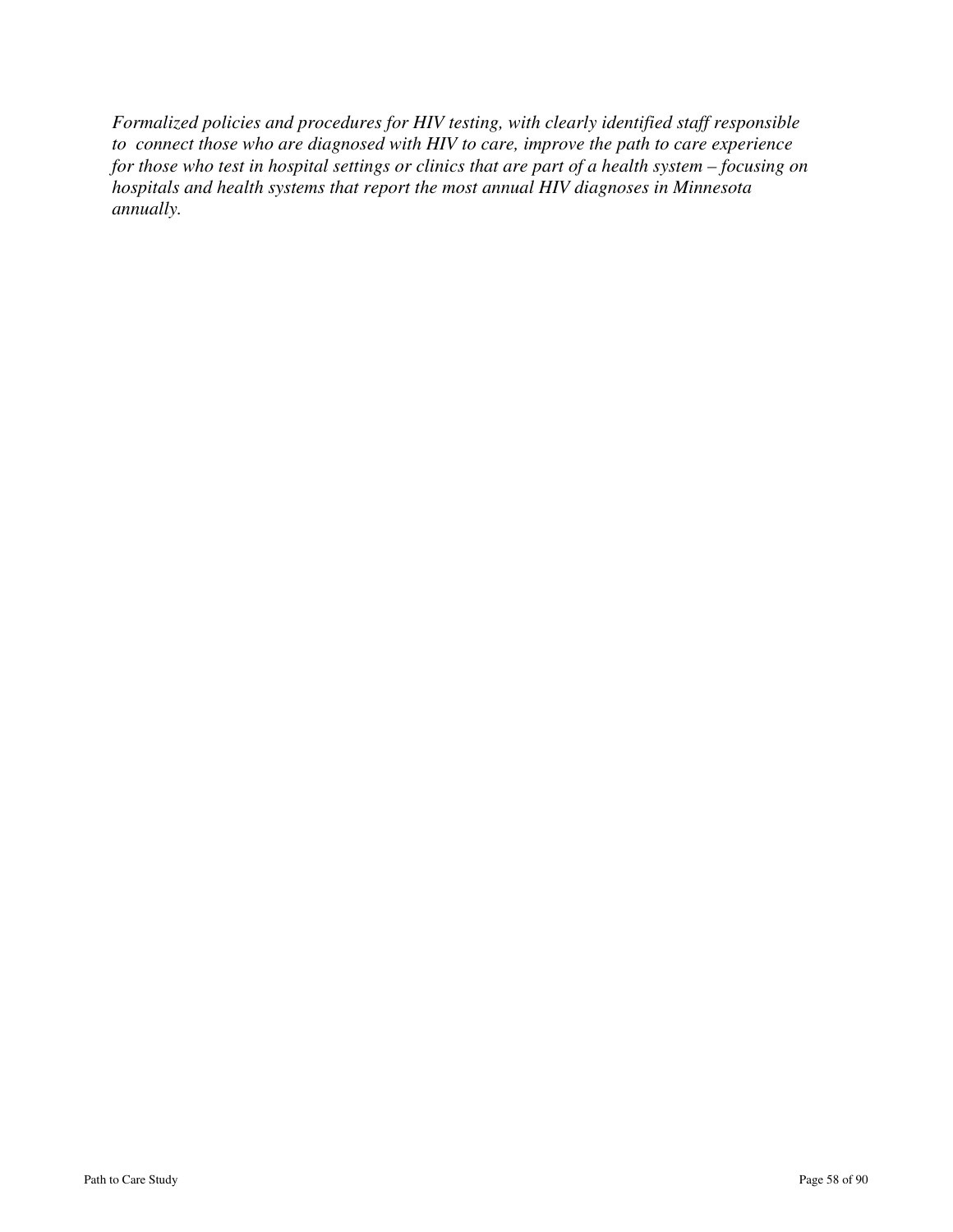*Formalized policies and procedures for HIV testing, with clearly identified staff responsible to connect those who are diagnosed with HIV to care, improve the path to care experience for those who test in hospital settings or clinics that are part of a health system – focusing on hospitals and health systems that report the most annual HIV diagnoses in Minnesota annually.*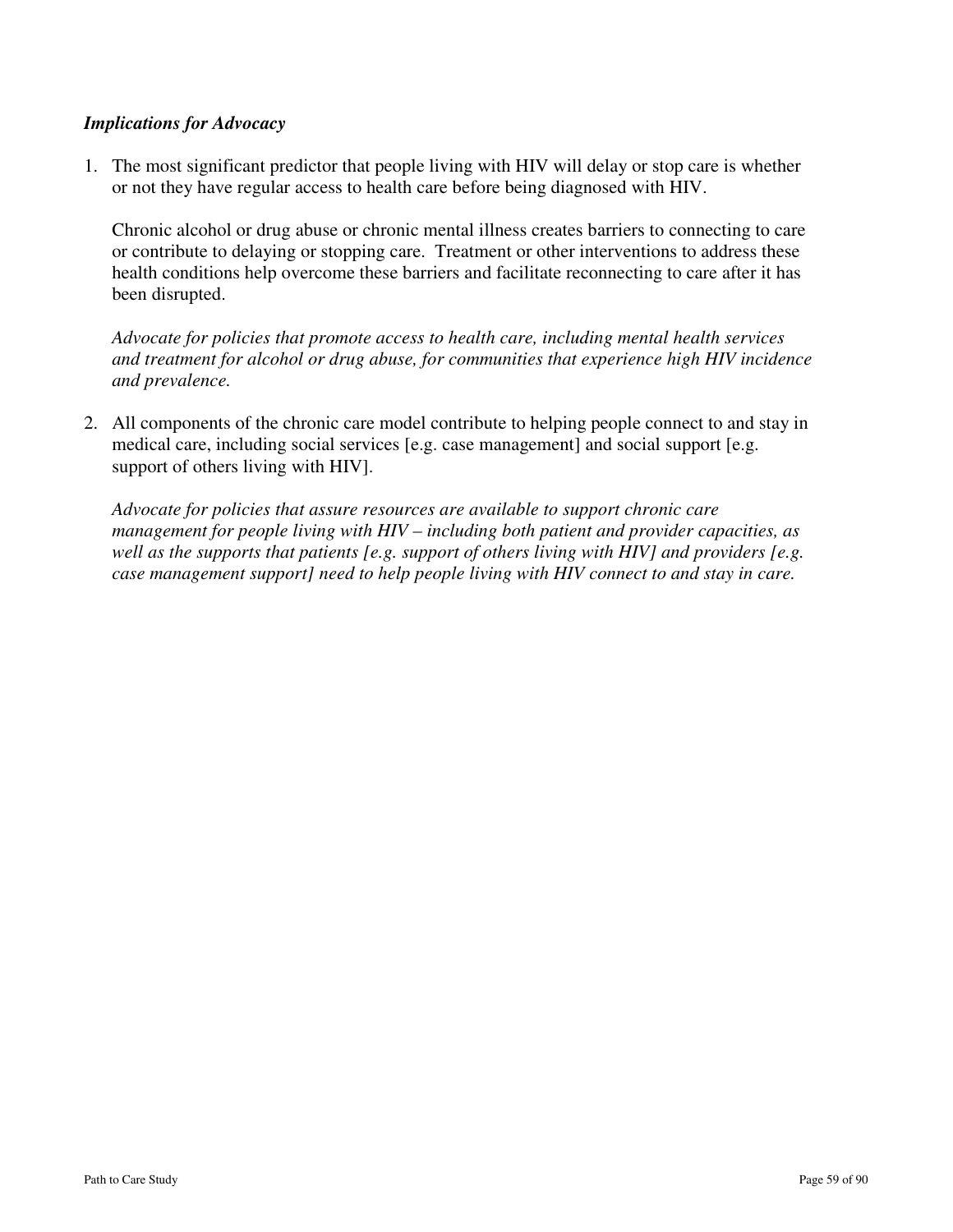## *Implications for Advocacy*

1. The most significant predictor that people living with HIV will delay or stop care is whether or not they have regular access to health care before being diagnosed with HIV.

 Chronic alcohol or drug abuse or chronic mental illness creates barriers to connecting to care or contribute to delaying or stopping care. Treatment or other interventions to address these health conditions help overcome these barriers and facilitate reconnecting to care after it has been disrupted.

*Advocate for policies that promote access to health care, including mental health services and treatment for alcohol or drug abuse, for communities that experience high HIV incidence and prevalence.* 

2. All components of the chronic care model contribute to helping people connect to and stay in medical care, including social services [e.g. case management] and social support [e.g. support of others living with HIV].

 *Advocate for policies that assure resources are available to support chronic care management for people living with HIV – including both patient and provider capacities, as well as the supports that patients [e.g. support of others living with HIV] and providers [e.g. case management support] need to help people living with HIV connect to and stay in care.*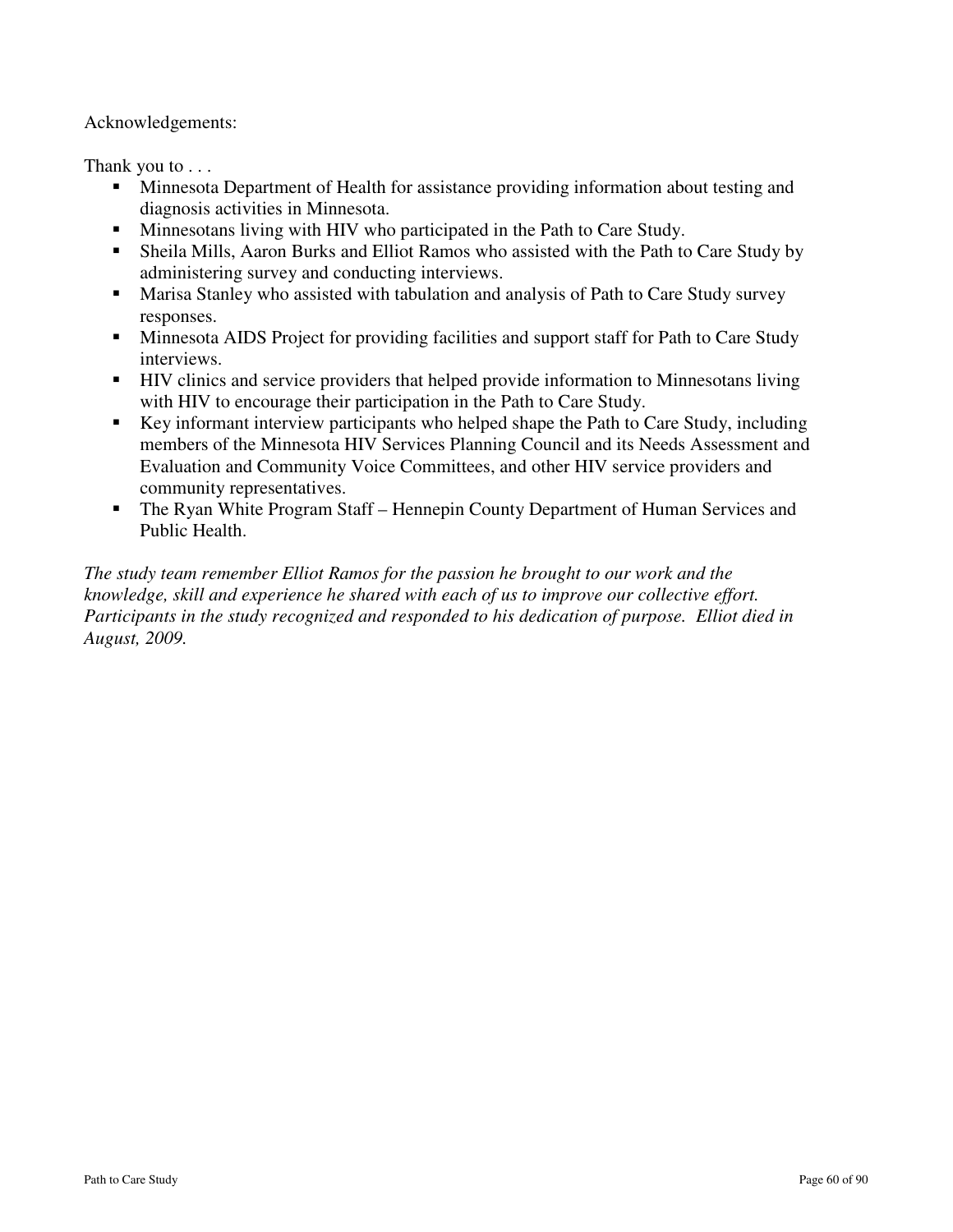Acknowledgements:

Thank you to . . .

- **Minnesota Department of Health for assistance providing information about testing and** diagnosis activities in Minnesota.
- **Minnesotans living with HIV who participated in the Path to Care Study.**
- Sheila Mills, Aaron Burks and Elliot Ramos who assisted with the Path to Care Study by administering survey and conducting interviews.
- **Marisa Stanley who assisted with tabulation and analysis of Path to Care Study survey** responses.
- Minnesota AIDS Project for providing facilities and support staff for Path to Care Study interviews.
- HIV clinics and service providers that helped provide information to Minnesotans living with HIV to encourage their participation in the Path to Care Study.
- Key informant interview participants who helped shape the Path to Care Study, including members of the Minnesota HIV Services Planning Council and its Needs Assessment and Evaluation and Community Voice Committees, and other HIV service providers and community representatives.
- The Ryan White Program Staff Hennepin County Department of Human Services and Public Health.

*The study team remember Elliot Ramos for the passion he brought to our work and the knowledge, skill and experience he shared with each of us to improve our collective effort. Participants in the study recognized and responded to his dedication of purpose. Elliot died in August, 2009.*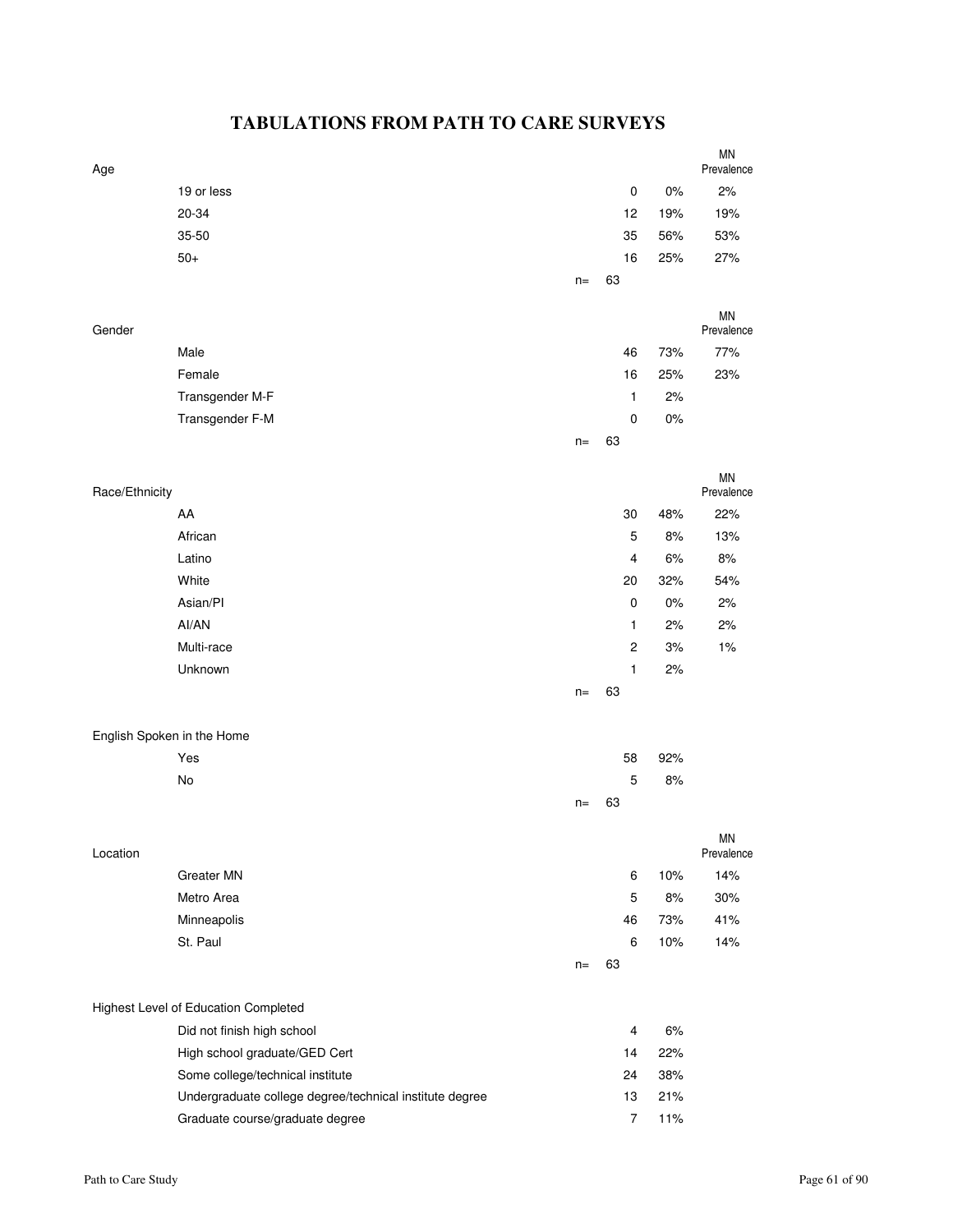# **TABULATIONS FROM PATH TO CARE SURVEYS**

| Age                        |                                                         |       |                |       | <b>MN</b><br>Prevalence |
|----------------------------|---------------------------------------------------------|-------|----------------|-------|-------------------------|
|                            | 19 or less                                              |       | $\pmb{0}$      | 0%    | 2%                      |
|                            | 20-34                                                   |       | 12             | 19%   | 19%                     |
|                            | 35-50                                                   |       | 35             | 56%   | 53%                     |
|                            | $50+$                                                   |       | 16             | 25%   | 27%                     |
|                            |                                                         | $n =$ | 63             |       |                         |
|                            |                                                         |       |                |       |                         |
| Gender                     |                                                         |       |                |       | <b>MN</b><br>Prevalence |
|                            | Male                                                    |       | 46             | 73%   | 77%                     |
|                            | Female                                                  |       | 16             | 25%   | 23%                     |
|                            | Transgender M-F                                         |       | 1              | 2%    |                         |
|                            | Transgender F-M                                         |       | 0              | 0%    |                         |
|                            |                                                         | $n =$ | 63             |       |                         |
|                            |                                                         |       |                |       |                         |
| Race/Ethnicity             |                                                         |       |                |       | <b>MN</b><br>Prevalence |
|                            | AA                                                      |       | 30             | 48%   | 22%                     |
|                            | African                                                 |       | 5              | 8%    | 13%                     |
|                            | Latino                                                  |       | 4              | 6%    | $8%$                    |
|                            | White                                                   |       | 20             | 32%   | 54%                     |
|                            | Asian/PI                                                |       | $\pmb{0}$      | $0\%$ | 2%                      |
|                            | Al/AN                                                   |       | 1              | 2%    | 2%                      |
|                            | Multi-race                                              |       | $\overline{c}$ | 3%    | 1%                      |
|                            | Unknown                                                 |       | 1              | 2%    |                         |
|                            |                                                         | $n =$ | 63             |       |                         |
|                            |                                                         |       |                |       |                         |
| English Spoken in the Home |                                                         |       |                |       |                         |
|                            | Yes                                                     |       | 58             | 92%   |                         |
|                            | No                                                      |       | 5              | $8%$  |                         |
|                            |                                                         | $n =$ | 63             |       |                         |
| Location                   |                                                         |       |                |       | <b>MN</b><br>Prevalence |
|                            | Greater MN                                              |       | 6              | 10%   | 14%                     |
|                            | Metro Area                                              |       | 5              | 8%    | 30%                     |
|                            | Minneapolis                                             |       | 46             | 73%   | 41%                     |
|                            | St. Paul                                                |       | 6              | 10%   | 14%                     |
|                            |                                                         | $n=$  | 63             |       |                         |
|                            |                                                         |       |                |       |                         |
|                            | Highest Level of Education Completed                    |       |                |       |                         |
|                            | Did not finish high school                              |       | $\overline{4}$ | 6%    |                         |
|                            | High school graduate/GED Cert                           |       | 14             | 22%   |                         |
|                            | Some college/technical institute                        |       | 24             | 38%   |                         |
|                            | Undergraduate college degree/technical institute degree |       | 13             | 21%   |                         |
|                            | Graduate course/graduate degree                         |       | $\overline{7}$ | 11%   |                         |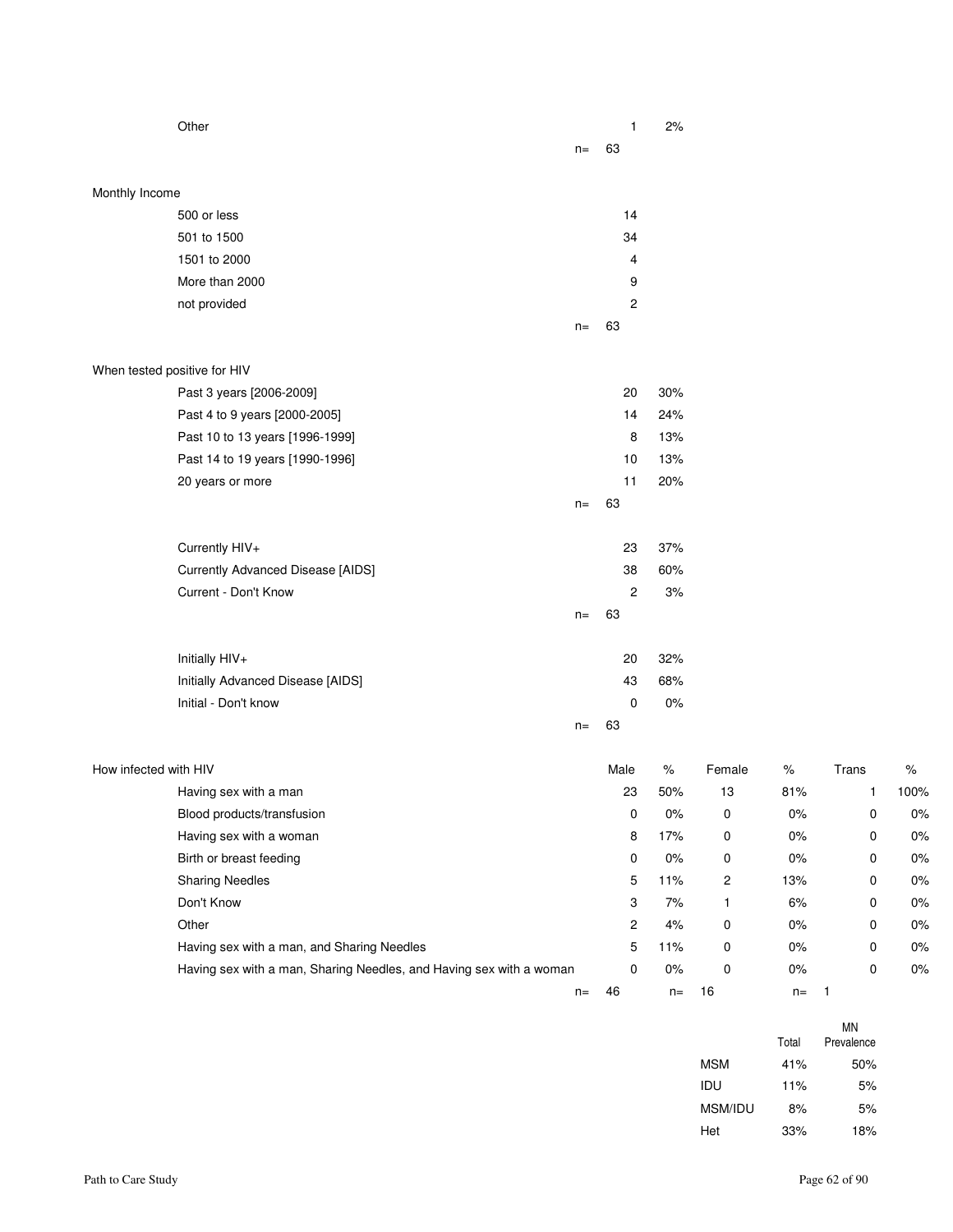|                              | Other                                                               |       | $\mathbf{1}$              | 2%    |                  |         |             |       |
|------------------------------|---------------------------------------------------------------------|-------|---------------------------|-------|------------------|---------|-------------|-------|
|                              |                                                                     | $n =$ | 63                        |       |                  |         |             |       |
|                              |                                                                     |       |                           |       |                  |         |             |       |
| Monthly Income               |                                                                     |       |                           |       |                  |         |             |       |
|                              | 500 or less                                                         |       | 14                        |       |                  |         |             |       |
|                              | 501 to 1500                                                         |       | 34                        |       |                  |         |             |       |
|                              | 1501 to 2000                                                        |       | 4                         |       |                  |         |             |       |
|                              | More than 2000                                                      |       | 9                         |       |                  |         |             |       |
|                              | not provided                                                        |       | $\overline{c}$            |       |                  |         |             |       |
|                              |                                                                     | $n=$  | 63                        |       |                  |         |             |       |
| When tested positive for HIV |                                                                     |       |                           |       |                  |         |             |       |
|                              | Past 3 years [2006-2009]                                            |       | 20                        | 30%   |                  |         |             |       |
|                              | Past 4 to 9 years [2000-2005]                                       |       | 14                        | 24%   |                  |         |             |       |
|                              | Past 10 to 13 years [1996-1999]                                     |       | 8                         | 13%   |                  |         |             |       |
|                              | Past 14 to 19 years [1990-1996]                                     |       | 10                        | 13%   |                  |         |             |       |
|                              | 20 years or more                                                    |       | 11                        | 20%   |                  |         |             |       |
|                              |                                                                     | $n=$  | 63                        |       |                  |         |             |       |
|                              | Currently HIV+                                                      |       | 23                        | 37%   |                  |         |             |       |
|                              | <b>Currently Advanced Disease [AIDS]</b>                            |       | 38                        | 60%   |                  |         |             |       |
|                              | Current - Don't Know                                                |       | $\overline{c}$            | 3%    |                  |         |             |       |
|                              |                                                                     | $n=$  | 63                        |       |                  |         |             |       |
|                              |                                                                     |       |                           |       |                  |         |             |       |
|                              | Initially HIV+                                                      |       | 20                        | 32%   |                  |         |             |       |
|                              | Initially Advanced Disease [AIDS]                                   |       | 43                        | 68%   |                  |         |             |       |
|                              | Initial - Don't know                                                |       | 0                         | 0%    |                  |         |             |       |
|                              |                                                                     | $n =$ | 63                        |       |                  |         |             |       |
| How infected with HIV        |                                                                     |       | Male                      | $\%$  | Female           | $\%$    | Trans       | $\%$  |
|                              | Having sex with a man                                               |       | 23                        | 50%   | 13               | 81%     | 1           | 100%  |
|                              | Blood products/transfusion                                          |       | $\pmb{0}$                 | $0\%$ | $\boldsymbol{0}$ | $0\%$   | $\pmb{0}$   | $0\%$ |
|                              | Having sex with a woman                                             |       | 8                         | 17%   | 0                | $0\%$   | 0           | $0\%$ |
|                              | Birth or breast feeding                                             |       | 0                         | $0\%$ | $\boldsymbol{0}$ | $0\%$   | 0           | $0\%$ |
|                              | <b>Sharing Needles</b>                                              |       | $\mathbf 5$               | 11%   | 2                | 13%     | 0           | $0\%$ |
|                              | Don't Know                                                          |       | $\ensuremath{\mathsf{3}}$ | 7%    | $\mathbf{1}$     | $6\%$   | $\mathbf 0$ | $0\%$ |
|                              | Other                                                               |       | $\overline{c}$            | 4%    | 0                | $0\%$   | 0           | $0\%$ |
|                              | Having sex with a man, and Sharing Needles                          |       | $\mathbf 5$               | 11%   | $\mathbf 0$      | $0\%$   | 0           | $0\%$ |
|                              | Having sex with a man, Sharing Needles, and Having sex with a woman |       | $\pmb{0}$                 | $0\%$ | $\pmb{0}$        | $0\%$   | $\mathbf 0$ | $0\%$ |
|                              |                                                                     |       | $n = 46$                  | $n=$  | 16               | $n = 1$ |             |       |

|            | Total         | ΜN<br>Prevalence |
|------------|---------------|------------------|
| <b>MSM</b> | 41%           | 50%              |
| IDU        | 11%           | 5%               |
|            | MSM/IDU<br>8% | 5%               |
| Het        | 33%           | 18%              |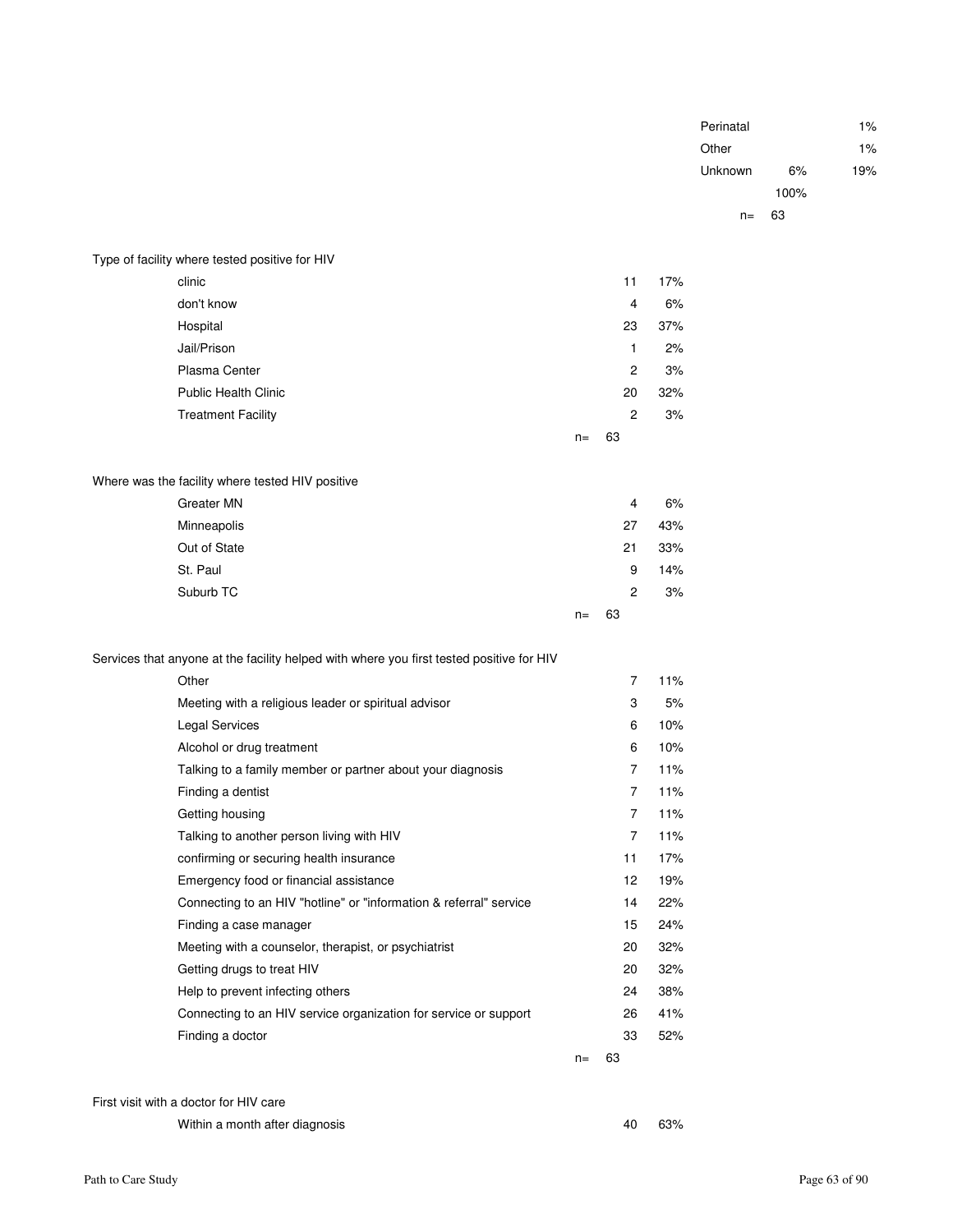| Perinatal |      | 1%    |
|-----------|------|-------|
| Other     |      | $1\%$ |
| Unknown   | 6%   | 19%   |
|           | 100% |       |
| $n=$      | 63   |       |
|           |      |       |

| Type of facility where tested positive for HIV |
|------------------------------------------------|
|------------------------------------------------|

| clinic                      |       | 11             | 17% |
|-----------------------------|-------|----------------|-----|
| don't know                  |       | 4              | 6%  |
| Hospital                    |       | 23             | 37% |
| Jail/Prison                 |       | 1              | 2%  |
| Plasma Center               |       | $\overline{c}$ | 3%  |
| <b>Public Health Clinic</b> |       | 20             | 32% |
| <b>Treatment Facility</b>   |       | $\overline{2}$ | 3%  |
|                             | $n =$ | 63             |     |

### Where was the facility where tested HIV positive

| Greater MN   |       |    | 4              | 6%  |
|--------------|-------|----|----------------|-----|
| Minneapolis  |       | 27 |                | 43% |
| Out of State |       | 21 |                | 33% |
| St. Paul     |       |    | 9              | 14% |
| Suburb TC    |       |    | $\overline{2}$ | 3%  |
|              | $n =$ | 63 |                |     |

### Services that anyone at the facility helped with where you first tested positive for HIV

| Other                                                              |       | $\overline{7}$ | 11% |
|--------------------------------------------------------------------|-------|----------------|-----|
| Meeting with a religious leader or spiritual advisor               |       | 3              | 5%  |
| Legal Services                                                     |       | 6              | 10% |
| Alcohol or drug treatment                                          |       | 6              | 10% |
| Talking to a family member or partner about your diagnosis         |       | 7              | 11% |
| Finding a dentist                                                  |       | $\overline{7}$ | 11% |
| Getting housing                                                    |       | $\overline{7}$ | 11% |
| Talking to another person living with HIV                          |       | $\overline{7}$ | 11% |
| confirming or securing health insurance                            |       | 11             | 17% |
| Emergency food or financial assistance                             |       | 12             | 19% |
| Connecting to an HIV "hotline" or "information & referral" service |       | 14             | 22% |
| Finding a case manager                                             |       | 15             | 24% |
| Meeting with a counselor, therapist, or psychiatrist               |       | 20             | 32% |
| Getting drugs to treat HIV                                         |       | 20             | 32% |
| Help to prevent infecting others                                   |       | 24             | 38% |
| Connecting to an HIV service organization for service or support   |       | 26             | 41% |
| Finding a doctor                                                   |       | 33             | 52% |
|                                                                    | $n =$ | 63             |     |

#### First visit with a doctor for HIV care

| Within a month after diagnosis | 40 | 63% |
|--------------------------------|----|-----|
|--------------------------------|----|-----|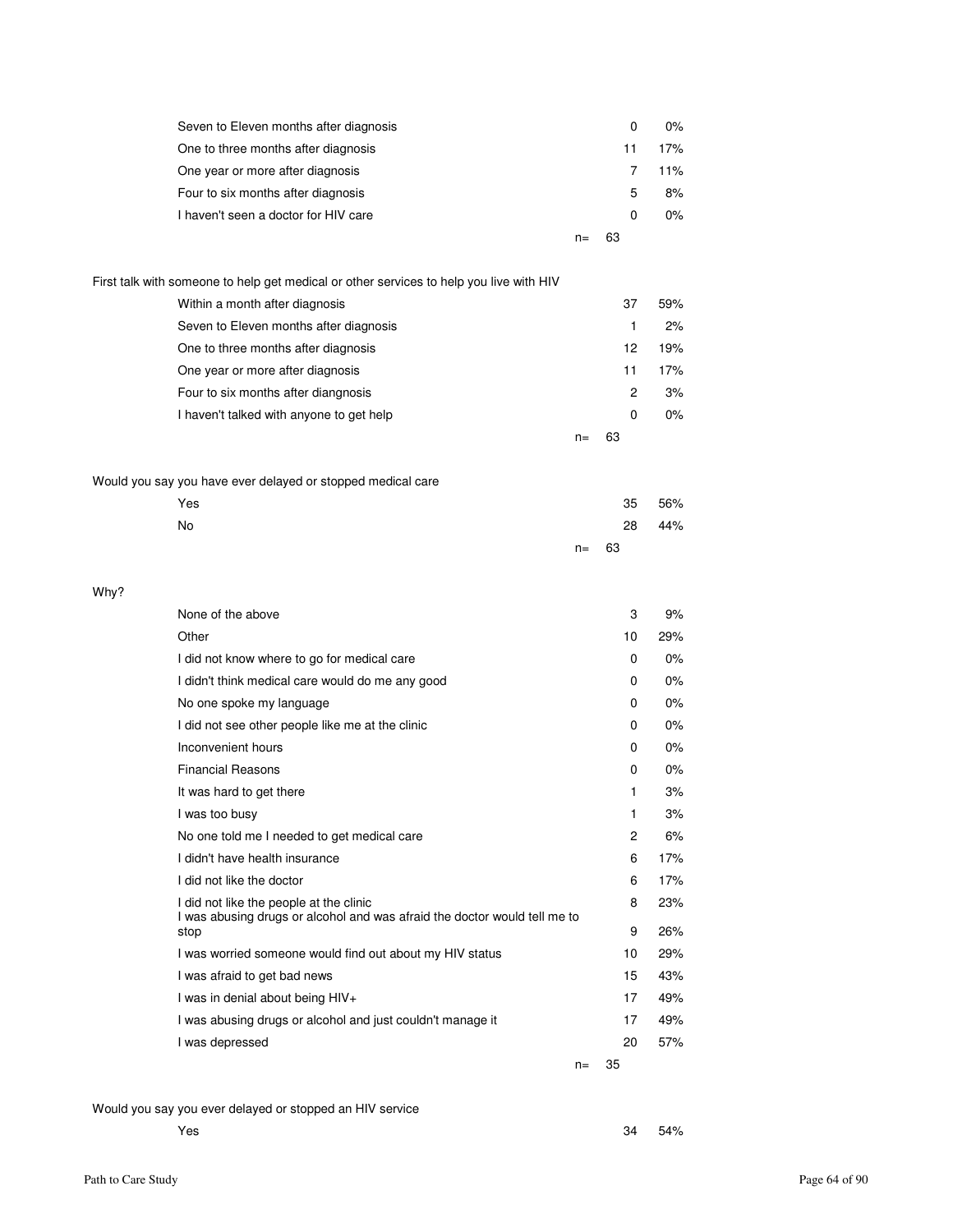| Seven to Eleven months after diagnosis |    |    | 0 | $0\%$ |
|----------------------------------------|----|----|---|-------|
| One to three months after diagnosis    |    |    |   | 17%   |
| One year or more after diagnosis       |    |    |   | 11%   |
| Four to six months after diagnosis     |    |    | 5 | 8%    |
| I haven't seen a doctor for HIV care   |    |    | 0 | $0\%$ |
|                                        | n= | 63 |   |       |

| First talk with someone to help get medical or other services to help you live with HIV |    |    |         |
|-----------------------------------------------------------------------------------------|----|----|---------|
| Within a month after diagnosis                                                          |    | 37 | 59%     |
| Seven to Eleven months after diagnosis                                                  |    |    | 2%<br>1 |
| One to three months after diagnosis                                                     |    | 12 | 19%     |
| One year or more after diagnosis                                                        |    | 11 | 17%     |
| Four to six months after diangnosis                                                     |    | 2  | 3%      |
| I haven't talked with anyone to get help                                                |    | 0  | $0\%$   |
|                                                                                         | n= | 63 |         |

### Would you say you have ever delayed or stopped medical care

| Yes |          | 35 | 56% |
|-----|----------|----|-----|
| No  |          | 28 | 44% |
|     | $n = 63$ |    |     |

| None of the above                                                                 |       | 3              | 9%    |
|-----------------------------------------------------------------------------------|-------|----------------|-------|
| Other                                                                             |       | 10             | 29%   |
| I did not know where to go for medical care                                       |       | 0              | $0\%$ |
| I didn't think medical care would do me any good                                  |       | 0              | 0%    |
| No one spoke my language                                                          |       | 0              | $0\%$ |
| I did not see other people like me at the clinic                                  |       | 0              | $0\%$ |
| Inconvenient hours                                                                |       | 0              | $0\%$ |
| <b>Financial Reasons</b>                                                          |       | 0              | $0\%$ |
| It was hard to get there                                                          |       | 1              | 3%    |
| I was too busy                                                                    |       | 1              | 3%    |
| No one told me I needed to get medical care                                       |       | $\overline{2}$ | 6%    |
| I didn't have health insurance                                                    |       | 6              | 17%   |
| I did not like the doctor                                                         |       | 6              | 17%   |
| I did not like the people at the clinic                                           |       | 8              | 23%   |
| I was abusing drugs or alcohol and was afraid the doctor would tell me to<br>stop |       | 9              | 26%   |
| I was worried someone would find out about my HIV status                          |       | 10             | 29%   |
| I was afraid to get bad news                                                      |       | 15             | 43%   |
| I was in denial about being HIV+                                                  |       | 17             | 49%   |
| I was abusing drugs or alcohol and just couldn't manage it                        |       | 17             | 49%   |
| I was depressed                                                                   |       | 20             | 57%   |
|                                                                                   | $n =$ | 35             |       |

### Would you say you ever delayed or stopped an HIV service

Why?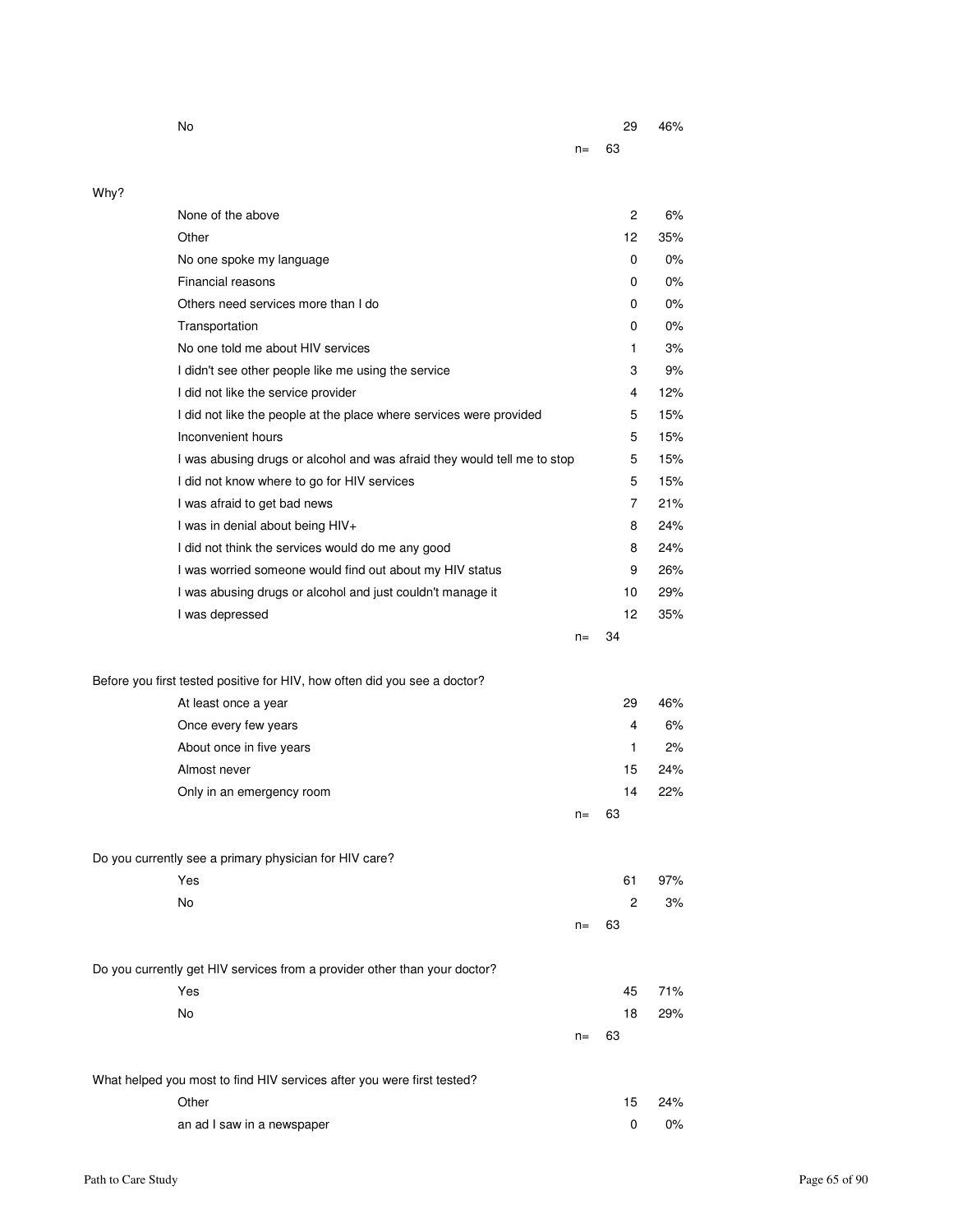|      | No                                                                        |       | 29             | 46% |
|------|---------------------------------------------------------------------------|-------|----------------|-----|
|      |                                                                           | $n =$ | 63             |     |
|      |                                                                           |       |                |     |
| Why? | None of the above                                                         |       | $\overline{2}$ | 6%  |
|      | Other                                                                     |       | 12             | 35% |
|      | No one spoke my language                                                  |       | 0              | 0%  |
|      | Financial reasons                                                         |       | 0              | 0%  |
|      | Others need services more than I do                                       |       | 0              | 0%  |
|      | Transportation                                                            |       | 0              | 0%  |
|      | No one told me about HIV services                                         |       | 1              | 3%  |
|      | I didn't see other people like me using the service                       |       | 3              | 9%  |
|      | I did not like the service provider                                       |       | 4              | 12% |
|      | I did not like the people at the place where services were provided       |       | 5              | 15% |
|      | Inconvenient hours                                                        |       | 5              | 15% |
|      | I was abusing drugs or alcohol and was afraid they would tell me to stop  |       | 5              | 15% |
|      | I did not know where to go for HIV services                               |       | 5              | 15% |
|      | I was afraid to get bad news                                              |       | 7              | 21% |
|      | I was in denial about being HIV+                                          |       | 8              | 24% |
|      | I did not think the services would do me any good                         |       | 8              | 24% |
|      |                                                                           |       | 9              | 26% |
|      | I was worried someone would find out about my HIV status                  |       |                | 29% |
|      | I was abusing drugs or alcohol and just couldn't manage it                |       | 10<br>12       | 35% |
|      | I was depressed                                                           | $n =$ | 34             |     |
|      |                                                                           |       |                |     |
|      | Before you first tested positive for HIV, how often did you see a doctor? |       |                |     |
|      | At least once a year                                                      |       | 29             | 46% |
|      | Once every few years                                                      |       | 4              | 6%  |
|      | About once in five years                                                  |       | 1              | 2%  |
|      | Almost never                                                              |       | 15             | 24% |
|      | Only in an emergency room                                                 |       | 14             | 22% |
|      |                                                                           | $n=$  | 63             |     |
|      |                                                                           |       |                |     |
|      | Do you currently see a primary physician for HIV care?                    |       |                |     |
|      | Yes                                                                       |       | 61             | 97% |
|      | No                                                                        |       | $\overline{c}$ | 3%  |
|      |                                                                           | $n=$  | 63             |     |
|      |                                                                           |       |                |     |
|      | Do you currently get HIV services from a provider other than your doctor? |       |                |     |
|      | Yes                                                                       |       | 45             | 71% |
|      | No                                                                        |       | 18             | 29% |
|      |                                                                           | $n =$ | 63             |     |
|      |                                                                           |       |                |     |
|      | What helped you most to find HIV services after you were first tested?    |       |                |     |
|      | Other                                                                     |       | 15             | 24% |
|      | an ad I saw in a newspaper                                                |       | $\pmb{0}$      | 0%  |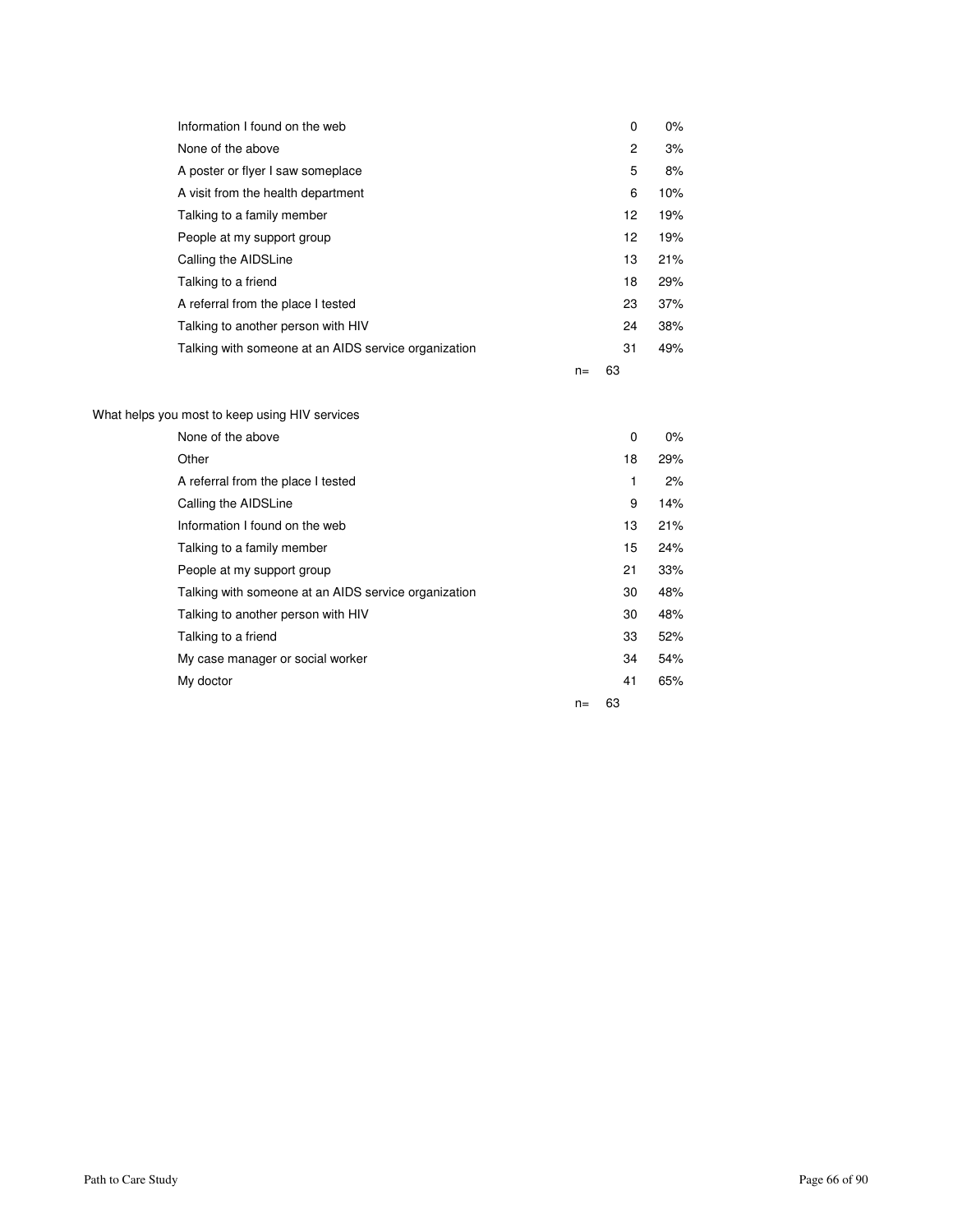| Information I found on the web                       |       | 0              | $0\%$ |
|------------------------------------------------------|-------|----------------|-------|
| None of the above                                    |       | $\overline{c}$ | 3%    |
| A poster or flyer I saw someplace                    |       | 5              | 8%    |
| A visit from the health department                   |       | 6              | 10%   |
| Talking to a family member                           |       | 12             | 19%   |
| People at my support group                           |       | 12             | 19%   |
| Calling the AIDSLine                                 |       | 13             | 21%   |
| Talking to a friend                                  |       | 18             | 29%   |
| A referral from the place I tested                   |       | 23             | 37%   |
| Talking to another person with HIV                   |       | 24             | 38%   |
| Talking with someone at an AIDS service organization |       | 31             | 49%   |
|                                                      | $n =$ | 63             |       |

What helps you most to keep using HIV services

| None of the above                                    |       | $\mathbf 0$ | $0\%$ |
|------------------------------------------------------|-------|-------------|-------|
| Other                                                |       | 18          | 29%   |
| A referral from the place I tested                   |       | 1           | 2%    |
| Calling the AIDSLine                                 |       | 9           | 14%   |
| Information I found on the web                       |       | 13          | 21%   |
| Talking to a family member                           |       | 15          | 24%   |
| People at my support group                           |       | 21          | 33%   |
| Talking with someone at an AIDS service organization |       | 30          | 48%   |
| Talking to another person with HIV                   |       | 30          | 48%   |
| Talking to a friend                                  |       | 33          | 52%   |
| My case manager or social worker                     |       | 34          | 54%   |
| My doctor                                            |       | 41          | 65%   |
|                                                      | $n =$ | 63          |       |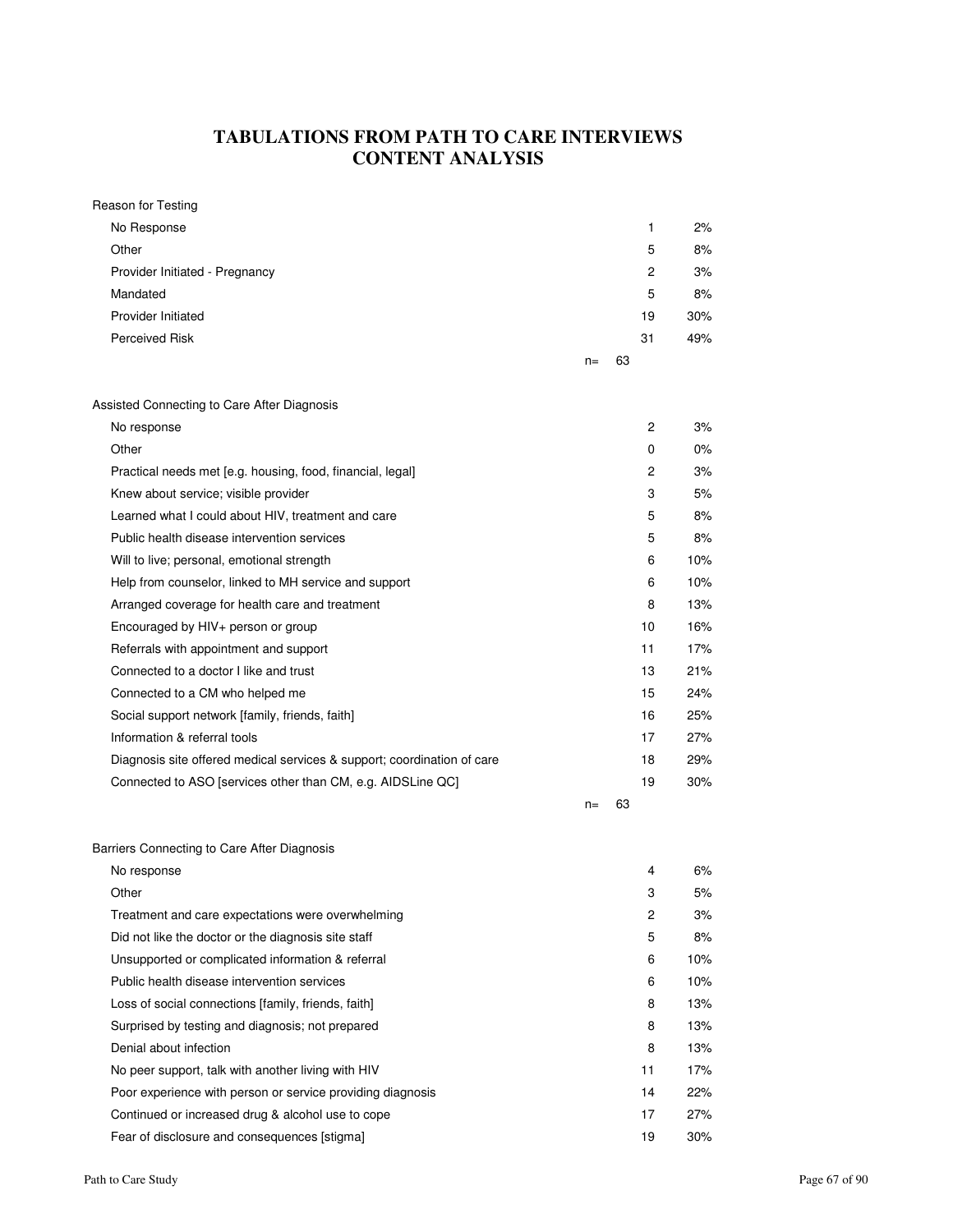# **TABULATIONS FROM PATH TO CARE INTERVIEWS CONTENT ANALYSIS**

| Reason for Testing                                                      |       |    |    |       |
|-------------------------------------------------------------------------|-------|----|----|-------|
| No Response                                                             |       |    | 1  | 2%    |
| Other                                                                   |       |    | 5  | 8%    |
| Provider Initiated - Pregnancy                                          |       |    | 2  | 3%    |
| Mandated                                                                |       |    | 5  | 8%    |
| <b>Provider Initiated</b>                                               |       |    | 19 | 30%   |
| Perceived Risk                                                          |       |    | 31 | 49%   |
|                                                                         | $n =$ | 63 |    |       |
|                                                                         |       |    |    |       |
| Assisted Connecting to Care After Diagnosis                             |       |    |    |       |
| No response                                                             |       |    | 2  | 3%    |
| Other                                                                   |       |    | 0  | $0\%$ |
| Practical needs met [e.g. housing, food, financial, legal]              |       |    | 2  | 3%    |
| Knew about service; visible provider                                    |       |    | 3  | 5%    |
| Learned what I could about HIV, treatment and care                      |       |    | 5  | 8%    |
| Public health disease intervention services                             |       |    | 5  | 8%    |
| Will to live; personal, emotional strength                              |       |    | 6  | 10%   |
| Help from counselor, linked to MH service and support                   |       |    | 6  | 10%   |
| Arranged coverage for health care and treatment                         |       |    | 8  | 13%   |
| Encouraged by HIV+ person or group                                      |       |    | 10 | 16%   |
| Referrals with appointment and support                                  |       |    | 11 | 17%   |
| Connected to a doctor I like and trust                                  |       |    | 13 | 21%   |
| Connected to a CM who helped me                                         |       |    | 15 | 24%   |
| Social support network [family, friends, faith]                         |       |    | 16 | 25%   |
| Information & referral tools                                            |       |    | 17 | 27%   |
| Diagnosis site offered medical services & support; coordination of care |       |    | 18 | 29%   |
| Connected to ASO [services other than CM, e.g. AIDSLine QC]             |       |    | 19 | 30%   |
|                                                                         | $n =$ | 63 |    |       |
|                                                                         |       |    |    |       |
| Barriers Connecting to Care After Diagnosis                             |       |    |    |       |
| No response                                                             |       |    | 4  | 6%    |
| Other                                                                   |       |    | 3  | 5%    |
| Treatment and care expectations were overwhelming                       |       |    | 2  | 3%    |
| Did not like the doctor or the diagnosis site staff                     |       |    | 5  | 8%    |
| Unsupported or complicated information & referral                       |       |    | 6  | 10%   |
| Public health disease intervention services                             |       |    | 6  | 10%   |
| Loss of social connections [family, friends, faith]                     |       |    | 8  | 13%   |
| Surprised by testing and diagnosis; not prepared                        |       |    | 8  | 13%   |
| Denial about infection                                                  |       |    | 8  | 13%   |
| No peer support, talk with another living with HIV                      |       |    | 11 | 17%   |
| Poor experience with person or service providing diagnosis              |       |    | 14 | 22%   |
| Continued or increased drug & alcohol use to cope                       |       |    | 17 | 27%   |
| Fear of disclosure and consequences [stigma]                            |       |    | 19 | 30%   |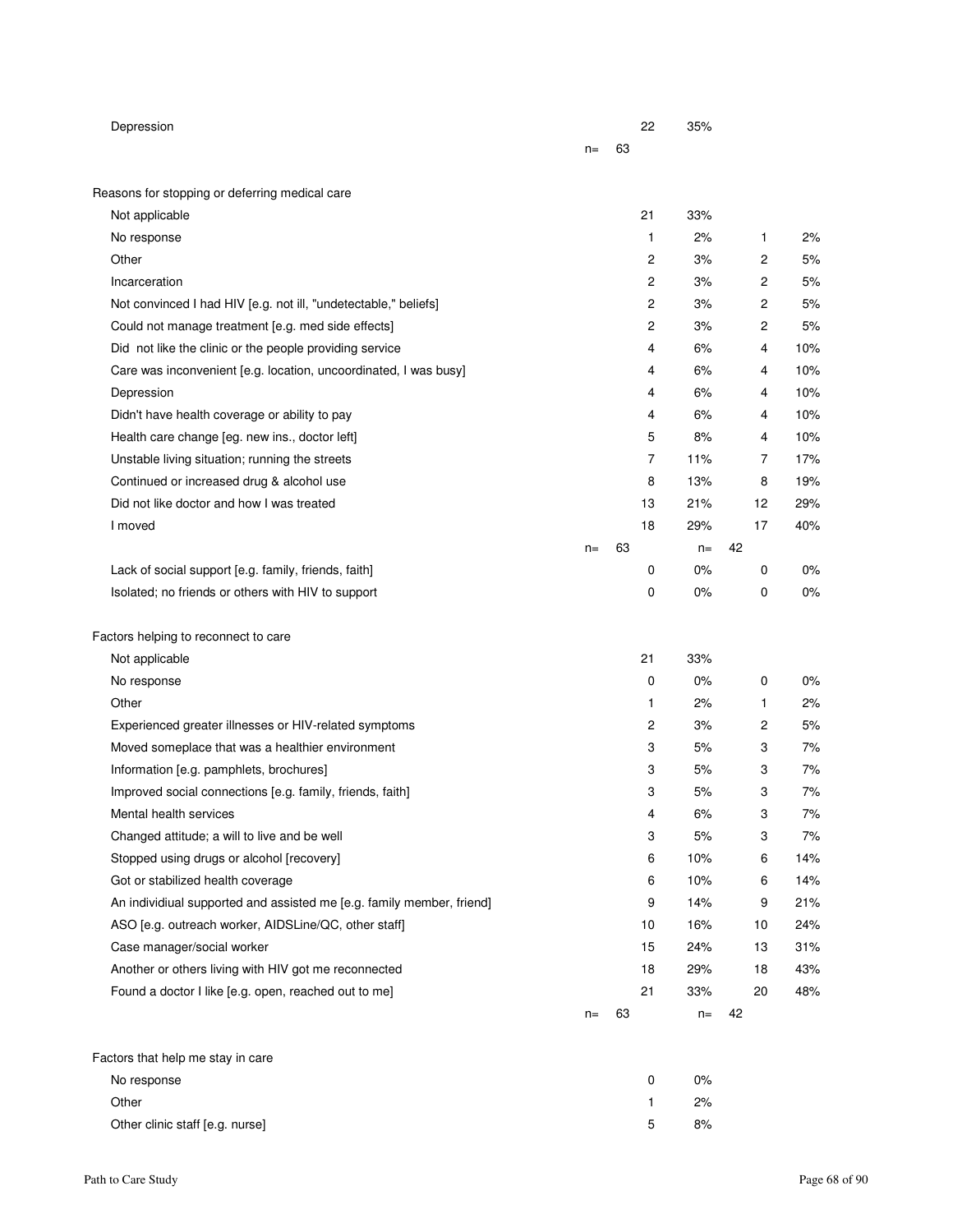| Depression                                                            |       |    | 22             | 35%   |    |          |
|-----------------------------------------------------------------------|-------|----|----------------|-------|----|----------|
|                                                                       | $n =$ | 63 |                |       |    |          |
| Reasons for stopping or deferring medical care                        |       |    |                |       |    |          |
| Not applicable                                                        |       |    | 21             | 33%   |    |          |
| No response                                                           |       |    | 1              | 2%    | 1  | 2%       |
| Other                                                                 |       |    | 2              | 3%    |    | 2<br>5%  |
| Incarceration                                                         |       |    | $\overline{2}$ | 3%    |    | 2<br>5%  |
| Not convinced I had HIV [e.g. not ill, "undetectable," beliefs]       |       |    | $\mathbf{2}$   | 3%    |    | 5%<br>2  |
| Could not manage treatment [e.g. med side effects]                    |       |    | 2              | 3%    |    | 2<br>5%  |
| Did not like the clinic or the people providing service               |       |    | 4              | 6%    | 4  | 10%      |
| Care was inconvenient [e.g. location, uncoordinated, I was busy]      |       |    | 4              | 6%    | 4  | 10%      |
| Depression                                                            |       |    | 4              | 6%    | 4  | 10%      |
| Didn't have health coverage or ability to pay                         |       |    | 4              | 6%    |    | 4<br>10% |
| Health care change [eg. new ins., doctor left]                        |       |    | 5              | 8%    |    | 4<br>10% |
| Unstable living situation; running the streets                        |       |    | $\overline{7}$ | 11%   |    | 7<br>17% |
| Continued or increased drug & alcohol use                             |       |    | 8              | 13%   | 8  | 19%      |
| Did not like doctor and how I was treated                             |       |    | 13             | 21%   | 12 | 29%      |
| I moved                                                               |       |    | 18             | 29%   | 17 | 40%      |
|                                                                       | $n =$ | 63 |                | $n =$ | 42 |          |
| Lack of social support [e.g. family, friends, faith]                  |       |    | 0              | 0%    | 0  | $0\%$    |
| Isolated; no friends or others with HIV to support                    |       |    | 0              | 0%    | 0  | 0%       |
| Factors helping to reconnect to care                                  |       |    |                |       |    |          |
| Not applicable                                                        |       |    | 21             | 33%   |    |          |
| No response                                                           |       |    | 0              | 0%    | 0  | 0%       |
| Other                                                                 |       |    | 1              | 2%    | 1  | 2%       |
| Experienced greater illnesses or HIV-related symptoms                 |       |    | 2              | 3%    |    | 2<br>5%  |
| Moved someplace that was a healthier environment                      |       |    | 3              | 5%    | 3  | 7%       |
| Information [e.g. pamphlets, brochures]                               |       |    | 3              | 5%    |    | 3<br>7%  |
| Improved social connections [e.g. family, friends, faith]             |       |    | 3              | 5%    |    | 3<br>7%  |
| Mental health services                                                |       |    | 4              | 6%    | 3  | 7%       |
| Changed attitude; a will to live and be well                          |       |    | 3              | 5%    |    | 7%<br>3  |
| Stopped using drugs or alcohol [recovery]                             |       |    | 6              | 10%   | 6  | 14%      |
| Got or stabilized health coverage                                     |       |    | 6              | 10%   | 6  | 14%      |
| An individiual supported and assisted me [e.g. family member, friend] |       |    | 9              | 14%   | 9  | 21%      |
| ASO [e.g. outreach worker, AIDSLine/QC, other staff]                  |       |    | 10             | 16%   | 10 | 24%      |
| Case manager/social worker                                            |       |    | 15             | 24%   | 13 | 31%      |
| Another or others living with HIV got me reconnected                  |       |    | 18             | 29%   | 18 | 43%      |
| Found a doctor I like [e.g. open, reached out to me]                  |       |    | 21             | 33%   | 20 | 48%      |
|                                                                       | $n =$ | 63 |                | $n=$  | 42 |          |
| Factors that help me stay in care                                     |       |    |                |       |    |          |
| No response                                                           |       |    | 0              | 0%    |    |          |
| Other                                                                 |       |    | 1              | 2%    |    |          |
| Other clinic staff [e.g. nurse]                                       |       |    | 5              | 8%    |    |          |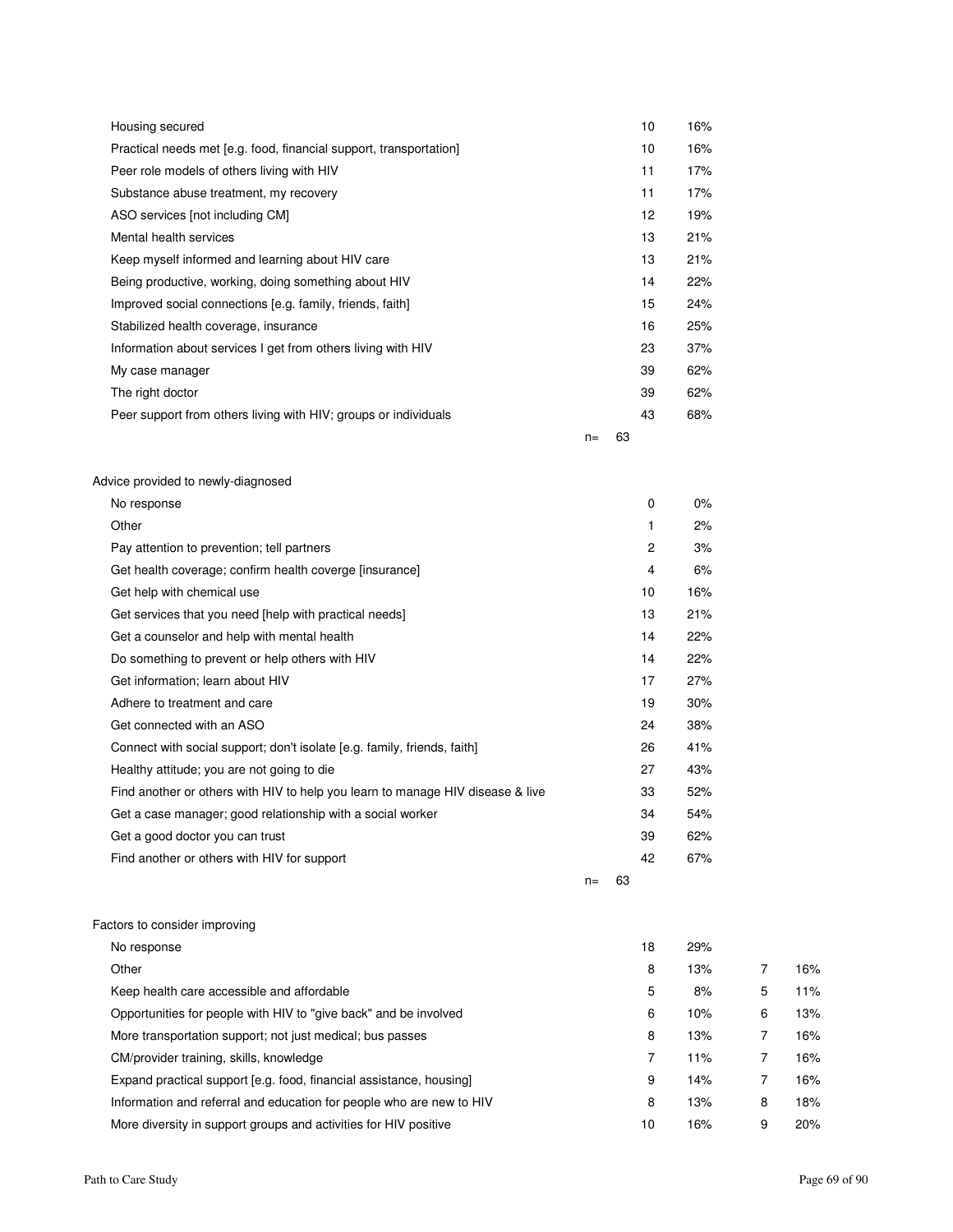| Housing secured                                                    |       |    | 10              | 16% |
|--------------------------------------------------------------------|-------|----|-----------------|-----|
| Practical needs met [e.g. food, financial support, transportation] |       |    | 10              | 16% |
| Peer role models of others living with HIV                         |       |    | 11              | 17% |
| Substance abuse treatment, my recovery                             |       |    | 11              | 17% |
| ASO services [not including CM]                                    |       |    | 12 <sup>2</sup> | 19% |
| Mental health services                                             |       |    | 13              | 21% |
| Keep myself informed and learning about HIV care                   |       |    | 13              | 21% |
| Being productive, working, doing something about HIV               |       |    | 14              | 22% |
| Improved social connections [e.g. family, friends, faith]          |       |    | 15              | 24% |
| Stabilized health coverage, insurance                              |       |    | 16              | 25% |
| Information about services I get from others living with HIV       |       |    | 23              | 37% |
| My case manager                                                    |       |    | 39              | 62% |
| The right doctor                                                   |       |    | 39              | 62% |
| Peer support from others living with HIV; groups or individuals    |       |    | 43              | 68% |
|                                                                    | $n =$ | 63 |                 |     |
| Advice provided to newly-diagnosed                                 |       |    |                 |     |

| No response                                                                    |       |    | 0  | $0\%$ |
|--------------------------------------------------------------------------------|-------|----|----|-------|
| Other                                                                          |       |    | 1  | 2%    |
| Pay attention to prevention; tell partners                                     |       |    | 2  | 3%    |
| Get health coverage; confirm health coverge [insurance]                        |       |    | 4  | 6%    |
| Get help with chemical use                                                     |       |    | 10 | 16%   |
| Get services that you need [help with practical needs]                         |       |    | 13 | 21%   |
| Get a counselor and help with mental health                                    |       |    | 14 | 22%   |
| Do something to prevent or help others with HIV                                |       |    | 14 | 22%   |
| Get information; learn about HIV                                               |       |    | 17 | 27%   |
| Adhere to treatment and care                                                   |       |    | 19 | 30%   |
| Get connected with an ASO                                                      |       |    | 24 | 38%   |
| Connect with social support; don't isolate [e.g. family, friends, faith]       |       |    | 26 | 41%   |
| Healthy attitude; you are not going to die                                     |       |    | 27 | 43%   |
| Find another or others with HIV to help you learn to manage HIV disease & live |       |    | 33 | 52%   |
| Get a case manager; good relationship with a social worker                     |       |    | 34 | 54%   |
| Get a good doctor you can trust                                                |       |    | 39 | 62%   |
| Find another or others with HIV for support                                    |       |    | 42 | 67%   |
|                                                                                | $n =$ | 63 |    |       |

#### Factors to consider improving

| No response                                                          | 18 | 29% |   |     |
|----------------------------------------------------------------------|----|-----|---|-----|
| Other                                                                | 8  | 13% |   | 16% |
| Keep health care accessible and affordable                           | 5  | 8%  | 5 | 11% |
| Opportunities for people with HIV to "give back" and be involved     | 6  | 10% | 6 | 13% |
| More transportation support; not just medical; bus passes            | 8  | 13% |   | 16% |
| CM/provider training, skills, knowledge                              |    | 11% |   | 16% |
| Expand practical support [e.g. food, financial assistance, housing]  | 9  | 14% | 7 | 16% |
| Information and referral and education for people who are new to HIV | 8  | 13% | 8 | 18% |
| More diversity in support groups and activities for HIV positive     | 10 | 16% | 9 | 20% |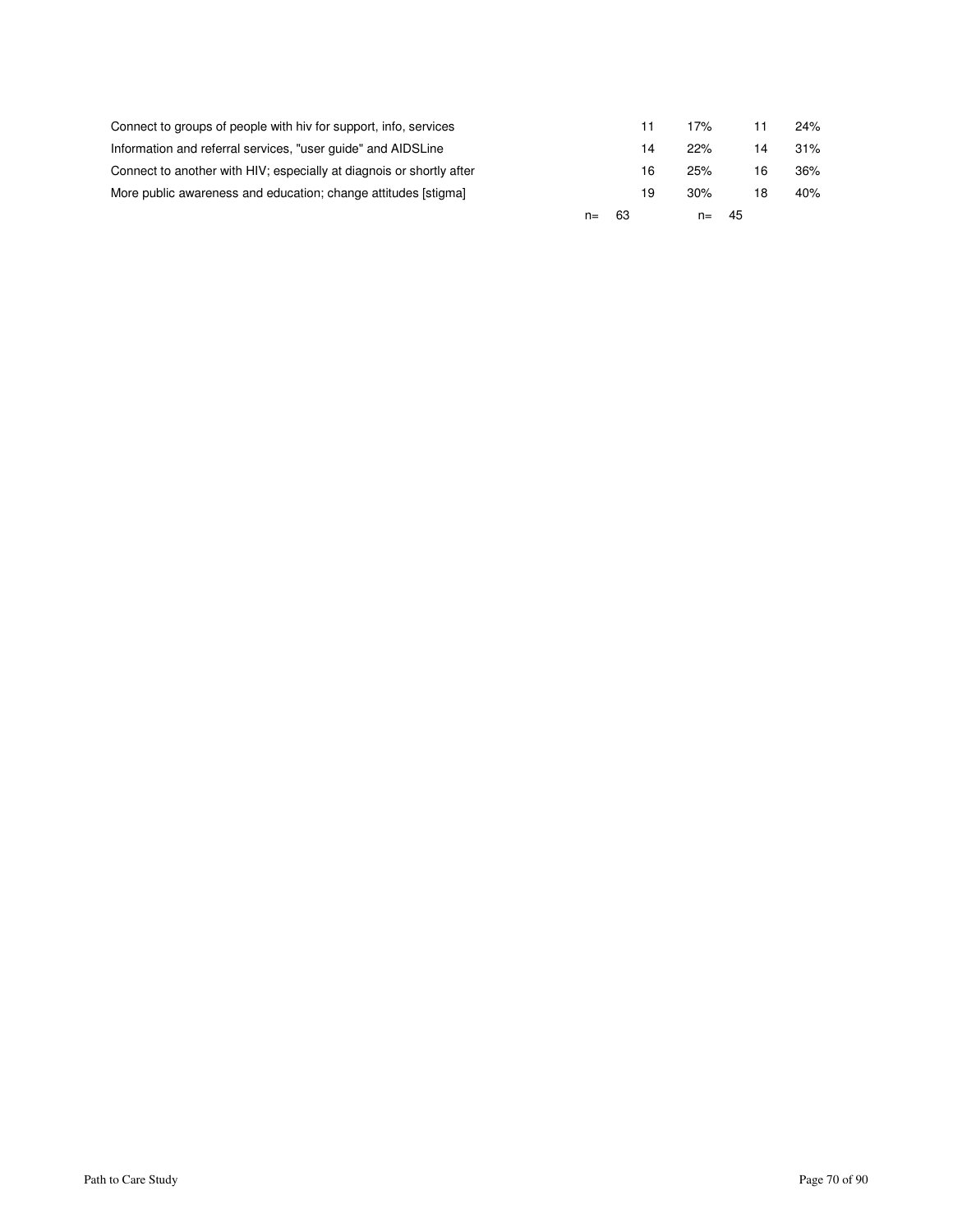|                                                                      | n= | 63 |    | $n =$ | - 45 |    |     |
|----------------------------------------------------------------------|----|----|----|-------|------|----|-----|
| More public awareness and education; change attitudes [stigma]       |    |    | 19 | 30%   |      | 18 | 40% |
| Connect to another with HIV; especially at diagnois or shortly after |    |    | 16 | 25%   |      | 16 | 36% |
| Information and referral services, "user guide" and AIDSLine         |    |    | 14 | 22%   |      | 14 | 31% |
| Connect to groups of people with hiv for support, info, services     |    |    | 11 | 17%   |      |    | 24% |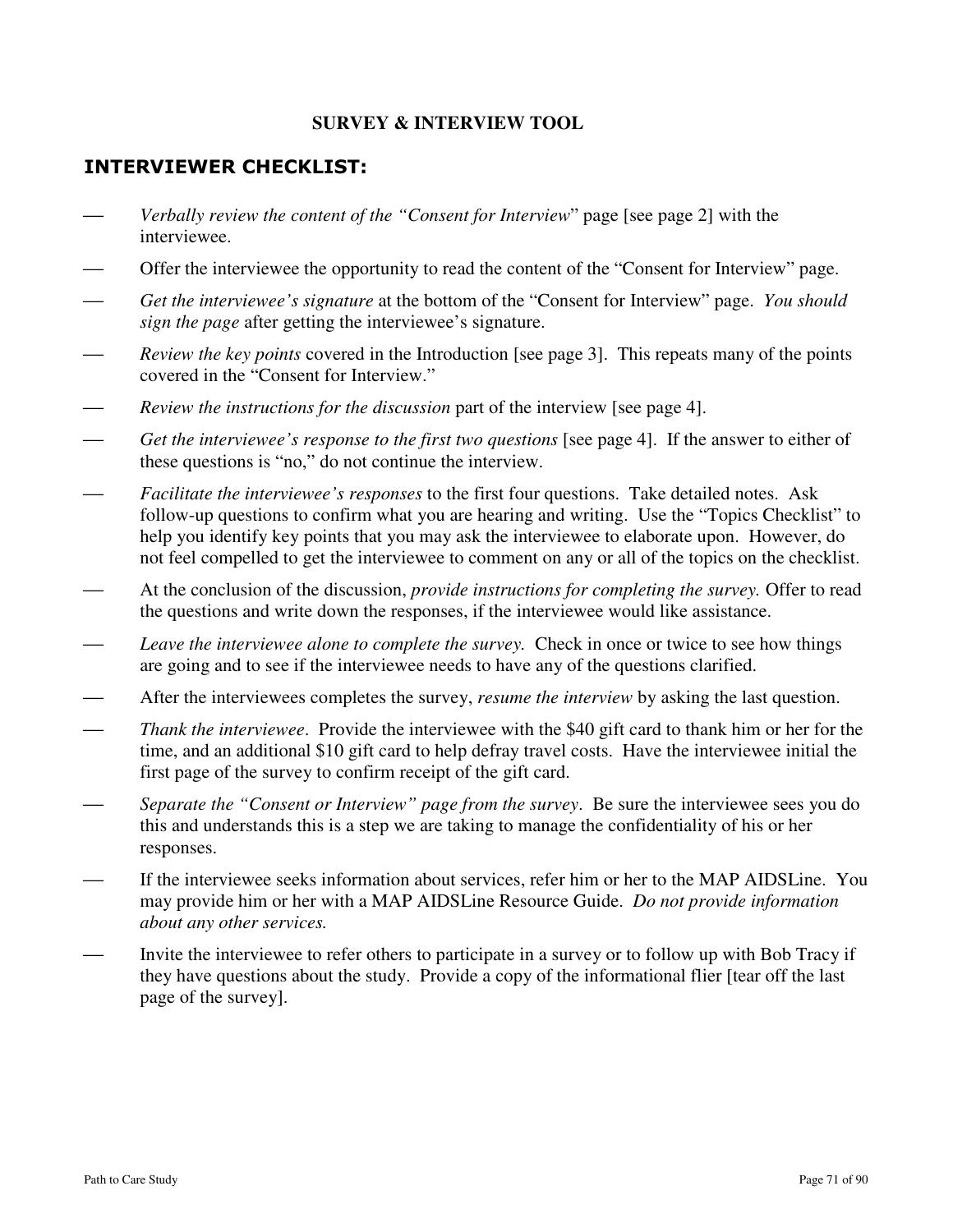### **SURVEY & INTERVIEW TOOL**

# INTERVIEWER CHECKLIST:

- *Verbally review the content of the "Consent for Interview*" page [see page 2] with the interviewee.
- Offer the interviewee the opportunity to read the content of the "Consent for Interview" page.
- *Get the interviewee's signature* at the bottom of the "Consent for Interview" page. *You should sign the page* after getting the interviewee's signature.
- *Review the key points* covered in the Introduction [see page 3]. This repeats many of the points covered in the "Consent for Interview."
- *Review the instructions for the discussion* part of the interview [see page 4].
- *Get the interviewee's response to the first two questions* [see page 4]. If the answer to either of these questions is "no," do not continue the interview.
- *Facilitate the interviewee's responses* to the first four questions. Take detailed notes. Ask follow-up questions to confirm what you are hearing and writing. Use the "Topics Checklist" to help you identify key points that you may ask the interviewee to elaborate upon. However, do not feel compelled to get the interviewee to comment on any or all of the topics on the checklist.
- At the conclusion of the discussion, *provide instructions for completing the survey.* Offer to read the questions and write down the responses, if the interviewee would like assistance.
- *Leave the interviewee alone to complete the survey.* Check in once or twice to see how things are going and to see if the interviewee needs to have any of the questions clarified.
- After the interviewees completes the survey, *resume the interview* by asking the last question.
- *Thank the interviewee*. Provide the interviewee with the \$40 gift card to thank him or her for the time, and an additional \$10 gift card to help defray travel costs. Have the interviewee initial the first page of the survey to confirm receipt of the gift card.
- *Separate the "Consent or Interview" page from the survey*. Be sure the interviewee sees you do this and understands this is a step we are taking to manage the confidentiality of his or her responses.
- If the interviewee seeks information about services, refer him or her to the MAP AIDSLine. You may provide him or her with a MAP AIDSLine Resource Guide. *Do not provide information about any other services.*
- Invite the interviewee to refer others to participate in a survey or to follow up with Bob Tracy if they have questions about the study. Provide a copy of the informational flier [tear off the last page of the survey].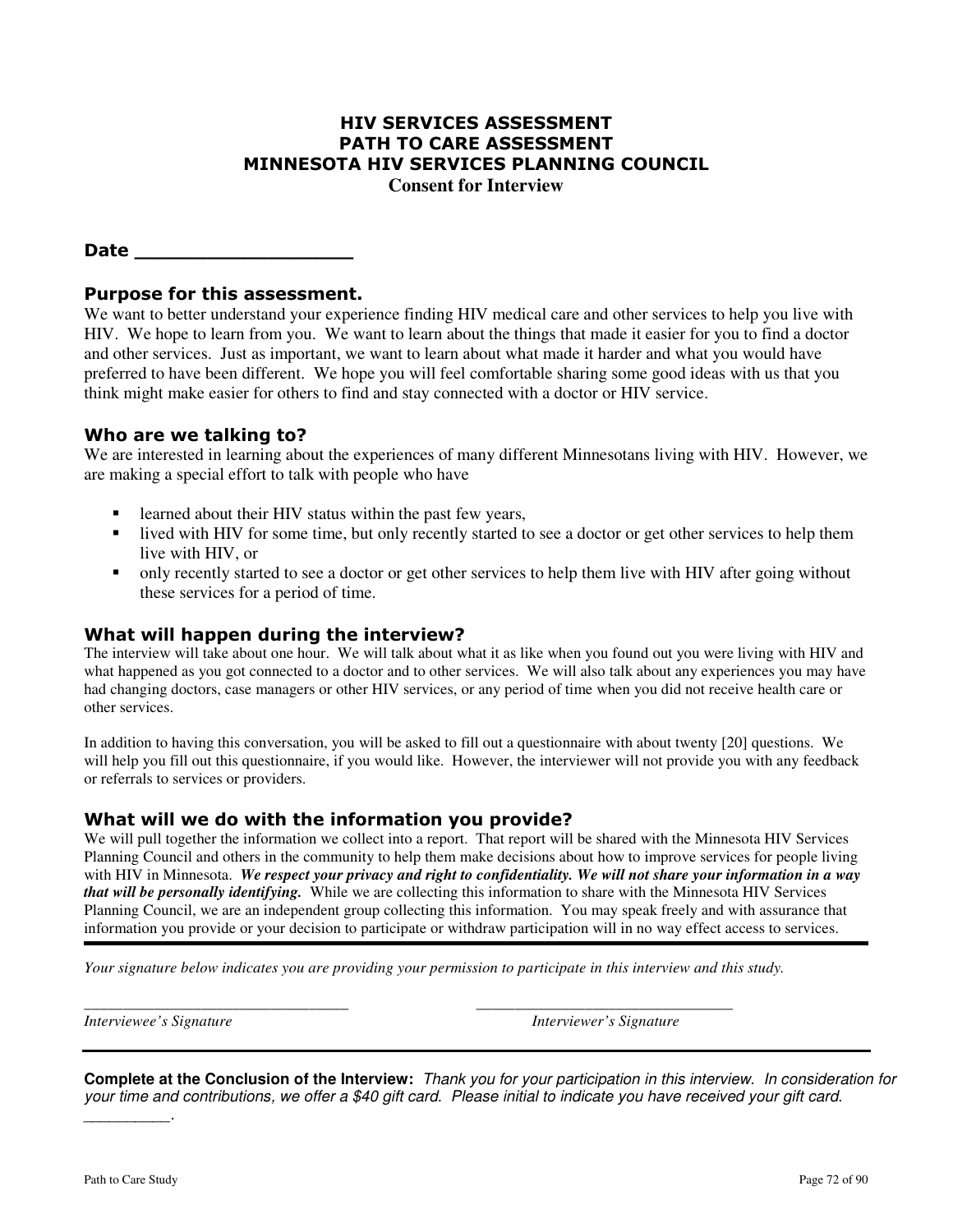## HIV SERVICES ASSESSMENT PATH TO CARE ASSESSMENT MINNESOTA HIV SERVICES PLANNING COUNCIL

**Consent for Interview** 

## Date  $\Box$

## Purpose for this assessment.

We want to better understand your experience finding HIV medical care and other services to help you live with HIV. We hope to learn from you. We want to learn about the things that made it easier for you to find a doctor and other services. Just as important, we want to learn about what made it harder and what you would have preferred to have been different. We hope you will feel comfortable sharing some good ideas with us that you think might make easier for others to find and stay connected with a doctor or HIV service.

### Who are we talking to?

We are interested in learning about the experiences of many different Minnesotans living with HIV. However, we are making a special effort to talk with people who have

- learned about their HIV status within the past few years,
- lived with HIV for some time, but only recently started to see a doctor or get other services to help them live with HIV, or
- only recently started to see a doctor or get other services to help them live with HIV after going without these services for a period of time.

## What will happen during the interview?

The interview will take about one hour. We will talk about what it as like when you found out you were living with HIV and what happened as you got connected to a doctor and to other services. We will also talk about any experiences you may have had changing doctors, case managers or other HIV services, or any period of time when you did not receive health care or other services.

In addition to having this conversation, you will be asked to fill out a questionnaire with about twenty [20] questions. We will help you fill out this questionnaire, if you would like. However, the interviewer will not provide you with any feedback or referrals to services or providers.

### What will we do with the information you provide?

We will pull together the information we collect into a report. That report will be shared with the Minnesota HIV Services Planning Council and others in the community to help them make decisions about how to improve services for people living with HIV in Minnesota. *We respect your privacy and right to confidentiality. We will not share your information in a way that will be personally identifying.* While we are collecting this information to share with the Minnesota HIV Services Planning Council, we are an independent group collecting this information. You may speak freely and with assurance that information you provide or your decision to participate or withdraw participation will in no way effect access to services.

*Your signature below indicates you are providing your permission to participate in this interview and this study.* 

*\_\_\_\_\_\_\_\_\_\_\_\_\_\_\_\_\_\_\_\_\_\_\_\_\_\_\_\_\_\_\_\_\_\_ \_\_\_\_\_\_\_\_\_\_\_\_\_\_\_\_\_\_\_\_\_\_\_\_\_\_\_\_\_\_\_\_\_* 

*Interviewee's Signature* **Interviewer's Signature Interviewer's Signature** 

**Complete at the Conclusion of the Interview:** Thank you for your participation in this interview. In consideration for your time and contributions, we offer a \$40 gift card. Please initial to indicate you have received your gift card.  $\overline{\phantom{a}}$  . The set of the set of the set of the set of the set of the set of the set of the set of the set of the set of the set of the set of the set of the set of the set of the set of the set of the set of the set o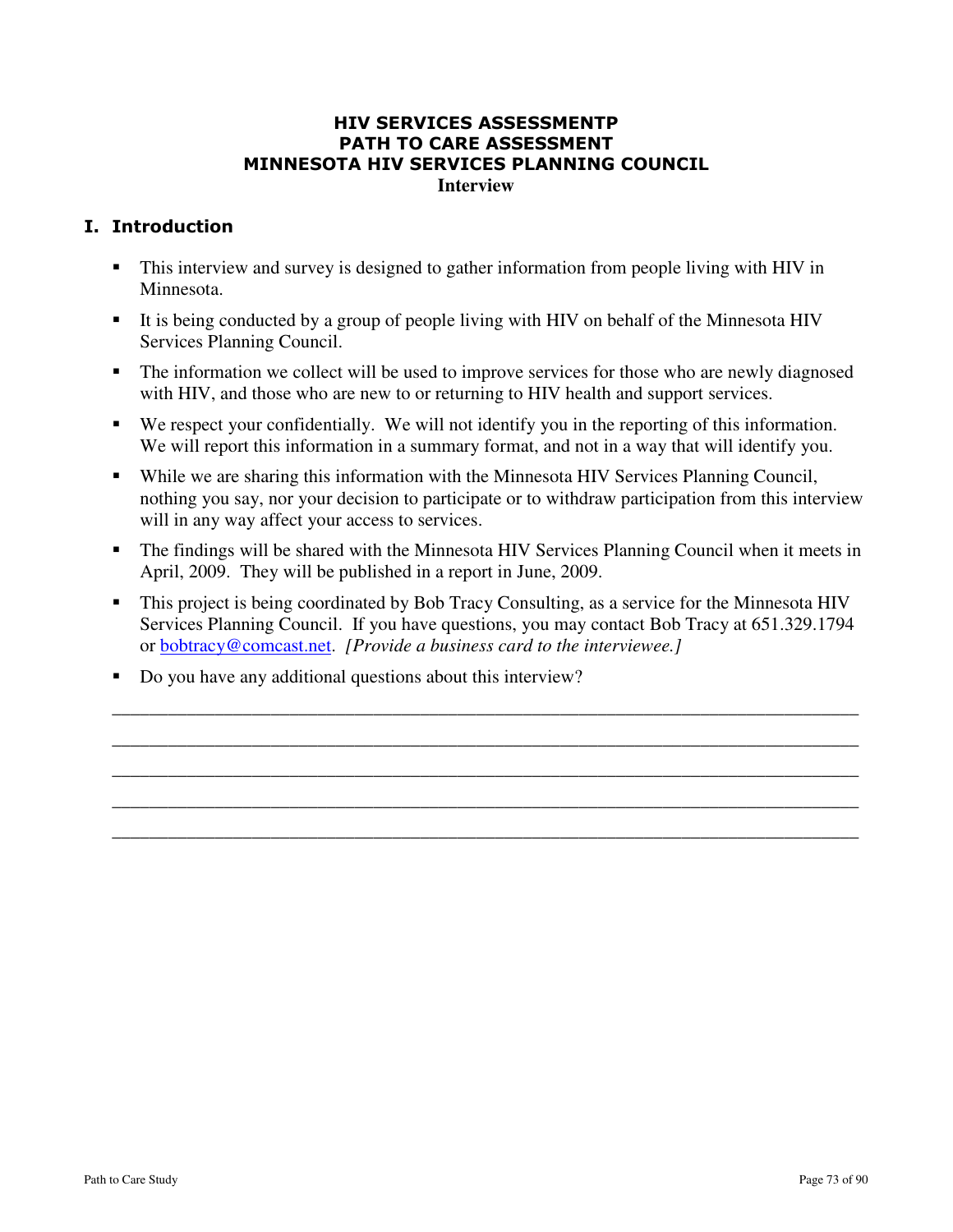### HIV SERVICES ASSESSMENTP PATH TO CARE ASSESSMENT MINNESOTA HIV SERVICES PLANNING COUNCIL **Interview**

# I. Introduction

- This interview and survey is designed to gather information from people living with HIV in Minnesota.
- It is being conducted by a group of people living with HIV on behalf of the Minnesota HIV Services Planning Council.
- The information we collect will be used to improve services for those who are newly diagnosed with HIV, and those who are new to or returning to HIV health and support services.
- We respect your confidentially. We will not identify you in the reporting of this information. We will report this information in a summary format, and not in a way that will identify you.
- While we are sharing this information with the Minnesota HIV Services Planning Council, nothing you say, nor your decision to participate or to withdraw participation from this interview will in any way affect your access to services.
- The findings will be shared with the Minnesota HIV Services Planning Council when it meets in April, 2009. They will be published in a report in June, 2009.
- This project is being coordinated by Bob Tracy Consulting, as a service for the Minnesota HIV Services Planning Council. If you have questions, you may contact Bob Tracy at 651.329.1794 or bobtracy@comcast.net. *[Provide a business card to the interviewee.]*

\_\_\_\_\_\_\_\_\_\_\_\_\_\_\_\_\_\_\_\_\_\_\_\_\_\_\_\_\_\_\_\_\_\_\_\_\_\_\_\_\_\_\_\_\_\_\_\_\_\_\_\_\_\_\_\_\_\_\_\_\_\_\_\_\_\_\_\_\_\_\_\_\_\_\_\_\_\_\_\_ \_\_\_\_\_\_\_\_\_\_\_\_\_\_\_\_\_\_\_\_\_\_\_\_\_\_\_\_\_\_\_\_\_\_\_\_\_\_\_\_\_\_\_\_\_\_\_\_\_\_\_\_\_\_\_\_\_\_\_\_\_\_\_\_\_\_\_\_\_\_\_\_\_\_\_\_\_\_\_\_ \_\_\_\_\_\_\_\_\_\_\_\_\_\_\_\_\_\_\_\_\_\_\_\_\_\_\_\_\_\_\_\_\_\_\_\_\_\_\_\_\_\_\_\_\_\_\_\_\_\_\_\_\_\_\_\_\_\_\_\_\_\_\_\_\_\_\_\_\_\_\_\_\_\_\_\_\_\_\_\_ \_\_\_\_\_\_\_\_\_\_\_\_\_\_\_\_\_\_\_\_\_\_\_\_\_\_\_\_\_\_\_\_\_\_\_\_\_\_\_\_\_\_\_\_\_\_\_\_\_\_\_\_\_\_\_\_\_\_\_\_\_\_\_\_\_\_\_\_\_\_\_\_\_\_\_\_\_\_\_\_ \_\_\_\_\_\_\_\_\_\_\_\_\_\_\_\_\_\_\_\_\_\_\_\_\_\_\_\_\_\_\_\_\_\_\_\_\_\_\_\_\_\_\_\_\_\_\_\_\_\_\_\_\_\_\_\_\_\_\_\_\_\_\_\_\_\_\_\_\_\_\_\_\_\_\_\_\_\_\_\_

Do you have any additional questions about this interview?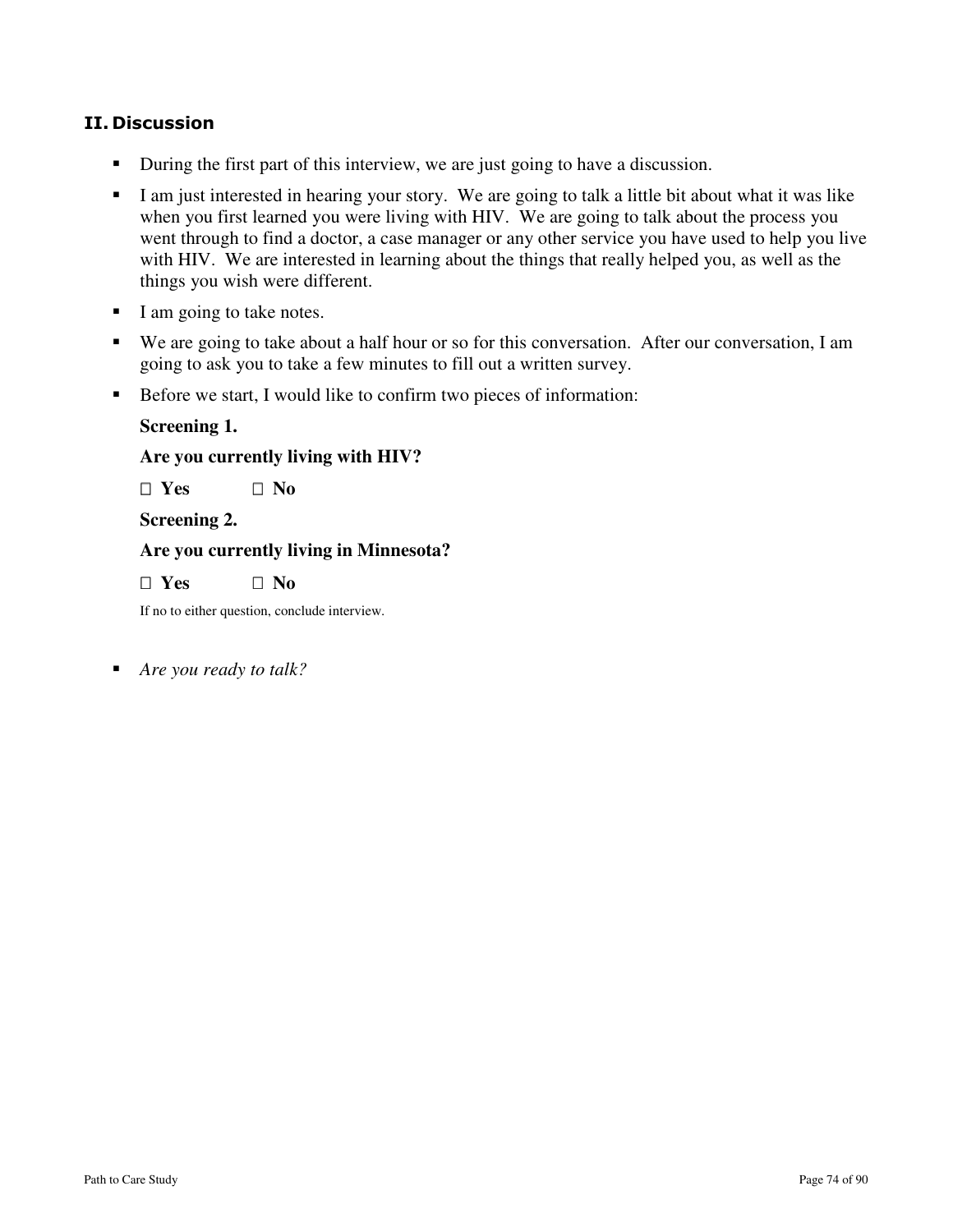# II. Discussion

- During the first part of this interview, we are just going to have a discussion.
- I am just interested in hearing your story. We are going to talk a little bit about what it was like when you first learned you were living with HIV. We are going to talk about the process you went through to find a doctor, a case manager or any other service you have used to help you live with HIV. We are interested in learning about the things that really helped you, as well as the things you wish were different.
- I am going to take notes.
- We are going to take about a half hour or so for this conversation. After our conversation, I am going to ask you to take a few minutes to fill out a written survey.
- Before we start, I would like to confirm two pieces of information:

### **Screening 1.**

**Are you currently living with HIV?** 

 **Yes No** 

**Screening 2.** 

#### **Are you currently living in Minnesota?**

 **Yes No** 

If no to either question, conclude interview.

*Are you ready to talk?*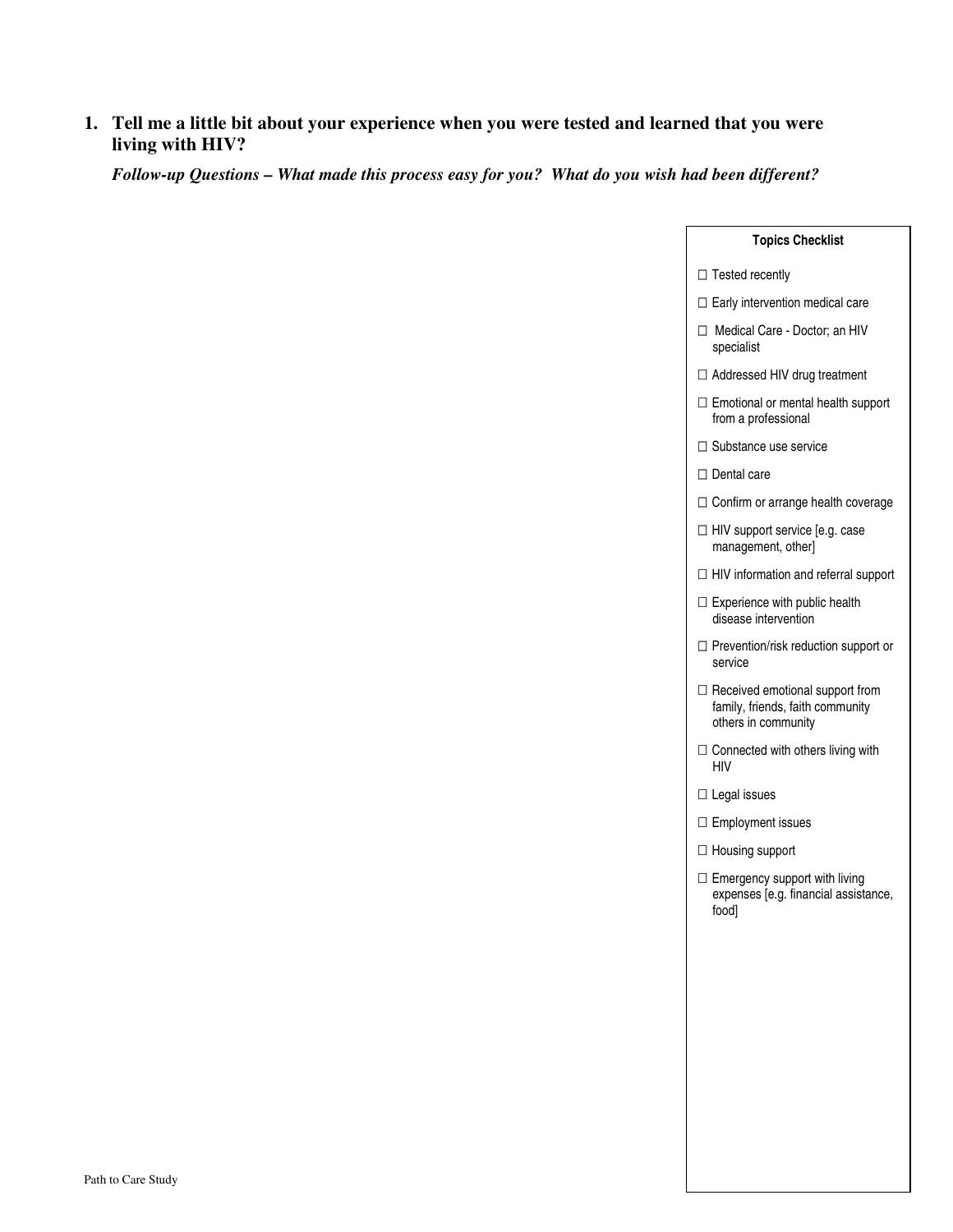### **1. Tell me a little bit about your experience when you were tested and learned that you were living with HIV?**

*Follow-up Questions – What made this process easy for you? What do you wish had been different?* 

#### **Topics Checklist**

#### Tested recently

Early intervention medical care

 Medical Care - Doctor; an HIV specialist

Addressed HIV drug treatment

 Emotional or mental health support from a professional

Substance use service

Dental care

Confirm or arrange health coverage

 HIV support service [e.g. case management, other]

HIV information and referral support

 Experience with public health disease intervention

 Prevention/risk reduction support or service

 Received emotional support from family, friends, faith community others in community

 Connected with others living with HIV

Legal issues

Employment issues

Housing support

 Emergency support with living expenses [e.g. financial assistance, food]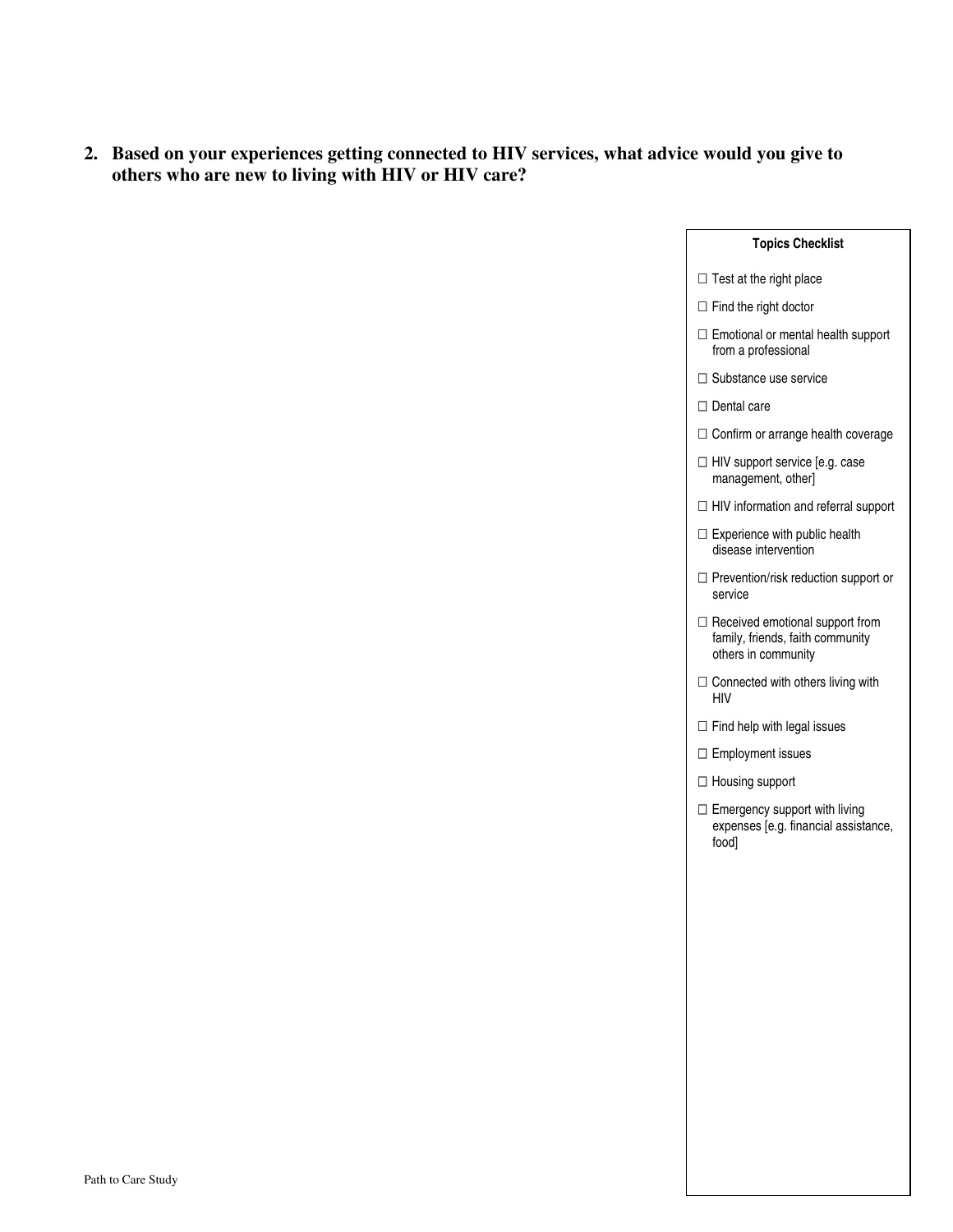**2. Based on your experiences getting connected to HIV services, what advice would you give to others who are new to living with HIV or HIV care?** 

#### **Topics Checklist**

#### Test at the right place

Find the right doctor

 Emotional or mental health support from a professional

Substance use service

Dental care

Confirm or arrange health coverage

 HIV support service [e.g. case management, other]

HIV information and referral support

 Experience with public health disease intervention

 Prevention/risk reduction support or service

 Received emotional support from family, friends, faith community others in community

 Connected with others living with HIV

Find help with legal issues

Employment issues

Housing support

 Emergency support with living expenses [e.g. financial assistance, food]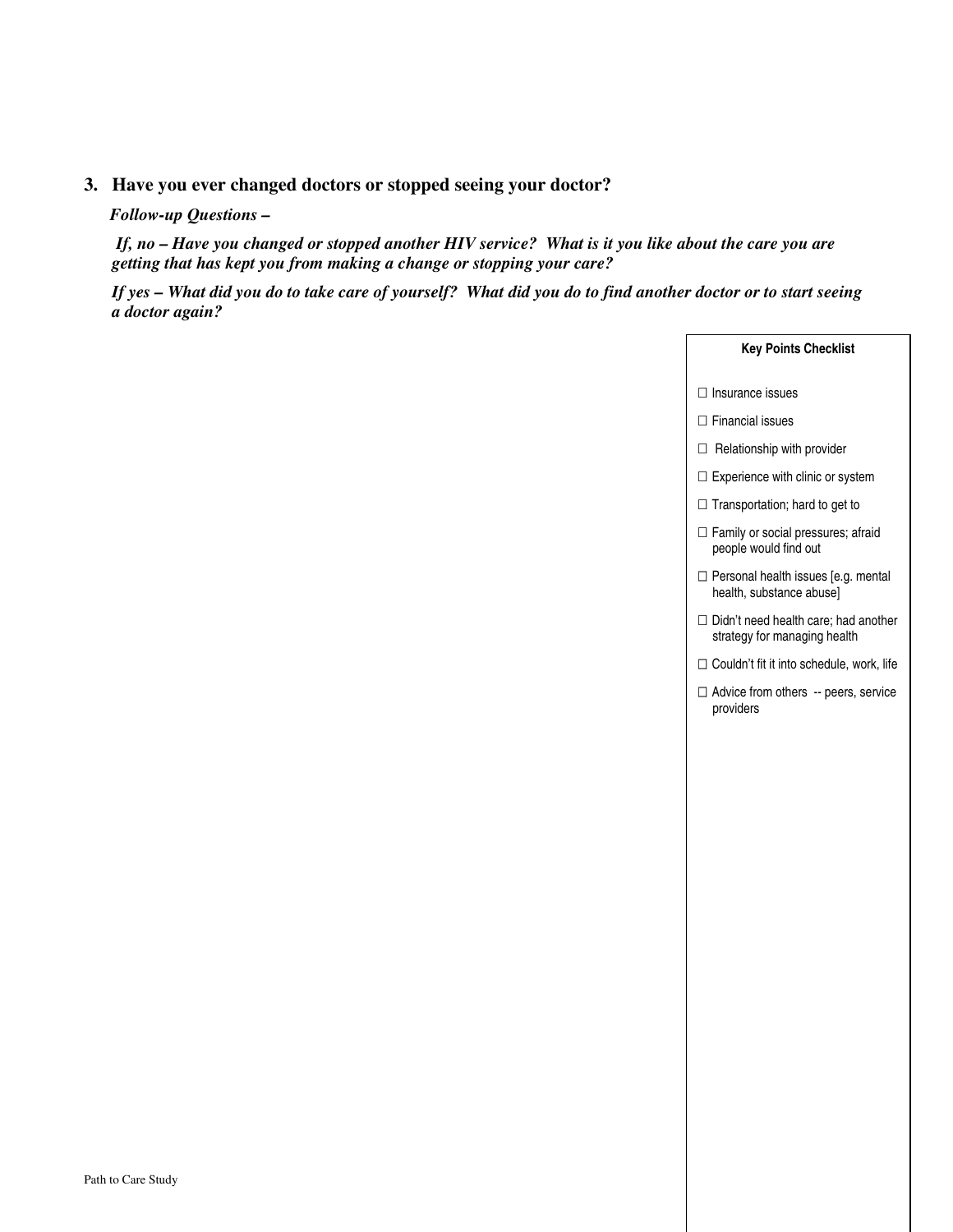## **3. Have you ever changed doctors or stopped seeing your doctor?**

#### *Follow-up Questions –*

 *If, no – Have you changed or stopped another HIV service? What is it you like about the care you are getting that has kept you from making a change or stopping your care?* 

 *If yes – What did you do to take care of yourself? What did you do to find another doctor or to start seeing a doctor again?* 

| <b>Key Points Checklist</b>                                          |
|----------------------------------------------------------------------|
| Insurance issues                                                     |
| Financial issues                                                     |
| Relationship with provider                                           |
| Experience with clinic or system                                     |
| Transportation; hard to get to                                       |
| Family or social pressures; afraid<br>people would find out          |
| Personal health issues [e.g. mental<br>health, substance abuse]      |
| Didn't need health care; had another<br>strategy for managing health |
| Couldn't fit it into schedule, work, life                            |
| Advice from others -- peers, service<br>providers                    |
|                                                                      |
|                                                                      |
|                                                                      |
|                                                                      |
|                                                                      |
|                                                                      |
|                                                                      |
|                                                                      |
|                                                                      |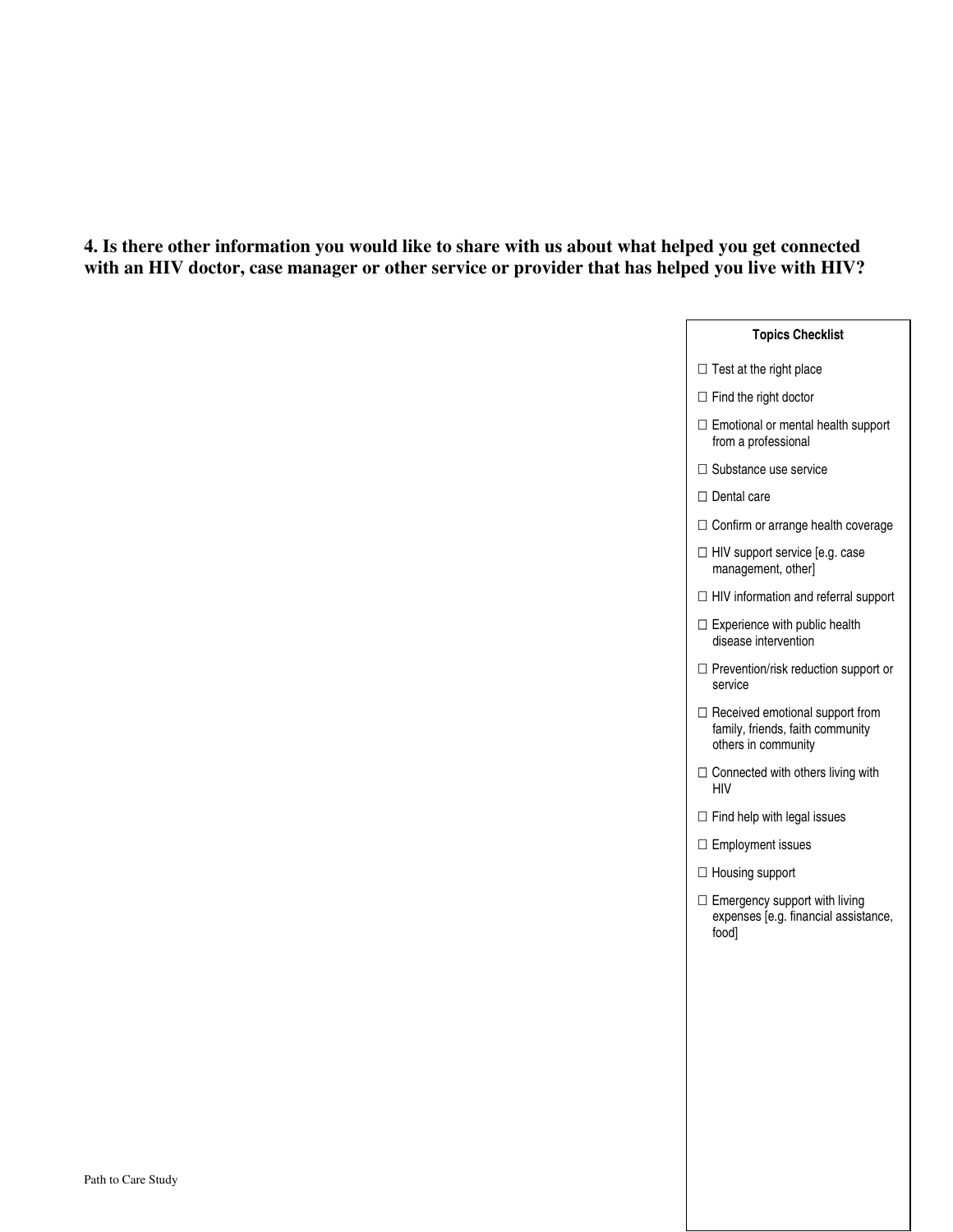### **4. Is there other information you would like to share with us about what helped you get connected with an HIV doctor, case manager or other service or provider that has helped you live with HIV?**

# **Topics Checklist**

Test at the right place

Find the right doctor

 Emotional or mental health support from a professional

Substance use service

Dental care

Confirm or arrange health coverage

 HIV support service [e.g. case management, other]

HIV information and referral support

 Experience with public health disease intervention

 Prevention/risk reduction support or service

 Received emotional support from family, friends, faith community others in community

 Connected with others living with HIV

Find help with legal issues

Employment issues

Housing support

 Emergency support with living expenses [e.g. financial assistance, food]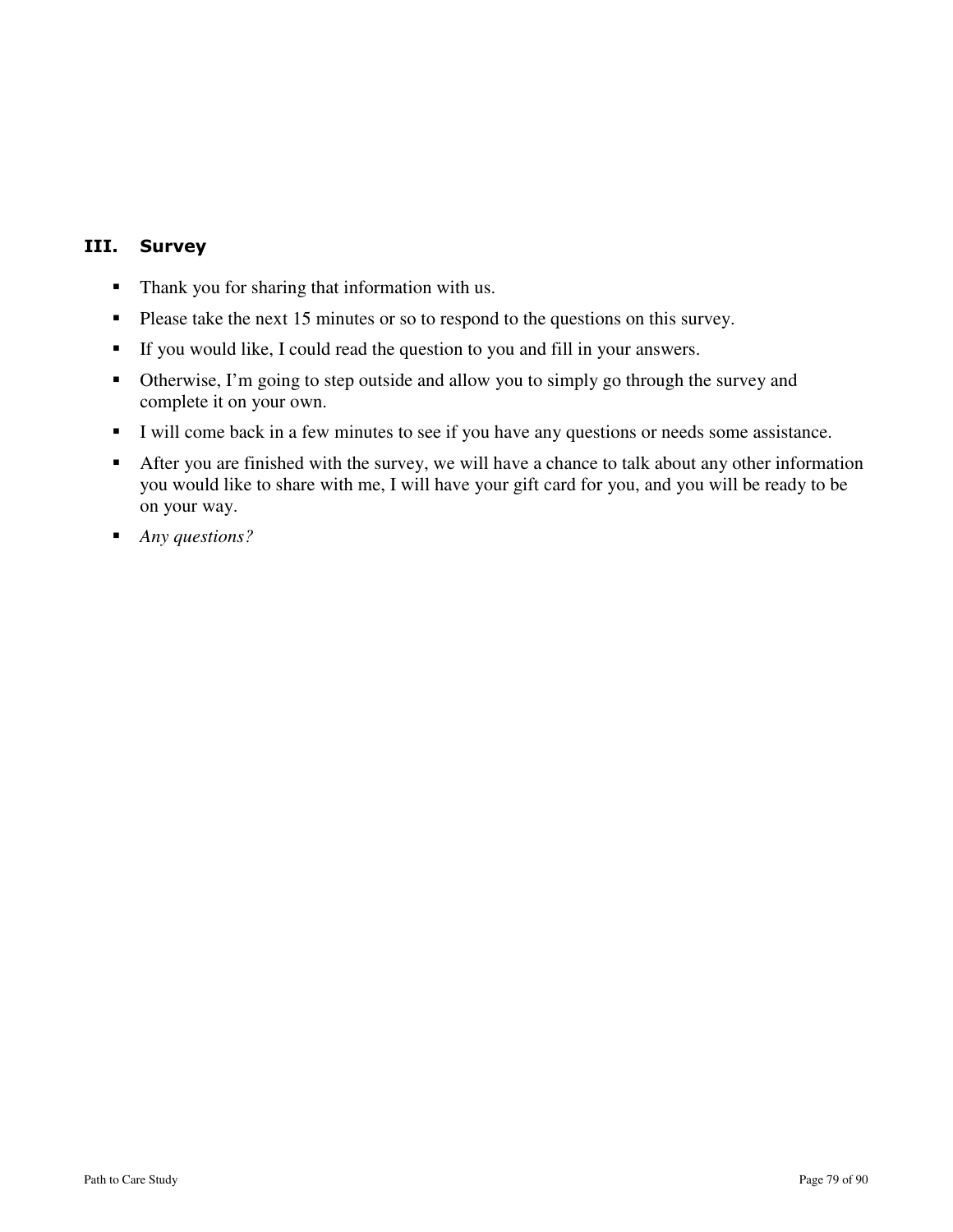# III. Survey

- Thank you for sharing that information with us.
- Please take the next 15 minutes or so to respond to the questions on this survey.
- If you would like, I could read the question to you and fill in your answers.
- Otherwise, I'm going to step outside and allow you to simply go through the survey and complete it on your own.
- I will come back in a few minutes to see if you have any questions or needs some assistance.
- After you are finished with the survey, we will have a chance to talk about any other information you would like to share with me, I will have your gift card for you, and you will be ready to be on your way.
- *Any questions?*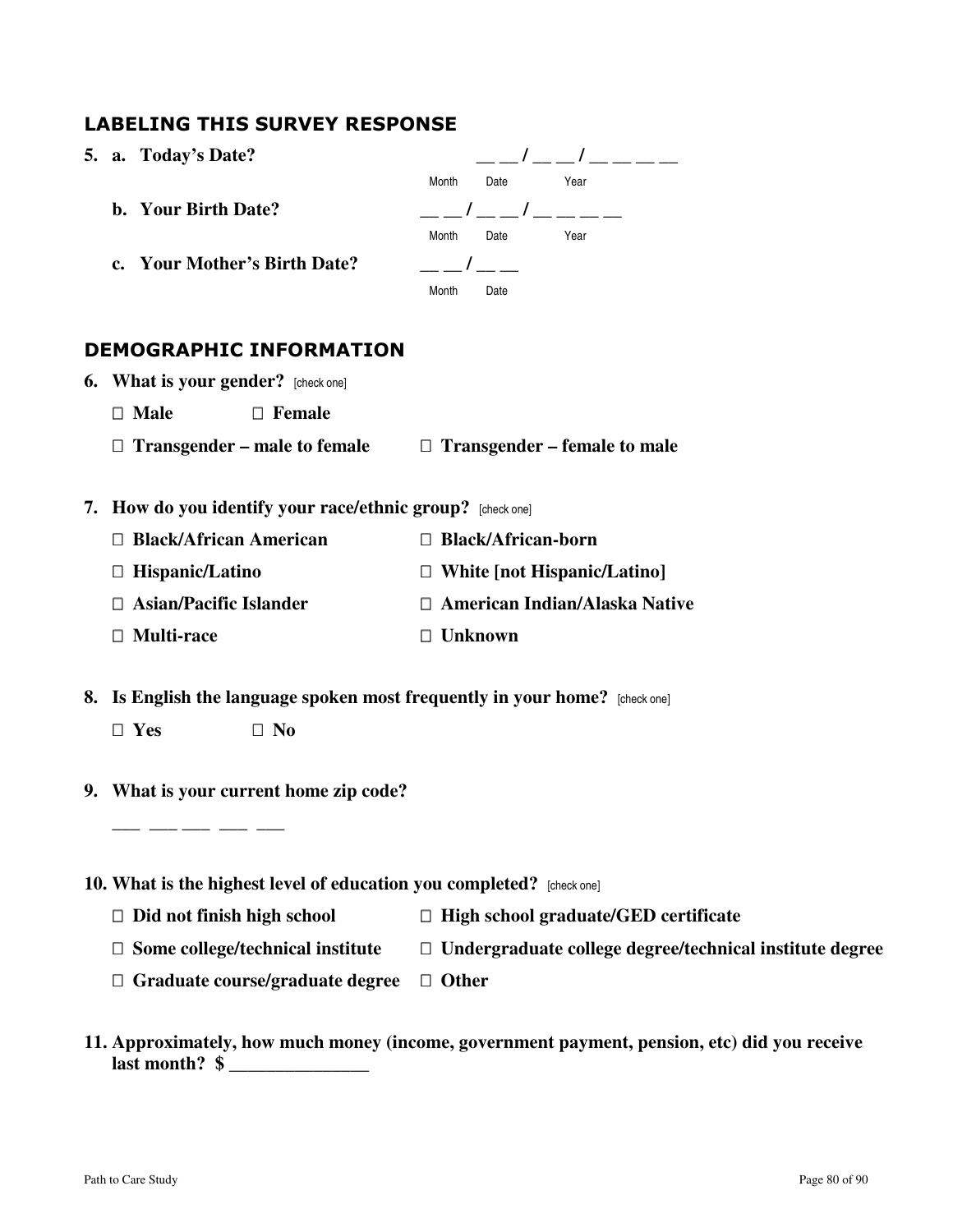# LABELING THIS SURVEY RESPONSE

**5. a.** Today's Date?  $\begin{array}{ccc} - & / & - \end{array}$ **Month** Date Year **b.** Your Birth Date?  $\begin{array}{c} \hline \end{array}$ **Month** Date Year **c.** Your Mother's Birth Date?  $\qquad \qquad \qquad \_ \qquad \_ \_ \qquad \_ \_ \_ \qquad$ **Month** Date

# DEMOGRAPHIC INFORMATION

| <b>6.</b> What is your gender? [check one] |        |                                     |
|--------------------------------------------|--------|-------------------------------------|
| Male                                       | Female |                                     |
| <b>Transgender – male to female</b>        |        | <b>Transgender</b> – female to male |

**7. How do you identify your race/ethnic group?** [check one]

| <b>Black/African American</b> | <b>Black/African-born</b>     |
|-------------------------------|-------------------------------|
| Hispanic/Latino               | White [not Hispanic/Latino]   |
| Asian/Pacific Islander        | American Indian/Alaska Native |
| <b>Multi-race</b>             | <b>Unknown</b>                |

- **8. Is English the language spoken most frequently in your home?** [check one]  **Yes No**
- **9. What is your current home zip code?**

 **\_\_\_ \_\_\_ \_\_\_ \_\_\_ \_\_\_** 

**10. What is the highest level of education you completed?** [check one]

| Did not finish high school       | High school graduate/GED certificate                    |
|----------------------------------|---------------------------------------------------------|
| Some college/technical institute | Undergraduate college degree/technical institute degree |
| Graduate course/graduate degree  | <b>Other</b>                                            |

**11. Approximately, how much money (income, government payment, pension, etc) did you receive last month?** \$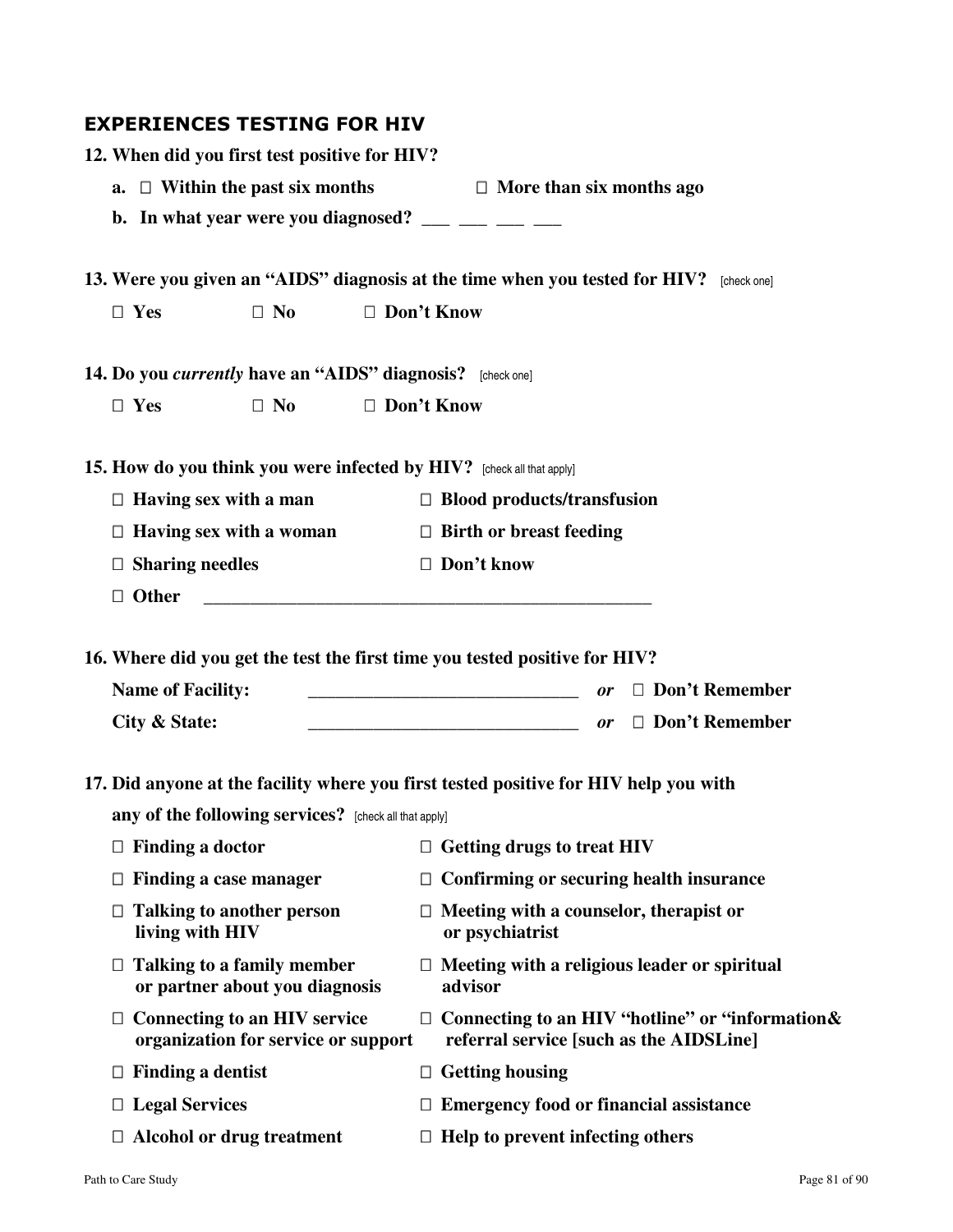# EXPERIENCES TESTING FOR HIV

|    | 12. When did you first test positive for HIV?                                                             |                            |                                                                                                                       |                                   |           |                                                                                             |
|----|-----------------------------------------------------------------------------------------------------------|----------------------------|-----------------------------------------------------------------------------------------------------------------------|-----------------------------------|-----------|---------------------------------------------------------------------------------------------|
| a. |                                                                                                           | Within the past six months |                                                                                                                       | More than six months ago          |           |                                                                                             |
|    | b. In what year were you diagnosed? $\frac{1}{1}$ $\frac{1}{1}$ $\frac{1}{1}$ $\frac{1}{1}$ $\frac{1}{1}$ |                            |                                                                                                                       |                                   |           |                                                                                             |
|    |                                                                                                           |                            |                                                                                                                       |                                   |           |                                                                                             |
|    | 13. Were you given an "AIDS" diagnosis at the time when you tested for HIV? [check one]                   |                            |                                                                                                                       |                                   |           |                                                                                             |
|    | Yes                                                                                                       | N <sub>0</sub>             | Don't Know                                                                                                            |                                   |           |                                                                                             |
|    | 14. Do you <i>currently</i> have an "AIDS" diagnosis? [check one]                                         |                            |                                                                                                                       |                                   |           |                                                                                             |
|    | Yes                                                                                                       | N <sub>0</sub>             | Don't Know                                                                                                            |                                   |           |                                                                                             |
|    | 15. How do you think you were infected by HIV? [check all that apply]                                     |                            |                                                                                                                       |                                   |           |                                                                                             |
|    | Having sex with a man                                                                                     |                            |                                                                                                                       | <b>Blood products/transfusion</b> |           |                                                                                             |
|    | Having sex with a woman                                                                                   |                            |                                                                                                                       | <b>Birth or breast feeding</b>    |           |                                                                                             |
|    | <b>Sharing needles</b>                                                                                    |                            |                                                                                                                       | Don't know                        |           |                                                                                             |
|    | <b>Other</b>                                                                                              |                            |                                                                                                                       |                                   |           |                                                                                             |
|    | 16. Where did you get the test the first time you tested positive for HIV?<br><b>Name of Facility:</b>    |                            | <u> 1990 - Johann Harry Harry Harry Harry Harry Harry Harry Harry Harry Harry Harry Harry Harry Harry Harry Harry</u> |                                   | <b>or</b> | Don't Remember                                                                              |
|    | City & State:                                                                                             |                            | <u> 2000 - Jan James James Barnett, amerikansk politik (</u>                                                          |                                   | 0r        | Don't Remember                                                                              |
|    | 17. Did anyone at the facility where you first tested positive for HIV help you with                      |                            |                                                                                                                       |                                   |           |                                                                                             |
|    | any of the following services? [check all that apply]                                                     |                            |                                                                                                                       |                                   |           |                                                                                             |
|    | <b>Finding a doctor</b>                                                                                   |                            |                                                                                                                       | <b>Getting drugs to treat HIV</b> |           |                                                                                             |
|    | Finding a case manager                                                                                    |                            |                                                                                                                       |                                   |           | Confirming or securing health insurance                                                     |
|    | <b>Talking to another person</b><br>living with HIV                                                       |                            |                                                                                                                       | or psychiatrist                   |           | Meeting with a counselor, therapist or                                                      |
|    | <b>Talking to a family member</b><br>or partner about you diagnosis                                       |                            | advisor                                                                                                               |                                   |           | Meeting with a religious leader or spiritual                                                |
|    | <b>Connecting to an HIV service</b><br>organization for service or support                                |                            |                                                                                                                       |                                   |           | Connecting to an HIV "hotline" or "information &<br>referral service [such as the AIDSLine] |
|    | <b>Finding a dentist</b>                                                                                  |                            |                                                                                                                       | <b>Getting housing</b>            |           |                                                                                             |
|    | <b>Legal Services</b>                                                                                     |                            |                                                                                                                       |                                   |           | <b>Emergency food or financial assistance</b>                                               |
|    | <b>Alcohol or drug treatment</b>                                                                          |                            |                                                                                                                       | Help to prevent infecting others  |           |                                                                                             |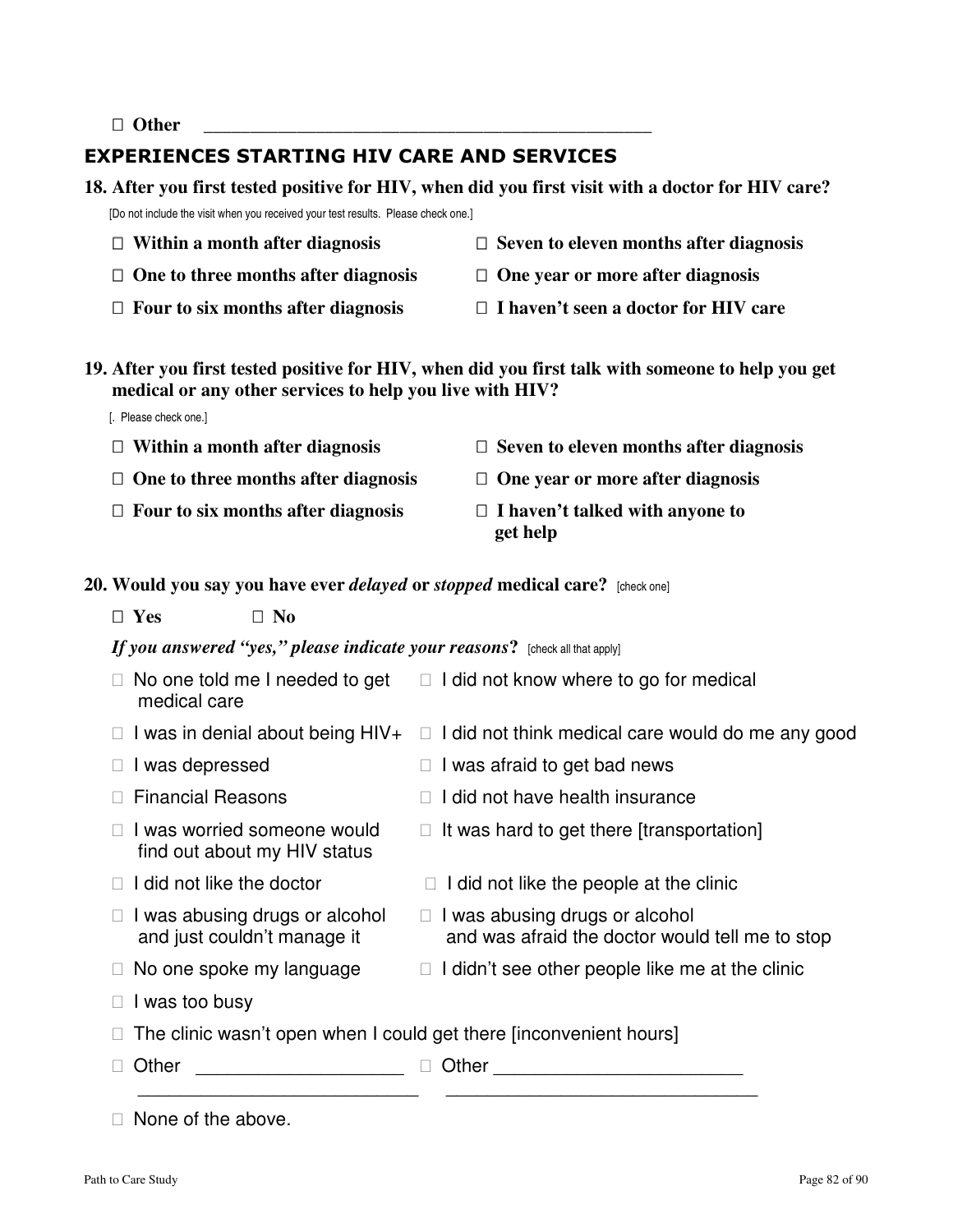**Other \_\_\_\_\_\_\_\_\_\_\_\_\_\_\_\_\_\_\_\_\_\_\_\_\_\_\_\_\_\_\_\_\_\_\_\_\_\_\_\_\_\_\_\_\_\_\_\_** 

[. Please check one.]

# EXPERIENCES STARTING HIV CARE AND SERVICES

**18. After you first tested positive for HIV, when did you first visit with a doctor for HIV care?** 

[Do not include the visit when you received your test results. Please check one.]

| Within a month after diagnosis      | Seven to eleven months after diagnosis |
|-------------------------------------|----------------------------------------|
| One to three months after diagnosis | One year or more after diagnosis       |
| Four to six months after diagnosis  | I haven't seen a doctor for HIV care   |

**19. After you first tested positive for HIV, when did you first talk with someone to help you get medical or any other services to help you live with HIV?** 

| Within a month after diagnosis      | Seven to eleven months after diagnosis      |
|-------------------------------------|---------------------------------------------|
| One to three months after diagnosis | One year or more after diagnosis            |
| Four to six months after diagnosis  | I haven't talked with anyone to<br>get help |

**20. Would you say you have ever** *delayed* **or** *stopped* **medical care?** [check one]

 **Yes No** 

*If you answered "yes," please indicate your reasons***?** [check all that apply]

| No one told me I needed to get<br>medical care                     | I did not know where to go for medical                                            |
|--------------------------------------------------------------------|-----------------------------------------------------------------------------------|
| I was in denial about being HIV+                                   | I did not think medical care would do me any good                                 |
| I was depressed                                                    | I was afraid to get bad news                                                      |
| <b>Financial Reasons</b>                                           | I did not have health insurance                                                   |
| I was worried someone would<br>find out about my HIV status        | It was hard to get there [transportation]                                         |
| I did not like the doctor                                          | I did not like the people at the clinic                                           |
| I was abusing drugs or alcohol<br>and just couldn't manage it      | I was abusing drugs or alcohol<br>and was afraid the doctor would tell me to stop |
| No one spoke my language                                           | I didn't see other people like me at the clinic                                   |
| I was too busy                                                     |                                                                                   |
| The clinic wasn't open when I could get there [inconvenient hours] |                                                                                   |
| Other                                                              | Other                                                                             |

None of the above.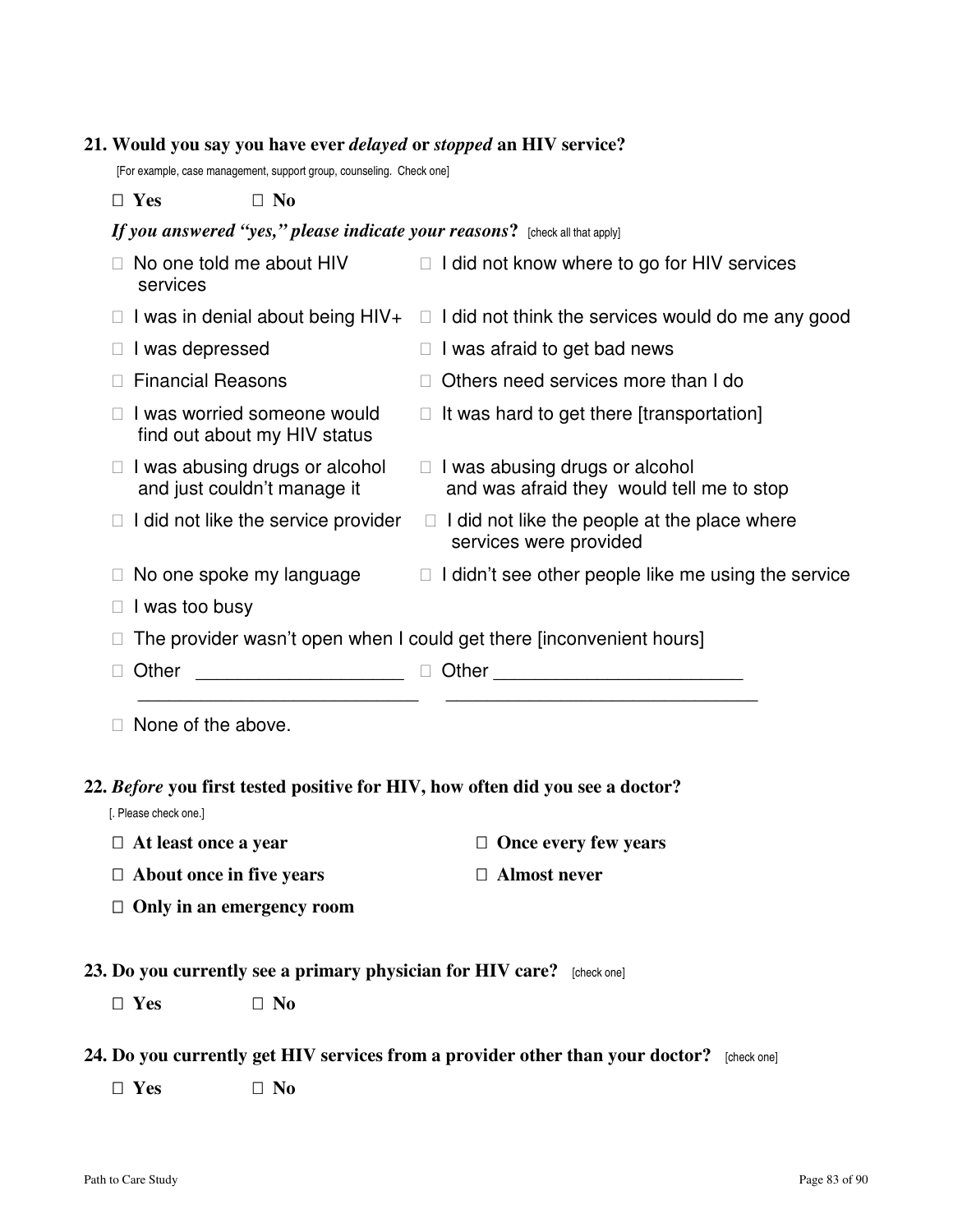#### **21. Would you say you have ever** *delayed* **or** *stopped* **an HIV service?**

[For example, case management, support group, counseling. Check one]

#### **Yes No**

### *If you answered "yes," please indicate your reasons?* [check all that apply]

| No one told me about HIV<br>services                                 | I did not know where to go for HIV services                                 |
|----------------------------------------------------------------------|-----------------------------------------------------------------------------|
| I was in denial about being HIV+                                     | I did not think the services would do me any good                           |
| I was depressed                                                      | I was afraid to get bad news                                                |
| <b>Financial Reasons</b>                                             | Others need services more than I do                                         |
| I was worried someone would<br>find out about my HIV status          | It was hard to get there [transportation]                                   |
| I was abusing drugs or alcohol<br>and just couldn't manage it        | I was abusing drugs or alcohol<br>and was afraid they would tell me to stop |
| I did not like the service provider                                  | I did not like the people at the place where<br>services were provided      |
| No one spoke my language                                             | I didn't see other people like me using the service                         |
| I was too busy                                                       |                                                                             |
| The provider wasn't open when I could get there [inconvenient hours] |                                                                             |
|                                                                      |                                                                             |

Other Context Communications of the Communication Communication of the Communication Communication Communications of the Communication Communications of the Communications of the Communications of the Communications of the

None of the above.

## **22.** *Before* **you first tested positive for HIV, how often did you see a doctor?**

 $\overline{\phantom{a}}$  , and the contribution of the contribution of  $\overline{\phantom{a}}$  , and  $\overline{\phantom{a}}$  , and  $\overline{\phantom{a}}$  , and  $\overline{\phantom{a}}$  , and  $\overline{\phantom{a}}$  , and  $\overline{\phantom{a}}$  , and  $\overline{\phantom{a}}$  , and  $\overline{\phantom{a}}$  , and  $\overline{\phantom{a}}$  , and

[. Please check one.]

At least once a year *Once every few years* 

 **About once in five years Almost never** 

 **Only in an emergency room** 

### **23. Do you currently see a primary physician for HIV care?** [check one]

 **Yes No** 

#### **24. Do you currently get HIV services from a provider other than your doctor?** [check one]

 **Yes No**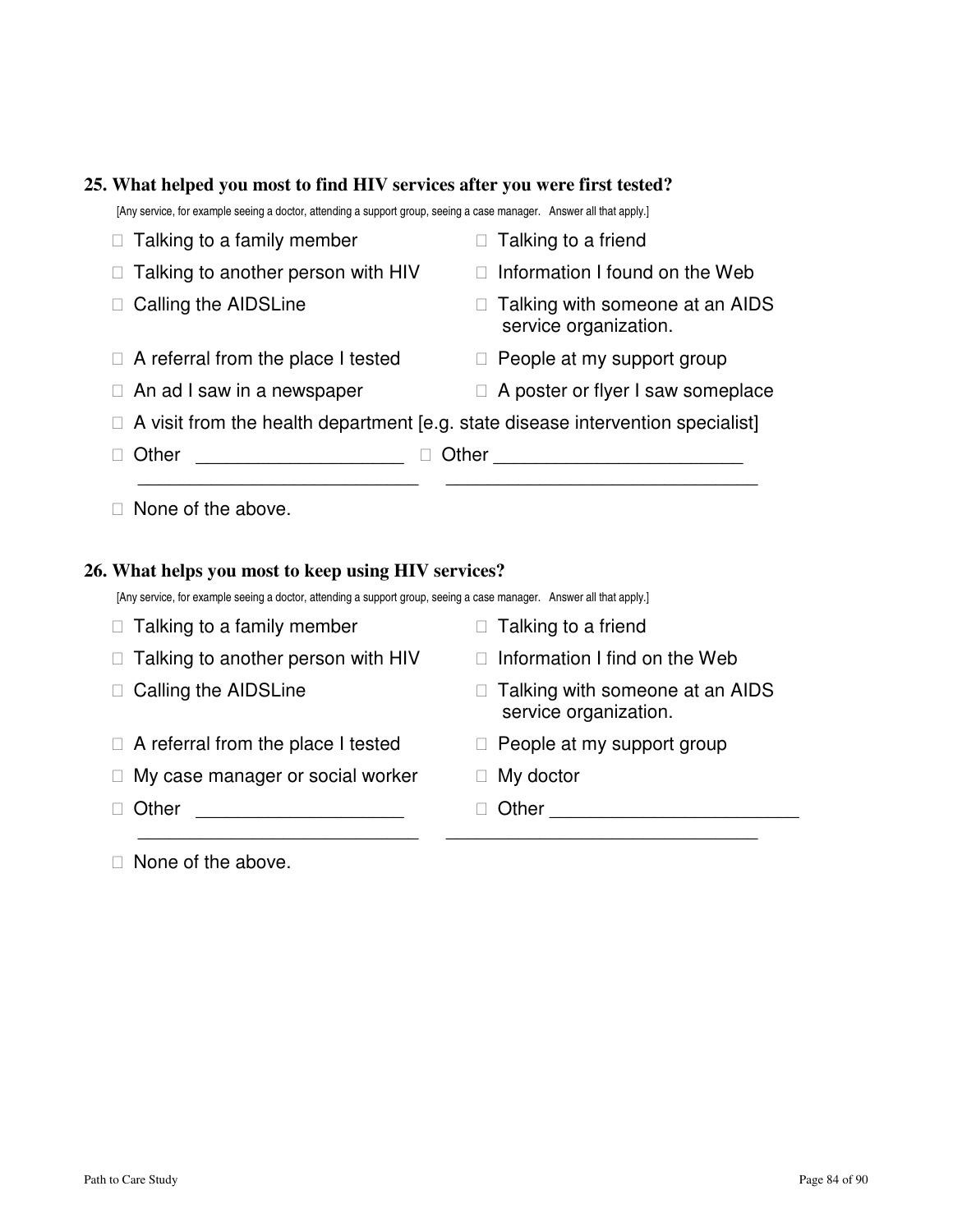#### **25. What helped you most to find HIV services after you were first tested?**

[Any service, for example seeing a doctor, attending a support group, seeing a case manager. Answer all that apply.]

|       | Talking to a family member         |       | Talking to a friend                                                             |
|-------|------------------------------------|-------|---------------------------------------------------------------------------------|
|       | Talking to another person with HIV |       | Information I found on the Web                                                  |
|       | Calling the AIDSLine               |       | Talking with someone at an AIDS<br>service organization.                        |
|       | A referral from the place I tested |       | People at my support group                                                      |
|       | An ad I saw in a newspaper         |       | A poster or flyer I saw someplace                                               |
|       |                                    |       | A visit from the health department [e.g. state disease intervention specialist] |
| Other |                                    | Other |                                                                                 |
|       |                                    |       |                                                                                 |

None of the above.

## **26. What helps you most to keep using HIV services?**

[Any service, for example seeing a doctor, attending a support group, seeing a case manager. Answer all that apply.]

| Talking to a family member         | Talking to a friend                                      |
|------------------------------------|----------------------------------------------------------|
| Talking to another person with HIV | Information I find on the Web                            |
| Calling the AIDSLine               | Talking with someone at an AIDS<br>service organization. |
| A referral from the place I tested | People at my support group                               |
| My case manager or social worker   | My doctor                                                |
| Other                              | Other                                                    |
|                                    |                                                          |

None of the above.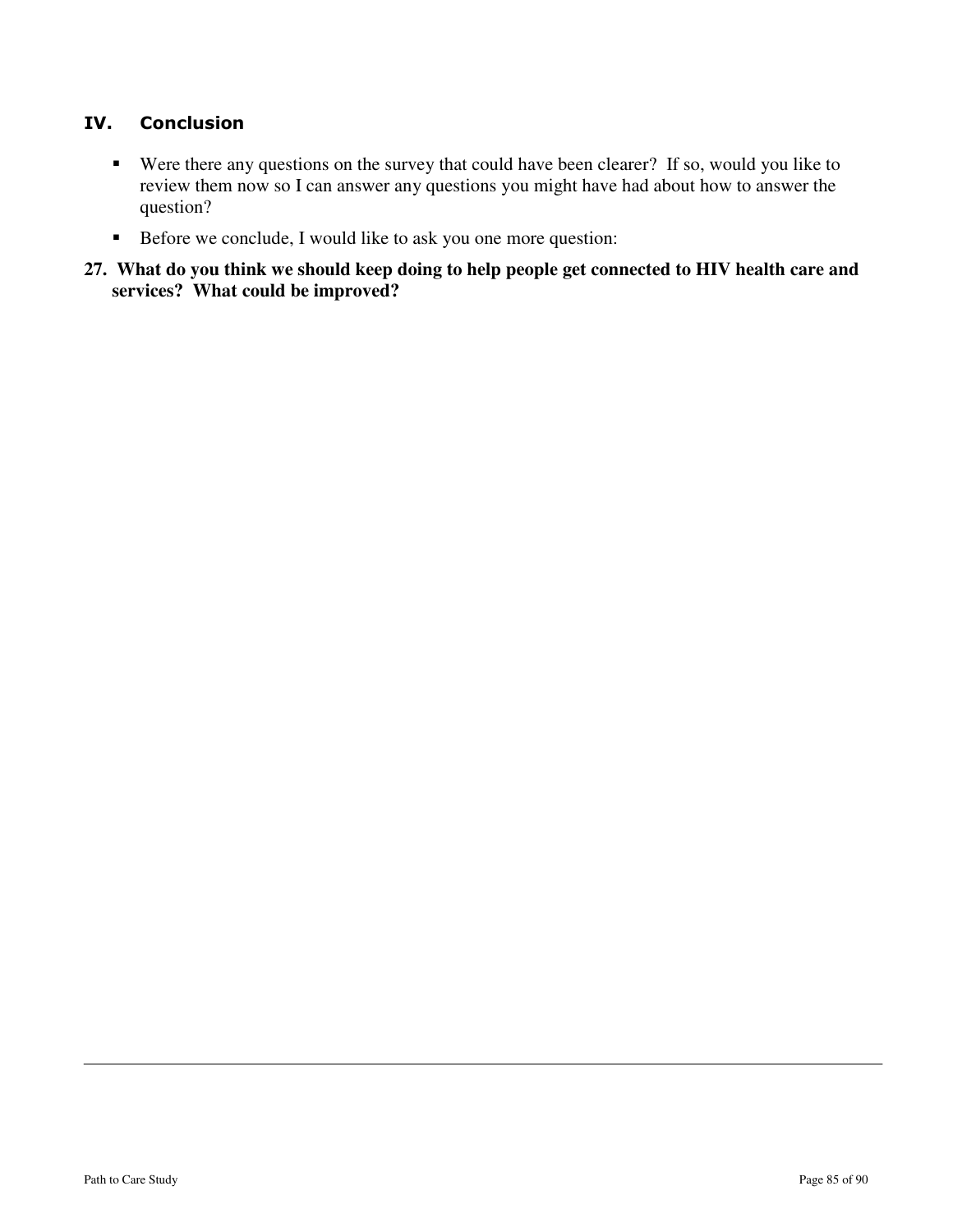# IV. Conclusion

- Were there any questions on the survey that could have been clearer? If so, would you like to review them now so I can answer any questions you might have had about how to answer the question?
- Before we conclude, I would like to ask you one more question:
- **27. What do you think we should keep doing to help people get connected to HIV health care and services? What could be improved?**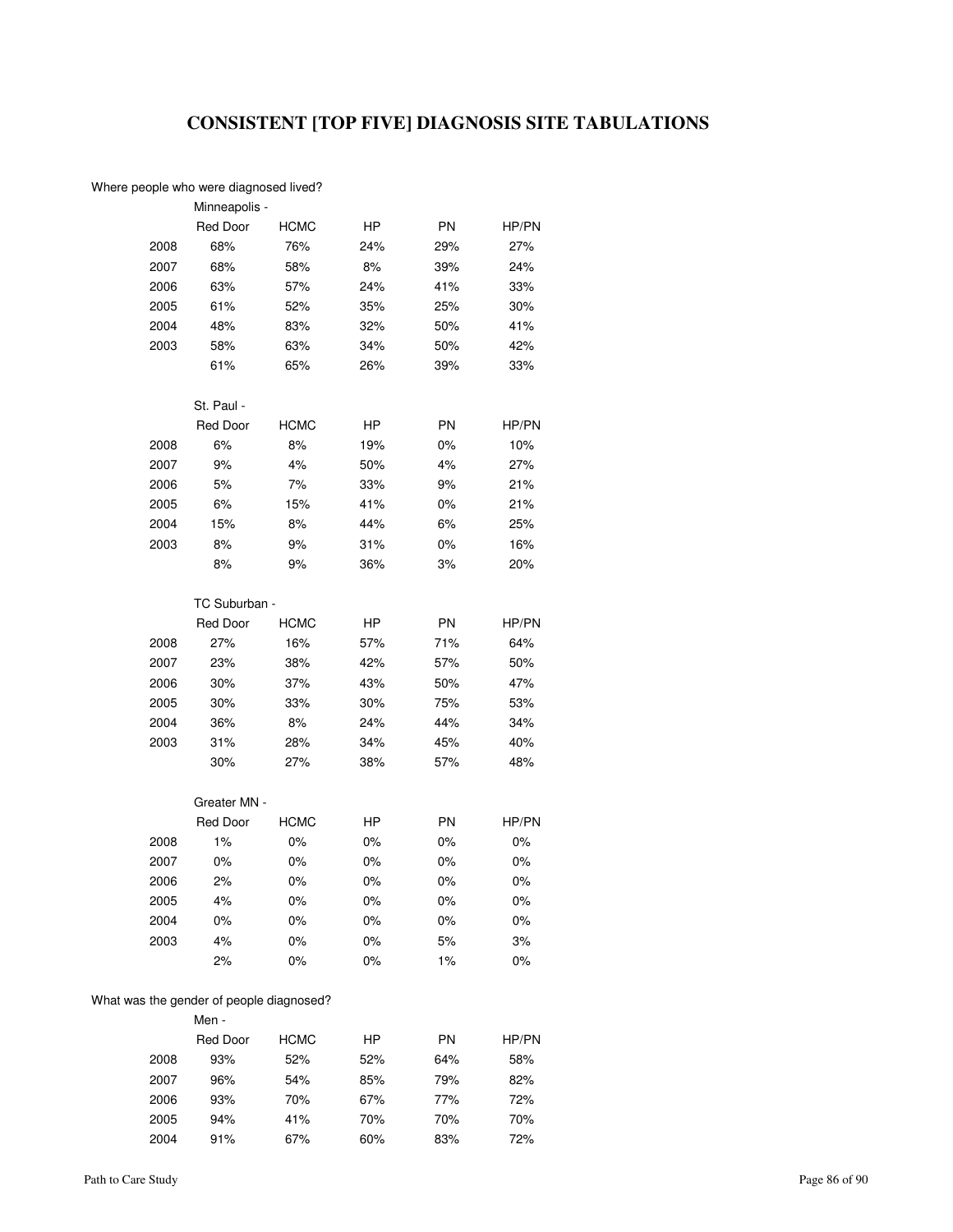# **CONSISTENT [TOP FIVE] DIAGNOSIS SITE TABULATIONS**

#### Where people who were diagnosed lived?

|      | Minneapolis -   |             |     |     |       |
|------|-----------------|-------------|-----|-----|-------|
|      | <b>Red Door</b> | <b>HCMC</b> | HP  | PN  | HP/PN |
| 2008 | 68%             | 76%         | 24% | 29% | 27%   |
| 2007 | 68%             | 58%         | 8%  | 39% | 24%   |
| 2006 | 63%             | 57%         | 24% | 41% | 33%   |
| 2005 | 61%             | 52%         | 35% | 25% | 30%   |
| 2004 | 48%             | 83%         | 32% | 50% | 41%   |
| 2003 | 58%             | 63%         | 34% | 50% | 42%   |
|      | 61%             | 65%         | 26% | 39% | 33%   |
|      |                 |             |     |     |       |
|      | St. Paul -      |             |     |     |       |
|      | <b>Red Door</b> | HCMC        | HP  | PN  | HP/PN |
| 2008 | 6%              | 8%          | 19% | 0%  | 10%   |
| 2007 | 9%              | 4%          | 50% | 4%  | 27%   |
| 2006 | 5%              | 7%          | 33% | 9%  | 21%   |
| 2005 | 6%              | 15%         | 41% | 0%  | 21%   |
| 2004 | 15%             | 8%          | 44% | 6%  | 25%   |
| 2003 | 8%              | 9%          | 31% | 0%  | 16%   |
|      | 8%              | 9%          | 36% | 3%  | 20%   |
|      |                 |             |     |     |       |
|      | TC Suburban -   |             |     |     |       |
|      | Red Door        | <b>HCMC</b> | HP  | PN  | HP/PN |
| 2008 | 27%             | 16%         | 57% | 71% | 64%   |
| 2007 | 23%             | 38%         | 42% | 57% | 50%   |
| 2006 | 30%             | 37%         | 43% | 50% | 47%   |
| 2005 | 30%             | 33%         | 30% | 75% | 53%   |
| 2004 | 36%             | 8%          | 24% | 44% | 34%   |
| 2003 | 31%             | 28%         | 34% | 45% | 40%   |
|      | 30%             | 27%         | 38% | 57% | 48%   |
|      |                 |             |     |     |       |
|      | Greater MN -    |             |     |     |       |
|      | <b>Red Door</b> | <b>HCMC</b> | HP  | PN  | HP/PN |
| 2008 | 1%              | 0%          | 0%  | 0%  | 0%    |
| 2007 | 0%              | 0%          | 0%  | 0%  | 0%    |
| 2006 | 2%              | 0%          | 0%  | 0%  | 0%    |
| 2005 | 4%              | 0%          | 0%  | 0%  | 0%    |
| 2004 | 0%              | 0%          | 0%  | 0%  | 0%    |
| 2003 | 4%              | 0%          | 0%  | 5%  | 3%    |
|      | 2%              | 0%          | 0%  | 1%  | $0\%$ |
|      |                 |             |     |     |       |
|      |                 |             |     |     |       |

#### What was the gender of people diagnosed? Men -

|      | Red Door | <b>HCMC</b> | ΗP  | <b>PN</b> | HP/PN |
|------|----------|-------------|-----|-----------|-------|
| 2008 | 93%      | 52%         | 52% | 64%       | 58%   |
| 2007 | 96%      | 54%         | 85% | 79%       | 82%   |
| 2006 | 93%      | 70%         | 67% | 77%       | 72%   |
| 2005 | 94%      | 41%         | 70% | 70%       | 70%   |
| 2004 | 91%      | 67%         | 60% | 83%       | 72%   |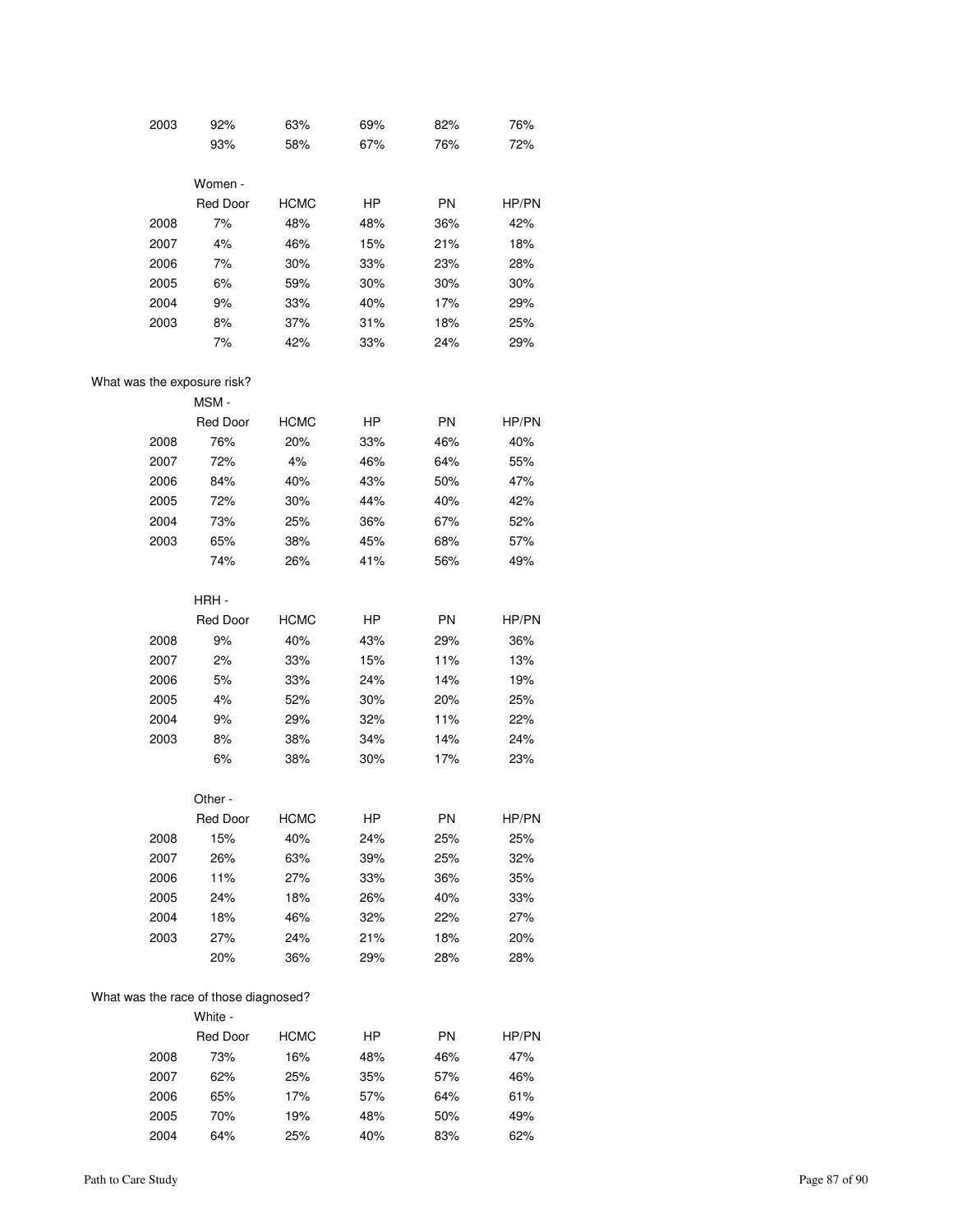| 2003 | 92%             | 63%         | 69%       | 82%       | 76%   |
|------|-----------------|-------------|-----------|-----------|-------|
|      | 93%             | 58%         | 67%       | 76%       | 72%   |
|      |                 |             |           |           |       |
|      | Women -         |             |           |           |       |
|      | <b>Red Door</b> | <b>HCMC</b> | <b>HP</b> | <b>PN</b> | HP/PN |
| 2008 | 7%              | 48%         | 48%       | 36%       | 42%   |
| 2007 | 4%              | 46%         | 15%       | 21%       | 18%   |
| 2006 | 7%              | 30%         | 33%       | 23%       | 28%   |
| 2005 | 6%              | 59%         | 30%       | 30%       | 30%   |
| 2004 | 9%              | 33%         | 40%       | 17%       | 29%   |
| 2003 | 8%              | 37%         | 31%       | 18%       | 25%   |
|      | 7%              | 42%         | 33%       | 24%       | 29%   |

#### What was the exposure risk?

|      | MSM-            |             |           |           |       |
|------|-----------------|-------------|-----------|-----------|-------|
|      | <b>Red Door</b> | <b>HCMC</b> | <b>HP</b> | <b>PN</b> | HP/PN |
| 2008 | 76%             | 20%         | 33%       | 46%       | 40%   |
| 2007 | 72%             | 4%          | 46%       | 64%       | 55%   |
| 2006 | 84%             | 40%         | 43%       | 50%       | 47%   |
| 2005 | 72%             | 30%         | 44%       | 40%       | 42%   |
| 2004 | 73%             | 25%         | 36%       | 67%       | 52%   |
| 2003 | 65%             | 38%         | 45%       | 68%       | 57%   |
|      | 74%             | 26%         | 41%       | 56%       | 49%   |

|      | HRH-            |             |     |           |       |
|------|-----------------|-------------|-----|-----------|-------|
|      | <b>Red Door</b> | <b>HCMC</b> | HP  | <b>PN</b> | HP/PN |
| 2008 | 9%              | 40%         | 43% | 29%       | 36%   |
| 2007 | 2%              | 33%         | 15% | 11%       | 13%   |
| 2006 | 5%              | 33%         | 24% | 14%       | 19%   |
| 2005 | 4%              | 52%         | 30% | 20%       | 25%   |
| 2004 | 9%              | 29%         | 32% | 11%       | 22%   |
| 2003 | 8%              | 38%         | 34% | 14%       | 24%   |
|      | 6%              | 38%         | 30% | 17%       | 23%   |
|      |                 |             |     |           |       |

|      | Other -         |             |     |           |       |
|------|-----------------|-------------|-----|-----------|-------|
|      | <b>Red Door</b> | <b>HCMC</b> | HР  | <b>PN</b> | HP/PN |
| 2008 | 15%             | 40%         | 24% | 25%       | 25%   |
| 2007 | 26%             | 63%         | 39% | 25%       | 32%   |
| 2006 | 11%             | 27%         | 33% | 36%       | 35%   |
| 2005 | 24%             | 18%         | 26% | 40%       | 33%   |
| 2004 | 18%             | 46%         | 32% | 22%       | 27%   |
| 2003 | 27%             | 24%         | 21% | 18%       | 20%   |
|      | 20%             | 36%         | 29% | 28%       | 28%   |

#### What was the race of those diagnosed?

|      | White -  |             |     |           |       |
|------|----------|-------------|-----|-----------|-------|
|      | Red Door | <b>HCMC</b> | HР  | <b>PN</b> | HP/PN |
| 2008 | 73%      | 16%         | 48% | 46%       | 47%   |
| 2007 | 62%      | 25%         | 35% | 57%       | 46%   |
| 2006 | 65%      | 17%         | 57% | 64%       | 61%   |
| 2005 | 70%      | 19%         | 48% | 50%       | 49%   |
| 2004 | 64%      | 25%         | 40% | 83%       | 62%   |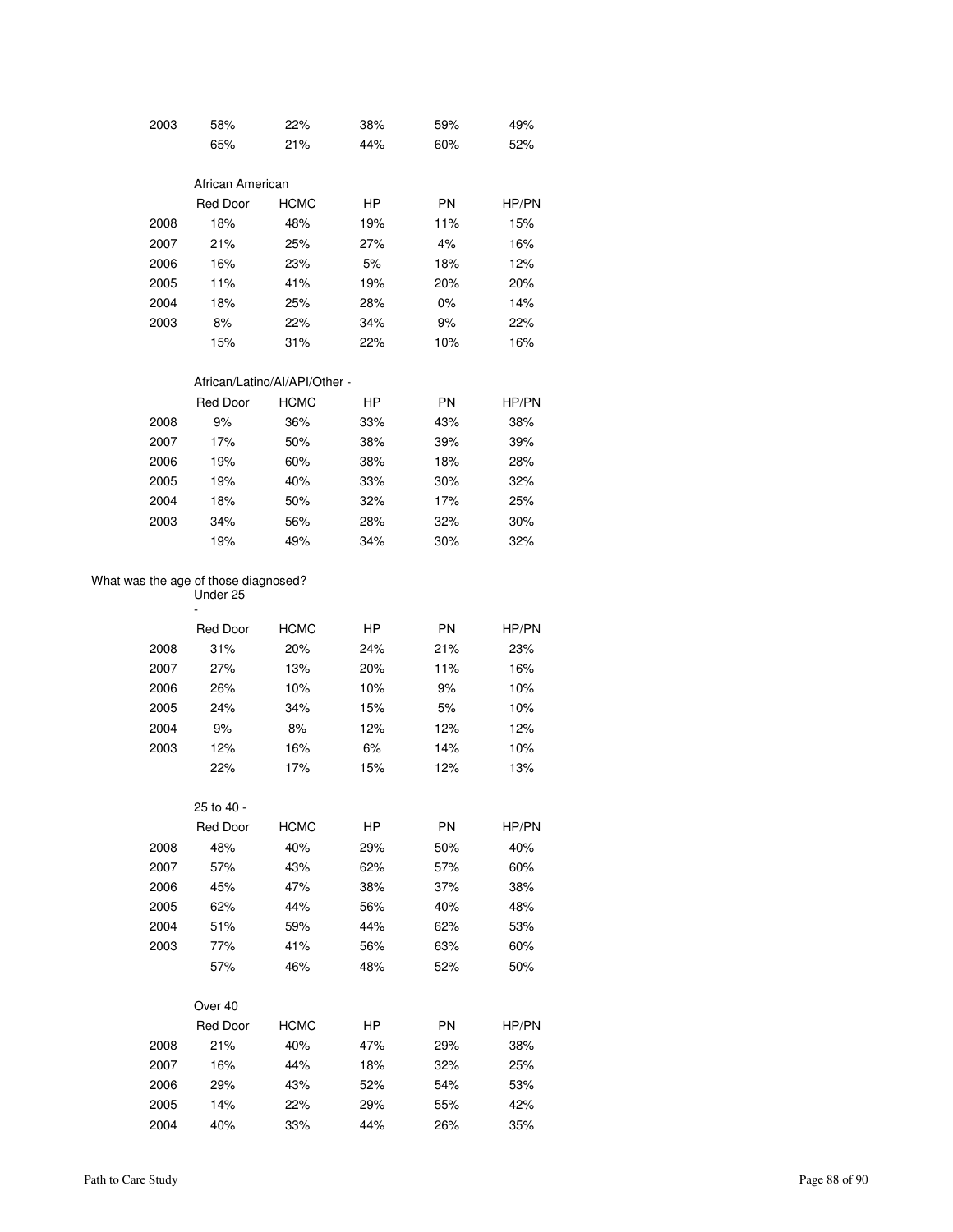| 2003 | 58%              | 22%         | 38% | 59%       | 49%   |
|------|------------------|-------------|-----|-----------|-------|
|      | 65%              | 21%         | 44% | 60%       | 52%   |
|      |                  |             |     |           |       |
|      | African American |             |     |           |       |
|      | <b>Red Door</b>  | <b>HCMC</b> | HP  | <b>PN</b> | HP/PN |
| 2008 | 18%              | 48%         | 19% | 11%       | 15%   |
| 2007 | 21%              | 25%         | 27% | 4%        | 16%   |
| 2006 | 16%              | 23%         | 5%  | 18%       | 12%   |
| 2005 | 11%              | 41%         | 19% | 20%       | 20%   |
| 2004 | 18%              | 25%         | 28% | 0%        | 14%   |
| 2003 | 8%               | 22%         | 34% | 9%        | 22%   |
|      | 15%              | 31%         | 22% | 10%       | 16%   |

#### African/Latino/AI/API/Other -

|      | <b>Red Door</b> | <b>HCMC</b> | HP  | <b>PN</b> | HP/PN |
|------|-----------------|-------------|-----|-----------|-------|
| 2008 | 9%              | 36%         | 33% | 43%       | 38%   |
| 2007 | 17%             | 50%         | 38% | 39%       | 39%   |
| 2006 | 19%             | 60%         | 38% | 18%       | 28%   |
| 2005 | 19%             | 40%         | 33% | 30%       | 32%   |
| 2004 | 18%             | 50%         | 32% | 17%       | 25%   |
| 2003 | 34%             | 56%         | 28% | 32%       | 30%   |
|      | 19%             | 49%         | 34% | 30%       | 32%   |

#### What was the age of those diagnosed? -

Under 25

|      | Red Door | <b>HCMC</b> | HP  | <b>PN</b> | HP/PN |
|------|----------|-------------|-----|-----------|-------|
| 2008 | 31%      | 20%         | 24% | 21%       | 23%   |
| 2007 | 27%      | 13%         | 20% | 11%       | 16%   |
| 2006 | 26%      | 10%         | 10% | 9%        | 10%   |
| 2005 | 24%      | 34%         | 15% | 5%        | 10%   |
| 2004 | 9%       | 8%          | 12% | 12%       | 12%   |
| 2003 | 12%      | 16%         | 6%  | 14%       | 10%   |
|      | 22%      | 17%         | 15% | 12%       | 13%   |

|      | 25 to 40 -      |             |           |           |       |
|------|-----------------|-------------|-----------|-----------|-------|
|      | <b>Red Door</b> | <b>HCMC</b> | <b>HP</b> | <b>PN</b> | HP/PN |
| 2008 | 48%             | 40%         | 29%       | 50%       | 40%   |
| 2007 | 57%             | 43%         | 62%       | 57%       | 60%   |
| 2006 | 45%             | 47%         | 38%       | 37%       | 38%   |
| 2005 | 62%             | 44%         | 56%       | 40%       | 48%   |
| 2004 | 51%             | 59%         | 44%       | 62%       | 53%   |
| 2003 | 77%             | 41%         | 56%       | 63%       | 60%   |
|      | 57%             | 46%         | 48%       | 52%       | 50%   |
|      | Over 40         |             |           |           |       |
|      | <b>Red Door</b> | <b>HCMC</b> | HP        | <b>PN</b> | HP/PN |
| 2008 | 21%             | 40%         | 47%       | 29%       | 38%   |
| 2007 | 16%             | 44%         | 18%       | 32%       | 25%   |
| 2006 | 29%             | 43%         | 52%       | 54%       | 53%   |
| 2005 | 14%             | 22%         | 29%       | 55%       | 42%   |
| 2004 | 40%             | 33%         | 44%       | 26%       | 35%   |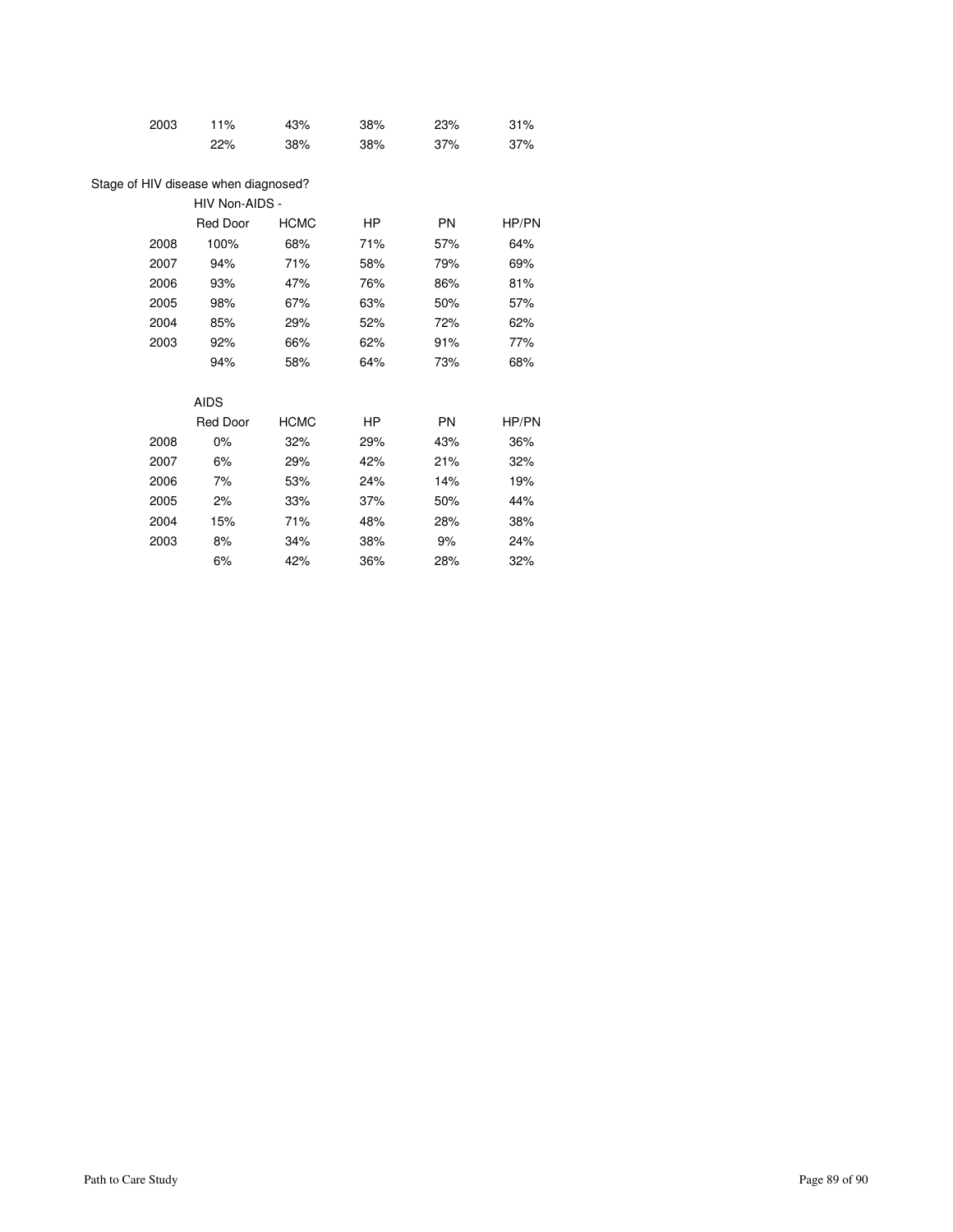| 11%             | 43%                            | 38%                                                                   | 23%       | 31%   |
|-----------------|--------------------------------|-----------------------------------------------------------------------|-----------|-------|
| 22%             | 38%                            | 38%                                                                   | 37%       | 37%   |
|                 |                                |                                                                       |           |       |
|                 |                                |                                                                       |           |       |
| <b>Red Door</b> | <b>HCMC</b>                    | HP.                                                                   | PN        | HP/PN |
| 100%            | 68%                            | 71%                                                                   | 57%       | 64%   |
| 94%             | 71%                            | 58%                                                                   | 79%       | 69%   |
| 93%             | 47%                            | 76%                                                                   | 86%       | 81%   |
| 98%             | 67%                            | 63%                                                                   | 50%       | 57%   |
| 85%             | 29%                            | 52%                                                                   | 72%       | 62%   |
| 92%             | 66%                            | 62%                                                                   | 91%       | 77%   |
| 94%             | 58%                            | 64%                                                                   | 73%       | 68%   |
|                 |                                |                                                                       |           |       |
|                 |                                | HP                                                                    | <b>PN</b> | HP/PN |
| 0%              | 32%                            | 29%                                                                   | 43%       | 36%   |
| 6%              | 29%                            | 42%                                                                   | 21%       | 32%   |
| 7%              | 53%                            | 24%                                                                   | 14%       | 19%   |
| 2%              | 33%                            | 37%                                                                   | 50%       | 44%   |
| 15%             | 71%                            | 48%                                                                   | 28%       | 38%   |
| 8%              | 34%                            | 38%                                                                   | 9%        | 24%   |
| 6%              | 42%                            | 36%                                                                   | 28%       | 32%   |
|                 | <b>AIDS</b><br><b>Red Door</b> | Stage of HIV disease when diagnosed?<br>HIV Non-AIDS -<br><b>HCMC</b> |           |       |